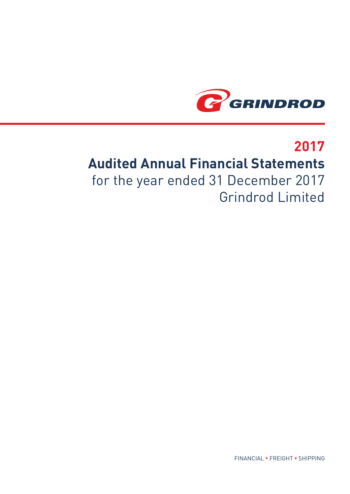

# **2017 Audited Annual Financial Statements** for the year ended 31 December 2017

Grindrod Limited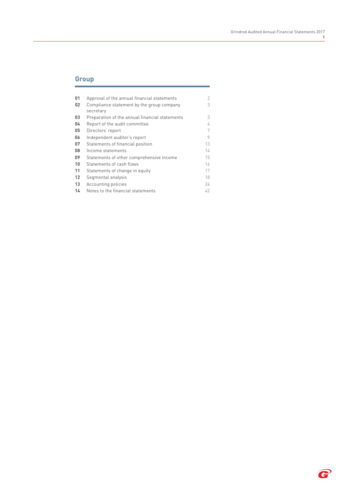# **Group**

| 01 | Approval of the annual financial statements            | 2  |
|----|--------------------------------------------------------|----|
| 02 | Compliance statement by the group company<br>secretary | 3  |
| 03 | Preparation of the annual financial statements         | 3  |
| 04 | Report of the audit committee                          | 4  |
| 05 | Directors' report                                      | 7  |
| 06 | Independent auditor's report                           | 9  |
| 07 | Statements of financial position                       | 13 |
| 08 | Income statements                                      | 14 |
| 09 | Statements of other comprehensive income               | 15 |
| 10 | Statements of cash flows                               | 16 |
| 11 | Statements of change in equity                         | 17 |
| 12 | Segmental analysis                                     | 18 |
| 13 | Accounting policies                                    | 24 |
| 14 | Notes to the financial statements                      | 42 |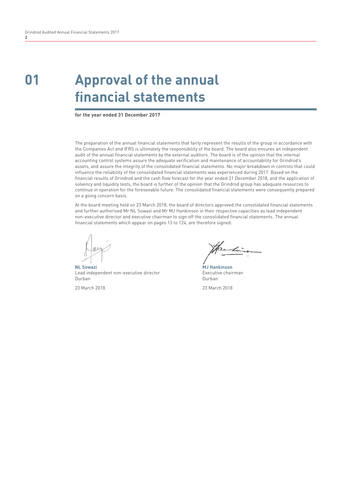# **01 Approval of the annual financial statements**

**for the year ended 31 December 2017**

The preparation of the annual financial statements that fairly represent the results of the group in accordance with the Companies Act and IFRS is ultimately the responsibility of the board. The board also ensures an independent audit of the annual financial statements by the external auditors. The board is of the opinion that the internal accounting control systems assure the adequate verification and maintenance of accountability for Grindrod's assets, and assure the integrity of the consolidated financial statements. No major breakdown in controls that could influence the reliability of the consolidated financial statements was experienced during 2017. Based on the financial results of Grindrod and the cash flow forecast for the year ended 31 December 2018, and the application of solvency and liquidity tests, the board is further of the opinion that the Grindrod group has adequate resources to continue in operation for the foreseeable future. The consolidated financial statements were consequently prepared on a going concern basis.

At the board meeting held on 23 March 2018, the board of directors approved the consolidated financial statements and further authorised Mr NL Sowazi and Mr MJ Hankinson in their respective capacities as lead independent non-executive director and executive chairman to sign off the consolidated financial statements. The annual financial statements which appear on pages 13 to 124, are therefore signed:

**NL Sowazi** Lead independent non-executive director Durban

23 March 2018

**MJ Hankinson**  Executive chairman Durban

23 March 2018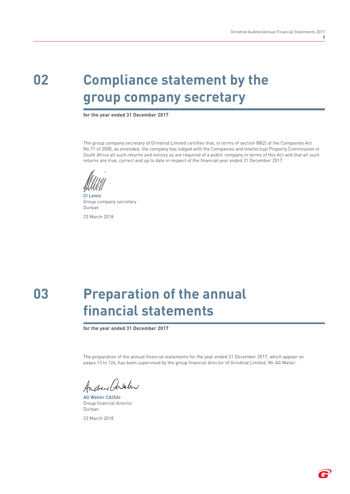# **02 Compliance statement by the group company secretary**

**for the year ended 31 December 2017**

The group company secretary of Grindrod Limited certifies that, in terms of section 88(2) of the Companies Act No.71 of 2008, as amended, the company has lodged with the Companies and Intellectual Property Commission of South Africa all such returns and notices as are required of a public company in terms of this Act and that all such returns are true, correct and up to date in respect of the financial year ended 31 December 2017.

**CI Lewis** Group company secretary Durban 23 March 2018

# **03 Preparation of the annual financial statements**

**for the year ended 31 December 2017**

The preparation of the annual financial statements for the year ended 31 December 2017, which appear on pages 13 to 124, has been supervised by the group financial director of Grindrod Limited, Mr AG Waller.

Andrew Arkeler

**AG Waller CA(SA)** Group financial director Durban

23 March 2018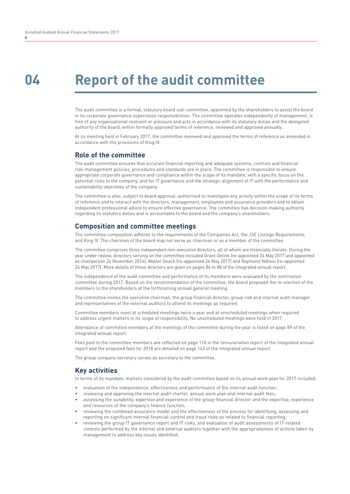# **04 Report of the audit committee**

The audit committee is a formal, statutory board sub-committee, appointed by the shareholders to assist the board in its corporate governance supervision responsibilities. The committee operates independently of management, is free of any organisational restraint or pressure and acts in accordance with its statutory duties and the delegated authority of the board, within formally approved terms of reference, reviewed and approved annually.

At its meeting held in February 2017, the committee reviewed and approved the terms of reference as amended in accordance with the provisions of King IV.

## **Role of the committee**

The audit committee ensures that accurate financial reporting and adequate systems, controls and financial risk-management policies, procedures and standards are in place. The committee is responsible to ensure appropriate corporate governance and compliance within the scope of its mandate, with a specific focus on the potential risks to the company, and for IT governance and the strategic alignment of IT with the performance and sustainability objectives of the company.

The committee is also, subject to board approval, authorised to investigate any activity within the scope of its terms of reference and to interact with the directors, management, employees and assurance providers and to obtain independent professional advice to ensure effective governance. The committee has decision-making authority regarding its statutory duties and is accountable to the board and the company's shareholders.

## **Composition and committee meetings**

The committee composition adheres to the requirements of the Companies Act, the JSE Listings Requirements and King IV. The chairman of the board may not serve as chairman or as a member of the committee.

The committee comprises three independent non-executive directors, all of whom are financially literate. During the year under review, directors serving on the committee included Grant Gelink (re-appointed 24 May 2017 and appointed as chairperson 26 November 2014), Walter Geach (re-appointed 24 May 2017) and Raymond Ndlovu (re-appointed 24 May 2017). More details of these directors are given on pages 84 to 88 of the integrated annual report.

The independence of the audit committee and performance of its members were evaluated by the nomination committee during 2017. Based on the recommendation of the committee, the board proposed the re-election of the members to the shareholders at the forthcoming annual general meeting.

The committee invites the executive chairman, the group financial director, group risk and internal audit manager and representatives of the external auditors to attend its meetings as required.

Committee members meet at scheduled meetings twice a year and at unscheduled meetings when required to address urgent matters in its scope of responsibility. No unscheduled meetings were held in 2017.

Attendance of committee members at the meetings of the committee during the year is listed on page 89 of the integrated annual report.

Fees paid to the committee members are reflected on page 110 in the remuneration report of the integrated annual report and the proposed fees for 2018 are detailed on page 143 of the integrated annual report.

The group company secretary serves as secretary to the committee.

## **Key activities**

In terms of its mandate, matters considered by the audit committee based on its annual work plan for 2017 included:

- evaluation of the independence, effectiveness and performance of the internal audit function;
- reviewing and approving the internal audit charter, annual work plan and internal audit fees;
- assessing the suitability, expertise and experience of the group financial director and the expertise, experience and resources of the company's finance function;
- reviewing the combined assurance model and the effectiveness of the process for identifying, assessing and reporting on significant internal financial-control and fraud risks as related to financial reporting;
- reviewing the group IT governance report and IT risks, and evaluation of audit assessments of IT-related controls performed by the internal and external auditors together with the appropriateness of actions taken by management to address key issues identified;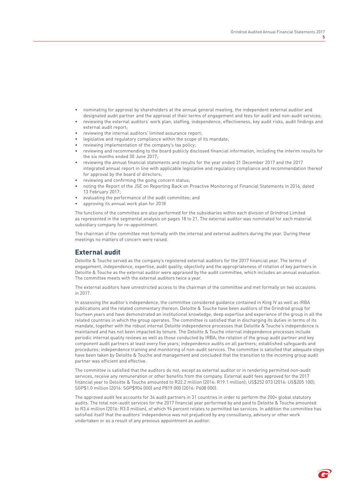- nominating for approval by shareholders at the annual general meeting, the independent external auditor and designated audit partner and the approval of their terms of engagement and fees for audit and non-audit services;
- reviewing the external auditors' work plan, staffing, independence, effectiveness, key audit risks, audit findings and external audit report;
- reviewing the internal auditors' limited assurance report;
- legislative and regulatory compliance within the scope of its mandate;
- reviewing implementation of the company's tax policy;
- reviewing and recommending to the board publicly disclosed financial information, including the interim results for the six months ended 30 June 2017;
- reviewing the annual financial statements and results for the year ended 31 December 2017 and the 2017 integrated annual report in line with applicable legislative and regulatory compliance and recommendation thereof for approval by the board of directors;
- reviewing and confirming the going concern status;
- noting the Report of the JSE on Reporting Back on Proactive Monitoring of Financial Statements in 2016, dated 13 February 2017;
- evaluating the performance of the audit committee; and
- approving its annual work plan for 2018

The functions of the committee are also performed for the subsidiaries within each division of Grindrod Limited as represented in the segmental analysis on pages 18 to 21. The external auditor was nominated for each material subsidiary company for re-appointment.

The chairman of the committee met formally with the internal and external auditors during the year. During these meetings no matters of concern were raised.

## **External audit**

Deloitte & Touche served as the company's registered external auditors for the 2017 financial year. The terms of engagement, independence, expertise, audit quality, objectivity and the appropriateness of rotation of key partners in Deloitte & Touche as the external auditor were appraised by the audit committee, which includes an annual evaluation. The committee meets with the external auditors twice a year.

The external auditors have unrestricted access to the chairman of the committee and met formally on two occasions in 2017.

In assessing the auditor's independence, the committee considered guidance contained in King IV as well as IRBA publications and the related commentary thereon. Deloitte & Touche have been auditors of the Grindrod group for fourteen years and have demonstrated an institutional knowledge, deep expertise and experience of the group in all the related countries in which the group operates. The committee is satisfied that in discharging its duties in terms of its mandate, together with the robust internal Deloitte independence processes that Deloitte & Touche's independence is maintained and has not been impacted by tenure. The Deloitte & Touche internal independence processes include periodic internal quality reviews as well as those conducted by IRBA; the rotation of the group audit partner and key component audit partners at least every five years; independence audits on all partners; established safeguards and procedures; independence training and monitoring of non-audit services. The committee is satisfied that adequate steps have been taken by Deloitte & Touche and management and concluded that the transition to the incoming group audit partner was efficient and effective.

The committee is satisfied that the auditors do not, except as external auditor or in rendering permitted non-audit services, receive any remuneration or other benefits from the company. External audit fees approved for the 2017 financial year to Deloitte & Touche amounted to R22.2 million (2016: R19.1 million); US\$252 073 (2016: US\$205 100); SGP\$1.0 million (2016: SGP\$904 000) and P819 000 (2016: P608 000).

The approved audit fee accounts for 34 audit partners in 31 countries in order to perform the 200+ global statutory audits. The total non-audit services for the 2017 financial year performed by and paid to Deloitte & Touche amounted to R3.6 million (2016: R3.0 million), of which 94 percent relates to permitted tax services. In addition the committee has satisfied itself that the auditors' independence was not prejudiced by any consultancy, advisory or other work undertaken or as a result of any previous appointment as auditor.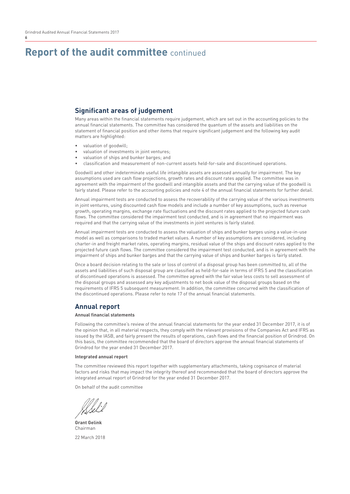**6**

# **Report of the audit committee** continued

## **Significant areas of judgement**

Many areas within the financial statements require judgement, which are set out in the accounting policies to the annual financial statements. The committee has considered the quantum of the assets and liabilities on the statement of financial position and other items that require significant judgement and the following key audit matters are highlighted:

- valuation of goodwill;
- valuation of investments in joint ventures;
- valuation of ships and bunker barges; and
- classification and measurement of non-current assets held-for-sale and discontinued operations.

Goodwill and other indeterminate useful life intangible assets are assessed annually for impairment. The key assumptions used are cash flow projections, growth rates and discount rates applied. The committee was in agreement with the impairment of the goodwill and intangible assets and that the carrying value of the goodwill is fairly stated. Please refer to the accounting policies and note 4 of the annual financial statements for further detail.

Annual impairment tests are conducted to assess the recoverability of the carrying value of the various investments in joint ventures, using discounted cash flow models and include a number of key assumptions, such as revenue growth, operating margins, exchange rate fluctuations and the discount rates applied to the projected future cash flows. The committee considered the impairment test conducted, and is in agreement that no impairment was required and that the carrying value of the investments in joint ventures is fairly stated.

Annual impairment tests are conducted to assess the valuation of ships and bunker barges using a value-in-use model as well as comparisons to traded market values. A number of key assumptions are considered, including charter-in and freight market rates, operating margins, residual value of the ships and discount rates applied to the projected future cash flows. The committee considered the impairment test conducted, and is in agreement with the impairment of ships and bunker barges and that the carrying value of ships and bunker barges is fairly stated.

Once a board decision relating to the sale or loss of control of a disposal group has been committed to, all of the assets and liabilities of such disposal group are classified as held-for-sale in terms of IFRS 5 and the classification of discontinued operations is assessed. The committee agreed with the fair value less costs to sell assessment of the disposal groups and assessed any key adjustments to net book value of the disposal groups based on the requirements of IFRS 5 subsequent measurement. In addition, the committee concurred with the classification of the discontinued operations. Please refer to note 17 of the annual financial statements.

## **Annual report**

## **Annual financial statements**

Following the committee's review of the annual financial statements for the year ended 31 December 2017, it is of the opinion that, in all material respects, they comply with the relevant provisions of the Companies Act and IFRS as issued by the IASB, and fairly present the results of operations, cash flows and the financial position of Grindrod. On this basis, the committee recommended that the board of directors approve the annual financial statements of Grindrod for the year ended 31 December 2017.

### **Integrated annual report**

The committee reviewed this report together with supplementary attachments, taking cognisance of material factors and risks that may impact the integrity thereof and recommended that the board of directors approve the integrated annual report of Grindrod for the year ended 31 December 2017.

On behalf of the audit committee

**Grant Gelink** Chairman 22 March 2018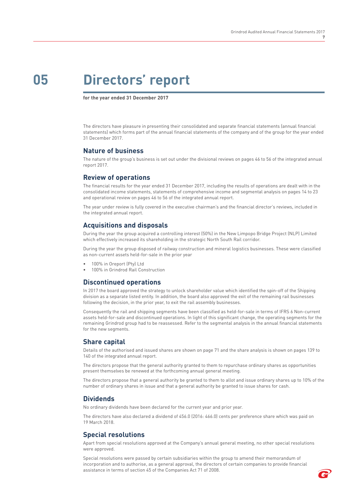# **05 Directors' report**

**for the year ended 31 December 2017**

The directors have pleasure in presenting their consolidated and separate financial statements (annual financial statements) which forms part of the annual financial statements of the company and of the group for the year ended 31 December 2017.

## **Nature of business**

The nature of the group's business is set out under the divisional reviews on pages 46 to 56 of the integrated annual report 2017.

## **Review of operations**

The financial results for the year ended 31 December 2017, including the results of operations are dealt with in the consolidated income statements, statements of comprehensive income and segmental analysis on pages 14 to 23 and operational review on pages 46 to 56 of the integrated annual report.

The year under review is fully covered in the executive chairman's and the financial director's reviews, included in the integrated annual report.

## **Acquisitions and disposals**

During the year the group acquired a controlling interest (50%) in the New Limpopo Bridge Project (NLP) Limited which effectively increased its shareholding in the strategic North South Rail corridor.

During the year the group disposed of railway construction and mineral logistics businesses. These were classified as non-current assets held-for-sale in the prior year

- 100% in Oreport (Pty) Ltd
- 100% in Grindrod Rail Construction

## **Discontinued operations**

In 2017 the board approved the strategy to unlock shareholder value which identified the spin-off of the Shipping division as a separate listed entity. In addition, the board also approved the exit of the remaining rail businesses following the decision, in the prior year, to exit the rail assembly businesses.

Consequently the rail and shipping segments have been classified as held-for-sale in terms of IFRS 6 Non-current assets held-for-sale and discontinued operations. In light of this significant change, the operating segments for the remaining Grindrod group had to be reassessed. Refer to the segmental analysis in the annual financial statements for the new segments.

## **Share capital**

Details of the authorised and issued shares are shown on page 71 and the share analysis is shown on pages 139 to 140 of the integrated annual report.

The directors propose that the general authority granted to them to repurchase ordinary shares as opportunities present themselves be renewed at the forthcoming annual general meeting.

The directors propose that a general authority be granted to them to allot and issue ordinary shares up to 10% of the number of ordinary shares in issue and that a general authority be granted to issue shares for cash.

## **Dividends**

No ordinary dividends have been declared for the current year and prior year.

The directors have also declared a dividend of 456.0 (2016: 466.0) cents per preference share which was paid on 19 March 2018.

# **Special resolutions**

Apart from special resolutions approved at the Company's annual general meeting, no other special resolutions were approved.

Special resolutions were passed by certain subsidiaries within the group to amend their memorandum of incorporation and to authorise, as a general approval, the directors of certain companies to provide financial assistance in terms of section 45 of the Companies Act 71 of 2008.

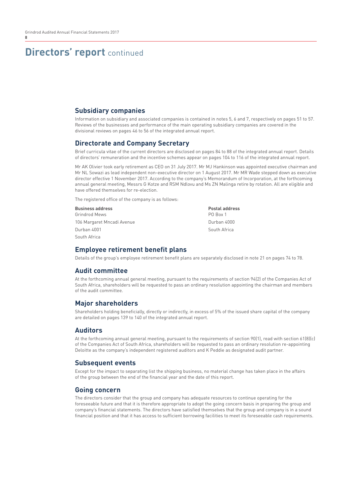# **Directors' report** continued

## **Subsidiary companies**

Information on subsidiary and associated companies is contained in notes 5, 6 and 7, respectively on pages 51 to 57. Reviews of the businesses and performance of the main operating subsidiary companies are covered in the divisional reviews on pages 46 to 56 of the integrated annual report.

# **Directorate and Company Secretary**

Brief curricula vitae of the current directors are disclosed on pages 84 to 88 of the integrated annual report. Details of directors' remuneration and the incentive schemes appear on pages 104 to 116 of the integrated annual report.

Mr AK Olivier took early retirement as CEO on 31 July 2017. Mr MJ Hankinson was appointed executive chairman and Mr NL Sowazi as lead independent non-executive director on 1 August 2017. Mr MR Wade stepped down as executive director effective 1 November 2017. According to the company's Memorandum of Incorporation, at the forthcoming annual general meeting, Messrs G Kotze and RSM Ndlovu and Ms ZN Malinga retire by rotation. All are eligible and have offered themselves for re-election.

The registered office of the company is as follows:

**Business address Postal address** Grindrod Mews PO Box 1 106 Margaret Mncadi Avenue **Durban 4000** Durban 4001 South Africa South Africa

# **Employee retirement benefit plans**

Details of the group's employee retirement benefit plans are separately disclosed in note 21 on pages 74 to 78.

# **Audit committee**

At the forthcoming annual general meeting, pursuant to the requirements of section 94(2) of the Companies Act of South Africa, shareholders will be requested to pass an ordinary resolution appointing the chairman and members of the audit committee.

# **Major shareholders**

Shareholders holding beneficially, directly or indirectly, in excess of 5% of the issued share capital of the company are detailed on pages 139 to 140 of the integrated annual report.

## **Auditors**

At the forthcoming annual general meeting, pursuant to the requirements of section 90(1), read with section 61(8)(c) of the Companies Act of South Africa, shareholders will be requested to pass an ordinary resolution re-appointing Deloitte as the company's independent registered auditors and K Peddie as designated audit partner.

# **Subsequent events**

Except for the impact to separating list the shipping business, no material change has taken place in the affairs of the group between the end of the financial year and the date of this report.

# **Going concern**

The directors consider that the group and company has adequate resources to continue operating for the foreseeable future and that it is therefore appropriate to adopt the going concern basis in preparing the group and company's financial statements. The directors have satisfied themselves that the group and company is in a sound financial position and that it has access to sufficient borrowing facilities to meet its foreseeable cash requirements.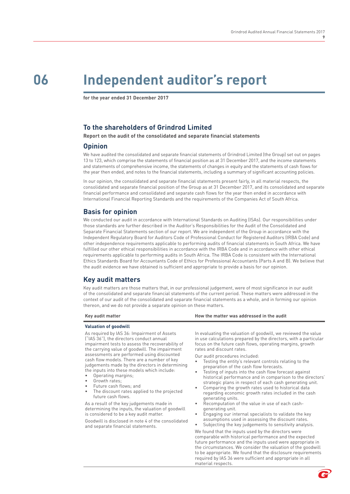# **06 Independent auditor's report**

**for the year ended 31 December 2017**

# **To the shareholders of Grindrod Limited**

**Report on the audit of the consolidated and separate financial statements**

## **Opinion**

We have audited the consolidated and separate financial statements of Grindrod Limited (the Group) set out on pages 13 to 123, which comprise the statements of financial position as at 31 December 2017, and the income statements and statements of comprehensive income, the statements of changes in equity and the statements of cash flows for the year then ended, and notes to the financial statements, including a summary of significant accounting policies.

In our opinion, the consolidated and separate financial statements present fairly, in all material respects, the consolidated and separate financial position of the Group as at 31 December 2017, and its consolidated and separate financial performance and consolidated and separate cash flows for the year then ended in accordance with International Financial Reporting Standards and the requirements of the Companies Act of South Africa.

# **Basis for opinion**

We conducted our audit in accordance with International Standards on Auditing (ISAs). Our responsibilities under those standards are further described in the Auditor's Responsibilities for the Audit of the Consolidated and Separate Financial Statements section of our report. We are independent of the Group in accordance with the Independent Regulatory Board for Auditors Code of Professional Conduct for Registered Auditors (IRBA Code) and other independence requirements applicable to performing audits of financial statements in South Africa. We have fulfilled our other ethical responsibilities in accordance with the IRBA Code and in accordance with other ethical requirements applicable to performing audits in South Africa. The IRBA Code is consistent with the International Ethics Standards Board for Accountants Code of Ethics for Professional Accountants (Parts A and B). We believe that the audit evidence we have obtained is sufficient and appropriate to provide a basis for our opinion.

# **Key audit matters**

Key audit matters are those matters that, in our professional judgement, were of most significance in our audit of the consolidated and separate financial statements of the current period. These matters were addressed in the context of our audit of the consolidated and separate financial statements as a whole, and in forming our opinion thereon, and we do not provide a separate opinion on these matters.

## **Key audit matter How the matter was addressed in the audit**

## **Valuation of goodwill**

As required by IAS 36: Impairment of Assets ("IAS 36"), the directors conduct annual impairment tests to assess the recoverability of the carrying value of goodwill. The impairment assessments are performed using discounted cash flow models. There are a number of key judgements made by the directors in determining the inputs into these models which include:

- Operating margins;
- Growth rates;
- Future cash flows; and
- The discount rates applied to the projected future cash flows.

As a result of the key judgements made in determining the inputs, the valuation of goodwill is considered to be a key audit matter.

Goodwill is disclosed in note 4 of the consolidated and separate financial statements.

In evaluating the valuation of goodwill, we reviewed the value in use calculations prepared by the directors, with a particular focus on the future cash flows, operating margins, growth rates and discount rates.

Our audit procedures included:

- Testing the entity's relevant controls relating to the preparation of the cash flow forecasts.
- Testing of inputs into the cash flow forecast against historical performance and in comparison to the directors' strategic plans in respect of each cash generating unit.
- Comparing the growth rates used to historical data regarding economic growth rates included in the cash generating units.
- Recomputation of the value in use of each cashgenerating unit.
- Engaging our internal specialists to validate the key assumptions used in assessing the discount rates.
- Subjecting the key judgements to sensitivity analysis.

We found that the inputs used by the directors were comparable with historical performance and the expected future performance and the inputs used were appropriate in the circumstances. We consider the valuation of the goodwill to be appropriate. We found that the disclosure requirements required by IAS 36 were sufficient and appropriate in all material respects.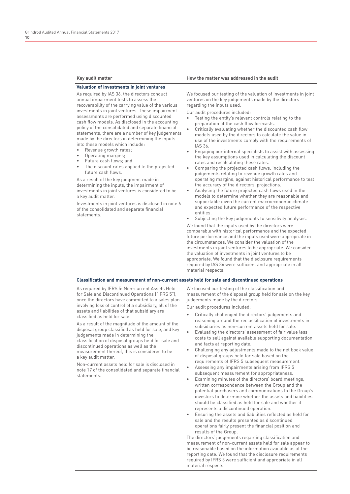## **Valuation of investments in joint ventures**

As required by IAS 36, the directors conduct annual impairment tests to assess the recoverability of the carrying value of the various investments in joint ventures. These impairment assessments are performed using discounted cash flow models. As disclosed in the accounting policy of the consolidated and separate financial statements, there are a number of key judgements made by the directors in determining the inputs into these models which include:

- Revenue growth rates;
- Operating margins;
- Future cash flows; and
- The discount rates applied to the projected future cash flows.

As a result of the key judgment made in determining the inputs, the impairment of investments in joint ventures is considered to be a key audit matter.

Investments in joint ventures is disclosed in note 6 of the consolidated and separate financial statements.

### **Key audit matter How the matter was addressed in the audit**

We focused our testing of the valuation of investments in joint ventures on the key judgements made by the directors regarding the inputs used.

Our audit procedures included:

- Testing the entity's relevant controls relating to the preparation of the cash flow forecasts.
- Critically evaluating whether the discounted cash flow models used by the directors to calculate the value in use of the investments comply with the requirements of IAS 36.
- Engaging our internal specialists to assist with assessing the key assumptions used in calculating the discount rates and recalculating these rates.
- Comparing the projected cash flows, including the judgements relating to revenue growth rates and operating margins, against historical performance to test the accuracy of the directors' projections.
- Analysing the future projected cash flows used in the models to determine whether they are reasonable and supportable given the current macroeconomic climate and expected future performance of the respective entities.
- Subjecting the key judgements to sensitivity analyses.

We found that the inputs used by the directors were comparable with historical performance and the expected future performance and the inputs used were appropriate in the circumstances. We consider the valuation of the investments in joint ventures to be appropriate. We consider the valuation of investments in joint ventures to be appropriate. We found that the disclosure requirements required by IAS 36 were sufficient and appropriate in all material respects.

## **Classification and measurement of non-current assets held for sale and discontinued operations**

As required by IFRS 5: Non-current Assets Held for Sale and Discontinued Operations ("IFRS 5"), once the directors have committed to a sales plan involving loss of control of a subsidiary, all of the assets and liabilities of that subsidiary are classified as held for sale.

As a result of the magnitude of the amount of the disposal group classified as held for sale, and key judgements made in determining the

classification of disposal groups held for sale and discontinued operations as well as the

measurement thereof, this is considered to be a key audit matter.

Non-current assets held for sale is disclosed in note 17 of the consolidated and separate financial statements.

We focused our testing of the classification and measurement of the disposal group held for sale on the key judgements made by the directors.

Our audit procedures included:

- Critically challenged the directors' judgements and reasoning around the reclassification of investments in subsidiaries as non-current assets held for sale.
- Evaluating the directors' assessment of fair value less costs to sell against available supporting documentation and facts at reporting date.
- Challenging any adjustments made to the net book value of disposal groups held for sale based on the requirements of IFRS 5 subsequent measurement.
- Assessing any impairments arising from IFRS 5 subsequent measurement for appropriateness.
- Examining minutes of the directors' board meetings, written correspondence between the Group and the potential purchasers and communications to the Group's investors to determine whether the assets and liabilities should be classified as held for sale and whether it represents a discontinued operation.
- Ensuring the assets and liabilities reflected as held for sale and the results presented as discontinued operations fairly present the financial position and results of the Group.

The directors' judgements regarding classification and measurement of non-current assets held for sale appear to be reasonable based on the information available as at the reporting date. We found that the disclosure requirements required by IFRS 5 were sufficient and appropriate in all material respects.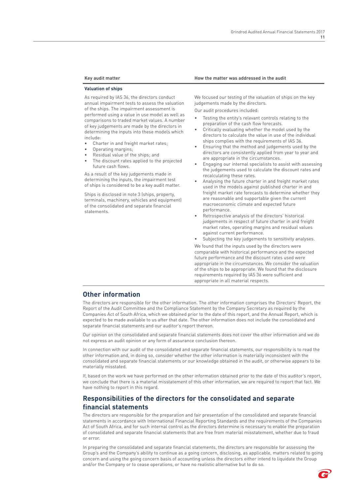## **Key audit matter How the matter was addressed in the audit**

### **Valuation of ships**

As required by IAS 36, the directors conduct annual impairment tests to assess the valuation of the ships. The impairment assessment is performed using a value in use model as well as comparisons to traded market values. A number of key judgements are made by the directors in determining the inputs into these models which include:

- Charter in and freight market rates;
- Operating margins;
- Residual value of the ships; and
- The discount rates applied to the projected future cash flows.

As a result of the key judgements made in determining the inputs, the impairment test of ships is considered to be a key audit matter.

Ships is disclosed in note 3 (ships, property, terminals, machinery, vehicles and equipment) of the consolidated and separate financial statements.

We focused our testing of the valuation of ships on the key judgements made by the directors.

Our audit procedures included:

- Testing the entity's relevant controls relating to the preparation of the cash flow forecasts.
- Critically evaluating whether the model used by the directors to calculate the value in use of the individual ships complies with the requirements of IAS 36.
- Ensuring that the method and judgements used by the directors are consistently applied from year to year and are appropriate in the circumstances.
- Engaging our internal specialists to assist with assessing the judgements used to calculate the discount rates and recalculating these rates.
- Analysing the future charter in and freight market rates used in the models against published charter in and freight market rate forecasts to determine whether they are reasonable and supportable given the current macroeconomic climate and expected future performance.
- Retrospective analysis of the directors' historical judgements in respect of future charter in and freight market rates, operating margins and residual values against current performance.
- Subjecting the key judgements to sensitivity analyses.

We found that the inputs used by the directors were comparable with historical performance and the expected future performance and the discount rates used were appropriate in the circumstances. We consider the valuation of the ships to be appropriate. We found that the disclosure requirements required by IAS 36 were sufficient and appropriate in all material respects.

## **Other information**

The directors are responsible for the other information. The other information comprises the Directors' Report, the Report of the Audit Committee and the Compliance Statement by the Company Secretary as required by the Companies Act of South Africa, which we obtained prior to the date of this report, and the Annual Report, which is expected to be made available to us after that date. The other information does not include the consolidated and separate financial statements and our auditor's report thereon.

Our opinion on the consolidated and separate financial statements does not cover the other information and we do not express an audit opinion or any form of assurance conclusion thereon.

In connection with our audit of the consolidated and separate financial statements, our responsibility is to read the other information and, in doing so, consider whether the other information is materially inconsistent with the consolidated and separate financial statements or our knowledge obtained in the audit, or otherwise appears to be materially misstated.

If, based on the work we have performed on the other information obtained prior to the date of this auditor's report, we conclude that there is a material misstatement of this other information, we are required to report that fact. We have nothing to report in this regard.

## **Responsibilities of the directors for the consolidated and separate financial statements**

The directors are responsible for the preparation and fair presentation of the consolidated and separate financial statements in accordance with International Financial Reporting Standards and the requirements of the Companies Act of South Africa, and for such internal control as the directors determine is necessary to enable the preparation of consolidated and separate financial statements that are free from material misstatement, whether due to fraud or error.

In preparing the consolidated and separate financial statements, the directors are responsible for assessing the Group's and the Company's ability to continue as a going concern, disclosing, as applicable, matters related to going concern and using the going concern basis of accounting unless the directors either intend to liquidate the Group and/or the Company or to cease operations, or have no realistic alternative but to do so.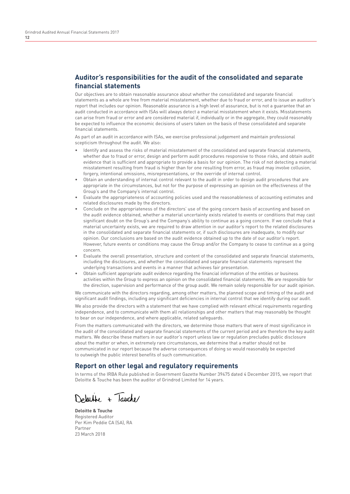# **Auditor's responsibilities for the audit of the consolidated and separate financial statements**

Our objectives are to obtain reasonable assurance about whether the consolidated and separate financial statements as a whole are free from material misstatement, whether due to fraud or error, and to issue an auditor's report that includes our opinion. Reasonable assurance is a high level of assurance, but is not a guarantee that an audit conducted in accordance with ISAs will always detect a material misstatement when it exists. Misstatements can arise from fraud or error and are considered material if, individually or in the aggregate, they could reasonably be expected to influence the economic decisions of users taken on the basis of these consolidated and separate financial statements.

As part of an audit in accordance with ISAs, we exercise professional judgement and maintain professional scepticism throughout the audit. We also:

- Identify and assess the risks of material misstatement of the consolidated and separate financial statements, whether due to fraud or error, design and perform audit procedures responsive to those risks, and obtain audit evidence that is sufficient and appropriate to provide a basis for our opinion. The risk of not detecting a material misstatement resulting from fraud is higher than for one resulting from error, as fraud may involve collusion, forgery, intentional omissions, misrepresentations, or the override of internal control.
- Obtain an understanding of internal control relevant to the audit in order to design audit procedures that are appropriate in the circumstances, but not for the purpose of expressing an opinion on the effectiveness of the Group's and the Company's internal control.
- Evaluate the appropriateness of accounting policies used and the reasonableness of accounting estimates and related disclosures made by the directors.
- Conclude on the appropriateness of the directors' use of the going concern basis of accounting and based on the audit evidence obtained, whether a material uncertainty exists related to events or conditions that may cast significant doubt on the Group's and the Company's ability to continue as a going concern. If we conclude that a material uncertainty exists, we are required to draw attention in our auditor's report to the related disclosures in the consolidated and separate financial statements or, if such disclosures are inadequate, to modify our opinion. Our conclusions are based on the audit evidence obtained up to the date of our auditor's report. However, future events or conditions may cause the Group and/or the Company to cease to continue as a going concern.
- Evaluate the overall presentation, structure and content of the consolidated and separate financial statements, including the disclosures, and whether the consolidated and separate financial statements represent the underlying transactions and events in a manner that achieves fair presentation.
- Obtain sufficient appropriate audit evidence regarding the financial information of the entities or business activities within the Group to express an opinion on the consolidated financial statements. We are responsible for the direction, supervision and performance of the group audit. We remain solely responsible for our audit opinion.

We communicate with the directors regarding, among other matters, the planned scope and timing of the audit and significant audit findings, including any significant deficiencies in internal control that we identify during our audit.

We also provide the directors with a statement that we have complied with relevant ethical requirements regarding independence, and to communicate with them all relationships and other matters that may reasonably be thought to bear on our independence, and where applicable, related safeguards.

From the matters communicated with the directors, we determine those matters that were of most significance in the audit of the consolidated and separate financial statements of the current period and are therefore the key audit matters. We describe these matters in our auditor's report unless law or regulation precludes public disclosure about the matter or when, in extremely rare circumstances, we determine that a matter should not be communicated in our report because the adverse consequences of doing so would reasonably be expected to outweigh the public interest benefits of such communication.

# **Report on other legal and regulatory requirements**

In terms of the IRBA Rule published in Government Gazette Number 39475 dated 4 December 2015, we report that Deloitte & Touche has been the auditor of Grindrod Limited for 14 years.

Delative + Tauche

**Deloitte & Touche** Registered Auditor Per Kim Peddie CA (SA), RA Partner 23 March 2018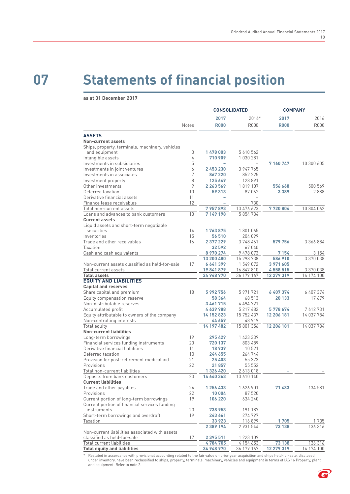# **07 Statements of financial position**

**as at 31 December 2017**

|                                                                        |              |                          | <b>CONSOLIDATED</b>      | <b>COMPANY</b>       |                    |
|------------------------------------------------------------------------|--------------|--------------------------|--------------------------|----------------------|--------------------|
|                                                                        |              | 2017                     | 2016*                    | 2017                 | 2016               |
|                                                                        | <b>Notes</b> | <b>R000</b>              | R000                     | <b>R000</b>          | <b>R000</b>        |
| <b>ASSETS</b>                                                          |              |                          |                          |                      |                    |
| <b>Non-current assets</b>                                              |              |                          |                          |                      |                    |
| Ships, property, terminals, machinery, vehicles                        |              |                          |                          |                      |                    |
| and equipment                                                          | 3            | 1 478 003                | 5 610 562                |                      |                    |
| Intangible assets                                                      | 4            | 710 909                  | 1 030 281                |                      |                    |
| Investments in subsidiaries                                            | 5            | $\overline{\phantom{0}}$ | $\overline{\phantom{a}}$ | 7 160 747            | 10 300 605         |
| Investments in joint ventures                                          | 6            | 2 453 230                | 3 947 765                |                      |                    |
| Investments in associates                                              | 7            | 867 220                  | 852 225                  |                      |                    |
| Investment property                                                    | 8            | 125 649                  | 128 891                  |                      |                    |
| Other investments                                                      | 9            | 2 2 6 3 5 6 9            | 1819 107                 | 556 668              | 500 569            |
| Deferred taxation                                                      | 10           | 59 313                   | 87 062                   | 3 3 8 9              | 2888               |
| Derivative financial assets                                            | 11           |                          |                          |                      |                    |
| Finance lease receivables                                              | 12           |                          | 730                      |                      |                    |
| Total non-current assets                                               |              | 7957893                  | 13 476 623               | 7720804              | 10 804 062         |
| Loans and advances to bank customers                                   | 13           | 7 149 198                | 5 8 5 4 7 3 4            |                      |                    |
| <b>Current assets</b>                                                  |              |                          |                          |                      |                    |
| Liquid assets and short-term negotiable                                |              |                          |                          |                      |                    |
| securities                                                             | 14           | 1763875                  | 1801065                  |                      |                    |
| Inventories                                                            | 15           | 56 510                   | 204 099                  |                      |                    |
| Trade and other receivables                                            | 16           | 2 377 229                | 3748461                  | 579 756              | 3 366 884          |
| Taxation                                                               |              | 32 592                   | 67040                    |                      |                    |
| Cash and cash equivalents                                              |              | 8 970 274<br>13 200 480  | 9 478 073                | 7 154<br>586 910     | 3 154<br>3 370 038 |
|                                                                        |              |                          | 15 298 738               |                      |                    |
| Non-current assets classified as held-for-sale<br>Total current assets | 17           | 6641399<br>19841879      | 1 549 072<br>16 847 810  | 3 971 605<br>4558515 | 3 370 038          |
| <b>Total assets</b>                                                    |              | 34 948 970               | 36 179 167               | 12 279 319           | 14 174 100         |
| <b>EQUITY AND LIABILITIES</b>                                          |              |                          |                          |                      |                    |
| <b>Capital and reserves</b>                                            |              |                          |                          |                      |                    |
| Share capital and premium                                              | 18           | 5992756                  | 5 971 721                | 6 407 374            | 6 407 374          |
| Equity compensation reserve                                            |              | 58 364                   | 68 513                   | 20 133               | 17679              |
| Non-distributable reserves                                             |              | 3 461 715                | 4 494 721                |                      |                    |
| Accumulated profit                                                     |              | 4639988                  | 5 217 482                | 5778674              | 7612731            |
| Equity attributable to owners of the company                           |              | 14 152 823               | 15 752 437               | 12 206 181           | 14 037 784         |
| Non-controlling interests                                              |              | 44 659                   | 48 919                   |                      |                    |
| Total equity                                                           |              | 14 197 482               | 15 801 356               | 12 206 181           | 14 037 784         |
| <b>Non-current liabilities</b>                                         |              |                          |                          |                      |                    |
| Long-term borrowings                                                   | 19           | 295 429                  | 1 423 339                |                      |                    |
| Financial services funding instruments                                 | 20           | 720 137                  | 803 489                  |                      |                    |
| Derivative financial liabilities                                       | 11           | 18 939                   | 10 521                   |                      |                    |
| Deferred taxation                                                      | 10           | 244 655                  | 264 744                  |                      |                    |
| Provision for post-retirement medical aid                              | 21           | 25 403                   | 55 373                   |                      |                    |
| Provisions                                                             | 22           | 21857                    | 55 552                   |                      |                    |
| Total non-current liabilities                                          |              | 1 326 420                | 2 613 018                |                      |                    |
| Deposits from bank customers                                           | 23           | 14 640 363               | 13 610 140               |                      |                    |
| <b>Current liabilities</b>                                             |              |                          |                          |                      |                    |
| Trade and other payables                                               | 24           | 1 256 433                | 1 626 901                | 71 433               | 134 581            |
| Provisions                                                             | 22           | 10 004                   | 87 520                   |                      |                    |
| Current portion of long-term borrowings                                | 19           | 106 220                  | 634 240                  |                      |                    |
| Current portion of financial services funding                          |              |                          |                          |                      |                    |
| instruments                                                            | 20           | 738 953                  | 191 187                  |                      |                    |
| Short-term borrowings and overdraft                                    | 19           | 243 661                  | 274 797                  |                      |                    |
| Taxation                                                               |              | 33 923                   | 116899                   | 1705                 | 1735               |
|                                                                        |              | 2 389 194                | 2 931 544                | 73 138               | 136 316            |
| Non-current liabilities associated with assets                         |              |                          |                          |                      |                    |
| classified as held-for-sale                                            | 17           | 2 3 9 5 5 1 1            | 1 223 109                |                      |                    |
| Total current liabilities                                              |              | 4784705                  | 4 154 653                | 73 138               | 136 316            |
| <b>Total equity and liabilities</b>                                    |              | 34 948 970               | 36 179 167               | 12 279 319           | 14 174 100         |

\* Restated in accordance with provisional accounting related to the fair value on prior year acquisition and ships held-for-sale, disclosed under inventory, have been reclassified to ships, property, terminals, machinery, vehicles and equipment in terms of IAS 16 Property, plant and equipment. Refer to note 2.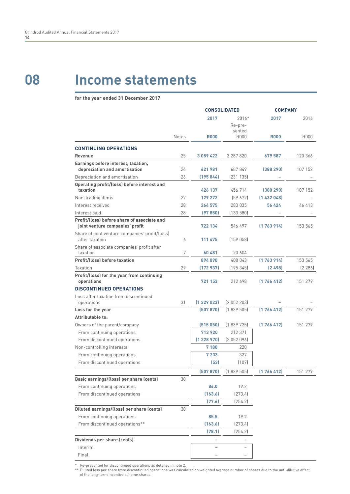# **08 Income statements**

**for the year ended 31 December 2017**

|                                                                      |              |             | <b>CONSOLIDATED</b>       | <b>COMPANY</b> |         |
|----------------------------------------------------------------------|--------------|-------------|---------------------------|----------------|---------|
|                                                                      |              | 2017        | 2016*                     | 2017           | 2016    |
|                                                                      | <b>Notes</b> | <b>R000</b> | Re-pre-<br>sented<br>R000 | <b>R000</b>    | R000    |
|                                                                      |              |             |                           |                |         |
| <b>CONTINUING OPERATIONS</b>                                         |              |             |                           |                |         |
| Revenue                                                              | 25           | 3 059 422   | 3 287 820                 | 679 587        | 120 366 |
| Earnings before interest, taxation,<br>depreciation and amortisation | 26           | 621981      | 687849                    | (388 290)      | 107 152 |
| Depreciation and amortisation                                        | 26           | (195844)    | [231 135]                 |                |         |
| Operating profit/(loss) before interest and                          |              |             |                           |                |         |
| taxation                                                             |              | 426 137     | 456 714                   | (388 290)      | 107 152 |
| Non-trading items                                                    | 27           | 129 272     | (59, 672)                 | (1432048)      |         |
| Interest received                                                    | 28           | 264 575     | 283 035                   | 56 424         | 46 413  |
| Interest paid                                                        | 28           | (97850)     | (133580)                  |                |         |
| Profit/(loss) before share of associate and                          |              |             |                           |                |         |
| joint venture companies' profit                                      |              | 722 134     | 546 497                   | (1763914)      | 153 565 |
| Share of joint venture companies' profit/(loss)<br>after taxation    | 6            | 111 475     | (159058)                  |                |         |
| Share of associate companies' profit after<br>taxation               | 7            | 60 481      | 20 604                    |                |         |
| <b>Profit/(loss) before taxation</b>                                 |              | 894090      | 408 043                   | (1763914)      | 153 565 |
| Taxation                                                             | 29           | (172 937)   | (195345)                  | (2, 498)       | (2 286) |
| Profit/(loss) for the year from continuing                           |              |             |                           |                |         |
| operations                                                           |              | 721 153     | 212 698                   | (1766412)      | 151 279 |
| <b>DISCONTINUED OPERATIONS</b>                                       |              |             |                           |                |         |
| Loss after taxation from discontinued                                |              |             |                           |                |         |
| operations                                                           | 31           | (1229023)   | (2052203)                 |                |         |
| Loss for the year                                                    |              | (507 870)   | (1839505)                 | (1766412)      | 151 279 |
| Attributable to:                                                     |              |             |                           |                |         |
| Owners of the parent/company                                         |              | (515050)    | (1839725)                 | (1766412)      | 151 279 |
| From continuing operations                                           |              | 713 920     | 212 371                   |                |         |
| From discontinued operations                                         |              | (1228970)   | (2052096)                 |                |         |
| Non-controlling interests                                            |              | 7 180       | 220                       |                |         |
| From continuing operations                                           |              | 7 2 3 3     | 327                       |                |         |
| From discontinued operations                                         |              | (53)        | (107)                     |                |         |
|                                                                      |              | (507 870)   | (1839505)                 | (1766412)      | 151 279 |
| Basic earnings/(loss) per share (cents)                              | 30           |             |                           |                |         |
| From continuing operations                                           |              | 86.0        | 19.2                      |                |         |
| From discontinued operations                                         |              | (163.6)     | [273.4]                   |                |         |
|                                                                      |              | (77.6)      | (254.2)                   |                |         |
| Diluted earnings/(loss) per share (cents)                            | 30           |             |                           |                |         |
| From continuing operations                                           |              | 85.5        | 19.2                      |                |         |
| From discontinued operations**                                       |              | (163.6)     | (273.4)                   |                |         |
|                                                                      |              | (78.1)      | (254.2)                   |                |         |
| Dividends per share (cents)                                          |              |             |                           |                |         |
| Interim                                                              |              |             |                           |                |         |
| Final                                                                |              |             |                           |                |         |

\* Re-presented for discontinued operations as detailed in note 2.<br>\*\* Diluted loss per share from discontinued operations was calculated on weighted average number of shares due to the anti-dilutive effect<br>of the long-term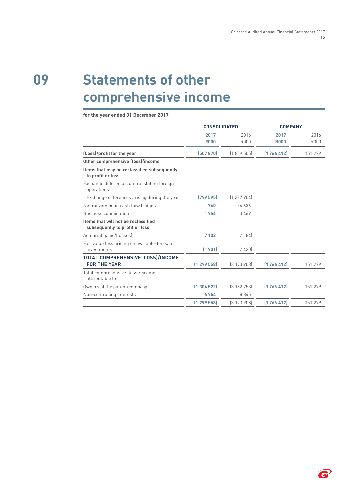# **09 Statements of other comprehensive income**

**for the year ended 31 December 2017**

|                                                                       | <b>CONSOLIDATED</b> |              | <b>COMPANY</b>      |              |
|-----------------------------------------------------------------------|---------------------|--------------|---------------------|--------------|
|                                                                       | 2017<br><b>R000</b> | 2016<br>R000 | 2017<br><b>R000</b> | 2016<br>R000 |
| (Loss)/profit for the year                                            | (507 870)           | [1 839 505]  | [1766412]           | 151 279      |
| Other comprehensive (loss)/income                                     |                     |              |                     |              |
| Items that may be reclassified subsequently<br>to profit or loss      |                     |              |                     |              |
| Exchange differences on translating foreign<br>operations             |                     |              |                     |              |
| Exchange differences arising during the year                          | (799595)            | [1 387 904]  |                     |              |
| Net movement in cash flow hedges                                      | 760                 | 54 636       |                     |              |
| <b>Business combination</b>                                           | 1946                | 3469         |                     |              |
| Items that will not be reclassified<br>subsequently to profit or loss |                     |              |                     |              |
| Actuarial gains/(losses)                                              | 7 102               | [2 184]      |                     |              |
| Fair value loss arising on available-for-sale<br>investments          | (1901)              | [2, 420]     |                     |              |
| <b>TOTAL COMPREHENSIVE (LOSS)/INCOME</b>                              |                     |              |                     |              |
| <b>FOR THE YEAR</b>                                                   | (1299558)           | [3 173 908]  | (1766412)           | 151 279      |
| Total comprehensive (loss)/income<br>attributable to:                 |                     |              |                     |              |
| Owners of the parent/company                                          | (1304522)           | [3 182 753]  | (1766412)           | 151 279      |
| Non-controlling interests                                             | 4964                | 8845         |                     |              |
|                                                                       | (1299558)           | [3 173 908]  | (1766412)           | 151 279      |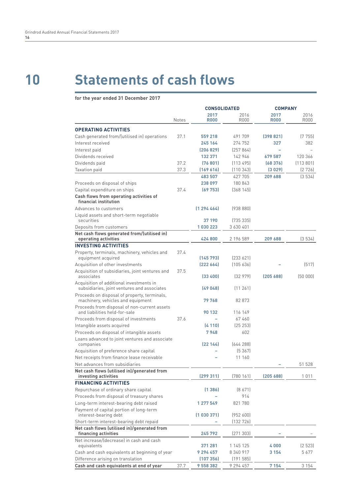# **10 Statements of cash flows**

**for the year ended 31 December 2017**

|                                                                                         |              | <b>CONSOLIDATED</b> |                     | <b>COMPANY</b>      |                     |
|-----------------------------------------------------------------------------------------|--------------|---------------------|---------------------|---------------------|---------------------|
|                                                                                         | <b>Notes</b> | 2017<br><b>R000</b> | 2016<br><b>R000</b> | 2017<br><b>R000</b> | 2016<br><b>R000</b> |
| <b>OPERATING ACTIVITIES</b>                                                             |              |                     |                     |                     |                     |
| Cash generated from/(utilised in) operations                                            | 37.1         | 559 218             | 491709              | (398821)            | (7755)              |
| Interest received                                                                       |              | 245 164             | 274 752             | 327                 | 382                 |
| Interest paid                                                                           |              | (206829)            | [257864]            |                     |                     |
| Dividends received                                                                      |              | 132 371             | 142 946             | 679 587             | 120 366             |
| Dividends paid                                                                          | 37.2         | (76801)             | (113495)            | (68376)             | (113801)            |
| Taxation paid                                                                           | 37.3         | (169616)            | (110343)            | (3029)              | [2 726]             |
|                                                                                         |              | 483 507             | 427 705             | 209 688             | (3534)              |
| Proceeds on disposal of ships                                                           |              | 238 097             | 180 843             |                     |                     |
| Capital expenditure on ships                                                            | 37.4         | (69753)             | (368145)            |                     |                     |
| Cash flows from operating activities of<br>financial institution                        |              |                     |                     |                     |                     |
| Advances to customers                                                                   |              | (1294464)           | (938880)            |                     |                     |
| Liquid assets and short-term negotiable<br>securities                                   |              | 37 190              | (735335)            |                     |                     |
| Deposits from customers                                                                 |              | 1 030 223           | 3 630 401           |                     |                     |
| Net cash flows generated from/(utilised in)<br>operating activities                     |              | 424 800             | 2 196 589           | 209 688             | [3 534]             |
| <b>INVESTING ACTIVITIES</b>                                                             |              |                     |                     |                     |                     |
| Property, terminals, machinery, vehicles and                                            | 37.4         |                     |                     |                     |                     |
| equipment acquired                                                                      |              | (145793)            | [233 621]           |                     |                     |
| Acquisition of other investments                                                        |              | [222 664]           | (105636)            |                     | (517)               |
| Acquisition of subsidiaries, joint ventures and<br>associates                           | 37.5         | (33, 400)           | (32979)             | (205 688)           | (50000)             |
| Acquisition of additional investments in<br>subsidiaries, joint ventures and associates |              | (49048)             | (11261)             |                     |                     |
| Proceeds on disposal of property, terminals,<br>machinery, vehicles and equipment       |              | 79768               | 82 873              |                     |                     |
| Proceeds from disposal of non-current assets<br>and liabilities held-for-sale           |              | 90 132              | 116 149             |                     |                     |
| Proceeds from disposal of investments                                                   | 37.6         |                     | 67460               |                     |                     |
| Intangible assets acquired                                                              |              | (4110)              | (25 253)            |                     |                     |
| Proceeds on disposal of intangible assets                                               |              | 7948                | 602                 |                     |                     |
| Loans advanced to joint ventures and associate<br>companies                             |              | (22144)             | [644 288]           |                     |                     |
| Acquisition of preference share capital                                                 |              |                     | (5367)              |                     |                     |
| Net receipts from finance lease receivable                                              |              |                     | 11 160              |                     |                     |
| Net advances from subsidiaries                                                          |              |                     |                     |                     | 51 528              |
| Net cash flows (utilised in)/generated from<br>investing activities                     |              | (299311)            | (780 161)           | (205 688)           | 1011                |
| <b>FINANCING ACTIVITIES</b>                                                             |              |                     |                     |                     |                     |
| Repurchase of ordinary share capital                                                    |              | (1386)              | (8671)              |                     |                     |
| Proceeds from disposal of treasury shares                                               |              |                     | 914                 |                     |                     |
| Long-term interest-bearing debt raised                                                  |              | 1 277 549           | 821 780             |                     |                     |
| Payment of capital portion of long-term<br>interest-bearing debt                        |              | (1030371)           | (952600)            |                     |                     |
| Short-term interest-bearing debt repaid                                                 |              |                     | (132 726)           |                     |                     |
| Net cash flows (utilised in)/generated from                                             |              |                     |                     |                     |                     |
| financing activities                                                                    |              | 245792              | [271303]            |                     |                     |
| Net increase/(decrease) in cash and cash<br>equivalents                                 |              | 371 281             | 1 145 125           | 4000                | (2523)              |
| Cash and cash equivalents at beginning of year                                          |              | 9 294 457           | 8 340 917           | 3 154               | 5677                |
| Difference arising on translation                                                       |              | (107 356)           | (191585)            |                     |                     |
| Cash and cash equivalents at end of year                                                | 37.7         | 9 558 382           | 9 294 457           | 7 1 5 4             | 3 1 5 4             |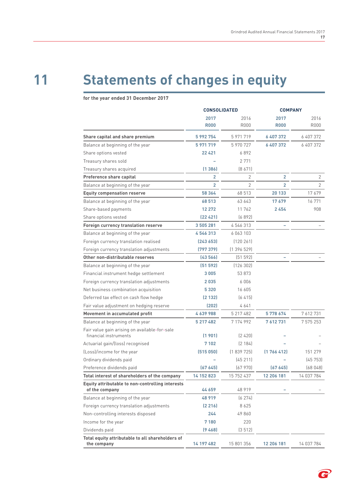# **11 Statements of changes in equity**

## **for the year ended 31 December 2017**

|                                                                        | <b>CONSOLIDATED</b>     |             | <b>COMPANY</b> |                |
|------------------------------------------------------------------------|-------------------------|-------------|----------------|----------------|
|                                                                        | 2017                    | 2016        | 2017           | 2016           |
|                                                                        | <b>R000</b>             | <b>R000</b> | <b>R000</b>    | <b>R000</b>    |
| Share capital and share premium                                        | 5992754                 | 5 971 719   | 6 407 372      | 6 407 372      |
| Balance at beginning of the year                                       | 5 971 719               | 5 970 727   | 6 407 372      | 6 407 372      |
| Share options vested                                                   | 22 4 21                 | 6892        |                |                |
| Treasury shares sold                                                   |                         | 2 7 7 1     |                |                |
| Treasury shares acquired                                               | (1386)                  | [8671]      |                |                |
| Preference share capital                                               | $\overline{2}$          | 2           | $\overline{2}$ | $\overline{2}$ |
| Balance at beginning of the year                                       | $\overline{\mathbf{2}}$ | 2           | 2              | $\overline{2}$ |
| <b>Equity compensation reserve</b>                                     | 58 364                  | 68 513      | 20 133         | 17679          |
| Balance at beginning of the year                                       | 68 513                  | 63 643      | 17679          | 16 771         |
| Share-based payments                                                   | 12 272                  | 11762       | 2454           | 908            |
| Share options vested                                                   | (22, 421)               | (6892)      |                |                |
| Foreign currency translation reserve                                   | 3 505 281               | 4 546 313   |                |                |
| Balance at beginning of the year                                       | 4546313                 | 6 0 63 1 03 |                |                |
| Foreign currency translation realised                                  | (243653)                | (120 261)   |                |                |
| Foreign currency translation adjustments                               | (797379)                | (1396529)   |                |                |
| Other non-distributable reserves                                       | [43566]                 | (51 592)    |                |                |
| Balance at beginning of the year                                       | (51592)                 | (126 302)   |                |                |
| Financial instrument hedge settlement                                  | 3005                    | 53 873      |                |                |
| Foreign currency translation adjustments                               | 2035                    | 6 0 0 6     |                |                |
| Net business combination acquisition                                   | 5320                    | 16 605      |                |                |
| Deferred tax effect on cash flow hedge                                 | (2132)                  | (6415)      |                |                |
| Fair value adjustment on hedging reserve                               | (202)                   | 4641        |                |                |
| Movement in accumulated profit                                         | 4639988                 | 5 217 482   | 5778674        | 7612731        |
| Balance at beginning of the year                                       | 5 217 482               | 7 174 992   | 7612731        | 7 575 253      |
| Fair value gain arising on available-for-sale<br>financial instruments | (1901)                  | (2, 420)    |                |                |
| Actuarial gain/(loss) recognised                                       | 7 102                   | [2 184]     |                |                |
| (Loss)/income for the year                                             | (515050)                | (1839725)   | [1766412]      | 151 279        |
| Ordinary dividends paid                                                |                         | (45211)     |                | (45753)        |
| Preference dividends paid                                              | (67645)                 | (67970)     | (67645)        | (68048)        |
| Total interest of shareholders of the company                          | 14 152 823              | 15 752 437  | 12 206 181     | 14 037 784     |
| Equity attributable to non-controlling interests<br>of the company     | 44 659                  | 48 919      |                |                |
| Balance at beginning of the year                                       | 48 919                  | (6274)      |                |                |
| Foreign currency translation adjustments                               | (2 216)                 | 8625        |                |                |
| Non-controlling interests disposed                                     | 244                     | 49 860      |                |                |
| Income for the year                                                    | 7 180                   | 220         |                |                |
| Dividends paid                                                         | (9, 468)                | (3512)      |                |                |
| Total equity attributable to all shareholders of<br>the company        | 14 197 482              | 15 801 356  | 12 206 181     | 14 037 784     |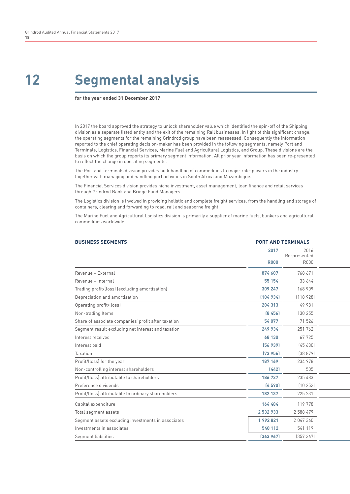# **12 Segmental analysis**

**for the year ended 31 December 2017**

In 2017 the board approved the strategy to unlock shareholder value which identified the spin-off of the Shipping division as a separate listed entity and the exit of the remaining Rail businesses. In light of this significant change, the operating segments for the remaining Grindrod group have been reassessed. Consequently the information reported to the chief operating decision-maker has been provided in the following segments, namely Port and Terminals, Logistics, Financial Services, Marine Fuel and Agricultural Logistics, and Group. These divisions are the basis on which the group reports its primary segment information. All prior year information has been re-presented to reflect the change in operating segments.

The Port and Terminals division provides bulk handling of commodities to major role-players in the industry together with managing and handling port activities in South Africa and Mozambique.

The Financial Services division provides niche investment, asset management, loan finance and retail services through Grindrod Bank and Bridge Fund Managers.

The Logistics division is involved in providing holistic and complete freight services, from the handling and storage of containers, clearing and forwarding to road, rail and seaborne freight.

The Marine Fuel and Agricultural Logistics division is primarily a supplier of marine fuels, bunkers and agricultural commodities worldwide.

| <b>BUSINESS SEGMENTS</b>                            | <b>PORT AND TERMINALS</b> |                      |  |
|-----------------------------------------------------|---------------------------|----------------------|--|
|                                                     | 2017                      | 2016<br>Re-presented |  |
|                                                     | <b>R000</b>               | <b>R000</b>          |  |
| Revenue - External                                  | 874 607                   | 768 671              |  |
| Revenue - Internal                                  | 55 154                    | 33 644               |  |
| Trading profit/(loss) (excluding amortisation)      | 309 247                   | 168 909              |  |
| Depreciation and amortisation                       | (104934)                  | (118928)             |  |
| Operating profit/(loss)                             | 204 313                   | 49 981               |  |
| Non-trading Items                                   | (8456)                    | 130 255              |  |
| Share of associate companies' profit after taxation | 54 077                    | 71 526               |  |
| Segment result excluding net interest and taxation  | 249 934                   | 251 762              |  |
| Interest received                                   | 68 130                    | 67725                |  |
| Interest paid                                       | (56939)                   | (45630)              |  |
| Taxation                                            | (73956)                   | (38879)              |  |
| Profit/(loss) for the year                          | 187 169                   | 234 978              |  |
| Non-controlling interest shareholders               | (442)                     | 505                  |  |
| Profit/(loss) attributable to shareholders          | 186 727                   | 235 483              |  |
| Preference dividends                                | (4590)                    | (10252)              |  |
| Profit/(loss) attributable to ordinary shareholders | 182 137                   | 225 231              |  |
| Capital expenditure                                 | 164 484                   | 119 778              |  |
| Total segment assets                                | 2 532 933                 | 2 588 479            |  |
| Segment assets excluding investments in associates  | 1992821                   | 2 047 360            |  |
| Investments in associates                           | 540 112                   | 541 119              |  |
| Segment liabilities                                 | (363967)                  | (357367)             |  |
|                                                     |                           |                      |  |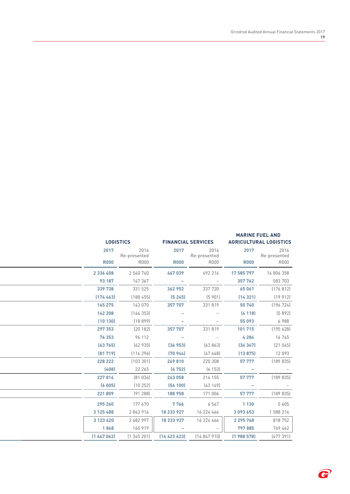| <b>LOGISTICS</b><br><b>FINANCIAL SERVICES</b>                                               | <b>MARINE FUEL AND</b><br><b>AGRICULTURAL LOGISTICS</b> |
|---------------------------------------------------------------------------------------------|---------------------------------------------------------|
| 2016<br>2017<br>2017<br>2016<br>Re-presented<br>Re-presented                                | 2017<br>2016<br>Re-presented                            |
| <b>R000</b><br><b>R000</b><br><b>R000</b><br><b>R000</b>                                    | <b>R000</b><br><b>R000</b>                              |
| 492 216<br>2 3 3 4 4 0 8<br>2 540 740<br>467 039<br>17 585 797                              | 14 806 358                                              |
| 93 187<br>147 367<br>357 762<br>$\sim 100$<br>$\hspace{0.1mm}-\hspace{0.1mm}$               | 583 703                                                 |
| 339 738<br>331 525<br>337 720<br>362 952<br>65 061                                          | (176 812)                                               |
| (174463)<br>(5245)<br>(5901)<br>(188455)<br>(14321)                                         | (19912)                                                 |
| 165 275<br>143 070<br>357 707<br>331 819<br>50 740                                          | (196 724)                                               |
| (144353)<br>142 208<br>(4118)<br>$\overline{\phantom{a}}$<br>$\overline{\phantom{a}}$       | (5892)                                                  |
| (10130)<br>(18899)<br>55 093<br>$\hspace{0.1mm}-\hspace{0.1mm}$<br>$\overline{\phantom{a}}$ | 6 9 8 8                                                 |
| 297 353<br>(20182)<br>357 707<br>331819<br>101 715                                          | (195628)                                                |
| 76 353<br>96 112<br>4 2 8 4<br><b>Contract Contract</b><br>$\sim$                           | 14745                                                   |
| (63765)<br>(62935)<br>(63863)<br>(36953)<br>(3434)                                          | (21045)                                                 |
| [81719]<br>(116 296)<br>(47648)<br>(70944)<br>(13 875)                                      | 12 093                                                  |
| 228 222<br>(103301)<br>249 810<br>220 308<br>57 777                                         | (189 835)                                               |
| (408)<br>(6153)<br>22 265<br>(6752)                                                         | $\sim$<br>$\sim$                                        |
| 227814<br>[81036]<br>214 155<br>57 777<br>243 058                                           | (189 835)                                               |
| (6005)<br>(10252)<br>(54100)<br>(43149)                                                     | <b>Contract Contract</b><br>$\sim$ $-$                  |
| 221 809<br>[91 288]<br>188 958<br>171 006<br>57 777                                         | (189 835)                                               |
| 177 670<br>295 260<br>7766<br>6547<br>1 1 3 0                                               | 5 6 0 5                                                 |
| 3 125 488<br>2843916<br>16 224 466<br>18 233 927<br>3 093 653                               | 1 588 214                                               |
| 2 682 997<br>18 233 927<br>16 224 466<br>3 123 620<br>2 2 9 5 7 6 8                         | 818752                                                  |
| 160 919<br>1868<br>797885<br>$\overline{\phantom{a}}$<br>$\hspace{0.1mm}-\hspace{0.1mm}$    | 769 462                                                 |
| (14847910)<br>$(16\,423\,623)$<br>(1447062)<br>(1345201)<br>(1988578)                       | (477391)                                                |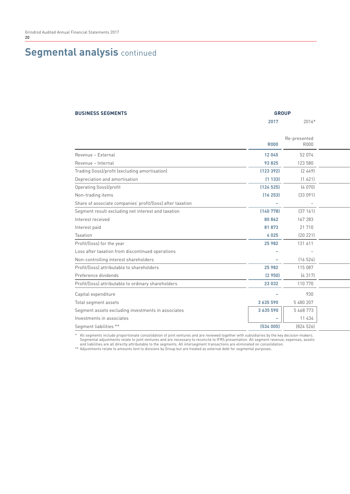# **Segmental analysis** continued

| <b>BUSINESS SEGMENTS</b>                                   |                          | <b>GROUP</b>             |  |  |  |
|------------------------------------------------------------|--------------------------|--------------------------|--|--|--|
|                                                            | 2017                     | 2016*                    |  |  |  |
|                                                            |                          |                          |  |  |  |
|                                                            |                          | Re-presented             |  |  |  |
|                                                            | <b>R000</b>              | <b>R000</b>              |  |  |  |
| Revenue - External                                         | 12045                    | 52 074                   |  |  |  |
| Revenue - Internal                                         | 93825                    | 123 580                  |  |  |  |
| Trading (loss)/profit (excluding amortisation)             | (123392)                 | [2 449]                  |  |  |  |
| Depreciation and amortisation                              | (1133)                   | (1621)                   |  |  |  |
| Operating (loss)/profit                                    | (124525)                 | (4070)                   |  |  |  |
| Non-trading items                                          | (16253)                  | (33091)                  |  |  |  |
| Share of associate companies' profit/(loss) after taxation | $\overline{\phantom{a}}$ | $\overline{\phantom{0}}$ |  |  |  |
| Segment result excluding net interest and taxation         | (140778)                 | (37161)                  |  |  |  |
| Interest received                                          | 80862                    | 167 283                  |  |  |  |
| Interest paid                                              | 81873                    | 21 710                   |  |  |  |
| Taxation                                                   | 4025                     | (20 221)                 |  |  |  |
| Profit/(loss) for the year                                 | 25 982                   | 131 611                  |  |  |  |
| Loss after taxation from discontinued operations           |                          | $\overline{\phantom{0}}$ |  |  |  |
| Non-controlling interest shareholders                      | $\sim$                   | (16524)                  |  |  |  |
| Profit/(loss) attributable to shareholders                 | 25 982                   | 115 087                  |  |  |  |
| Preference dividends                                       | (2950)                   | (4317)                   |  |  |  |
| Profit/(loss) attributable to ordinary shareholders        | 23 032                   | 110 770                  |  |  |  |
| Capital expenditure                                        |                          | 930                      |  |  |  |
| Total segment assets                                       | 3 635 590                | 5 480 207                |  |  |  |
| Segment assets excluding investments in associates         | 3 6 3 5 5 9 0            | 5 468 773                |  |  |  |
| Investments in associates                                  |                          | 11 434                   |  |  |  |
| Segment liabilities **                                     | (534005)                 | [824 526]                |  |  |  |
|                                                            |                          |                          |  |  |  |

All segments include proportionate consolidation of joint ventures and are reviewed together with subsidiaries by the key decision-makers.<br>Segmental adjustments relate to joint ventures and are necessary to reconcile to IF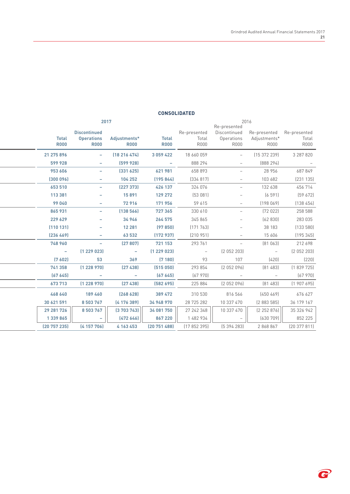|                             |                                                         | 2017                        |                             |                                      |                                                           | 2016                                        |                                      |
|-----------------------------|---------------------------------------------------------|-----------------------------|-----------------------------|--------------------------------------|-----------------------------------------------------------|---------------------------------------------|--------------------------------------|
| <b>Total</b><br><b>R000</b> | <b>Discontinued</b><br><b>Operations</b><br><b>R000</b> | Adjustments*<br><b>R000</b> | <b>Total</b><br><b>R000</b> | Re-presented<br>Total<br><b>R000</b> | Re-presented<br>Discontinued<br>Operations<br><b>R000</b> | Re-presented<br>Adjustments*<br><b>R000</b> | Re-presented<br>Total<br><b>R000</b> |
| 21 275 896                  | $\overline{\phantom{a}}$                                | (18216474)                  | 3 0 5 9 4 2 2               | 18 660 059                           | $\overline{\phantom{a}}$                                  | (15372239)                                  | 3 287 820                            |
| 599 928                     | $\overline{\phantom{a}}$                                | (599928)                    | $\sim$                      | 888 294                              | $\overline{\phantom{a}}$                                  | [888 294]                                   | $\sim$                               |
| 953 606                     | $\sim$                                                  | (331 625)                   | 621 981                     | 658 893                              | $ \,$                                                     | 28 956                                      | 687849                               |
| (300096)                    | $\sim$                                                  | 104 252                     | (195844)                    | (334817)                             | $\sim$                                                    | 103 682                                     | [231 135]                            |
| 653 510                     | $\sim$                                                  | (227373)                    | 426 137                     | 324 076                              | $\sim$                                                    | 132 638                                     | 456 714                              |
| 113 381                     | $\sim$                                                  | 15891                       | 129 272                     | (53081)                              | $\overline{\phantom{a}}$                                  | (6591)                                      | [59 672]                             |
| 99040                       | $\sim$                                                  | 72916                       | 171 956                     | 59 615                               | $\overline{\phantom{0}}$                                  | (198069)                                    | (138454)                             |
| 865 931                     | $\sim$                                                  | (138566)                    | 727 365                     | 330 610                              | $\sim$                                                    | (72022)                                     | 258 588                              |
| 229 629                     | $\sim$                                                  | 34 946                      | 264 575                     | 345 865                              | $\overline{\phantom{a}}$                                  | (62830)                                     | 283 035                              |
| (110131)                    | $\sim$                                                  | 12 281                      | (97850)                     | [171763]                             | $\overline{\phantom{a}}$                                  | 38 183                                      | (133580)                             |
| [236 469]                   | $\sim$                                                  | 63 532                      | (172937)                    | (210951)                             | $\overline{\phantom{a}}$                                  | 15 606                                      | (195345)                             |
| 748 960                     | $\sim$                                                  | (27807)                     | 721 153                     | 293 761                              | $\overline{\phantom{0}}$                                  | [81063]                                     | 212 698                              |
| $\sim$                      | (1229023)                                               | $\overline{\phantom{0}}$    | (1229023)                   | $\overline{\phantom{a}}$             | [2 052 203]                                               | $\hspace{0.1mm}$                            | (2 052 203)                          |
| (7602)                      | 53                                                      | 369                         | (7180)                      | 93                                   | 107                                                       | (420)                                       | (220)                                |
| 741 358                     | (1228970)                                               | (27, 438)                   | (515050)                    | 293 854                              | (2052096)                                                 | [81483]                                     | (1839725)                            |
| (67645)                     | $\sim$                                                  | $\sim$                      | (67645)                     | (67970)                              | $\sim$                                                    | $-$                                         | (67970)                              |
| 673 713                     | (1228970)                                               | (27438)                     | (582695)                    | 225 884                              | [2 052 096]                                               | [81483]                                     | (1907695)                            |
| 468 640                     | 189 460                                                 | (268628)                    | 389 472                     | 310 530                              | 816 566                                                   | (450 469)                                   | 676 627                              |
| 30 621 591                  | 8 503 767                                               | (4176389)                   | 34 948 970                  | 28 725 282                           | 10 337 470                                                | [2883585]                                   | 36 179 167                           |
| 29 281 726                  | 8 503 767                                               | (3703743)                   | 34 081 750                  | 27 242 348                           | 10 337 470                                                | [2 252 876]                                 | 35 326 942                           |
| 1 339 865                   | $\sim$                                                  | (472646)                    | 867 220                     | 1 482 934                            | $\overline{\phantom{a}}$                                  | (630709)                                    | 852 225                              |
| (20757235)                  | (4157706)                                               | 4 163 453                   | (20751488)                  | (17852395)                           | [5394283]                                                 | 2 868 867                                   | (20377811)                           |
|                             |                                                         |                             |                             |                                      |                                                           |                                             |                                      |

## **BUSINESS SEGMENTS GROUP CONSOLIDATED**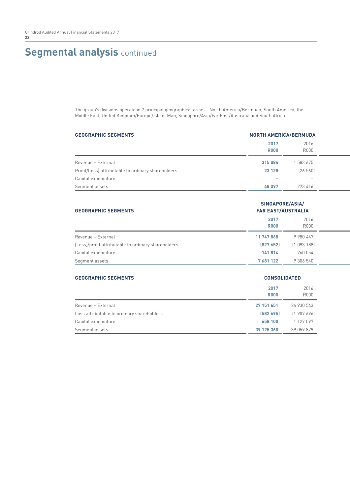# **Segmental analysis** continued

The group's divisions operate in 7 principal geographical areas – North America/Bermuda, South America, the Middle East, United Kingdom/Europe/Isle of Man, Singapore/Asia/Far East/Australia and South Africa.

| <b>GEOGRAPHIC SEGMENTS</b>                          | <b>NORTH AMERICA/BERMUDA</b> |                                 |  |
|-----------------------------------------------------|------------------------------|---------------------------------|--|
|                                                     | 2017<br><b>R000</b>          | 2016<br><b>R000</b>             |  |
| Revenue - External                                  | 315 084                      | 1 583 675                       |  |
| Profit/(loss) attributable to ordinary shareholders | 23 1 28                      | (26560)                         |  |
| Capital expenditure                                 | $\sim$                       | $\hspace{0.1mm}-\hspace{0.1mm}$ |  |
| Segment assets                                      | 48 097                       | 273 416                         |  |

| <b>GEOGRAPHIC SEGMENTS</b>                          |                     | SINGAPORE/ASIA/<br><b>FAR EAST/AUSTRALIA</b> |  |  |
|-----------------------------------------------------|---------------------|----------------------------------------------|--|--|
|                                                     | 2017<br><b>R000</b> | 2016<br><b>R000</b>                          |  |  |
| Revenue - External                                  | 11 747 868          | 9 980 447                                    |  |  |
| (Loss)/profit attributable to ordinary shareholders | (827652)            | (1093188)                                    |  |  |
| Capital expenditure                                 | 141814              | 760 054                                      |  |  |
| Segment assets                                      | 7681122             | 9 306 540                                    |  |  |

| <b>GEOGRAPHIC SEGMENTS</b>                 | <b>CONSOLIDATED</b> |              |
|--------------------------------------------|---------------------|--------------|
|                                            | 2017<br><b>R000</b> | 2016<br>R000 |
| Revenue - External                         | 27 151 651          | 24 930 543   |
| Loss attributable to ordinary shareholders | [582 695]           | [1907696]    |
| Capital expenditure                        | 658 100             | 1 127 097    |
| Segment assets                             | 39 125 360          | 39 059 879   |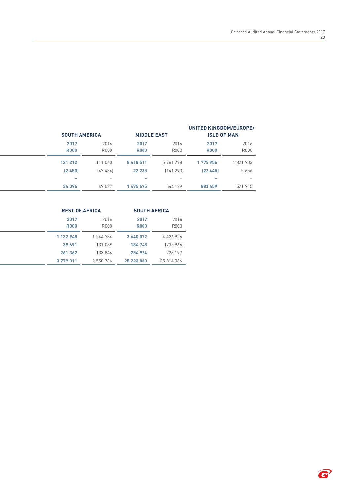|                      |                          |                          |                          | UNITED KINGDOM/EUROPE/ |                                 |
|----------------------|--------------------------|--------------------------|--------------------------|------------------------|---------------------------------|
| <b>SOUTH AMERICA</b> |                          | <b>MIDDLE EAST</b>       |                          |                        | <b>ISLE OF MAN</b>              |
| 2017                 | 2016                     | 2017                     | 2016                     | 2017                   | 2016                            |
| <b>R000</b>          | <b>R000</b>              | <b>R000</b>              | <b>R000</b>              | <b>R000</b>            | <b>R000</b>                     |
| 121 212              | 111 060                  | 8 4 1 8 5 1 1            | 5761798                  | 1775956                | 1821903                         |
| (2, 450)             | [47434]                  | 22 2 8 5                 | [141 293]                | (22445)                | 5 6 5 6                         |
| $\sim$               | $\overline{\phantom{0}}$ | $\overline{\phantom{a}}$ | $\overline{\phantom{a}}$ | $\sim$                 | $\hspace{0.1mm}-\hspace{0.1mm}$ |
| 34 096               | 49 027                   | 1 475 695                | 544 179                  | 883 459                | 521 915                         |

|                     | <b>REST OF AFRICA</b> |                     | <b>SOUTH AFRICA</b> |
|---------------------|-----------------------|---------------------|---------------------|
| 2017<br><b>R000</b> | 2016<br><b>R000</b>   | 2017<br><b>R000</b> | 2016<br><b>R000</b> |
| 1 132 948           | 244 734               | 3 640 072           | 4 4 2 6 9 2 6       |
| 39 691              | 131 089               | 184 748             | (735966)            |
| 261 362             | 138 846               | 254 924             | 228 197             |
| 3779011             | 2 550 736             | 25 223 880          | 25 814 066          |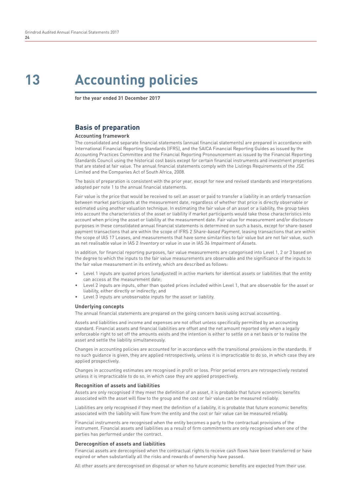# **13 Accounting policies**

**for the year ended 31 December 2017**

# **Basis of preparation**

## **Accounting framework**

The consolidated and separate financial statements (annual financial statements) are prepared in accordance with International Financial Reporting Standards (IFRS), and the SAICA Financial Reporting Guides as issued by the Accounting Practices Committee and the Financial Reporting Pronouncement as issued by the Financial Reporting Standards Council using the historical cost basis except for certain financial instruments and investment properties that are stated at fair value. The annual financial statements comply with the Listings Requirements of the JSE Limited and the Companies Act of South Africa, 2008.

The basis of preparation is consistent with the prior year, except for new and revised standards and interpretations adopted per note 1 to the annual financial statements.

Fair value is the price that would be received to sell an asset or paid to transfer a liability in an orderly transaction between market participants at the measurement date, regardless of whether that price is directly observable or estimated using another valuation technique. In estimating the fair value of an asset or a liability, the group takes into account the characteristics of the asset or liability if market participants would take those characteristics into account when pricing the asset or liability at the measurement date. Fair value for measurement and/or disclosure purposes in these consolidated annual financial statements is determined on such a basis, except for share-based payment transactions that are within the scope of IFRS 2 Share-based Payment, leasing transactions that are within the scope of IAS 17 Leases, and measurements that have some similarities to fair value but are not fair value, such as net realisable value in IAS 2 Inventory or value in use in IAS 36 Impairment of Assets.

In addition, for financial reporting purposes, fair value measurements are categorised into Level 1, 2 or 3 based on the degree to which the inputs to the fair value measurements are observable and the significance of the inputs to the fair value measurement in its entirety, which are described as follows:

- Level 1 inputs are quoted prices (unadjusted) in active markets for identical assets or liabilities that the entity can access at the measurement date;
- Level 2 inputs are inputs, other than quoted prices included within Level 1, that are observable for the asset or liability, either directly or indirectly; and
- Level 3 inputs are unobservable inputs for the asset or liability.

## **Underlying concepts**

The annual financial statements are prepared on the going concern basis using accrual accounting.

Assets and liabilities and income and expenses are not offset unless specifically permitted by an accounting standard. Financial assets and financial liabilities are offset and the net amount reported only when a legally enforceable right to set off the amounts exists and the intention is either to settle on a net basis or to realise the asset and settle the liability simultaneously.

Changes in accounting policies are accounted for in accordance with the transitional provisions in the standards. If no such guidance is given, they are applied retrospectively, unless it is impracticable to do so, in which case they are applied prospectively.

Changes in accounting estimates are recognised in profit or loss. Prior period errors are retrospectively restated unless it is impracticable to do so, in which case they are applied prospectively.

## **Recognition of assets and liabilities**

Assets are only recognised if they meet the definition of an asset, it is probable that future economic benefits associated with the asset will flow to the group and the cost or fair value can be measured reliably.

Liabilities are only recognised if they meet the definition of a liability, it is probable that future economic benefits associated with the liability will flow from the entity and the cost or fair value can be measured reliably.

Financial instruments are recognised when the entity becomes a party to the contractual provisions of the instrument. Financial assets and liabilities as a result of firm commitments are only recognised when one of the parties has performed under the contract.

## **Derecognition of assets and liabilities**

Financial assets are derecognised when the contractual rights to receive cash flows have been transferred or have expired or when substantially all the risks and rewards of ownership have passed.

All other assets are derecognised on disposal or when no future economic benefits are expected from their use.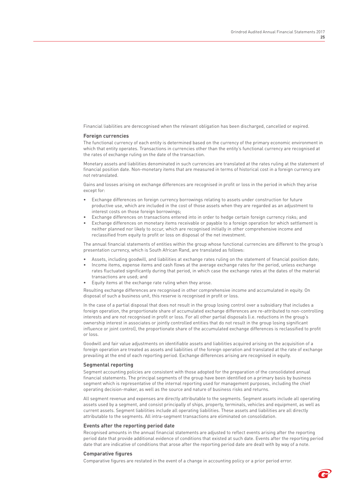Financial liabilities are derecognised when the relevant obligation has been discharged, cancelled or expired.

### **Foreign currencies**

The functional currency of each entity is determined based on the currency of the primary economic environment in which that entity operates. Transactions in currencies other than the entity's functional currency are recognised at the rates of exchange ruling on the date of the transaction.

Monetary assets and liabilities denominated in such currencies are translated at the rates ruling at the statement of financial position date. Non-monetary items that are measured in terms of historical cost in a foreign currency are not retranslated.

Gains and losses arising on exchange differences are recognised in profit or loss in the period in which they arise except for:

- Exchange differences on foreign currency borrowings relating to assets under construction for future productive use, which are included in the cost of those assets when they are regarded as an adjustment to interest costs on those foreign borrowings:
- Exchange differences on transactions entered into in order to hedge certain foreign currency risks; and
- Exchange differences on monetary items receivable or payable to a foreign operation for which settlement is neither planned nor likely to occur, which are recognised initially in other comprehensive income and reclassified from equity to profit or loss on disposal of the net investment.

The annual financial statements of entities within the group whose functional currencies are different to the group's presentation currency, which is South African Rand, are translated as follows:

- Assets, including goodwill, and liabilities at exchange rates ruling on the statement of financial position date;
- Income items, expense items and cash flows at the average exchange rates for the period, unless exchange rates fluctuated significantly during that period, in which case the exchange rates at the dates of the material transactions are used; and
- Equity items at the exchange rate ruling when they arose.

Resulting exchange differences are recognised in other comprehensive income and accumulated in equity. On disposal of such a business unit, this reserve is recognised in profit or loss.

In the case of a partial disposal that does not result in the group losing control over a subsidiary that includes a foreign operation, the proportionate share of accumulated exchange differences are re-attributed to non-controlling interests and are not recognised in profit or loss. For all other partial disposals (i.e. reductions in the group's ownership interest in associates or jointly controlled entities that do not result in the group losing significant influence or joint control), the proportionate share of the accumulated exchange differences is reclassified to profit or loss.

Goodwill and fair value adjustments on identifiable assets and liabilities acquired arising on the acquisition of a foreign operation are treated as assets and liabilities of the foreign operation and translated at the rate of exchange prevailing at the end of each reporting period. Exchange differences arising are recognised in equity.

## **Segmental reporting**

Segment accounting policies are consistent with those adopted for the preparation of the consolidated annual financial statements. The principal segments of the group have been identified on a primary basis by business segment which is representative of the internal reporting used for management purposes, including the chief operating decision-maker, as well as the source and nature of business risks and returns.

All segment revenue and expenses are directly attributable to the segments. Segment assets include all operating assets used by a segment, and consist principally of ships, property, terminals, vehicles and equipment, as well as current assets. Segment liabilities include all operating liabilities. These assets and liabilities are all directly attributable to the segments. All intra-segment transactions are eliminated on consolidation.

## **Events after the reporting period date**

Recognised amounts in the annual financial statements are adjusted to reflect events arising after the reporting period date that provide additional evidence of conditions that existed at such date. Events after the reporting period date that are indicative of conditions that arose after the reporting period date are dealt with by way of a note.

## **Comparative figures**

Comparative figures are restated in the event of a change in accounting policy or a prior period error.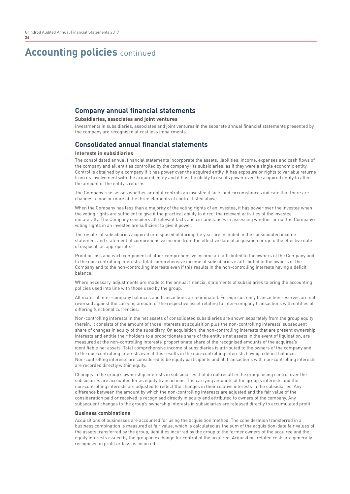# **Accounting policies** continued

## **Company annual financial statements**

## **Subsidiaries, associates and joint ventures**

Investments in subsidiaries, associates and joint ventures in the separate annual financial statements presented by the company are recognised at cost less impairments.

## **Consolidated annual financial statements**

## **Interests in subsidiaries**

The consolidated annual financial statements incorporate the assets, liabilities, income, expenses and cash flows of the company and all entities controlled by the company (its subsidiaries) as if they were a single economic entity. Control is obtained by a company if it has power over the acquired entity, it has exposure or rights to variable returns from its involvement with the acquired entity and it has the ability to use its power over the acquired entity to affect the amount of the entity's returns.

The Company reassesses whether or not it controls an investee if facts and circumstances indicate that there are changes to one or more of the three elements of control listed above.

When the Company has less than a majority of the voting rights of an investee, it has power over the investee when the voting rights are sufficient to give it the practical ability to direct the relevant activities of the investee unilaterally. The Company considers all relevant facts and circumstances in assessing whether or not the Company's voting rights in an investee are sufficient to give it power.

The results of subsidiaries acquired or disposed of during the year are included in the consolidated income statement and statement of comprehensive income from the effective date of acquisition or up to the effective date of disposal, as appropriate.

Profit or loss and each component of other comprehensive income are attributed to the owners of the Company and to the non-controlling interests. Total comprehensive income of subsidiaries is attributed to the owners of the Company and to the non-controlling interests even if this results in the non-controlling interests having a deficit balance.

Where necessary, adjustments are made to the annual financial statements of subsidiaries to bring the accounting policies used into line with those used by the group.

All material inter-company balances and transactions are eliminated. Foreign currency transaction reserves are not reversed against the carrying amount of the respective asset relating to inter-company transactions with entities of differing functional currencies.

Non-controlling interests in the net assets of consolidated subsidiaries are shown separately from the group equity therein. It consists of the amount of those interests at acquisition plus the non-controlling interests' subsequent share of changes in equity of the subsidiary. On acquisition, the non-controlling interests that are present ownership interests and entitle their holders to a proportionate share of the entity's net assets in the event of liquidation, are measured at the non-controlling interests' proportionate share of the recognised amounts of the acquiree's identifiable net assets. Total comprehensive income of subsidiaries is attributed to the owners of the company and to the non-controlling interests even if this results in the non-controlling interests having a deficit balance. Non-controlling interests are considered to be equity participants and all transactions with non-controlling interests' are recorded directly within equity.

Changes in the group's ownership interests in subsidiaries that do not result in the group losing control over the subsidiaries are accounted for as equity transactions. The carrying amounts of the group's interests and the non-controlling interests are adjusted to reflect the changes in their relative interests in the subsidiaries. Any difference between the amount by which the non-controlling interests are adjusted and the fair value of the consideration paid or received is recognised directly in equity and attributed to owners of the company. Any subsequent changes to the group's ownership interests in subsidiaries are released directly to accumulated profit.

## **Business combinations**

Acquisitions of businesses are accounted for using the acquisition method. The consideration transferred in a business combination is measured at fair value, which is calculated as the sum of the acquisition-date fair values of the assets transferred by the group, liabilities incurred by the group to the former owners of the acquiree and the equity interests issued by the group in exchange for control of the acquiree. Acquisition-related costs are generally recognised in profit or loss as incurred.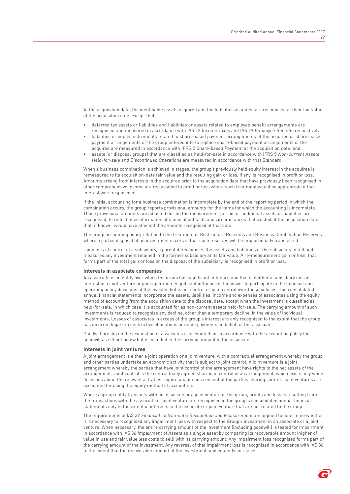At the acquisition date, the identifiable assets acquired and the liabilities assumed are recognised at their fair value at the acquisition date, except that:

- deferred tax assets or liabilities and liabilities or assets related to employee benefit arrangements are recognised and measured in accordance with IAS 12 Income Taxes and IAS 19 Employee Benefits respectively;
- liabilities or equity instruments related to share-based payment arrangements of the acquiree or share-based payment arrangements of the group entered into to replace share-based payment arrangements of the acquiree are measured in accordance with IFRS 2 Share-based Payment at the acquisition date; and
- assets (or disposal groups) that are classified as held-for-sale in accordance with IFRS 5 Non-current Assets Held-for-sale and Discontinued Operations are measured in accordance with that Standard.

When a business combination is achieved in stages, the group's previously held equity interest in the acquiree is remeasured to its acquisition-date fair value and the resulting gain or loss, if any, is recognised in profit or loss. Amounts arising from interests in the acquiree prior to the acquisition date that have previously been recognised in other comprehensive income are reclassified to profit or loss where such treatment would be appropriate if that interest were disposed of.

If the initial accounting for a business combination is incomplete by the end of the reporting period in which the combination occurs, the group reports provisional amounts for the items for which the accounting is incomplete. Those provisional amounts are adjusted during the measurement period, or additional assets or liabilities are recognised, to reflect new information obtained about facts and circumstances that existed at the acquisition date that, if known, would have affected the amounts recognised at that date.

The group accounting policy relating to the treatment of Restructure Reserves and Business Combination Reserves where a partial disposal of an investment occurs is that such reserves will be proportionally transferred.

Upon loss of control of a subsidiary, a parent derecognises the assets and liabilities of the subsidiary in full and measures any investment retained in the former subsidiary at its fair value. A re-measurement gain or loss, that forms part of the total gain or loss on the disposal of the subsidiary, is recognised in profit or loss.

## **Interests in associate companies**

An associate is an entity over which the group has significant influence and that is neither a subsidiary nor an interest in a joint venture or joint operation. Significant influence is the power to participate in the financial and operating policy decisions of the investee but is not control or joint control over those policies. The consolidated annual financial statements incorporate the assets, liabilities, income and expenses of associates using the equity method of accounting from the acquisition date to the disposal date, except when the investment is classified as held-for-sale, in which case it is accounted for as non-current assets held-for-sale. The carrying amount of such investments is reduced to recognise any decline, other than a temporary decline, in the value of individual investments. Losses of associates in excess of the group's interest are only recognised to the extent that the group has incurred legal or constructive obligations or made payments on behalf of the associate.

Goodwill arising on the acquisition of associates is accounted for in accordance with the accounting policy for goodwill as set out below but is included in the carrying amount of the associate.

## **Interests in joint ventures**

A joint arrangement is either a joint operation or a joint venture, with a contractual arrangement whereby the group and other parties undertake an economic activity that is subject to joint control. A joint venture is a joint arrangement whereby the parties that have joint control of the arrangement have rights to the net assets of the arrangement. Joint control is the contractually agreed sharing of control of an arrangement, which exists only when decisions about the relevant activities require unanimous consent of the parties sharing control. Joint ventures are accounted for using the equity method of accounting.

Where a group entity transacts with an associate or a joint venture of the group, profits and losses resulting from the transactions with the associate or joint venture are recognised in the group's consolidated annual financial statements only to the extent of interests in the associate or joint venture that are not related to the group.

The requirements of IAS 39 Financial instruments; Recognition and Measurement are applied to determine whether it is necessary to recognised any impairment loss with respect to the Group's investment in an associate or a joint venture. When necessary, the entire carrying amount of the investment (including goodwill) is tested for impairment in accordance with IAS 36 Impairment of Assets as a single asset by comparing its recoverable amount (higher of value in use and fair value less costs to sell) with its carrying amount. Any impairment loss recognised forms part of the carrying amount of the investment. Any reversal of that impairment loss is recognised in accordance with IAS 36 to the extent that the recoverable amount of the investment subsequently increases.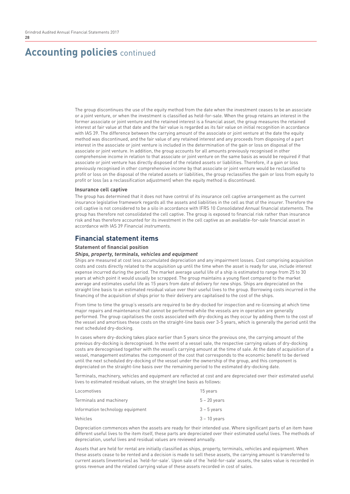# **Accounting policies** continued

The group discontinues the use of the equity method from the date when the investment ceases to be an associate or a joint venture, or when the investment is classified as held-for-sale. When the group retains an interest in the former associate or joint venture and the retained interest is a financial asset, the group measures the retained interest at fair value at that date and the fair value is regarded as its fair value on initial recognition in accordance with IAS 39. The difference between the carrying amount of the associate or joint venture at the date the equity method was discontinued, and the fair value of any retained interest and any proceeds from disposing of a part interest in the associate or joint venture is included in the determination of the gain or loss on disposal of the associate or joint venture. In addition, the group accounts for all amounts previously recognised in other comprehensive income in relation to that associate or joint venture on the same basis as would be required if that associate or joint venture has directly disposed of the related assets or liabilities. Therefore, if a gain or loss previously recognised in other comprehensive income by that associate or joint venture would be reclassified to profit or loss on the disposal of the related assets or liabilities, the group reclassifies the gain or loss from equity to profit or loss (as a reclassification adjustment) when the equity method is discontinued.

### **Insurance cell captive**

The group has determined that it does not have control of its insurance cell captive arrangement as the current insurance legislative framework regards all the assets and liabilities in the cell as that of the insurer. Therefore the cell captive is not considered to be a silo in accordance with IFRS 10 Consolidated Annual financial statements. The group has therefore not consolidated the cell captive. The group is exposed to financial risk rather than insurance risk and has therefore accounted for its investment in the cell captive as an available-for-sale financial asset in accordance with IAS 39 Financial instruments.

## **Financial statement items**

## **Statement of financial position**

## **Ships, property, terminals, vehicles and equipment**

Ships are measured at cost less accumulated depreciation and any impairment losses. Cost comprising acquisition costs and costs directly related to the acquisition up until the time when the asset is ready for use, include interest expense incurred during the period. The market average useful life of a ship is estimated to range from 25 to 30 years at which point it would usually be scrapped. The group maintains a young fleet compared to the market average and estimates useful life as 15 years from date of delivery for new ships. Ships are depreciated on the straight line basis to an estimated residual value over their useful lives to the group. Borrowing costs incurred in the financing of the acquisition of ships prior to their delivery are capitalised to the cost of the ships.

From time to time the group's vessels are required to be dry-docked for inspection and re-licensing at which time major repairs and maintenance that cannot be performed while the vessels are in operation are generally performed. The group capitalises the costs associated with dry-docking as they occur by adding them to the cost of the vessel and amortises these costs on the straight-line basis over 3-5 years, which is generally the period until the next scheduled dry-docking.

In cases where dry-docking takes place earlier than 5 years since the previous one, the carrying amount of the previous dry-docking is derecognised. In the event of a vessel sale, the respective carrying values of dry-docking costs are derecognised together with the vessel's carrying amount at the time of sale. At the date of acquisition of a vessel, management estimates the component of the cost that corresponds to the economic benefit to be derived until the next scheduled dry-docking of the vessel under the ownership of the group, and this component is depreciated on the straight-line basis over the remaining period to the estimated dry-docking date.

Terminals, machinery, vehicles and equipment are reflected at cost and are depreciated over their estimated useful lives to estimated residual values, on the straight line basis as follows:

| Locomotives                      | 15 years       |
|----------------------------------|----------------|
| Terminals and machinery          | $5 - 20$ years |
| Information technology equipment | $3 - 5$ years  |
| Vehicles                         | $3 - 10$ years |

Depreciation commences when the assets are ready for their intended use. Where significant parts of an item have different useful lives to the item itself, these parts are depreciated over their estimated useful lives. The methods of depreciation, useful lives and residual values are reviewed annually.

Assets that are held for rental are initially classified as ships, property, terminals, vehicles and equipment. When these assets cease to be rented and a decision is made to sell these assets, the carrying amount is transferred to current assets (inventories) as 'held-for-sale'. Upon sale of the 'held-for-sale' assets, the sales value is recorded in gross revenue and the related carrying value of these assets recorded in cost of sales.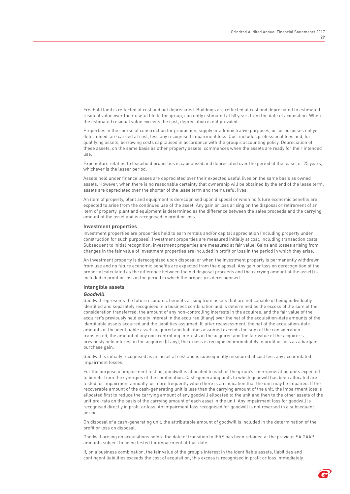Freehold land is reflected at cost and not depreciated. Buildings are reflected at cost and depreciated to estimated residual value over their useful life to the group, currently estimated at 50 years from the date of acquisition. Where the estimated residual value exceeds the cost, depreciation is not provided.

Properties in the course of construction for production, supply or administrative purposes, or for purposes not yet determined, are carried at cost, less any recognised impairment loss. Cost includes professional fees and, for qualifying assets, borrowing costs capitalised in accordance with the group's accounting policy. Depreciation of these assets, on the same basis as other property assets, commences when the assets are ready for their intended  $II S<sub>P</sub>$ 

Expenditure relating to leasehold properties is capitalised and depreciated over the period of the lease, or 25 years, whichever is the lesser period.

Assets held under finance leases are depreciated over their expected useful lives on the same basis as owned assets. However, when there is no reasonable certainty that ownership will be obtained by the end of the lease term, assets are depreciated over the shorter of the lease term and their useful lives.

An item of property, plant and equipment is derecognised upon disposal or when no future economic benefits are expected to arise from the continued use of the asset. Any gain or loss arising on the disposal or retirement of an item of property, plant and equipment is determined as the difference between the sales proceeds and the carrying amount of the asset and is recognised in profit or loss.

### **Investment properties**

Investment properties are properties held to earn rentals and/or capital appreciation (including property under construction for such purposes). Investment properties are measured initially at cost, including transaction costs. Subsequent to initial recognition, investment properties are measured at fair value. Gains and losses arising from changes in the fair value of investment properties are included in profit or loss in the period in which they arise.

An investment property is derecognised upon disposal or when the investment property is permanently withdrawn from use and no future economic benefits are expected from the disposal. Any gain or loss on derecognition of the property (calculated as the difference between the net disposal proceeds and the carrying amount of the asset) is included in profit or loss in the period in which the property is derecognised.

## **Intangible assets**

## **Goodwill**

Goodwill represents the future economic benefits arising from assets that are not capable of being individually identified and separately recognised in a business combination and is determined as the excess of the sum of the consideration transferred, the amount of any non-controlling interests in the acquiree, and the fair value of the acquirer's previously held equity interest in the acquiree (if any) over the net of the acquisition-date amounts of the identifiable assets acquired and the liabilities assumed. If, after reassessment, the net of the acquisition-date amounts of the identifiable assets acquired and liabilities assumed exceeds the sum of the consideration transferred, the amount of any non-controlling interests in the acquiree and the fair value of the acquirer's previously held interest in the acquiree (if any), the excess is recognised immediately in profit or loss as a bargain purchase gain.

Goodwill is initially recognised as an asset at cost and is subsequently measured at cost less any accumulated impairment losses.

For the purpose of impairment testing, goodwill is allocated to each of the group's cash-generating units expected to benefit from the synergies of the combination. Cash-generating units to which goodwill has been allocated are tested for impairment annually, or more frequently when there is an indication that the unit may be impaired. If the recoverable amount of the cash-generating unit is less than the carrying amount of the unit, the impairment loss is allocated first to reduce the carrying amount of any goodwill allocated to the unit and then to the other assets of the unit pro-rata on the basis of the carrying amount of each asset in the unit. Any impairment loss for goodwill is recognised directly in profit or loss. An impairment loss recognised for goodwill is not reversed in a subsequent period.

On disposal of a cash-generating unit, the attributable amount of goodwill is included in the determination of the profit or loss on disposal.

Goodwill arising on acquisitions before the date of transition to IFRS has been retained at the previous SA GAAP amounts subject to being tested for impairment at that date.

If, on a business combination, the fair value of the group's interest in the identifiable assets, liabilities and contingent liabilities exceeds the cost of acquisition, this excess is recognised in profit or loss immediately.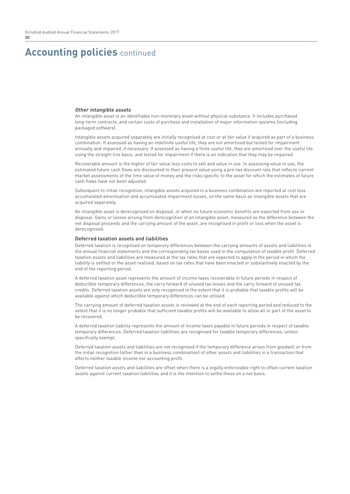# **Accounting policies** continued

### **Other intangible assets**

An intangible asset is an identifiable non-monetary asset without physical substance. It includes purchased long-term contracts, and certain costs of purchase and installation of major information systems (including packaged software).

Intangible assets acquired separately are initially recognised at cost or at fair value if acquired as part of a business combination. If assessed as having an indefinite useful life, they are not amortised but tested for impairment annually and impaired, if necessary. If assessed as having a finite useful life, they are amortised over the useful life using the straight line basis, and tested for impairment if there is an indication that they may be impaired.

Recoverable amount is the higher of fair value less costs to sell and value in use. In assessing value in use, the estimated future cash flows are discounted to their present value using a pre-tax discount rate that reflects current market assessments of the time value of money and the risks specific to the asset for which the estimates of future cash flows have not been adjusted.

Subsequent to initial recognition, intangible assets acquired in a business combination are reported at cost less accumulated amortisation and accumulated impairment losses, on the same basis as intangible assets that are acquired separately.

An intangible asset is derecognised on disposal, or when no future economic benefits are expected from use or disposal. Gains or losses arising from derecognition of an intangible asset, measured as the difference between the net disposal proceeds and the carrying amount of the asset, are recognised in profit or loss when the asset is derecognised.

## **Deferred taxation assets and liabilities**

Deferred taxation is recognised on temporary differences between the carrying amounts of assets and liabilities in the annual financial statements and the corresponding tax bases used in the computation of taxable profit. Deferred taxation assets and liabilities are measured at the tax rates that are expected to apply in the period in which the liability is settled or the asset realised, based on tax rates that have been enacted or substantively enacted by the end of the reporting period.

A deferred taxation asset represents the amount of income taxes recoverable in future periods in respect of deductible temporary differences, the carry forward of unused tax losses and the carry forward of unused tax credits. Deferred taxation assets are only recognised to the extent that it is probable that taxable profits will be available against which deductible temporary differences can be utilised.

The carrying amount of deferred taxation assets is reviewed at the end of each reporting period and reduced to the extent that it is no longer probable that sufficient taxable profits will be available to allow all or part of the asset to be recovered.

A deferred taxation liability represents the amount of income taxes payable in future periods in respect of taxable temporary differences. Deferred taxation liabilities are recognised for taxable temporary differences, unless specifically exempt.

Deferred taxation assets and liabilities are not recognised if the temporary difference arises from goodwill or from the initial recognition (other than in a business combination) of other assets and liabilities in a transaction that affects neither taxable income nor accounting profit.

Deferred taxation assets and liabilities are offset when there is a legally enforceable right to offset current taxation assets against current taxation liabilities and it is the intention to settle these on a net basis.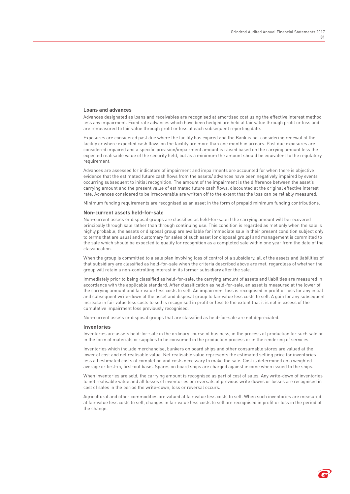## **Loans and advances**

Advances designated as loans and receivables are recognised at amortised cost using the effective interest method less any impairment. Fixed rate advances which have been hedged are held at fair value through profit or loss and are remeasured to fair value through profit or loss at each subsequent reporting date.

Exposures are considered past due where the facility has expired and the Bank is not considering renewal of the facility or where expected cash flows on the facility are more than one month in arrears. Past due exposures are considered impaired and a specific provision/impairment amount is raised based on the carrying amount less the expected realisable value of the security held, but as a minimum the amount should be equivalent to the regulatory requirement.

Advances are assessed for indicators of impairment and impairments are accounted for when there is objective evidence that the estimated future cash flows from the assets/ advances have been negatively impaired by events occurring subsequent to initial recognition. The amount of the impairment is the difference between the asset's carrying amount and the present value of estimated future cash flows, discounted at the original effective interest rate. Advances considered to be irrecoverable are written off to the extent that the loss can be reliably measured.

Minimum funding requirements are recognised as an asset in the form of prepaid minimum funding contributions.

### **Non-current assets held-for-sale**

Non-current assets or disposal groups are classified as held-for-sale if the carrying amount will be recovered principally through sale rather than through continuing use. This condition is regarded as met only when the sale is highly probable, the assets or disposal group are available for immediate sale in their present condition subject only to terms that are usual and customary for sales of such asset (or disposal group) and management is committed to the sale which should be expected to qualify for recognition as a completed sale within one year from the date of the classification.

When the group is committed to a sale plan involving loss of control of a subsidiary, all of the assets and liabilities of that subsidiary are classified as held-for-sale when the criteria described above are met, regardless of whether the group will retain a non-controlling interest in its former subsidiary after the sale.

Immediately prior to being classified as held-for-sale, the carrying amount of assets and liabilities are measured in accordance with the applicable standard. After classification as held-for-sale, an asset is measured at the lower of the carrying amount and fair value less costs to sell. An impairment loss is recognised in profit or loss for any initial and subsequent write-down of the asset and disposal group to fair value less costs to sell. A gain for any subsequent increase in fair value less costs to sell is recognised in profit or loss to the extent that it is not in excess of the cumulative impairment loss previously recognised.

Non-current assets or disposal groups that are classified as held-for-sale are not depreciated.

### **Inventories**

Inventories are assets held-for-sale in the ordinary course of business, in the process of production for such sale or in the form of materials or supplies to be consumed in the production process or in the rendering of services.

Inventories which include merchandise, bunkers on board ships and other consumable stores are valued at the lower of cost and net realisable value. Net realisable value represents the estimated selling price for inventories less all estimated costs of completion and costs necessary to make the sale. Cost is determined on a weighted average or first-in, first-out basis. Spares on board ships are charged against income when issued to the ships.

When inventories are sold, the carrying amount is recognised as part of cost of sales. Any write-down of inventories to net realisable value and all losses of inventories or reversals of previous write downs or losses are recognised in cost of sales in the period the write-down, loss or reversal occurs.

Agricultural and other commodities are valued at fair value less costs to sell. When such inventories are measured at fair value less costs to sell, changes in fair value less costs to sell are recognised in profit or loss in the period of the change.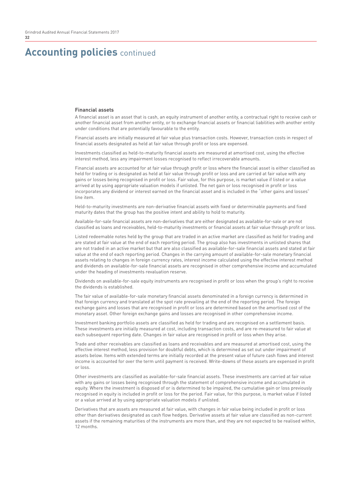# **Accounting policies** continued

### **Financial assets**

A financial asset is an asset that is cash, an equity instrument of another entity, a contractual right to receive cash or another financial asset from another entity, or to exchange financial assets or financial liabilities with another entity under conditions that are potentially favourable to the entity.

Financial assets are initially measured at fair value plus transaction costs. However, transaction costs in respect of financial assets designated as held at fair value through profit or loss are expensed.

Investments classified as held-to-maturity financial assets are measured at amortised cost, using the effective interest method, less any impairment losses recognised to reflect irrecoverable amounts.

Financial assets are accounted for at fair value through profit or loss where the financial asset is either classified as held for trading or is designated as held at fair value through profit or loss and are carried at fair value with any gains or losses being recognised in profit or loss. Fair value, for this purpose, is market value if listed or a value arrived at by using appropriate valuation models if unlisted. The net gain or loss recognised in profit or loss incorporates any dividend or interest earned on the financial asset and is included in the "other gains and losses" line item.

Held-to-maturity investments are non-derivative financial assets with fixed or determinable payments and fixed maturity dates that the group has the positive intent and ability to hold to maturity.

Available-for-sale financial assets are non-derivatives that are either designated as available-for-sale or are not classified as loans and receivables, held-to-maturity investments or financial assets at fair value through profit or loss.

Listed redeemable notes held by the group that are traded in an active market are classified as held for trading and are stated at fair value at the end of each reporting period. The group also has investments in unlisted shares that are not traded in an active market but that are also classified as available-for-sale financial assets and stated at fair value at the end of each reporting period. Changes in the carrying amount of available-for-sale monetary financial assets relating to changes in foreign currency rates, interest income calculated using the effective interest method and dividends on available-for-sale financial assets are recognised in other comprehensive income and accumulated under the heading of investments revaluation reserve.

Dividends on available-for-sale equity instruments are recognised in profit or loss when the group's right to receive the dividends is established.

The fair value of available-for-sale monetary financial assets denominated in a foreign currency is determined in that foreign currency and translated at the spot rate prevailing at the end of the reporting period. The foreign exchange gains and losses that are recognised in profit or loss are determined based on the amortised cost of the monetary asset. Other foreign exchange gains and losses are recognised in other comprehensive income.

Investment banking portfolio assets are classified as held for trading and are recognised on a settlement basis. These investments are initially measured at cost, including transaction costs, and are re-measured to fair value at each subsequent reporting date. Changes in fair value are recognised in profit or loss when they arise.

Trade and other receivables are classified as loans and receivables and are measured at amortised cost, using the effective interest method, less provision for doubtful debts, which is determined as set out under impairment of assets below. Items with extended terms are initially recorded at the present value of future cash flows and interest income is accounted for over the term until payment is received. Write-downs of these assets are expensed in profit or loss.

Other investments are classified as available-for-sale financial assets. These investments are carried at fair value with any gains or losses being recognised through the statement of comprehensive income and accumulated in equity. Where the investment is disposed of or is determined to be impaired, the cumulative gain or loss previously recognised in equity is included in profit or loss for the period. Fair value, for this purpose, is market value if listed or a value arrived at by using appropriate valuation models if unlisted.

Derivatives that are assets are measured at fair value, with changes in fair value being included in profit or loss other than derivatives designated as cash flow hedges. Derivative assets at fair value are classified as non-current assets if the remaining maturities of the instruments are more than, and they are not expected to be realised within, 12 months.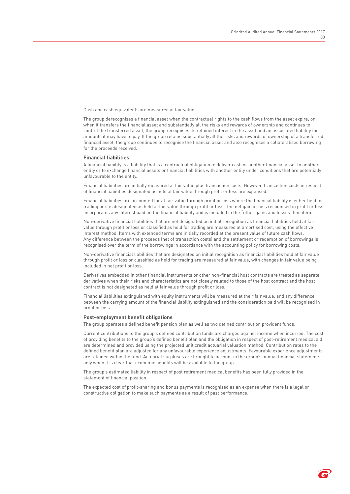Cash and cash equivalents are measured at fair value.

The group derecognises a financial asset when the contractual rights to the cash flows from the asset expire, or when it transfers the financial asset and substantially all the risks and rewards of ownership and continues to control the transferred asset, the group recognises its retained interest in the asset and an associated liability for amounts it may have to pay. If the group retains substantially all the risks and rewards of ownership of a transferred financial asset, the group continues to recognise the financial asset and also recognises a collateralised borrowing for the proceeds received.

## **Financial liabilities**

A financial liability is a liability that is a contractual obligation to deliver cash or another financial asset to another entity or to exchange financial assets or financial liabilities with another entity under conditions that are potentially unfavourable to the entity.

Financial liabilities are initially measured at fair value plus transaction costs. However, transaction costs in respect of financial liabilities designated as held at fair value through profit or loss are expensed.

Financial liabilities are accounted for at fair value through profit or loss where the financial liability is either held for trading or it is designated as held at fair value through profit or loss. The net gain or loss recognised in profit or loss incorporates any interest paid on the financial liability and is included in the "other gains and losses" line item.

Non-derivative financial liabilities that are not designated on initial recognition as financial liabilities held at fair value through profit or loss or classified as held for trading are measured at amortised cost, using the effective interest method. Items with extended terms are initially recorded at the present value of future cash flows. Any difference between the proceeds (net of transaction costs) and the settlement or redemption of borrowings is recognised over the term of the borrowings in accordance with the accounting policy for borrowing costs.

Non-derivative financial liabilities that are designated on initial recognition as financial liabilities held at fair value through profit or loss or classified as held for trading are measured at fair value, with changes in fair value being included in net profit or loss.

Derivatives embedded in other financial instruments or other non-financial host contracts are treated as separate derivatives when their risks and characteristics are not closely related to those of the host contract and the host contract is not designated as held at fair value through profit or loss.

Financial liabilities extinguished with equity instruments will be measured at their fair value, and any difference between the carrying amount of the financial liability extinguished and the consideration paid will be recognised in profit or loss.

## **Post-employment benefit obligations**

The group operates a defined benefit pension plan as well as two defined contribution provident funds.

Current contributions to the group's defined contribution funds are charged against income when incurred. The cost of providing benefits to the group's defined benefit plan and the obligation in respect of post-retirement medical aid are determined and provided using the projected unit credit actuarial valuation method. Contribution rates to the defined benefit plan are adjusted for any unfavourable experience adjustments. Favourable experience adjustments are retained within the fund. Actuarial surpluses are brought to account in the group's annual financial statements only when it is clear that economic benefits will be available to the group.

The group's estimated liability in respect of post retirement medical benefits has been fully provided in the statement of financial position.

The expected cost of profit-sharing and bonus payments is recognised as an expense when there is a legal or constructive obligation to make such payments as a result of past performance.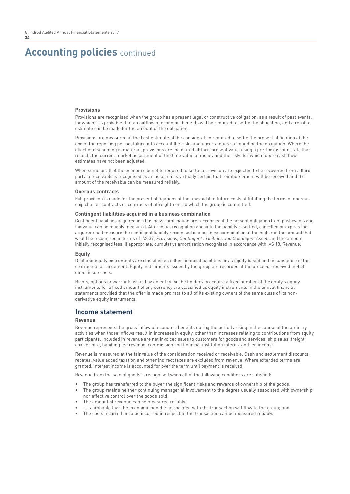# **Accounting policies** continued

## **Provisions**

Provisions are recognised when the group has a present legal or constructive obligation, as a result of past events, for which it is probable that an outflow of economic benefits will be required to settle the obligation, and a reliable estimate can be made for the amount of the obligation.

Provisions are measured at the best estimate of the consideration required to settle the present obligation at the end of the reporting period, taking into account the risks and uncertainties surrounding the obligation. Where the effect of discounting is material, provisions are measured at their present value using a pre-tax discount rate that reflects the current market assessment of the time value of money and the risks for which future cash flow estimates have not been adjusted.

When some or all of the economic benefits required to settle a provision are expected to be recovered from a third party, a receivable is recognised as an asset if it is virtually certain that reimbursement will be received and the amount of the receivable can be measured reliably.

### **Onerous contracts**

Full provision is made for the present obligations of the unavoidable future costs of fulfilling the terms of onerous ship charter contracts or contracts of affreightment to which the group is committed.

## **Contingent liabilities acquired in a business combination**

Contingent liabilities acquired in a business combination are recognised if the present obligation from past events and fair value can be reliably measured. After initial recognition and until the liability is settled, cancelled or expires the acquirer shall measure the contingent liability recognised in a business combination at the higher of the amount that would be recognised in terms of IAS 37, Provisions, Contingent Liabilities and Contingent Assets and the amount initially recognised less, if appropriate, cumulative amortisation recognised in accordance with IAS 18, Revenue.

## **Equity**

Debt and equity instruments are classified as either financial liabilities or as equity based on the substance of the contractual arrangement. Equity instruments issued by the group are recorded at the proceeds received, net of direct issue costs.

Rights, options or warrants issued by an entity for the holders to acquire a fixed number of the entity's equity instruments for a fixed amount of any currency are classified as equity instruments in the annual financial statements provided that the offer is made pro rata to all of its existing owners of the same class of its nonderivative equity instruments.

## **Income statement**

### **Revenue**

Revenue represents the gross inflow of economic benefits during the period arising in the course of the ordinary activities when those inflows result in increases in equity, other than increases relating to contributions from equity participants. Included in revenue are net invoiced sales to customers for goods and services, ship sales, freight, charter hire, handling fee revenue, commission and financial institution interest and fee income.

Revenue is measured at the fair value of the consideration received or receivable. Cash and settlement discounts, rebates, value added taxation and other indirect taxes are excluded from revenue. Where extended terms are granted, interest income is accounted for over the term until payment is received.

Revenue from the sale of goods is recognised when all of the following conditions are satisfied:

- The group has transferred to the buyer the significant risks and rewards of ownership of the goods;
- The group retains neither continuing managerial involvement to the degree usually associated with ownership nor effective control over the goods sold;
- The amount of revenue can be measured reliably:
- It is probable that the economic benefits associated with the transaction will flow to the group; and
- The costs incurred or to be incurred in respect of the transaction can be measured reliably.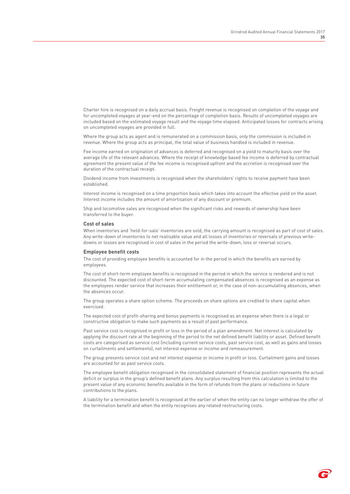Charter hire is recognised on a daily accrual basis. Freight revenue is recognised on completion of the voyage and for uncompleted voyages at year-end on the percentage of completion basis. Results of uncompleted voyages are included based on the estimated voyage result and the voyage time elapsed. Anticipated losses for contracts arising on uncompleted voyages are provided in full.

Where the group acts as agent and is remunerated on a commission basis, only the commission is included in revenue. Where the group acts as principal, the total value of business handled is included in revenue.

Fee income earned on origination of advances is deferred and recognised on a yield to maturity basis over the average life of the relevant advances. Where the receipt of knowledge based fee income is deferred by contractual agreement the present value of the fee income is recognised upfront and the accretion is recognised over the duration of the contractual receipt.

Dividend income from investments is recognised when the shareholders' rights to receive payment have been established.

Interest income is recognised on a time proportion basis which takes into account the effective yield on the asset. Interest income includes the amount of amortisation of any discount or premium.

Ship and locomotive sales are recognised when the significant risks and rewards of ownership have been transferred to the buyer.

### **Cost of sales**

When inventories and 'held-for-sale' inventories are sold, the carrying amount is recognised as part of cost of sales. Any write-down of inventories to net realisable value and all losses of inventories or reversals of previous writedowns or losses are recognised in cost of sales in the period the write-down, loss or reversal occurs.

#### **Employee benefit costs**

The cost of providing employee benefits is accounted for in the period in which the benefits are earned by employees.

The cost of short-term employee benefits is recognised in the period in which the service is rendered and is not discounted. The expected cost of short-term accumulating compensated absences is recognised as an expense as the employees render service that increases their entitlement or, in the case of non-accumulating absences, when the absences occur.

The group operates a share option scheme. The proceeds on share options are credited to share capital when exercised.

The expected cost of profit-sharing and bonus payments is recognised as an expense when there is a legal or constructive obligation to make such payments as a result of past performance.

Past service cost is recognised in profit or loss in the period of a plan amendment. Net interest is calculated by applying the discount rate at the beginning of the period to the net defined benefit liability or asset. Defined benefit costs are categorised as service cost (including current service costs, past service cost, as well as gains and losses on curtailments and settlements), net interest expense or income and remeasurement.

The group presents service cost and net interest expense or income in profit or loss. Curtailment gains and losses are accounted for as past service costs.

The employee benefit obligation recognised in the consolidated statement of financial position represents the actual deficit or surplus in the group's defined benefit plans. Any surplus resulting from this calculation is limited to the present value of any economic benefits available in the form of refunds from the plans or reductions in future contributions to the plans.

A liability for a termination benefit is recognised at the earlier of when the entity can no longer withdraw the offer of the termination benefit and when the entity recognises any related restructuring costs.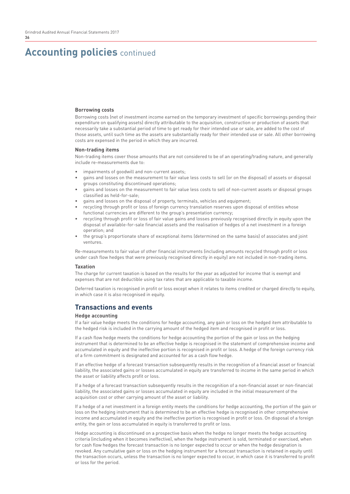# **Accounting policies** continued

# **Borrowing costs**

Borrowing costs (net of investment income earned on the temporary investment of specific borrowings pending their expenditure on qualifying assets) directly attributable to the acquisition, construction or production of assets that necessarily take a substantial period of time to get ready for their intended use or sale, are added to the cost of those assets, until such time as the assets are substantially ready for their intended use or sale. All other borrowing costs are expensed in the period in which they are incurred.

# **Non-trading items**

Non-trading items cover those amounts that are not considered to be of an operating/trading nature, and generally include re-measurements due to:

- impairments of goodwill and non-current assets:
- gains and losses on the measurement to fair value less costs to sell (or on the disposal) of assets or disposal groups constituting discontinued operations;
- gains and losses on the measurement to fair value less costs to sell of non-current assets or disposal groups classified as held-for-sale;
- gains and losses on the disposal of property, terminals, vehicles and equipment;
- recycling through profit or loss of foreign currency translation reserves upon disposal of entities whose functional currencies are different to the group's presentation currency;
- recycling through profit or loss of fair value gains and losses previously recognised directly in equity upon the disposal of available-for-sale financial assets and the realisation of hedges of a net investment in a foreign operation; and
- the group's proportionate share of exceptional items (determined on the same basis) of associates and joint ventures.

Re-measurements to fair value of other financial instruments (including amounts recycled through profit or loss under cash flow hedges that were previously recognised directly in equity) are not included in non-trading items.

#### **Taxation**

The charge for current taxation is based on the results for the year as adjusted for income that is exempt and expenses that are not deductible using tax rates that are applicable to taxable income.

Deferred taxation is recognised in profit or loss except when it relates to items credited or charged directly to equity, in which case it is also recognised in equity.

# **Transactions and events**

### **Hedge accounting**

If a fair value hedge meets the conditions for hedge accounting, any gain or loss on the hedged item attributable to the hedged risk is included in the carrying amount of the hedged item and recognised in profit or loss.

If a cash flow hedge meets the conditions for hedge accounting the portion of the gain or loss on the hedging instrument that is determined to be an effective hedge is recognised in the statement of comprehensive income and accumulated in equity and the ineffective portion is recognised in profit or loss. A hedge of the foreign currency risk of a firm commitment is designated and accounted for as a cash flow hedge.

If an effective hedge of a forecast transaction subsequently results in the recognition of a financial asset or financial liability, the associated gains or losses accumulated in equity are transferred to income in the same period in which the asset or liability affects profit or loss.

If a hedge of a forecast transaction subsequently results in the recognition of a non-financial asset or non-financial liability, the associated gains or losses accumulated in equity are included in the initial measurement of the acquisition cost or other carrying amount of the asset or liability.

If a hedge of a net investment in a foreign entity meets the conditions for hedge accounting, the portion of the gain or loss on the hedging instrument that is determined to be an effective hedge is recognised in other comprehensive income and accumulated in equity and the ineffective portion is recognised in profit or loss. On disposal of a foreign entity, the gain or loss accumulated in equity is transferred to profit or loss.

Hedge accounting is discontinued on a prospective basis when the hedge no longer meets the hedge accounting criteria (including when it becomes ineffective), when the hedge instrument is sold, terminated or exercised, when for cash flow hedges the forecast transaction is no longer expected to occur or when the hedge designation is revoked. Any cumulative gain or loss on the hedging instrument for a forecast transaction is retained in equity until the transaction occurs, unless the transaction is no longer expected to occur, in which case it is transferred to profit or loss for the period.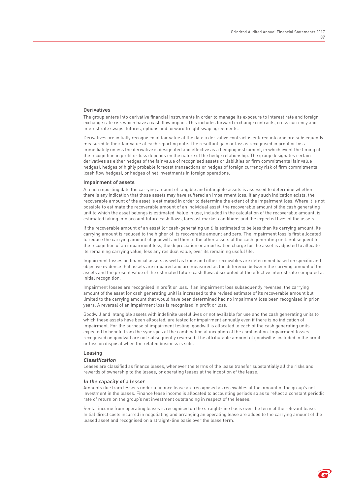### **Derivatives**

The group enters into derivative financial instruments in order to manage its exposure to interest rate and foreign exchange rate risk which have a cash flow impact. This includes forward exchange contracts, cross currency and interest rate swaps, futures, options and forward freight swap agreements.

Derivatives are initially recognised at fair value at the date a derivative contract is entered into and are subsequently measured to their fair value at each reporting date. The resultant gain or loss is recognised in profit or loss immediately unless the derivative is designated and effective as a hedging instrument, in which event the timing of the recognition in profit or loss depends on the nature of the hedge relationship. The group designates certain derivatives as either hedges of the fair value of recognised assets or liabilities or firm commitments (fair value hedges), hedges of highly probable forecast transactions or hedges of foreign currency risk of firm commitments (cash flow hedges), or hedges of net investments in foreign operations.

### **Impairment of assets**

At each reporting date the carrying amount of tangible and intangible assets is assessed to determine whether there is any indication that those assets may have suffered an impairment loss. If any such indication exists, the recoverable amount of the asset is estimated in order to determine the extent of the impairment loss. Where it is not possible to estimate the recoverable amount of an individual asset, the recoverable amount of the cash generating unit to which the asset belongs is estimated. Value in use, included in the calculation of the recoverable amount, is estimated taking into account future cash flows, forecast market conditions and the expected lives of the assets.

If the recoverable amount of an asset (or cash-generating unit) is estimated to be less than its carrying amount, its carrying amount is reduced to the higher of its recoverable amount and zero. The impairment loss is first allocated to reduce the carrying amount of goodwill and then to the other assets of the cash generating unit. Subsequent to the recognition of an impairment loss, the depreciation or amortisation charge for the asset is adjusted to allocate its remaining carrying value, less any residual value, over its remaining useful life.

Impairment losses on financial assets as well as trade and other receivables are determined based on specific and objective evidence that assets are impaired and are measured as the difference between the carrying amount of the assets and the present value of the estimated future cash flows discounted at the effective interest rate computed at initial recognition.

Impairment losses are recognised in profit or loss. If an impairment loss subsequently reverses, the carrying amount of the asset (or cash generating unit) is increased to the revised estimate of its recoverable amount but limited to the carrying amount that would have been determined had no impairment loss been recognised in prior years. A reversal of an impairment loss is recognised in profit or loss.

Goodwill and intangible assets with indefinite useful lives or not available for use and the cash generating units to which these assets have been allocated, are tested for impairment annually even if there is no indication of impairment. For the purpose of impairment testing, goodwill is allocated to each of the cash generating units expected to benefit from the synergies of the combination at inception of the combination. Impairment losses recognised on goodwill are not subsequently reversed. The attributable amount of goodwill is included in the profit or loss on disposal when the related business is sold.

#### **Leasing**

#### **Classification**

Leases are classified as finance leases, whenever the terms of the lease transfer substantially all the risks and rewards of ownership to the lessee, or operating leases at the inception of the lease.

### **In the capacity of a lessor**

Amounts due from lessees under a finance lease are recognised as receivables at the amount of the group's net investment in the leases. Finance lease income is allocated to accounting periods so as to reflect a constant periodic rate of return on the group's net investment outstanding in respect of the leases.

Rental income from operating leases is recognised on the straight-line basis over the term of the relevant lease. Initial direct costs incurred in negotiating and arranging an operating lease are added to the carrying amount of the leased asset and recognised on a straight-line basis over the lease term.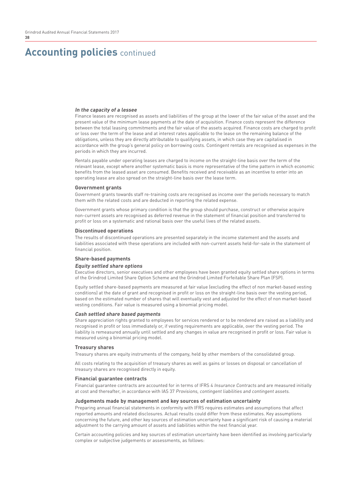# **Accounting policies** continued

### **In the capacity of a lessee**

Finance leases are recognised as assets and liabilities of the group at the lower of the fair value of the asset and the present value of the minimum lease payments at the date of acquisition. Finance costs represent the difference between the total leasing commitments and the fair value of the assets acquired. Finance costs are charged to profit or loss over the term of the lease and at interest rates applicable to the lease on the remaining balance of the obligations, unless they are directly attributable to qualifying assets, in which case they are capitalised in accordance with the group's general policy on borrowing costs. Contingent rentals are recognised as expenses in the periods in which they are incurred.

Rentals payable under operating leases are charged to income on the straight-line basis over the term of the relevant lease, except where another systematic basis is more representative of the time pattern in which economic benefits from the leased asset are consumed. Benefits received and receivable as an incentive to enter into an operating lease are also spread on the straight-line basis over the lease term.

#### **Government grants**

Government grants towards staff re-training costs are recognised as income over the periods necessary to match them with the related costs and are deducted in reporting the related expense.

Government grants whose primary condition is that the group should purchase, construct or otherwise acquire non-current assets are recognised as deferred revenue in the statement of financial position and transferred to profit or loss on a systematic and rational basis over the useful lives of the related assets.

# **Discontinued operations**

The results of discontinued operations are presented separately in the income statement and the assets and liabilities associated with these operations are included with non-current assets held-for-sale in the statement of financial position.

# **Share-based payments**

### **Equity settled share options**

Executive directors, senior executives and other employees have been granted equity settled share options in terms of the Grindrod Limited Share Option Scheme and the Grindrod Limited Forfeitable Share Plan (FSP).

Equity settled share-based payments are measured at fair value (excluding the effect of non market-based vesting conditions) at the date of grant and recognised in profit or loss on the straight-line basis over the vesting period, based on the estimated number of shares that will eventually vest and adjusted for the effect of non market-based vesting conditions. Fair value is measured using a binomial pricing model.

#### **Cash settled share based payments**

Share appreciation rights granted to employees for services rendered or to be rendered are raised as a liability and recognised in profit or loss immediately or, if vesting requirements are applicable, over the vesting period. The liability is remeasured annually until settled and any changes in value are recognised in profit or loss. Fair value is measured using a binomial pricing model.

### **Treasury shares**

Treasury shares are equity instruments of the company, held by other members of the consolidated group.

All costs relating to the acquisition of treasury shares as well as gains or losses on disposal or cancellation of treasury shares are recognised directly in equity.

### **Financial guarantee contracts**

Financial guarantee contracts are accounted for in terms of IFRS 4 Insurance Contracts and are measured initially at cost and thereafter, in accordance with IAS 37 Provisions, contingent liabilities and contingent assets.

# **Judgements made by management and key sources of estimation uncertainty**

Preparing annual financial statements in conformity with IFRS requires estimates and assumptions that affect reported amounts and related disclosures. Actual results could differ from these estimates. Key assumptions concerning the future, and other key sources of estimation uncertainty have a significant risk of causing a material adjustment to the carrying amount of assets and liabilities within the next financial year.

Certain accounting policies and key sources of estimation uncertainty have been identified as involving particularly complex or subjective judgements or assessments, as follows: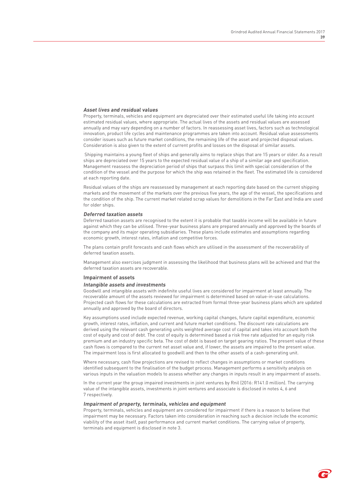# **Asset lives and residual values**

Property, terminals, vehicles and equipment are depreciated over their estimated useful life taking into account estimated residual values, where appropriate. The actual lives of the assets and residual values are assessed annually and may vary depending on a number of factors. In reassessing asset lives, factors such as technological innovation, product life cycles and maintenance programmes are taken into account. Residual value assessments consider issues such as future market conditions, the remaining life of the asset and projected disposal values. Consideration is also given to the extent of current profits and losses on the disposal of similar assets.

 Shipping maintains a young fleet of ships and generally aims to replace ships that are 15 years or older. As a result ships are depreciated over 15 years to the expected residual value of a ship of a similar age and specification. Management reassess the depreciation period of ships that surpass this limit with special consideration of the condition of the vessel and the purpose for which the ship was retained in the fleet. The estimated life is considered at each reporting date.

Residual values of the ships are reassessed by management at each reporting date based on the current shipping markets and the movement of the markets over the previous five years, the age of the vessel, the specifications and the condition of the ship. The current market related scrap values for demolitions in the Far East and India are used for older ships.

# **Deferred taxation assets**

Deferred taxation assets are recognised to the extent it is probable that taxable income will be available in future against which they can be utilised. Three-year business plans are prepared annually and approved by the boards of the company and its major operating subsidiaries. These plans include estimates and assumptions regarding economic growth, interest rates, inflation and competitive forces.

The plans contain profit forecasts and cash flows which are utilised in the assessment of the recoverability of deferred taxation assets.

Management also exercises judgment in assessing the likelihood that business plans will be achieved and that the deferred taxation assets are recoverable.

#### **Impairment of assets**

#### **Intangible assets and investments**

Goodwill and intangible assets with indefinite useful lives are considered for impairment at least annually. The recoverable amount of the assets reviewed for impairment is determined based on value-in-use calculations. Projected cash flows for these calculations are extracted from formal three-year business plans which are updated annually and approved by the board of directors.

Key assumptions used include expected revenue, working capital changes, future capital expenditure, economic growth, interest rates, inflation, and current and future market conditions. The discount rate calculations are derived using the relevant cash generating units weighted average cost of capital and takes into account both the cost of equity and cost of debt. The cost of equity is determined based a risk free rate adjusted for an equity risk premium and an industry specific beta. The cost of debt is based on target gearing ratios. The present value of these cash flows is compared to the current net asset value and, if lower, the assets are impaired to the present value. The impairment loss is first allocated to goodwill and then to the other assets of a cash-generating unit.

Where necessary, cash flow projections are revised to reflect changes in assumptions or market conditions identified subsequent to the finalisation of the budget process. Management performs a sensitivity analysis on various inputs in the valuation models to assess whether any changes in inputs result in any impairment of assets.

In the current year the group impaired investments in joint ventures by Rnil (2016: R141.0 million). The carrying value of the intangible assets, investments in joint ventures and associate is disclosed in notes 4, 6 and 7 respectively.

#### **Impairment of property, terminals, vehicles and equipment**

Property, terminals, vehicles and equipment are considered for impairment if there is a reason to believe that impairment may be necessary. Factors taken into consideration in reaching such a decision include the economic viability of the asset itself, past performance and current market conditions. The carrying value of property, terminals and equipment is disclosed in note 3.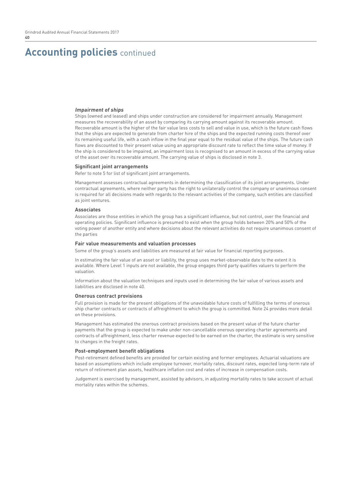# **Accounting policies** continued

# **Impairment of ships**

Ships (owned and leased) and ships under construction are considered for impairment annually. Management measures the recoverability of an asset by comparing its carrying amount against its recoverable amount. Recoverable amount is the higher of the fair value less costs to sell and value in use, which is the future cash flows that the ships are expected to generate from charter hire of the ships and the expected running costs thereof over its remaining useful life, with a cash inflow in the final year equal to the residual value of the ships. The future cash flows are discounted to their present value using an appropriate discount rate to reflect the time value of money. If the ship is considered to be impaired, an impairment loss is recognised to an amount in excess of the carrying value of the asset over its recoverable amount. The carrying value of ships is disclosed in note 3.

### **Significant joint arrangements**

Refer to note 5 for list of significant joint arrangements.

Management assesses contractual agreements in determining the classification of its joint arrangements. Under contractual agreements, where neither party has the right to unilaterally control the company or unanimous consent is required for all decisions made with regards to the relevant activities of the company, such entities are classified as joint ventures.

#### **Associates**

Associates are those entities in which the group has a significant influence, but not control, over the financial and operating policies. Significant influence is presumed to exist when the group holds between 20% and 50% of the voting power of another entity and where decisions about the relevant activities do not require unanimous consent of the parties

# **Fair value measurements and valuation processes**

Some of the group's assets and liabilities are measured at fair value for financial reporting purposes.

In estimating the fair value of an asset or liability, the group uses market-observable date to the extent it is available. Where Level 1 inputs are not available, the group engages third party qualifies valuers to perform the valuation.

Information about the valuation techniques and inputs used in determining the fair value of various assets and liabilities are disclosed in note 40.

### **Onerous contract provisions**

Full provision is made for the present obligations of the unavoidable future costs of fulfilling the terms of onerous ship charter contracts or contracts of affreightment to which the group is committed. Note 24 provides more detail on these provisions.

Management has estimated the onerous contract provisions based on the present value of the future charter payments that the group is expected to make under non-cancellable onerous operating charter agreements and contracts of affreightment, less charter revenue expected to be earned on the charter, the estimate is very sensitive to changes in the freight rates.

# **Post-employment benefit obligations**

Post-retirement defined benefits are provided for certain existing and former employees. Actuarial valuations are based on assumptions which include employee turnover, mortality rates, discount rates, expected long-term rate of return of retirement plan assets, healthcare inflation cost and rates of increase in compensation costs.

Judgement is exercised by management, assisted by advisors, in adjusting mortality rates to take account of actual mortality rates within the schemes.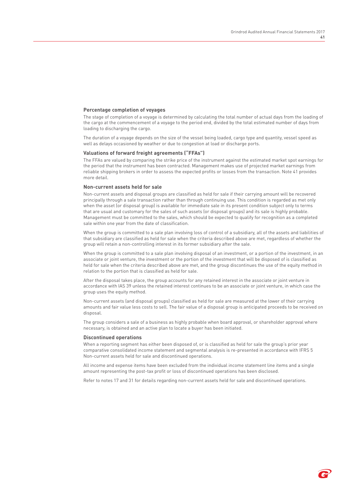# **Percentage completion of voyages**

The stage of completion of a voyage is determined by calculating the total number of actual days from the loading of the cargo at the commencement of a voyage to the period end, divided by the total estimated number of days from loading to discharging the cargo.

The duration of a voyage depends on the size of the vessel being loaded, cargo type and quantity, vessel speed as well as delays occasioned by weather or due to congestion at load or discharge ports.

# **Valuations of forward freight agreements ("FFAs")**

The FFAs are valued by comparing the strike price of the instrument against the estimated market spot earnings for the period that the instrument has been contracted. Management makes use of projected market earnings from reliable shipping brokers in order to assess the expected profits or losses from the transaction. Note 41 provides more detail.

### **Non-current assets held for sale**

Non-current assets and disposal groups are classified as held for sale if their carrying amount will be recovered principally through a sale transaction rather than through continuing use. This condition is regarded as met only when the asset (or disposal group) is available for immediate sale in its present condition subject only to terms that are usual and customary for the sales of such assets (or disposal groups) and its sale is highly probable. Management must be committed to the sales, which should be expected to qualify for recognition as a completed sale within one year from the date of classification.

When the group is committed to a sale plan involving loss of control of a subsidiary, all of the assets and liabilities of that subsidiary are classified as held for sale when the criteria described above are met, regardless of whether the group will retain a non-controlling interest in its former subsidiary after the sale.

When the group is committed to a sale plan involving disposal of an investment, or a portion of the investment, in an associate or joint venture, the investment or the portion of the investment that will be disposed of is classified as held for sale when the criteria described above are met, and the group discontinues the use of the equity method in relation to the portion that is classified as held for sale.

After the disposal takes place, the group accounts for any retained interest in the associate or joint venture in accordance with IAS 39 unless the retained interest continues to be an associate or joint venture, in which case the group uses the equity method.

Non-current assets (and disposal groups) classified as held for sale are measured at the lower of their carrying amounts and fair value less costs to sell. The fair value of a disposal group is anticipated proceeds to be received on disposal.

The group considers a sale of a business as highly probable when board approval, or shareholder approval where necessary, is obtained and an active plan to locate a buyer has been initiated.

### **Discontinued operations**

When a reporting segment has either been disposed of, or is classified as held for sale the group's prior year comparative consolidated income statement and segmental analysis is re-presented in accordance with IFRS 5 Non-current assets held for sale and discontinued operations.

All income and expense items have been excluded from the individual income statement line items and a single amount representing the post-tax profit or loss of discontinued operations has been disclosed.

Refer to notes 17 and 31 for details regarding non-current assets held for sale and discontinued operations.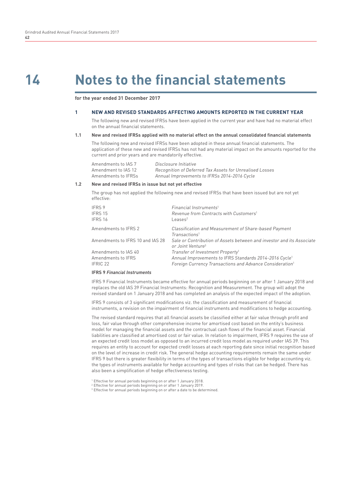# **14 Notes to the financial statements**

**for the year ended 31 December 2017**

# **1 NEW AND REVISED STANDARDS AFFECTING AMOUNTS REPORTED IN THE CURRENT YEAR**

The following new and revised IFRSs have been applied in the current year and have had no material effect on the annual financial statements.

#### **1.1 New and revised IFRSs applied with no material effect on the annual consolidated financial statements**

The following new and revised IFRSs have been adopted in these annual financial statements. The application of these new and revised IFRSs has not had any material impact on the amounts reported for the current and prior years and are mandatorily effective.

| Amendments to IAS 7 | Disclosure Initiative                                    |
|---------------------|----------------------------------------------------------|
| Amendment to IAS 12 | Recognition of Deferred Tax Assets for Unrealised Losses |
| Amendments to IFRSs | Annual Improvements to IFRSs 2014-2016 Cycle             |

# **1.2 New and revised IFRSs in issue but not yet effective**

The group has not applied the following new and revised IFRSs that have been issued but are not yet effective:

| IFRS 9                           | Financial Instruments <sup>1</sup>                                                                     |
|----------------------------------|--------------------------------------------------------------------------------------------------------|
| IFRS 15                          | Revenue from Contracts with Customers <sup>1</sup>                                                     |
| IFRS 16                          | Leases <sup>2</sup>                                                                                    |
| Amendments to IFRS 2             | Classification and Measurement of Share-based Payment<br>Transactions <sup>1</sup>                     |
| Amendments to IFRS 10 and IAS 28 | Sale or Contribution of Assets between and investor and its Associate<br>or Joint Venture <sup>3</sup> |
| Amendments to IAS 40             | Transfer of Investment Property <sup>1</sup>                                                           |
| Amendments to IFRS               | Annual Improvements to IFRS Standards 2014-2016 Cycle <sup>1</sup>                                     |
| IFRIC 22                         | Foreign Currency Transactions and Advance Consideration <sup>1</sup>                                   |

# **IFRS 9** *Financial Instruments*

IFRS 9 Financial Instruments became effective for annual periods beginning on or after 1 January 2018 and replaces the old IAS 39 Financial Instruments: Recognition and Measurement. The group will adopt the revised standard on 1 January 2018 and has completed an analysis of the expected impact of the adoption.

IFRS 9 consists of 3 significant modifications viz. the classification and measurement of financial instruments, a revision on the impairment of financial instruments and modifications to hedge accounting.

The revised standard requires that all financial assets be classified either at fair value through profit and loss, fair value through other comprehensive income for amortised cost based on the entity's business model for managing the financial assets and the contractual cash flows of the financial asset. Financial liabilities are classified at amortised cost or fair value. In relation to impairment, IFRS 9 requires the use of an expected credit loss model as opposed to an incurred credit loss model as required under IAS 39. This requires an entity to account for expected credit losses at each reporting date since initial recognition based on the level of increase in credit risk. The general hedge accounting requirements remain the same under IFRS 9 but there is greater flexibility in terms of the types of transactions eligible for hedge accounting viz. the types of instruments available for hedge accounting and types of risks that can be hedged. There has also been a simplification of hedge effectiveness testing.

2 Effective for annual periods beginning on or after 1 January 2019.

<sup>1</sup> Effective for annual periods beginning on or after 1 January 2018.

<sup>&</sup>lt;sup>3</sup> Effective for annual periods beginning on or after a date to be determined.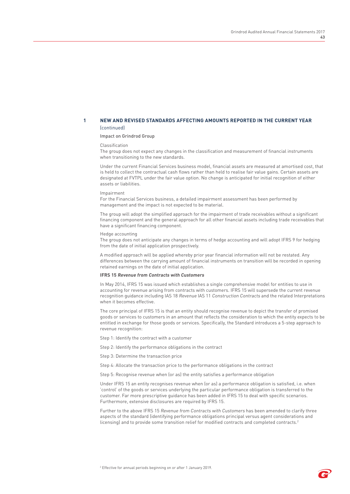# **1 NEW AND REVISED STANDARDS AFFECTING AMOUNTS REPORTED IN THE CURRENT YEAR**  (continued)

#### Impact on Grindrod Group

### Classification

The group does not expect any changes in the classification and measurement of financial instruments when transitioning to the new standards.

Under the current Financial Services business model, financial assets are measured at amortised cost, that is held to collect the contractual cash flows rather than held to realise fair value gains. Certain assets are designated at FVTPL under the fair value option. No change is anticipated for initial recognition of either assets or liabilities.

#### Impairment

For the Financial Services business, a detailed impairment assessment has been performed by management and the impact is not expected to be material.

The group will adopt the simplified approach for the impairment of trade receivables without a significant financing component and the general approach for all other financial assets including trade receivables that have a significant financing component.

#### Hedge accounting

The group does not anticipate any changes in terms of hedge accounting and will adopt IFRS 9 for hedging from the date of initial application prospectively.

A modified approach will be applied whereby prior year financial information will not be restated. Any differences between the carrying amount of financial instruments on transition will be recorded in opening retained earnings on the date of initial application.

#### **IFRS 15 Revenue from Contracts with Customers**

In May 2014, IFRS 15 was issued which establishes a single comprehensive model for entities to use in accounting for revenue arising from contracts with customers. IFRS 15 will supersede the current revenue recognition guidance including IAS 18 Revenue IAS 11 Construction Contracts and the related Interpretations when it becomes effective.

The core principal of IFRS 15 is that an entity should recognise revenue to depict the transfer of promised goods or services to customers in an amount that reflects the consideration to which the entity expects to be entitled in exchange for those goods or services. Specifically, the Standard introduces a 5-step approach to revenue recognition:

Step 1: Identify the contract with a customer

Step 2: Identify the performance obligations in the contract

Step 3: Determine the transaction price

Step 4: Allocate the transaction price to the performance obligations in the contract

Step 5: Recognise revenue when (or as) the entity satisfies a performance obligation

Under IFRS 15 an entity recognises revenue when (or as) a performance obligation is satisfied, i.e. when 'control' of the goods or services underlying the particular performance obligation is transferred to the customer. Far more prescriptive guidance has been added in IFRS 15 to deal with specific scenarios. Furthermore, extensive disclosures are required by IFRS 15.

Further to the above IFRS 15 Revenue from Contracts with Customers has been amended to clarify three aspects of the standard (identifying performance obligations principal versus agent considerations and licensing) and to provide some transition relief for modified contracts and completed contracts.2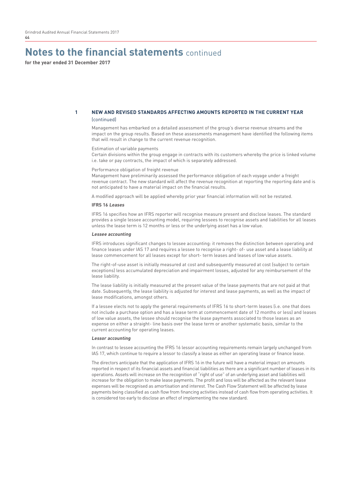**for the year ended 31 December 2017**

# **1 NEW AND REVISED STANDARDS AFFECTING AMOUNTS REPORTED IN THE CURRENT YEAR**  (continued)

Management has embarked on a detailed assessment of the group's diverse revenue streams and the impact on the group results. Based on these assessments management have identified the following items that will result in change to the current revenue recognition.

#### Estimation of variable payments

Certain divisions within the group engage in contracts with its customers whereby the price is linked volume i.e. take or pay contracts, the impact of which is separately addressed.

#### Performance obligation of freight revenue

Management have preliminarily assessed the performance obligation of each voyage under a freight revenue contract. The new standard will affect the revenue recognition at reporting the reporting date and is not anticipated to have a material impact on the financial results.

A modified approach will be applied whereby prior year financial information will not be restated.

# **IFRS 16 Leases**

IFRS 16 specifies how an IFRS reporter will recognise measure present and disclose leases. The standard provides a single lessee accounting model, requiring lessees to recognise assets and liabilities for all leases unless the lease term is 12 months or less or the underlying asset has a low value.

### **Lessee accounting**

IFRS introduces significant changes to lessee accounting: it removes the distinction between operating and finance leases under IAS 17 and requires a lessee to recognise a right- of- use asset and a lease liability at lease commencement for all leases except for short- term leases and leases of low value assets.

The right-of-use asset is initially measured at cost and subsequently measured at cost (subject to certain exceptions) less accumulated depreciation and impairment losses, adjusted for any reimbursement of the lease liability.

The lease liability is initially measured at the present value of the lease payments that are not paid at that date. Subsequently, the lease liability is adjusted for interest and lease payments, as well as the impact of lease modifications, amongst others.

If a lessee elects not to apply the general requirements of IFRS 16 to short-term leases (i.e. one that does not include a purchase option and has a lease term at commencement date of 12 months or less) and leases of low value assets, the lessee should recognise the lease payments associated to those leases as an expense on either a straight- line basis over the lease term or another systematic basis, similar to the current accounting for operating leases.

# **Lessor accounting**

In contrast to lessee accounting the IFRS 16 lessor accounting requirements remain largely unchanged from IAS 17, which continue to require a lessor to classify a lease as either an operating lease or finance lease.

The directors anticipate that the application of IFRS 16 in the future will have a material impact on amounts reported in respect of its financial assets and financial liabilities as there are a significant number of leases in its operations. Assets will increase on the recognition of "right of use" of an underlying asset and liabilities will increase for the obligation to make lease payments. The profit and loss will be affected as the relevant lease expenses will be recognised as amortisation and interest. The Cash Flow Statement will be affected by lease payments being classified as cash flow from financing activities instead of cash flow from operating activities. It is considered too early to disclose an effect of implementing the new standard.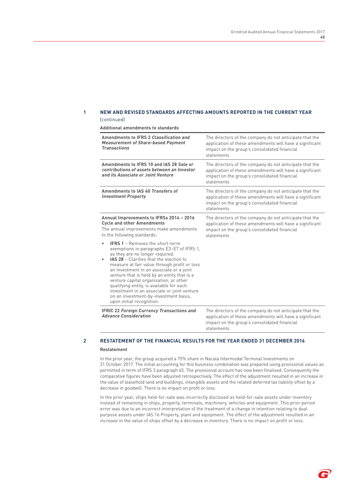# **1 NEW AND REVISED STANDARDS AFFECTING AMOUNTS REPORTED IN THE CURRENT YEAR**  (continued)

**Additional amendments to standards**

| Amendments to IFRS 2 Classification and<br><b>Measurement of Share-based Payment</b><br><b>Transactions</b>                                                                                                                                                                                                                                                                                                                                                                                                                         | The directors of the company do not anticipate that the<br>application of these amendments will have a significant<br>impact on the group's consolidated financial<br>statements |
|-------------------------------------------------------------------------------------------------------------------------------------------------------------------------------------------------------------------------------------------------------------------------------------------------------------------------------------------------------------------------------------------------------------------------------------------------------------------------------------------------------------------------------------|----------------------------------------------------------------------------------------------------------------------------------------------------------------------------------|
| Amendments to IFRS 10 and IAS 28 Sale or<br>contributions of assets between an Investor<br>and its Associate or Joint Venture                                                                                                                                                                                                                                                                                                                                                                                                       | The directors of the company do not anticipate that the<br>application of these amendments will have a significant<br>impact on the group's consolidated financial<br>statements |
| Amendments to IAS 40 Transfers of<br><b>Investment Property</b>                                                                                                                                                                                                                                                                                                                                                                                                                                                                     | The directors of the company do not anticipate that the<br>application of these amendments will have a significant<br>impact on the group's consolidated financial<br>statements |
| Annual Improvements to IFRSs 2014 - 2016<br><b>Cycle and other Amendments</b><br>The annual improvements make amendments<br>to the following standards:                                                                                                                                                                                                                                                                                                                                                                             | The directors of the company do not anticipate that the<br>application of these amendments will have a significant<br>impact on the group's consolidated financial<br>statements |
| <b>IFRS 1 - Removes the short-term</b><br>exemptions in paragraphs E3-E7 of IFRS 1,<br>as they are no longer required.<br><b>IAS 28 - Clarifies that the election to</b><br>۰<br>measure at fair value through profit or loss<br>an investment in an associate or a joint<br>venture that is held by an entity that is a<br>venture capital organisation, or other<br>qualifying entity, is available for each<br>investment in an associate or joint venture<br>on an investment-by-investment basis,<br>upon initial recognition. |                                                                                                                                                                                  |
| <b>IFRIC 22 Foreign Currency Transactions and</b><br><b>Advance Consideration</b>                                                                                                                                                                                                                                                                                                                                                                                                                                                   | The directors of the company do not anticipate that the<br>application of these amendments will have a significant<br>impact on the group's consolidated financial<br>statements |

# **2 RESTATEMENT OF THE FINANCIAL RESULTS FOR THE YEAR ENDED 31 DECEMBER 2016**

# **Restatement**

In the prior year, the group acquired a 75% share in Nacala Intermodal Terminal Investments on 31 October 2017. The initial accounting for this business combination was prepared using provisional values as permitted in term of IFRS 3 paragraph 45. The provisional account has now been finalised. Consequently the comparative figures have been adjusted retrospectively. The effect of the adjustment resulted in an increase in the value of leasehold land and buildings, intangible assets and the related deferred tax liability offset by a decrease in goodwill. There is no impact on profit or loss.

In the prior year, ships held-for-sale was incorrectly disclosed as held-for-sale assets under inventory instead of remaining in ships, property, terminals, machinery, vehicles and equipment. This prior period error was due to an incorrect interpretation of the treatment of a change in intention relating to dual purpose assets under IAS 16 Property, plant and equipment. The effect of the adjustment resulted in an increase in the value of ships offset by a decrease in inventory. There is no impact on profit or loss.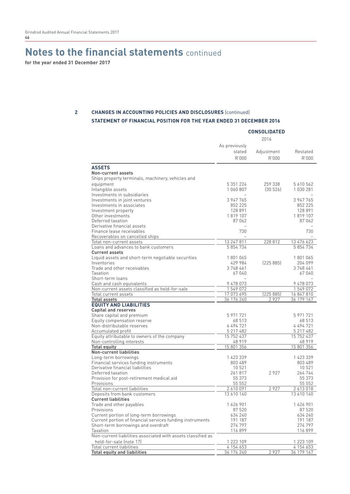**for the year ended 31 December 2017**

# **2 CHANGES IN ACCOUNTING POLICIES AND DISCLOSURES** (continued) **STATEMENT OF FINANCIAL POSITION FOR THE YEAR ENDED 31 DECEMBER 2016**

| 2016<br>As previously<br>stated<br>Adjustment<br>Restated<br>R'000<br>R'000<br>R'000<br><b>ASSETS</b><br><b>Non-current assets</b><br>Ships property terminals, machinery, vehicles and<br>equipment<br>5 351 224<br>259 338<br>5 610 562<br>Intangible assets<br>1060807<br>[30 526]<br>1 030 281<br>Investments in subsidiaries<br>3 947 765<br>3 947 765<br>Investments in joint ventures<br>852 225<br>852 225<br>Investments in associates<br>Investment property<br>128 891<br>128 891<br>Other investments<br>1819107<br>1819107<br>Deferred taxation<br>87 062<br>87 062<br>Derivative financial assets<br>Finance lease receivables<br>730<br>730<br>Recoverables on cancelled ships<br>13 247 811<br>13 476 623<br>228 812<br>Total non-current assets<br>5 854 734<br>Loans and advances to bank customers<br>5 854 734<br><b>Current assets</b><br>Liquid assets and short-term negotiable securities<br>1801065<br>1801065<br>Inventories<br>(225885)<br>429 984<br>204 099<br>Trade and other receivables<br>3748461<br>3748461<br>67040<br>67040<br>Taxation<br>Short-term loans<br>9 478 073<br>Cash and cash equivalents<br>9 478 073<br>Non-current assets classified as held-for-sale<br>1 549 072<br>1 549 072<br>17 073 695<br>(225885)<br>16 847 810<br>Total current assets<br>36 179 167<br><b>Total assets</b><br>36 176 240<br>2927<br><b>EQUITY AND LIABILITIES</b><br><b>Capital and reserves</b><br>5 971 721<br>5 971 721<br>Share capital and premium<br>Equity compensation reserve<br>68 513<br>68 513<br>Non-distributable reserves<br>4 494 721<br>4 494 721<br>5 217 482<br>5 217 482<br>Accumulated profit<br>Equity attributable to owners of the company<br>15 752 437<br>15 752 437<br>48 919<br>48 919<br>Non-controlling interests<br>15 801 356<br>15 801 356<br><b>Total equity</b><br><b>Non-current liabilities</b><br>1 423 339<br>1 423 339<br>Long-term borrowings<br>Financial services funding instruments<br>803 489<br>803 489<br>Derivative financial liabilities<br>10 521<br>10 521<br>261817<br>2927<br>264744<br>Deferred taxation<br>55 373<br>55 373<br>Provision for post-retirement medical aid<br>55 552<br>55 552<br>Provisions<br>2927<br>2610091<br>Total non-current liabilities<br>2 613 018<br>Deposits from bank customers<br>13 610 140<br>13 610 140<br><b>Current liabilities</b><br>1626 901<br>1626 901<br>Trade and other payables<br>87 520<br>87 520<br>Provisions<br>Current portion of long-term borrowings<br>634 240<br>634 240<br>Current portion of financial services funding instruments<br>191 187<br>191 187<br>274 797<br>274 797<br>Short-term borrowings and overdraft<br>116 899<br>Taxation<br>116 899<br>Non-current liabilities associated with assets classified as<br>held-for-sale (note 17)<br>1 223 109<br>1 223 109<br>Total current liabilities<br>4 154 653<br>4 154 653<br>2927<br><b>Total equity and liabilities</b><br>36 176 240<br>36 179 167 |  | <b>CONSOLIDATED</b> |  |
|------------------------------------------------------------------------------------------------------------------------------------------------------------------------------------------------------------------------------------------------------------------------------------------------------------------------------------------------------------------------------------------------------------------------------------------------------------------------------------------------------------------------------------------------------------------------------------------------------------------------------------------------------------------------------------------------------------------------------------------------------------------------------------------------------------------------------------------------------------------------------------------------------------------------------------------------------------------------------------------------------------------------------------------------------------------------------------------------------------------------------------------------------------------------------------------------------------------------------------------------------------------------------------------------------------------------------------------------------------------------------------------------------------------------------------------------------------------------------------------------------------------------------------------------------------------------------------------------------------------------------------------------------------------------------------------------------------------------------------------------------------------------------------------------------------------------------------------------------------------------------------------------------------------------------------------------------------------------------------------------------------------------------------------------------------------------------------------------------------------------------------------------------------------------------------------------------------------------------------------------------------------------------------------------------------------------------------------------------------------------------------------------------------------------------------------------------------------------------------------------------------------------------------------------------------------------------------------------------------------------------------------------------------------------------------------------------------------------------------------------------------------------------------------------------------------------------------------------------------------------------------------------------------------------------------------------------------|--|---------------------|--|
|                                                                                                                                                                                                                                                                                                                                                                                                                                                                                                                                                                                                                                                                                                                                                                                                                                                                                                                                                                                                                                                                                                                                                                                                                                                                                                                                                                                                                                                                                                                                                                                                                                                                                                                                                                                                                                                                                                                                                                                                                                                                                                                                                                                                                                                                                                                                                                                                                                                                                                                                                                                                                                                                                                                                                                                                                                                                                                                                                            |  |                     |  |
|                                                                                                                                                                                                                                                                                                                                                                                                                                                                                                                                                                                                                                                                                                                                                                                                                                                                                                                                                                                                                                                                                                                                                                                                                                                                                                                                                                                                                                                                                                                                                                                                                                                                                                                                                                                                                                                                                                                                                                                                                                                                                                                                                                                                                                                                                                                                                                                                                                                                                                                                                                                                                                                                                                                                                                                                                                                                                                                                                            |  |                     |  |
|                                                                                                                                                                                                                                                                                                                                                                                                                                                                                                                                                                                                                                                                                                                                                                                                                                                                                                                                                                                                                                                                                                                                                                                                                                                                                                                                                                                                                                                                                                                                                                                                                                                                                                                                                                                                                                                                                                                                                                                                                                                                                                                                                                                                                                                                                                                                                                                                                                                                                                                                                                                                                                                                                                                                                                                                                                                                                                                                                            |  |                     |  |
|                                                                                                                                                                                                                                                                                                                                                                                                                                                                                                                                                                                                                                                                                                                                                                                                                                                                                                                                                                                                                                                                                                                                                                                                                                                                                                                                                                                                                                                                                                                                                                                                                                                                                                                                                                                                                                                                                                                                                                                                                                                                                                                                                                                                                                                                                                                                                                                                                                                                                                                                                                                                                                                                                                                                                                                                                                                                                                                                                            |  |                     |  |
|                                                                                                                                                                                                                                                                                                                                                                                                                                                                                                                                                                                                                                                                                                                                                                                                                                                                                                                                                                                                                                                                                                                                                                                                                                                                                                                                                                                                                                                                                                                                                                                                                                                                                                                                                                                                                                                                                                                                                                                                                                                                                                                                                                                                                                                                                                                                                                                                                                                                                                                                                                                                                                                                                                                                                                                                                                                                                                                                                            |  |                     |  |
|                                                                                                                                                                                                                                                                                                                                                                                                                                                                                                                                                                                                                                                                                                                                                                                                                                                                                                                                                                                                                                                                                                                                                                                                                                                                                                                                                                                                                                                                                                                                                                                                                                                                                                                                                                                                                                                                                                                                                                                                                                                                                                                                                                                                                                                                                                                                                                                                                                                                                                                                                                                                                                                                                                                                                                                                                                                                                                                                                            |  |                     |  |
|                                                                                                                                                                                                                                                                                                                                                                                                                                                                                                                                                                                                                                                                                                                                                                                                                                                                                                                                                                                                                                                                                                                                                                                                                                                                                                                                                                                                                                                                                                                                                                                                                                                                                                                                                                                                                                                                                                                                                                                                                                                                                                                                                                                                                                                                                                                                                                                                                                                                                                                                                                                                                                                                                                                                                                                                                                                                                                                                                            |  |                     |  |
|                                                                                                                                                                                                                                                                                                                                                                                                                                                                                                                                                                                                                                                                                                                                                                                                                                                                                                                                                                                                                                                                                                                                                                                                                                                                                                                                                                                                                                                                                                                                                                                                                                                                                                                                                                                                                                                                                                                                                                                                                                                                                                                                                                                                                                                                                                                                                                                                                                                                                                                                                                                                                                                                                                                                                                                                                                                                                                                                                            |  |                     |  |
|                                                                                                                                                                                                                                                                                                                                                                                                                                                                                                                                                                                                                                                                                                                                                                                                                                                                                                                                                                                                                                                                                                                                                                                                                                                                                                                                                                                                                                                                                                                                                                                                                                                                                                                                                                                                                                                                                                                                                                                                                                                                                                                                                                                                                                                                                                                                                                                                                                                                                                                                                                                                                                                                                                                                                                                                                                                                                                                                                            |  |                     |  |
|                                                                                                                                                                                                                                                                                                                                                                                                                                                                                                                                                                                                                                                                                                                                                                                                                                                                                                                                                                                                                                                                                                                                                                                                                                                                                                                                                                                                                                                                                                                                                                                                                                                                                                                                                                                                                                                                                                                                                                                                                                                                                                                                                                                                                                                                                                                                                                                                                                                                                                                                                                                                                                                                                                                                                                                                                                                                                                                                                            |  |                     |  |
|                                                                                                                                                                                                                                                                                                                                                                                                                                                                                                                                                                                                                                                                                                                                                                                                                                                                                                                                                                                                                                                                                                                                                                                                                                                                                                                                                                                                                                                                                                                                                                                                                                                                                                                                                                                                                                                                                                                                                                                                                                                                                                                                                                                                                                                                                                                                                                                                                                                                                                                                                                                                                                                                                                                                                                                                                                                                                                                                                            |  |                     |  |
|                                                                                                                                                                                                                                                                                                                                                                                                                                                                                                                                                                                                                                                                                                                                                                                                                                                                                                                                                                                                                                                                                                                                                                                                                                                                                                                                                                                                                                                                                                                                                                                                                                                                                                                                                                                                                                                                                                                                                                                                                                                                                                                                                                                                                                                                                                                                                                                                                                                                                                                                                                                                                                                                                                                                                                                                                                                                                                                                                            |  |                     |  |
|                                                                                                                                                                                                                                                                                                                                                                                                                                                                                                                                                                                                                                                                                                                                                                                                                                                                                                                                                                                                                                                                                                                                                                                                                                                                                                                                                                                                                                                                                                                                                                                                                                                                                                                                                                                                                                                                                                                                                                                                                                                                                                                                                                                                                                                                                                                                                                                                                                                                                                                                                                                                                                                                                                                                                                                                                                                                                                                                                            |  |                     |  |
|                                                                                                                                                                                                                                                                                                                                                                                                                                                                                                                                                                                                                                                                                                                                                                                                                                                                                                                                                                                                                                                                                                                                                                                                                                                                                                                                                                                                                                                                                                                                                                                                                                                                                                                                                                                                                                                                                                                                                                                                                                                                                                                                                                                                                                                                                                                                                                                                                                                                                                                                                                                                                                                                                                                                                                                                                                                                                                                                                            |  |                     |  |
|                                                                                                                                                                                                                                                                                                                                                                                                                                                                                                                                                                                                                                                                                                                                                                                                                                                                                                                                                                                                                                                                                                                                                                                                                                                                                                                                                                                                                                                                                                                                                                                                                                                                                                                                                                                                                                                                                                                                                                                                                                                                                                                                                                                                                                                                                                                                                                                                                                                                                                                                                                                                                                                                                                                                                                                                                                                                                                                                                            |  |                     |  |
|                                                                                                                                                                                                                                                                                                                                                                                                                                                                                                                                                                                                                                                                                                                                                                                                                                                                                                                                                                                                                                                                                                                                                                                                                                                                                                                                                                                                                                                                                                                                                                                                                                                                                                                                                                                                                                                                                                                                                                                                                                                                                                                                                                                                                                                                                                                                                                                                                                                                                                                                                                                                                                                                                                                                                                                                                                                                                                                                                            |  |                     |  |
|                                                                                                                                                                                                                                                                                                                                                                                                                                                                                                                                                                                                                                                                                                                                                                                                                                                                                                                                                                                                                                                                                                                                                                                                                                                                                                                                                                                                                                                                                                                                                                                                                                                                                                                                                                                                                                                                                                                                                                                                                                                                                                                                                                                                                                                                                                                                                                                                                                                                                                                                                                                                                                                                                                                                                                                                                                                                                                                                                            |  |                     |  |
|                                                                                                                                                                                                                                                                                                                                                                                                                                                                                                                                                                                                                                                                                                                                                                                                                                                                                                                                                                                                                                                                                                                                                                                                                                                                                                                                                                                                                                                                                                                                                                                                                                                                                                                                                                                                                                                                                                                                                                                                                                                                                                                                                                                                                                                                                                                                                                                                                                                                                                                                                                                                                                                                                                                                                                                                                                                                                                                                                            |  |                     |  |
|                                                                                                                                                                                                                                                                                                                                                                                                                                                                                                                                                                                                                                                                                                                                                                                                                                                                                                                                                                                                                                                                                                                                                                                                                                                                                                                                                                                                                                                                                                                                                                                                                                                                                                                                                                                                                                                                                                                                                                                                                                                                                                                                                                                                                                                                                                                                                                                                                                                                                                                                                                                                                                                                                                                                                                                                                                                                                                                                                            |  |                     |  |
|                                                                                                                                                                                                                                                                                                                                                                                                                                                                                                                                                                                                                                                                                                                                                                                                                                                                                                                                                                                                                                                                                                                                                                                                                                                                                                                                                                                                                                                                                                                                                                                                                                                                                                                                                                                                                                                                                                                                                                                                                                                                                                                                                                                                                                                                                                                                                                                                                                                                                                                                                                                                                                                                                                                                                                                                                                                                                                                                                            |  |                     |  |
|                                                                                                                                                                                                                                                                                                                                                                                                                                                                                                                                                                                                                                                                                                                                                                                                                                                                                                                                                                                                                                                                                                                                                                                                                                                                                                                                                                                                                                                                                                                                                                                                                                                                                                                                                                                                                                                                                                                                                                                                                                                                                                                                                                                                                                                                                                                                                                                                                                                                                                                                                                                                                                                                                                                                                                                                                                                                                                                                                            |  |                     |  |
|                                                                                                                                                                                                                                                                                                                                                                                                                                                                                                                                                                                                                                                                                                                                                                                                                                                                                                                                                                                                                                                                                                                                                                                                                                                                                                                                                                                                                                                                                                                                                                                                                                                                                                                                                                                                                                                                                                                                                                                                                                                                                                                                                                                                                                                                                                                                                                                                                                                                                                                                                                                                                                                                                                                                                                                                                                                                                                                                                            |  |                     |  |
|                                                                                                                                                                                                                                                                                                                                                                                                                                                                                                                                                                                                                                                                                                                                                                                                                                                                                                                                                                                                                                                                                                                                                                                                                                                                                                                                                                                                                                                                                                                                                                                                                                                                                                                                                                                                                                                                                                                                                                                                                                                                                                                                                                                                                                                                                                                                                                                                                                                                                                                                                                                                                                                                                                                                                                                                                                                                                                                                                            |  |                     |  |
|                                                                                                                                                                                                                                                                                                                                                                                                                                                                                                                                                                                                                                                                                                                                                                                                                                                                                                                                                                                                                                                                                                                                                                                                                                                                                                                                                                                                                                                                                                                                                                                                                                                                                                                                                                                                                                                                                                                                                                                                                                                                                                                                                                                                                                                                                                                                                                                                                                                                                                                                                                                                                                                                                                                                                                                                                                                                                                                                                            |  |                     |  |
|                                                                                                                                                                                                                                                                                                                                                                                                                                                                                                                                                                                                                                                                                                                                                                                                                                                                                                                                                                                                                                                                                                                                                                                                                                                                                                                                                                                                                                                                                                                                                                                                                                                                                                                                                                                                                                                                                                                                                                                                                                                                                                                                                                                                                                                                                                                                                                                                                                                                                                                                                                                                                                                                                                                                                                                                                                                                                                                                                            |  |                     |  |
|                                                                                                                                                                                                                                                                                                                                                                                                                                                                                                                                                                                                                                                                                                                                                                                                                                                                                                                                                                                                                                                                                                                                                                                                                                                                                                                                                                                                                                                                                                                                                                                                                                                                                                                                                                                                                                                                                                                                                                                                                                                                                                                                                                                                                                                                                                                                                                                                                                                                                                                                                                                                                                                                                                                                                                                                                                                                                                                                                            |  |                     |  |
|                                                                                                                                                                                                                                                                                                                                                                                                                                                                                                                                                                                                                                                                                                                                                                                                                                                                                                                                                                                                                                                                                                                                                                                                                                                                                                                                                                                                                                                                                                                                                                                                                                                                                                                                                                                                                                                                                                                                                                                                                                                                                                                                                                                                                                                                                                                                                                                                                                                                                                                                                                                                                                                                                                                                                                                                                                                                                                                                                            |  |                     |  |
|                                                                                                                                                                                                                                                                                                                                                                                                                                                                                                                                                                                                                                                                                                                                                                                                                                                                                                                                                                                                                                                                                                                                                                                                                                                                                                                                                                                                                                                                                                                                                                                                                                                                                                                                                                                                                                                                                                                                                                                                                                                                                                                                                                                                                                                                                                                                                                                                                                                                                                                                                                                                                                                                                                                                                                                                                                                                                                                                                            |  |                     |  |
|                                                                                                                                                                                                                                                                                                                                                                                                                                                                                                                                                                                                                                                                                                                                                                                                                                                                                                                                                                                                                                                                                                                                                                                                                                                                                                                                                                                                                                                                                                                                                                                                                                                                                                                                                                                                                                                                                                                                                                                                                                                                                                                                                                                                                                                                                                                                                                                                                                                                                                                                                                                                                                                                                                                                                                                                                                                                                                                                                            |  |                     |  |
|                                                                                                                                                                                                                                                                                                                                                                                                                                                                                                                                                                                                                                                                                                                                                                                                                                                                                                                                                                                                                                                                                                                                                                                                                                                                                                                                                                                                                                                                                                                                                                                                                                                                                                                                                                                                                                                                                                                                                                                                                                                                                                                                                                                                                                                                                                                                                                                                                                                                                                                                                                                                                                                                                                                                                                                                                                                                                                                                                            |  |                     |  |
|                                                                                                                                                                                                                                                                                                                                                                                                                                                                                                                                                                                                                                                                                                                                                                                                                                                                                                                                                                                                                                                                                                                                                                                                                                                                                                                                                                                                                                                                                                                                                                                                                                                                                                                                                                                                                                                                                                                                                                                                                                                                                                                                                                                                                                                                                                                                                                                                                                                                                                                                                                                                                                                                                                                                                                                                                                                                                                                                                            |  |                     |  |
|                                                                                                                                                                                                                                                                                                                                                                                                                                                                                                                                                                                                                                                                                                                                                                                                                                                                                                                                                                                                                                                                                                                                                                                                                                                                                                                                                                                                                                                                                                                                                                                                                                                                                                                                                                                                                                                                                                                                                                                                                                                                                                                                                                                                                                                                                                                                                                                                                                                                                                                                                                                                                                                                                                                                                                                                                                                                                                                                                            |  |                     |  |
|                                                                                                                                                                                                                                                                                                                                                                                                                                                                                                                                                                                                                                                                                                                                                                                                                                                                                                                                                                                                                                                                                                                                                                                                                                                                                                                                                                                                                                                                                                                                                                                                                                                                                                                                                                                                                                                                                                                                                                                                                                                                                                                                                                                                                                                                                                                                                                                                                                                                                                                                                                                                                                                                                                                                                                                                                                                                                                                                                            |  |                     |  |
|                                                                                                                                                                                                                                                                                                                                                                                                                                                                                                                                                                                                                                                                                                                                                                                                                                                                                                                                                                                                                                                                                                                                                                                                                                                                                                                                                                                                                                                                                                                                                                                                                                                                                                                                                                                                                                                                                                                                                                                                                                                                                                                                                                                                                                                                                                                                                                                                                                                                                                                                                                                                                                                                                                                                                                                                                                                                                                                                                            |  |                     |  |
|                                                                                                                                                                                                                                                                                                                                                                                                                                                                                                                                                                                                                                                                                                                                                                                                                                                                                                                                                                                                                                                                                                                                                                                                                                                                                                                                                                                                                                                                                                                                                                                                                                                                                                                                                                                                                                                                                                                                                                                                                                                                                                                                                                                                                                                                                                                                                                                                                                                                                                                                                                                                                                                                                                                                                                                                                                                                                                                                                            |  |                     |  |
|                                                                                                                                                                                                                                                                                                                                                                                                                                                                                                                                                                                                                                                                                                                                                                                                                                                                                                                                                                                                                                                                                                                                                                                                                                                                                                                                                                                                                                                                                                                                                                                                                                                                                                                                                                                                                                                                                                                                                                                                                                                                                                                                                                                                                                                                                                                                                                                                                                                                                                                                                                                                                                                                                                                                                                                                                                                                                                                                                            |  |                     |  |
|                                                                                                                                                                                                                                                                                                                                                                                                                                                                                                                                                                                                                                                                                                                                                                                                                                                                                                                                                                                                                                                                                                                                                                                                                                                                                                                                                                                                                                                                                                                                                                                                                                                                                                                                                                                                                                                                                                                                                                                                                                                                                                                                                                                                                                                                                                                                                                                                                                                                                                                                                                                                                                                                                                                                                                                                                                                                                                                                                            |  |                     |  |
|                                                                                                                                                                                                                                                                                                                                                                                                                                                                                                                                                                                                                                                                                                                                                                                                                                                                                                                                                                                                                                                                                                                                                                                                                                                                                                                                                                                                                                                                                                                                                                                                                                                                                                                                                                                                                                                                                                                                                                                                                                                                                                                                                                                                                                                                                                                                                                                                                                                                                                                                                                                                                                                                                                                                                                                                                                                                                                                                                            |  |                     |  |
|                                                                                                                                                                                                                                                                                                                                                                                                                                                                                                                                                                                                                                                                                                                                                                                                                                                                                                                                                                                                                                                                                                                                                                                                                                                                                                                                                                                                                                                                                                                                                                                                                                                                                                                                                                                                                                                                                                                                                                                                                                                                                                                                                                                                                                                                                                                                                                                                                                                                                                                                                                                                                                                                                                                                                                                                                                                                                                                                                            |  |                     |  |
|                                                                                                                                                                                                                                                                                                                                                                                                                                                                                                                                                                                                                                                                                                                                                                                                                                                                                                                                                                                                                                                                                                                                                                                                                                                                                                                                                                                                                                                                                                                                                                                                                                                                                                                                                                                                                                                                                                                                                                                                                                                                                                                                                                                                                                                                                                                                                                                                                                                                                                                                                                                                                                                                                                                                                                                                                                                                                                                                                            |  |                     |  |
|                                                                                                                                                                                                                                                                                                                                                                                                                                                                                                                                                                                                                                                                                                                                                                                                                                                                                                                                                                                                                                                                                                                                                                                                                                                                                                                                                                                                                                                                                                                                                                                                                                                                                                                                                                                                                                                                                                                                                                                                                                                                                                                                                                                                                                                                                                                                                                                                                                                                                                                                                                                                                                                                                                                                                                                                                                                                                                                                                            |  |                     |  |
|                                                                                                                                                                                                                                                                                                                                                                                                                                                                                                                                                                                                                                                                                                                                                                                                                                                                                                                                                                                                                                                                                                                                                                                                                                                                                                                                                                                                                                                                                                                                                                                                                                                                                                                                                                                                                                                                                                                                                                                                                                                                                                                                                                                                                                                                                                                                                                                                                                                                                                                                                                                                                                                                                                                                                                                                                                                                                                                                                            |  |                     |  |
|                                                                                                                                                                                                                                                                                                                                                                                                                                                                                                                                                                                                                                                                                                                                                                                                                                                                                                                                                                                                                                                                                                                                                                                                                                                                                                                                                                                                                                                                                                                                                                                                                                                                                                                                                                                                                                                                                                                                                                                                                                                                                                                                                                                                                                                                                                                                                                                                                                                                                                                                                                                                                                                                                                                                                                                                                                                                                                                                                            |  |                     |  |
|                                                                                                                                                                                                                                                                                                                                                                                                                                                                                                                                                                                                                                                                                                                                                                                                                                                                                                                                                                                                                                                                                                                                                                                                                                                                                                                                                                                                                                                                                                                                                                                                                                                                                                                                                                                                                                                                                                                                                                                                                                                                                                                                                                                                                                                                                                                                                                                                                                                                                                                                                                                                                                                                                                                                                                                                                                                                                                                                                            |  |                     |  |
|                                                                                                                                                                                                                                                                                                                                                                                                                                                                                                                                                                                                                                                                                                                                                                                                                                                                                                                                                                                                                                                                                                                                                                                                                                                                                                                                                                                                                                                                                                                                                                                                                                                                                                                                                                                                                                                                                                                                                                                                                                                                                                                                                                                                                                                                                                                                                                                                                                                                                                                                                                                                                                                                                                                                                                                                                                                                                                                                                            |  |                     |  |
|                                                                                                                                                                                                                                                                                                                                                                                                                                                                                                                                                                                                                                                                                                                                                                                                                                                                                                                                                                                                                                                                                                                                                                                                                                                                                                                                                                                                                                                                                                                                                                                                                                                                                                                                                                                                                                                                                                                                                                                                                                                                                                                                                                                                                                                                                                                                                                                                                                                                                                                                                                                                                                                                                                                                                                                                                                                                                                                                                            |  |                     |  |
|                                                                                                                                                                                                                                                                                                                                                                                                                                                                                                                                                                                                                                                                                                                                                                                                                                                                                                                                                                                                                                                                                                                                                                                                                                                                                                                                                                                                                                                                                                                                                                                                                                                                                                                                                                                                                                                                                                                                                                                                                                                                                                                                                                                                                                                                                                                                                                                                                                                                                                                                                                                                                                                                                                                                                                                                                                                                                                                                                            |  |                     |  |
|                                                                                                                                                                                                                                                                                                                                                                                                                                                                                                                                                                                                                                                                                                                                                                                                                                                                                                                                                                                                                                                                                                                                                                                                                                                                                                                                                                                                                                                                                                                                                                                                                                                                                                                                                                                                                                                                                                                                                                                                                                                                                                                                                                                                                                                                                                                                                                                                                                                                                                                                                                                                                                                                                                                                                                                                                                                                                                                                                            |  |                     |  |
|                                                                                                                                                                                                                                                                                                                                                                                                                                                                                                                                                                                                                                                                                                                                                                                                                                                                                                                                                                                                                                                                                                                                                                                                                                                                                                                                                                                                                                                                                                                                                                                                                                                                                                                                                                                                                                                                                                                                                                                                                                                                                                                                                                                                                                                                                                                                                                                                                                                                                                                                                                                                                                                                                                                                                                                                                                                                                                                                                            |  |                     |  |
|                                                                                                                                                                                                                                                                                                                                                                                                                                                                                                                                                                                                                                                                                                                                                                                                                                                                                                                                                                                                                                                                                                                                                                                                                                                                                                                                                                                                                                                                                                                                                                                                                                                                                                                                                                                                                                                                                                                                                                                                                                                                                                                                                                                                                                                                                                                                                                                                                                                                                                                                                                                                                                                                                                                                                                                                                                                                                                                                                            |  |                     |  |
|                                                                                                                                                                                                                                                                                                                                                                                                                                                                                                                                                                                                                                                                                                                                                                                                                                                                                                                                                                                                                                                                                                                                                                                                                                                                                                                                                                                                                                                                                                                                                                                                                                                                                                                                                                                                                                                                                                                                                                                                                                                                                                                                                                                                                                                                                                                                                                                                                                                                                                                                                                                                                                                                                                                                                                                                                                                                                                                                                            |  |                     |  |
|                                                                                                                                                                                                                                                                                                                                                                                                                                                                                                                                                                                                                                                                                                                                                                                                                                                                                                                                                                                                                                                                                                                                                                                                                                                                                                                                                                                                                                                                                                                                                                                                                                                                                                                                                                                                                                                                                                                                                                                                                                                                                                                                                                                                                                                                                                                                                                                                                                                                                                                                                                                                                                                                                                                                                                                                                                                                                                                                                            |  |                     |  |
|                                                                                                                                                                                                                                                                                                                                                                                                                                                                                                                                                                                                                                                                                                                                                                                                                                                                                                                                                                                                                                                                                                                                                                                                                                                                                                                                                                                                                                                                                                                                                                                                                                                                                                                                                                                                                                                                                                                                                                                                                                                                                                                                                                                                                                                                                                                                                                                                                                                                                                                                                                                                                                                                                                                                                                                                                                                                                                                                                            |  |                     |  |
|                                                                                                                                                                                                                                                                                                                                                                                                                                                                                                                                                                                                                                                                                                                                                                                                                                                                                                                                                                                                                                                                                                                                                                                                                                                                                                                                                                                                                                                                                                                                                                                                                                                                                                                                                                                                                                                                                                                                                                                                                                                                                                                                                                                                                                                                                                                                                                                                                                                                                                                                                                                                                                                                                                                                                                                                                                                                                                                                                            |  |                     |  |
|                                                                                                                                                                                                                                                                                                                                                                                                                                                                                                                                                                                                                                                                                                                                                                                                                                                                                                                                                                                                                                                                                                                                                                                                                                                                                                                                                                                                                                                                                                                                                                                                                                                                                                                                                                                                                                                                                                                                                                                                                                                                                                                                                                                                                                                                                                                                                                                                                                                                                                                                                                                                                                                                                                                                                                                                                                                                                                                                                            |  |                     |  |
|                                                                                                                                                                                                                                                                                                                                                                                                                                                                                                                                                                                                                                                                                                                                                                                                                                                                                                                                                                                                                                                                                                                                                                                                                                                                                                                                                                                                                                                                                                                                                                                                                                                                                                                                                                                                                                                                                                                                                                                                                                                                                                                                                                                                                                                                                                                                                                                                                                                                                                                                                                                                                                                                                                                                                                                                                                                                                                                                                            |  |                     |  |
|                                                                                                                                                                                                                                                                                                                                                                                                                                                                                                                                                                                                                                                                                                                                                                                                                                                                                                                                                                                                                                                                                                                                                                                                                                                                                                                                                                                                                                                                                                                                                                                                                                                                                                                                                                                                                                                                                                                                                                                                                                                                                                                                                                                                                                                                                                                                                                                                                                                                                                                                                                                                                                                                                                                                                                                                                                                                                                                                                            |  |                     |  |
|                                                                                                                                                                                                                                                                                                                                                                                                                                                                                                                                                                                                                                                                                                                                                                                                                                                                                                                                                                                                                                                                                                                                                                                                                                                                                                                                                                                                                                                                                                                                                                                                                                                                                                                                                                                                                                                                                                                                                                                                                                                                                                                                                                                                                                                                                                                                                                                                                                                                                                                                                                                                                                                                                                                                                                                                                                                                                                                                                            |  |                     |  |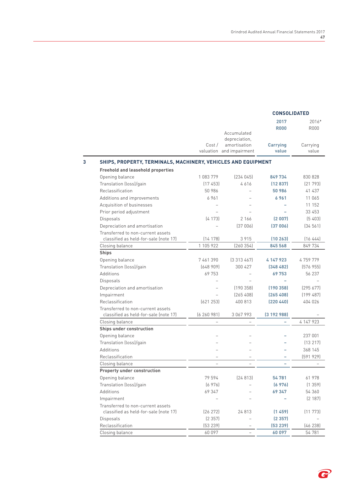# **2017** 2016\*  **R000** R000 Cost / valuation and impairment Accumulated depreciation, amortisation **Carrying value** Carrying value **3 SHIPS, PROPERTY, TERMINALS, MACHINERY, VEHICLES AND EQUIPMENT Freehold and leasehold properties** Opening balance 1 083 779 (234 045) **849 734** 830 828 Translation (loss)/gain (17 453) 4 616 **(12 837)** (21 793) Reclassification 50 986 – **50 986** 41 437 Additions and improvements 6 961 – **6 961** 11 065 Acquisition of businesses – – **–** 11 152 Prior period adjustment – – **–** 33 453 Disposals (4 173) 2 166 **(2 007)** (5 403) Depreciation and amortisation – (37 006) **(37 006)** (34 561) Transferred to non-current assets classified as held-for-sale (note 17) (14 178) 3 915 **(10 263)** (16 444) Closing balance 1 105 922 (260 354) **845 568** 849 734 **Ships** Opening balance 7 461 390 (3 313 467) **4 147 923** 4 759 779 Translation (loss)/gain (648 909) 300 427 **(348 482)** (576 955) Additions 69 753 – **69 753** 56 237 Disposals – – **–** – Depreciation and amortisation – (190 358) **(190 358)** (295 677) Impairment – (265 408) **(265 408)** (199 487) Reclassification (621 253) 400 813 **(220 440)** 404 026 Transferred to non-current assets classified as held-for-sale (note 17) (6 260 981) 3 067 993 **(3 192 988)** – Closing balance – – **–** 4 147 923 **Ships under construction** Opening balance – – **–** 237 001 Translation (loss)/gain – – **–** (13 217) Additions – – **–** 368 145 Reclassification – – **–** (591 929) Closing balance – – **–** – **Property under construction** Opening balance 79 594 (24 813) **54 781** 61 978 Translation (loss)/gain (6 976) – **(6 976)** (1 359) Additions 69 347 – **69 347** 54 360 Impairment – – **–** (2 187) Transferred to non-current assets classified as held-for-sale (note 17) (26 272) 24 813 **(1 459)** (11 773) Disposals (2 357) – **(2 357)** – Reclassification (53 239) – **(53 239)** (46 238)

Closing balance 60 097 – **60 097** 54 781

# **CONSOLIDATED**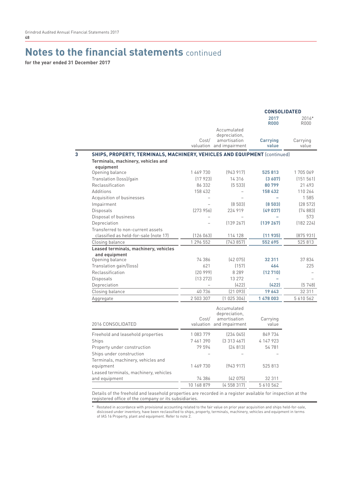**for the year ended 31 December 2017**

|                                                                           |                          |                                              | <b>CONSOLIDATED</b>      |               |
|---------------------------------------------------------------------------|--------------------------|----------------------------------------------|--------------------------|---------------|
|                                                                           |                          |                                              | 2017<br><b>R000</b>      | 2016*<br>R000 |
|                                                                           | Cost/                    | Accumulated<br>depreciation.<br>amortisation | <b>Carrying</b><br>value | Carrying      |
|                                                                           |                          | valuation and impairment                     |                          | value         |
| SHIPS, PROPERTY, TERMINALS, MACHINERY, VEHICLES AND EQUIPMENT (continued) |                          |                                              |                          |               |
| Terminals, machinery, vehicles and<br>equipment                           |                          |                                              |                          |               |
| Opening balance                                                           | 1 469 730                | [943917]                                     | 525813                   | 1705069       |
| Translation (loss)/gain                                                   | [17923]                  | 14316                                        | (3607)                   | [151 561]     |
| Reclassification                                                          | 86 332                   | (5533)                                       | 80799                    | 21 493        |
| Additions                                                                 | 158 432                  |                                              | 158 432                  | 110 264       |
| Acquisition of businesses                                                 |                          |                                              |                          | 1 585         |
| Impairment                                                                |                          | [8 503]                                      | [8, 503]                 | (28572)       |
| <b>Disposals</b>                                                          | [273956]                 | 224 919                                      | (49037)                  | [74883]       |
| Disposal of business                                                      | $\overline{\phantom{a}}$ |                                              |                          | 573           |
| Depreciation                                                              |                          | [139 267]                                    | (139 267)                | [182 224]     |
| Transferred to non-current assets                                         |                          |                                              |                          |               |
| classified as held-for-sale (note 17)                                     | (126063)                 | 114 128                                      | (11935)                  | (875931)      |
| Closing balance                                                           | 1 296 552                | (743857)                                     | 552 695                  | 525 813       |
| Leased terminals, machinery, vehicles                                     |                          |                                              |                          |               |
| and equipment                                                             |                          |                                              |                          |               |
| Opening balance                                                           | 74 386                   | [42 075]                                     | 32 311                   | 37834         |
| Translation gain/(loss)                                                   | 621                      | (157)                                        | 464                      | 225           |
| Reclassification                                                          | [20999]                  | 8 2 8 9                                      | [12710]                  |               |
| <b>Disposals</b>                                                          | (13 272)                 | 13 27 2                                      | L,                       |               |
| Depreciation                                                              |                          | (422)                                        | (422)                    | (5748)        |
| Closing balance                                                           | 40 736                   | [21093]                                      | 19 643                   | 32 311        |
| Aggregate                                                                 | 2 503 307                | [1 025 304]                                  | 1 478 003                | 5 610 562     |
|                                                                           |                          | Accumulated<br>depreciation,                 |                          |               |
| 2016 CONSOLIDATED                                                         | Cost/                    | amortisation<br>valuation and impairment     | Carrying<br>value        |               |
| Freehold and leasehold properties                                         | 1 083 779                | [234 045]                                    | 849 734                  |               |
| Ships                                                                     | 7 461 390                | [3 313 467]                                  | 4 147 923                |               |
| Property under construction                                               | 79 594                   | [24813]                                      | 54 781                   |               |
| Ships under construction                                                  |                          |                                              |                          |               |
| Terminals, machinery, vehicles and                                        |                          |                                              |                          |               |
| equipment                                                                 | 1 469 730                | (943917)                                     | 525 813                  |               |
| Leased terminals, machinery, vehicles                                     |                          |                                              |                          |               |
| and equipment                                                             | 74 386                   | (42075)                                      | 32 311                   |               |
|                                                                           | 10 168 879               | [4558317]                                    | 5 610 562                |               |

Details of the freehold and leasehold properties are recorded in a register available for inspection at the registered office of the company or its subsidiaries.

, Restated in accordance with provisional accounting related to the fair value on prior year acquisition and ships held-for-sale \*<br>dislcosed under inventory, have been reclassified to ships, property, terminals, machinery, of IAS 16 Property, plant and equipment. Refer to note 2.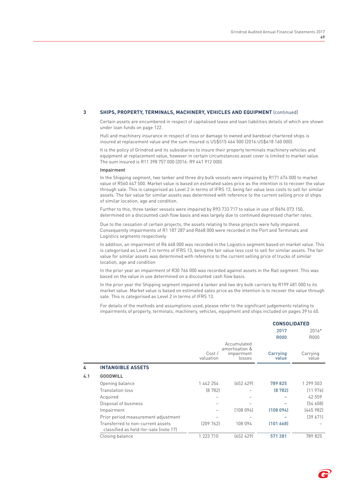# **3 SHIPS, PROPERTY, TERMINALS, MACHINERY, VEHICLES AND EQUIPMENT** (continued)

Certain assets are encumbered in respect of capitalised lease and loan liabilities details of which are shown under loan funds on page 122.

Hull and machinery insurance in respect of loss or damage to owned and bareboat chartered ships is insured at replacement value and the sum insured is US\$515 464 500 (2016:US\$618 160 000).

It is the policy of Grindrod and its subsidiaries to insure their property terminals machinery vehicles and equipment at replacement value, however in certain circumstances asset cover is limited to market value. The sum insured is R11 398 757 000 (2016: R9 441 912 000).

### **Impairment**

In the Shipping segment, two tanker and three dry bulk vessels were impaired by R171 674 000 to market value of R560 647 500. Market value is based on estimated sales price as the intention is to recover the value through sale. This is categorised as Level 2 in terms of IFRS 13, being fair value less costs to sell for similar assets. The fair value for similar assets was determined with reference to the current selling price of ships of similar location, age and condition.

Further to this, three tanker vessels were impaired by R93 733 717 to value in use of R694 073 150, determined on a discounted cash flow basis and was largely due to continued depressed charter rates.

Due to the cessation of certain projects, the assets relating to these projects were fully impaired. Consequently impairments of R1 187 287 and R668 000 were recorded in the Port and Terminals and Logistics segments respectively.

In addition, an impairment of R6 648 000 was recorded in the Logistics segment based on market value. This is categorised as Level 2 in terms of IFRS 13, being the fair value less cost to sell for similar assets. The fair value for similar assets was determined with reference to the current selling price of trucks of similar location, age and condition

In the prior year an impairment of R30 766 000 was recorded against assets in the Rail segment. This was based on the value in use determined on a discounted cash flow basis.

In the prior year the Shipping segment impaired a tanker and two dry bulk carriers by R199 481 000 to its market value. Market value is based on estimated sales price as the intention is to recover the value through sale. This is categorised as Level 2 in terms of IFRS 13.

For details of the methods and assumptions used, please refer to the significant judgements relating to impairments of property, terminals, machinery, vehicles, equipment and ships included on pages 39 to 40.

|     |                                                                            |                    |                                                       | <b>CONSOLIDATED</b> |                   |
|-----|----------------------------------------------------------------------------|--------------------|-------------------------------------------------------|---------------------|-------------------|
|     |                                                                            | 2017               | $2016*$                                               |                     |                   |
|     |                                                                            |                    |                                                       | <b>R000</b>         | R000              |
|     |                                                                            | Cost/<br>valuation | Accumulated<br>amortisation &<br>impairment<br>losses | Carrying<br>value   | Carrying<br>value |
| 4   | <b>INTANGIBLE ASSETS</b>                                                   |                    |                                                       |                     |                   |
| 4.1 | <b>GOODWILL</b>                                                            |                    |                                                       |                     |                   |
|     | Opening balance                                                            | 1 442 254          | (652, 429)                                            | 789 825             | 1 299 503         |
|     | <b>Translation loss</b>                                                    | (8782)             |                                                       | [8782]              | [11976]           |
|     | Acquired                                                                   |                    |                                                       |                     | 42 559            |
|     | Disposal of business                                                       |                    |                                                       |                     | [54 608]          |
|     | Impairment                                                                 |                    | (108094)                                              | (108094)            | [445982]          |
|     | Prior period measurement adjustment                                        |                    |                                                       |                     | [39 671]          |
|     | Transferred to non-current assets<br>classified as held-for-sale (note 17) | [209 762]          | 108 094                                               | [101 668]           |                   |
|     | Closing balance                                                            | 1 223 710          | (652, 429)                                            | 571 281             | 789 825           |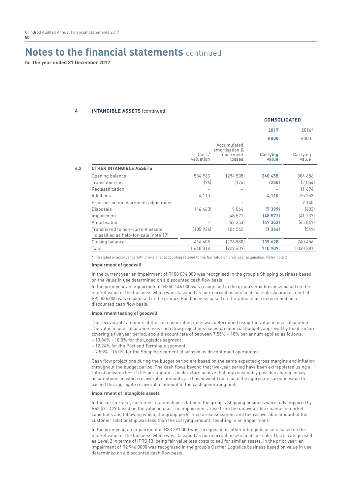**for the year ended 31 December 2017**

# **4 INTANGIBLE ASSETS** (continued)

|                                                                            |                    |                                                       | 2017                     | 2016*             |
|----------------------------------------------------------------------------|--------------------|-------------------------------------------------------|--------------------------|-------------------|
|                                                                            |                    |                                                       | <b>R000</b>              | R000              |
|                                                                            | Cost/<br>valuation | Accumulated<br>amortisation &<br>impairment<br>losses | <b>Carrying</b><br>value | Carrying<br>value |
| <b>OTHER INTANGIBLE ASSETS</b>                                             |                    |                                                       |                          |                   |
| Opening balance                                                            | 534 963            | [294 508]                                             | 240 455                  | 304 656           |
| <b>Translation loss</b>                                                    | (76)               | (174)                                                 | (250)                    | (2054)            |
| Reclassification                                                           |                    |                                                       |                          | 11 694            |
| Additions                                                                  | 4 1 1 0            |                                                       | 4 1 1 0                  | 25 253            |
| Prior period measurement adjustment                                        |                    |                                                       |                          | 9 1 4 5           |
| Disposals                                                                  | [16 463]           | 9064                                                  | (7399)                   | (603)             |
| Impairment                                                                 |                    | (48571)                                               | (48571)                  | [41 237]          |
| Amortisation                                                               |                    | [47353]                                               | (47353)                  | (65849)           |
| Transferred to non-current assets<br>classified as held-for-sale (note 17) | [105926]           | 104 562                                               | (1364)                   | [549]             |
| Closing balance                                                            | 416 608            | (276, 980)                                            | 139 628                  | 240 456           |
| Total                                                                      | 1 640 318          | [929 409]                                             | 710 909                  | 1 030 281         |
|                                                                            |                    |                                                       |                          |                   |

**CONSOLIDATED**

\* Restated in accordance with provisional accounting related to the fair value on prior year acquisition. Refer note 2

### **Impairment of goodwill**

In the current year an impairment of R108 094 000 was recognised in the group's Shipping business based on the value in use determined on a discounted cash flow basis.

In the prior year an impairment of R350 146 000 was recognised in the group's Rail business based on the market value of the business which was classified as non-current assets held-for-sale. An impairment of R95 836 000 was recognised in the group's Rail business based on the value in use determined on a discounted cash flow basis.

# **Impairment testing of goodwill**

The recoverable amounts of the cash generating units was determined using the value in use calculation. The value in use calculation uses cash flow projections based on financial budgets approved by the directors covering a five year period, and a discount rate of between 7.55% – 18% per annum applied as follows:

- 10.86% 18.0% for the Logistics segment
- 12.24% for the Port and Terminals segment
- 7.55% 15.0% for the Shipping segment (disclosed as discontinued operations).

Cash flow projections during the budget period are based on the same expected gross margins and inflation throughout the budget period. The cash flows beyond that five-year period have been extrapolated using a rate of between 0% – 5.5% per annum. The directors believe that any reasonably possible change in key assumptions on which recoverable amounts are based would not cause the aggregate carrying value to exceed the aggregate recoverable amount of the cash generating unit.

### **Impairment of intangible assets**

In the current year, customer relationships related to the group's Shipping business were fully impaired by R48 571 429 based on the value in use. The impairment arose from the unfavourable change in market conditions and following which, the group performed a reassessment and the recoverable amount of the customer relationship was less than the carrying amount, resulting in an impairment.

In the prior year, an impairment of R38 291 000 was recognised for other intangible assets based on the market value of the business which was classified as non-current assets held-for-sale. This is categorised as Level 2 in terms of IFRS 13, being fair value less costs to sell for similar assets. In the prior year, an impairment of R2 946 0000 was recognised in the group's Carrier Logistics business based on value in use determined on a discounted cash flow basis.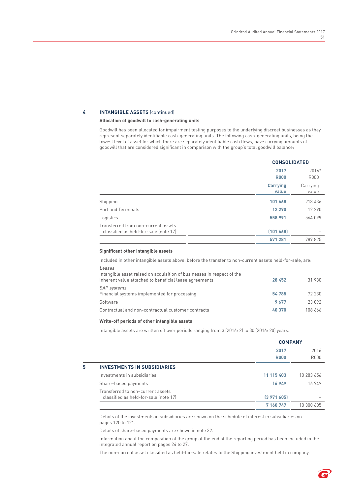# **4 INTANGIBLE ASSETS** (continued)

### **Allocation of goodwill to cash-generating units**

Goodwill has been allocated for impairment testing purposes to the underlying discreet businesses as they represent separately identifiable cash-generating units. The following cash-generating units, being the lowest level of asset for which there are separately identifiable cash flows, have carrying amounts of goodwill that are considered significant in comparison with the group's total goodwill balance:

|                                                                              | <b>CONSOLIDATED</b>      |                        |  |
|------------------------------------------------------------------------------|--------------------------|------------------------|--|
|                                                                              | 2017<br><b>R000</b>      | $2016*$<br><b>R000</b> |  |
|                                                                              | <b>Carrying</b><br>value | Carrying<br>value      |  |
| Shipping                                                                     | 101 668                  | 213 436                |  |
| Port and Terminals                                                           | 12 2 9 0                 | 12 290                 |  |
| Logistics                                                                    | 558 991                  | 564 099                |  |
| Transferred from non-current assets<br>classified as held-for-sale (note 17) | (101 668)                |                        |  |
|                                                                              | 571 281                  | 789 825                |  |

### **Significant other intangible assets**

Included in other intangible assets above, before the transfer to non-current assets held-for-sale, are:

| Leases<br>Intangible asset raised on acquisition of businesses in respect of the |        |         |
|----------------------------------------------------------------------------------|--------|---------|
| inherent value attached to beneficial lease agreements                           | 28 452 | 31 930  |
| <b>SAP</b> systems<br>Financial systems implemented for processing               | 54785  | 72 230  |
| Software                                                                         | 9677   | 23 092  |
| Contractual and non-contractual customer contracts                               | 40 370 | 108 666 |
|                                                                                  |        |         |

# **Write-off periods of other intangible assets**

Intangible assets are written off over periods ranging from 3 (2016: 2) to 30 (2016: 20) years.

|                                                                            | <b>COMPANY</b> |            |
|----------------------------------------------------------------------------|----------------|------------|
|                                                                            | 2017           | 2016       |
|                                                                            | <b>R000</b>    | R000       |
| 5<br><b>INVESTMENTS IN SUBSIDIARIES</b>                                    |                |            |
| Investments in subsidiaries                                                | 11 115 403     | 10 283 656 |
| Share-based payments                                                       | 16949          | 16949      |
| Transferred to non-current assets<br>classified as held-for-sale (note 17) | [3971605]      |            |
|                                                                            | 7 160 747      | 10 300 605 |

Details of the investments in subsidiaries are shown on the schedule of interest in subsidiaries on pages 120 to 121.

Details of share-based payments are shown in note 32.

Information about the composition of the group at the end of the reporting period has been included in the integrated annual report on pages 24 to 27.

The non-current asset classified as held-for-sale relates to the Shipping investment held in company.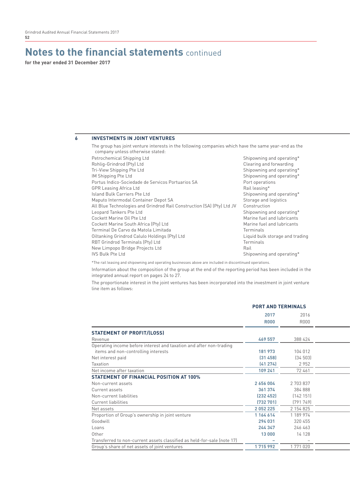**for the year ended 31 December 2017**

# **6 INVESTMENTS IN JOINT VENTURES**

The group has joint venture interests in the following companies which have the same year-end as the company unless otherwise stated: Petrochemical Shipping Ltd Shipowning and operating\* Integrational Shipowning and operating\* Rohlig-Grindrod (Pty) Ltd **Clearing and forwarding** Clearing and forwarding 30.5% 42.5% 42.5% 42.5% 42.5% 42.5% 42.5% 42.5% 42.5% 42.5% 42.5% 42.5% 42.5% 42.5% 42.5% 42.5% 42.5% 42.5% 42.5% 42.5% 42.5% 42.5% 42.5% 42.5% 42 Tri-View Shipping Pte Ltd Shipowning and operating\* Shipowning and operating IM Shipping Pte Ltd Shipowning and operating\* Portus Indico-Sociedade de Servicos Portuarios SA Port operations GPR Leasing Africa Ltd **55.0%** 55.0% 55.0% 55.0% 55.0% 55.0% 55.0% 55.0% 55.0% 55.0% Island Bulk Carriers Pte Ltd Shipowning and operating\* Shipowning and operating\* Maputo Intermodal Container Depot SA Storage and logistics Maputo Intermodal Container Depot SA All Blue Technologies and Grindrod Rail Construction (SA) (Pty) Ltd JV Construction Leopard Tankers Pte Ltd Shipowning and operating\* Shipowning and operating\* Cockett Marine Oil Pte Ltd **Marine fuel and lubricants** Marine fuel and lubricants Cockett Marine South Africa (Pty) Ltd Marine fuel and lubricants South Africa **50.0 South Africa** 60.0 South Africa **50.0 South Africa** 60.0 South Africa **50.0 South Africa** 60.0 South Africa **50.0 South Africa** 60.0 South Terminal De Carvo da Matola Limitada **Terminals** Mozambique **65.0 minuta matematique e de la Gosto** Ferminals Oiltanking Grindrod Calulo Holdings (Pty) Ltd Liquid bulk storage and trading RBT Grindrod Terminals (Pty) Ltd Terminals South Africa **59.9%** 49.9% 49.9% 49.9% New Limpopo Bridge Projects Ltd **74.4 Server 10.0 August 20.0 August 20.0 August 20.0 August 20.0 August 20.0 August 20.0 August 20.0 August 20.0 August 20.0 August 20.0 August 20.0 August 20.0 August 20.0 August 20.0 Augu** IVS Bulk Pte Ltd **Shipowning and operating**\* 33.5% 33.5% 33.5% 33.5% 33.5% 33.5% 33.5% 33.5% 33.5% 33.5% 33.5% 33.5% 33.5% 33.5% 33.5% 33.5% 33.5% 33.5% 33.5% 33.5% 33.5% 33.5% 33.5% 33.5% 33.5% 33.5% 33.5% 33.5% 33.5% 33.

\*The rail leasing and shipowning and operating businesses above are included in discontinued operations.

Information about the composition of the group at the end of the reporting period has been included in the integrated annual report on pages 24 to 27.

The proportionate interest in the joint ventures has been incorporated into the investment in joint venture line item as follows:

|                                                                         | <b>PORT AND TERMINALS</b> |             |  |
|-------------------------------------------------------------------------|---------------------------|-------------|--|
|                                                                         | 2017                      | 2016        |  |
|                                                                         | <b>R000</b>               | <b>R000</b> |  |
| <b>STATEMENT OF PROFIT/(LOSS)</b>                                       |                           |             |  |
| Revenue                                                                 | 469 557                   | 388 424     |  |
| Operating income before interest and taxation and after non-trading     |                           |             |  |
| items and non-controlling interests                                     | 181 973                   | 104 012     |  |
| Net interest paid                                                       | (31458)                   | (34503)     |  |
| Taxation                                                                | (41274)                   | 2 9 5 2     |  |
| Net income after taxation                                               | 109 241                   | 72 461      |  |
| <b>STATEMENT OF FINANCIAL POSITION AT 100%</b>                          |                           |             |  |
| Non-current assets                                                      | 2 656 004                 | 2 703 837   |  |
| Current assets                                                          | 361 374                   | 384 888     |  |
| Non-current liabilities                                                 | (232 452)                 | (142 151)   |  |
| Current liabilities                                                     | (732 701)                 | (791749)    |  |
| Net assets                                                              | 2052225                   | 2 154 825   |  |
| Proportion of Group's ownership in joint venture                        | 1 164 614                 | 1 189 974   |  |
| Goodwill                                                                | 294 031                   | 320 455     |  |
| Loans                                                                   | 244 347                   | 246 463     |  |
| Other                                                                   | 13 000                    | 14 128      |  |
| Transferred to non-current assets classified as held-for-sale (note 17) |                           |             |  |
| Group's share of net assets of joint ventures                           | 1715992                   | 1 771 020   |  |
|                                                                         |                           |             |  |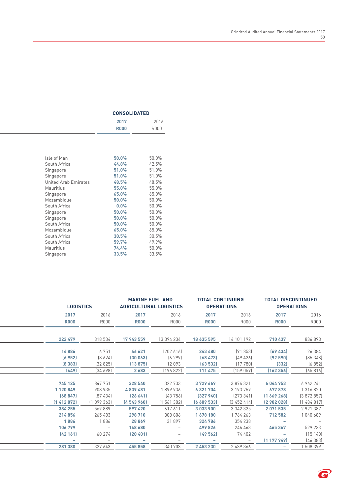|                             | <b>CONSOLIDATED</b> |             |
|-----------------------------|---------------------|-------------|
|                             | 2017                | 2016        |
|                             | <b>R000</b>         | <b>R000</b> |
|                             |                     |             |
|                             |                     |             |
|                             |                     |             |
| Isle of Man                 | 50.0%               | 50.0%       |
| South Africa                | 44.8%               | 42.5%       |
| Singapore                   | 51.0%               | 51.0%       |
| Singapore                   | 51.0%               | 51.0%       |
| <b>United Arab Emirates</b> | 48.5%               | 48.5%       |
| Mauritius                   | 55.0%               | 55.0%       |
| Singapore                   | 65.0%               | 65.0%       |
| Mozambique                  | 50.0%               | 50.0%       |
| South Africa                | $0.0\%$             | 50.0%       |
| Singapore                   | 50.0%               | 50.0%       |
| Singapore                   | 50.0%               | 50.0%       |
| South Africa                | 50.0%               | 50.0%       |
| Mozambique                  | 65.0%               | 65.0%       |
| South Africa                | 30.5%               | 30.5%       |
| South Africa                | 59.7%               | 49.9%       |
| Mauritius                   | 74.4%               | 50.0%       |
| Singapore                   | 33.5%               | 33.5%       |

| <b>LOGISTICS</b> |                          | <b>MARINE FUEL AND</b><br><b>AGRICULTURAL LOGISTICS</b> |                          | <b>TOTAL CONTINUING</b><br><b>OPERATIONS</b> |             | <b>TOTAL DISCONTINUED</b><br><b>OPERATIONS</b> |             |
|------------------|--------------------------|---------------------------------------------------------|--------------------------|----------------------------------------------|-------------|------------------------------------------------|-------------|
| 2017             | 2016                     | 2017                                                    | 2016                     | 2017                                         | 2016        | 2017                                           | 2016        |
| <b>R000</b>      | <b>R000</b>              | <b>R000</b>                                             | <b>R000</b>              | <b>R000</b>                                  | <b>R000</b> | <b>R000</b>                                    | <b>R000</b> |
|                  |                          |                                                         |                          |                                              |             |                                                |             |
| 222 479          | 318 534                  | 17 943 559                                              | 13 394 234               | 18 635 595                                   | 14 101 192  | 710 437                                        | 836 893     |
| 14886            | 6751                     | 46 621                                                  | [202 616]                | 243 480                                      | (91853)     | (69, 434)                                      | 26 384      |
| (6952)           | [8624]                   | (30063)                                                 | (6299)                   | (68473)                                      | [49 426]    | (92590)                                        | (85348)     |
| (8383)           | (32 825)                 | (13875)                                                 | 12093                    | (63532)                                      | (17780)     | (332)                                          | (6852)      |
| (449)            | [34 698]                 | 2 6 8 3                                                 | (196 822)                | 111 475                                      | (159059)    | (162 356)                                      | (65816)     |
|                  |                          |                                                         |                          |                                              |             |                                                |             |
| 745 125          | 847 751                  | 328 540                                                 | 322 733                  | 3729669                                      | 3 874 321   | 6 044 953                                      | 6 962 241   |
| 1 120 849        | 908 935                  | 4839481                                                 | 1899936                  | 6 321 704                                    | 3 193 759   | 677878                                         | 1 316 820   |
| (68847)          | [87434]                  | (26, 641)                                               | (43756)                  | (327940)                                     | [273 341]   | (1669268)                                      | (3872857)   |
| (1412872)        | (1099363)                | (4543960)                                               | (1561302)                | (6689533)                                    | (3452414)   | (2982028)                                      | (1484817)   |
| 384 255          | 569 889                  | 597 420                                                 | 617 611                  | 3 033 900                                    | 3 342 325   | 2 071 535                                      | 2 921 387   |
| 214 856          | 265 483                  | 298 710                                                 | 308 806                  | 1678 180                                     | 1764263     | 712 582                                        | 1040689     |
| 1886             | 1886                     | 28 869                                                  | 31 897                   | 324 786                                      | 354 238     | $\sim$                                         | $\sim$      |
| 106 799          | $-$                      | 148 680                                                 | $-$                      | 499826                                       | 246 463     | 465 367                                        | 529 233     |
| (42161)          | 60 274                   | (20 401)                                                | $-$                      | (49562)                                      | 74 402      | $\sim$                                         | (15140)     |
| $\sim$           | $\overline{\phantom{a}}$ | $\sim$                                                  | $\overline{\phantom{0}}$ | $\sim$                                       |             | (1177949)                                      | (46 383)    |
| 281 380          | 327 643                  | 455 858                                                 | 340 703                  | 2 453 230                                    | 2 439 366   | $\sim$                                         | 1508399     |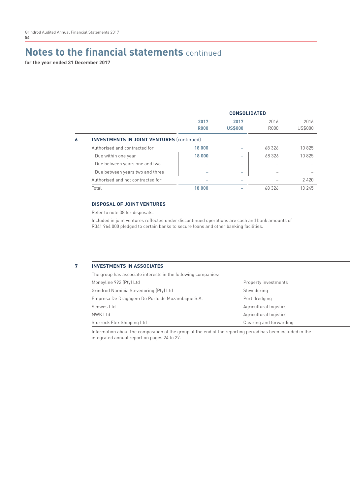**for the year ended 31 December 2017**

|   |                                                  | <b>CONSOLIDATED</b> |                          |              |                 |
|---|--------------------------------------------------|---------------------|--------------------------|--------------|-----------------|
|   |                                                  | 2017<br><b>R000</b> | 2017<br><b>US\$000</b>   | 2016<br>R000 | 2016<br>US\$000 |
| 6 | <b>INVESTMENTS IN JOINT VENTURES (continued)</b> |                     |                          |              |                 |
|   | Authorised and contracted for                    | 18 000              |                          | 68 326       | 10825           |
|   | Due within one year                              | 18 000              | -                        | 68 326       | 10825           |
|   | Due between years one and two                    |                     | I                        |              |                 |
|   | Due between years two and three                  |                     | $\overline{\phantom{0}}$ |              |                 |
|   | Authorised and not contracted for                | -                   |                          |              | 2420            |
|   | Total                                            | 18 000              |                          | 68 326       | 13 245          |
|   |                                                  |                     |                          |              |                 |

# **DISPOSAL OF JOINT VENTURES**

Refer to note 38 for disposals.

Included in joint ventures reflected under discontinued operations are cash and bank amounts of R341 964 000 pledged to certain banks to secure loans and other banking facilities.

| 7 | <b>INVESTMENTS IN ASSOCIATES</b>                              |                         |
|---|---------------------------------------------------------------|-------------------------|
|   | The group has associate interests in the following companies: |                         |
|   | Moneyline 992 (Pty) Ltd                                       | Property investments    |
|   | Grindrod Namibia Stevedoring (Pty) Ltd                        | Stevedoring             |
|   | Empresa De Dragagem Do Porto de Mozambique S.A.               | Port dredging           |
|   | Senwes Ltd                                                    | Agricultural logistics  |
|   | NWK Ltd                                                       | Agricultural logistics  |
|   | Sturrock Flex Shipping Ltd                                    | Clearing and forwarding |

Information about the composition of the group at the end of the reporting period has been included in the integrated annual report on pages 24 to 27.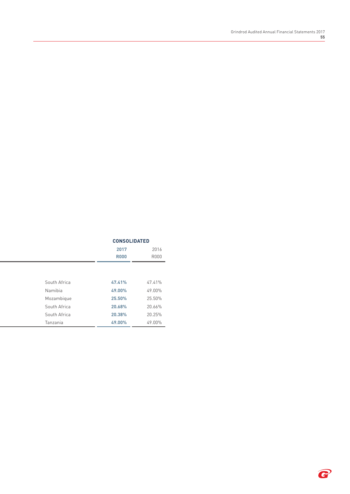| <b>CONSOLIDATED</b> |              |                     |  |
|---------------------|--------------|---------------------|--|
| 2017<br><b>R000</b> |              | 2016<br><b>R000</b> |  |
|                     |              |                     |  |
|                     |              |                     |  |
| 47.41%              | South Africa | 47.41%              |  |
| 49.00%              | Namibia      | 49.00%              |  |
| 25.50%              | Mozambique   | 25.50%              |  |
| 20.68%              | South Africa | 20.66%              |  |
| 20.38%              | South Africa | 20.25%              |  |
| 49.00%              | Tanzania     | 49.00%              |  |
|                     |              |                     |  |

# **CONSOLIDATED**

 $\widehat{\mathbf{G}}$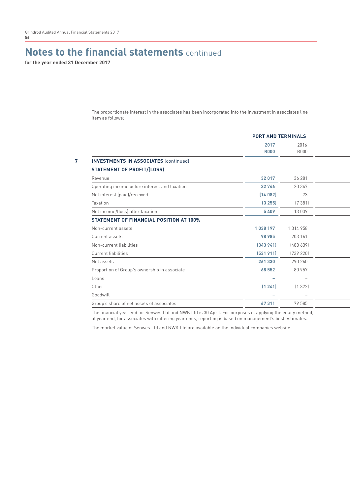**for the year ended 31 December 2017**

The proportionate interest in the associates has been incorporated into the investment in associates line item as follows:

|                                                | <b>PORT AND TERMINALS</b> |             |  |
|------------------------------------------------|---------------------------|-------------|--|
|                                                | 2017                      | 2016        |  |
|                                                | <b>R000</b>               | <b>R000</b> |  |
| <b>INVESTMENTS IN ASSOCIATES (continued)</b>   |                           |             |  |
| <b>STATEMENT OF PROFIT/(LOSS)</b>              |                           |             |  |
| Revenue                                        | 32 017                    | 36 281      |  |
| Operating income before interest and taxation  | 22746                     | 20 347      |  |
| Net interest (paid)/received                   | (14082)                   | 73          |  |
| Taxation                                       | (3 255)                   | (7381)      |  |
| Net income/(loss) after taxation               | 5409                      | 13 0 39     |  |
| <b>STATEMENT OF FINANCIAL POSITION AT 100%</b> |                           |             |  |
| Non-current assets                             | 1038197                   | 1 314 958   |  |
| Current assets                                 | 98 985                    | 203 161     |  |
| Non-current liabilities                        | (343941)                  | (488 639)   |  |
| Current liabilities                            | (531911)                  | (739 220)   |  |
| Net assets                                     | 261 330                   | 290 260     |  |
| Proportion of Group's ownership in associate   | 68 552                    | 80 957      |  |
| Loans                                          | ۰                         |             |  |
| Other                                          | (1241)                    | (1372)      |  |
| Goodwill                                       | ۰                         |             |  |
| Group's share of net assets of associates      | 67311                     | 79 585      |  |
|                                                |                           |             |  |

The financial year end for Senwes Ltd and NWK Ltd is 30 April. For purposes of applying the equity method, at year end, for associates with differing year ends, reporting is based on management's best estimates.

The market value of Senwes Ltd and NWK Ltd are available on the individual companies website.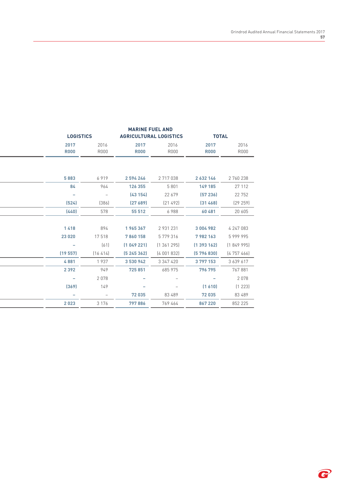|                          | <b>MARINE FUEL AND</b>   |                          |                               |             |              |  |
|--------------------------|--------------------------|--------------------------|-------------------------------|-------------|--------------|--|
| <b>LOGISTICS</b>         |                          |                          | <b>AGRICULTURAL LOGISTICS</b> |             | <b>TOTAL</b> |  |
| 2017                     | 2016                     | 2017                     | 2016                          | 2017        | 2016         |  |
| <b>R000</b>              | <b>R000</b>              | <b>R000</b>              | <b>R000</b>                   | <b>R000</b> | <b>R000</b>  |  |
|                          |                          |                          |                               |             |              |  |
|                          |                          |                          |                               |             |              |  |
| 5883                     | 6919                     | 2 5 9 4 2 4 6            | 2 717 038                     | 2 632 146   | 2 760 238    |  |
| 84                       | 964                      | 126 355                  | 5 8 0 1                       | 149 185     | 27 112       |  |
| $\overline{\phantom{a}}$ | $\overline{\phantom{m}}$ | (43154)                  | 22 679                        | (57236)     | 22 752       |  |
| (524)                    | (386)                    | (27689)                  | [21 492]                      | (31468)     | [29 259]     |  |
| (440)                    | 578                      | 55 512                   | 6988                          | 60 481      | 20 605       |  |
|                          |                          |                          |                               |             |              |  |
| 1418                     | 894                      | 1965367                  | 2 931 231                     | 3 004 982   | 4 247 083    |  |
| 23 0 20                  | 17518                    | 7860158                  | 5779316                       | 7982163     | 5 999 995    |  |
| ٠                        | (61)                     | (1049221)                | (1361295)                     | (1393162)   | (1849995)    |  |
| (19557)                  | (16, 414)                | (5245362)                | (4001832)                     | (5796830)   | [4757466]    |  |
| 4881                     | 1937                     | 3 530 942                | 3 347 420                     | 3 797 153   | 3 639 617    |  |
| 2 3 9 2                  | 949                      | 725 851                  | 685 975                       | 796 795     | 767881       |  |
| $\overline{\phantom{a}}$ | 2078                     | ÷                        | $\overline{\phantom{a}}$      | ٠           | 2078         |  |
| (369)                    | 149                      | $\overline{\phantom{a}}$ | $\overline{\phantom{a}}$      | (1 610)     | (1 223)      |  |
| $\sim$                   | $ \,$                    | 72 035                   | 83 489                        | 72 035      | 83 489       |  |
| 2023                     | 3 1 7 6                  | 797886                   | 769 464                       | 867 220     | 852 225      |  |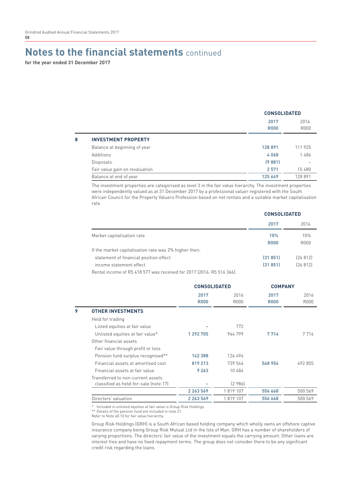**for the year ended 31 December 2017**

|   |                                | <b>CONSOLIDATED</b> |              |  |  |
|---|--------------------------------|---------------------|--------------|--|--|
|   |                                | 2017<br><b>R000</b> | 2016<br>R000 |  |  |
| 8 | <b>INVESTMENT PROPERTY</b>     |                     |              |  |  |
|   | Balance at beginning of year   | 128 891             | 111 925      |  |  |
|   | Additions                      | 4068                | 1486         |  |  |
|   | Disposals                      | (9881)              |              |  |  |
|   | Fair value gain on revaluation | 2571                | 15 480       |  |  |
|   | Balance at end of year         | 125 649             | 128 891      |  |  |

The investment properties are categorised as level 3 in the fair value hierarchy. The investment properties were independently valued as at 31 December 2017 by a professional valuer registered with the South African Council for the Property Valuers Profession based on net rentals and a suitable market capitalisation rate.

|                                                                       | <b>CONSOLIDATED</b> |          |
|-----------------------------------------------------------------------|---------------------|----------|
|                                                                       | 2017                | 2016     |
| Market capitalisation rate                                            | 10%                 | 10%      |
|                                                                       | <b>R000</b>         | R000     |
| If the market capitalisation rate was 2% higher then:                 |                     |          |
| statement of financial position effect                                | (31851)             | [26 812] |
| income statement effect                                               | (31851)             | [26 812] |
| Rental income of R5 418 577 was received for 2017 (2016: R5 516 366). |                     |          |

|                                                                            | <b>CONSOLIDATED</b> |                     |                     | <b>COMPANY</b> |  |
|----------------------------------------------------------------------------|---------------------|---------------------|---------------------|----------------|--|
|                                                                            | 2017<br><b>R000</b> | 2016<br><b>R000</b> | 2017<br><b>R000</b> | 2016<br>R000   |  |
| <b>OTHER INVESTMENTS</b>                                                   |                     |                     |                     |                |  |
| Held for trading                                                           |                     |                     |                     |                |  |
| Listed equities at fair value                                              |                     | 772                 |                     |                |  |
| Unlisted equities at fair value*                                           | 1 292 705           | 944 799             | 7714                | 7 7 1 4        |  |
| Other financial assets                                                     |                     |                     |                     |                |  |
| Fair value through profit or loss                                          |                     |                     |                     |                |  |
| Pension fund surplus recognised**                                          | 142 388             | 126 494             |                     |                |  |
| Financial assets at amortised cost                                         | 819 213             | 739 544             | 548 954             | 492 855        |  |
| Financial assets at fair value                                             | 9 2 6 3             | 10 484              |                     |                |  |
| Transferred to non-current assets<br>classified as held-for-sale (note 17) |                     | [2986]              |                     |                |  |
|                                                                            | 2 2 6 3 5 6 9       | 1819 107            | 556 668             | 500 569        |  |
| Directors' valuation                                                       | 2 263 569           | 1819 107            | 556 668             | 500 569        |  |

\* Included in unlisted equities at fair value is Group Risk Holdings

\*\* Details of the pension fund are included in note 21.

Refer to Note 40.10 for fair value hierarchy.

Group Risk Holdings (GRH) is a South African based holding company which wholly owns an offshore captive insurance company being Group Risk Mutual Ltd in the Isle of Man. GRH has a number of shareholders of varying proportions. The directors' fair value of the investment equals the carrying amount. Other loans are interest free and have no fixed repayment terms. The group does not consider there to be any significant credit risk regarding the loans.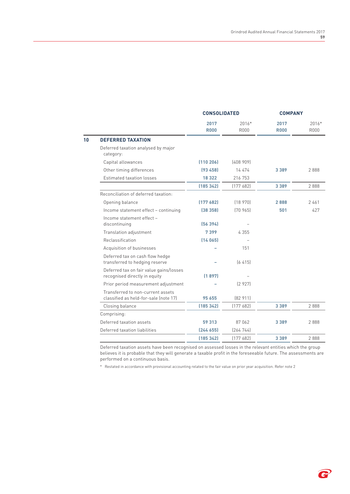|                                                                            | <b>CONSOLIDATED</b> |                        | <b>COMPANY</b>      |                      |  |
|----------------------------------------------------------------------------|---------------------|------------------------|---------------------|----------------------|--|
|                                                                            | 2017<br><b>R000</b> | $2016*$<br><b>R000</b> | 2017<br><b>R000</b> | 2016*<br><b>R000</b> |  |
| <b>DEFERRED TAXATION</b>                                                   |                     |                        |                     |                      |  |
| Deferred taxation analysed by major<br>category:                           |                     |                        |                     |                      |  |
| Capital allowances                                                         | [110 206]           | [408909]               |                     |                      |  |
| Other timing differences                                                   | [93 458]            | 14 474                 | 3 3 8 9             | 2888                 |  |
| Estimated taxation losses                                                  | 18 3 22             | 216 753                |                     |                      |  |
|                                                                            | (185342)            | [177682]               | 3 3 8 9             | 2888                 |  |
| Reconciliation of deferred taxation:                                       |                     |                        |                     |                      |  |
| Opening balance                                                            | (177682)            | [18970]                | 2888                | 2461                 |  |
| Income statement effect - continuing                                       | (38358)             | (70965)                | 501                 | 427                  |  |
| Income statement effect -<br>discontinuing                                 | [56 394]            |                        |                     |                      |  |
| Translation adjustment                                                     | 7399                | 4 3 5 5                |                     |                      |  |
| Reclassification                                                           | (14065)             |                        |                     |                      |  |
| Acquisition of businesses                                                  |                     | 151                    |                     |                      |  |
| Deferred tax on cash flow hedge<br>transferred to hedging reserve          |                     | (6415)                 |                     |                      |  |
| Deferred tax on fair value gains/losses<br>recognised directly in equity   | (1897)              |                        |                     |                      |  |
| Prior period measurement adjustment                                        |                     | [2927]                 |                     |                      |  |
| Transferred to non-current assets<br>classified as held-for-sale (note 17) | 95 655              | [82911]                |                     |                      |  |
| Closing balance                                                            | (185342)            | [177682]               | 3 3 8 9             | 2888                 |  |
| Comprising:                                                                |                     |                        |                     |                      |  |
| Deferred taxation assets                                                   | 59 313              | 87 062                 | 3 3 8 9             | 2888                 |  |
| Deferred taxation liabilities                                              | (244655)            | [264 744]              |                     |                      |  |
|                                                                            | (185342)            | [177682]               | 3 3 8 9             | 2888                 |  |

Deferred taxation assets have been recognised on assessed losses in the relevant entities which the group believes it is probable that they will generate a taxable profit in the foreseeable future. The assessments are performed on a continuous basis.

\* Restated in accordance with provisional accounting related to the fair value on prior year acquisition. Refer note 2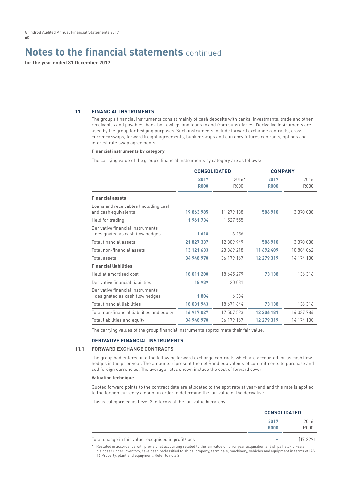**for the year ended 31 December 2017**

# **11 FINANCIAL INSTRUMENTS**

The group's financial instruments consist mainly of cash deposits with banks, investments, trade and other receivables and payables, bank borrowings and loans to and from subsidiaries. Derivative instruments are used by the group for hedging purposes. Such instruments include forward exchange contracts, cross currency swaps, forward freight agreements, bunker swaps and currency futures contracts, options and interest rate swap agreements.

# **Financial instruments by category**

The carrying value of the group's financial instruments by category are as follows:

|                                                                    | <b>CONSOLIDATED</b> |                        |                     | <b>COMPANY</b>      |  |  |
|--------------------------------------------------------------------|---------------------|------------------------|---------------------|---------------------|--|--|
|                                                                    | 2017<br><b>R000</b> | $2016*$<br><b>R000</b> | 2017<br><b>R000</b> | 2016<br><b>R000</b> |  |  |
| <b>Financial assets</b>                                            |                     |                        |                     |                     |  |  |
| Loans and receivables (including cash<br>and cash equivalents)     | 19863985            | 11 279 138             | 586 910             | 3 370 038           |  |  |
| Held for trading                                                   | 1961734             | 1 527 555              |                     |                     |  |  |
| Derivative financial instruments<br>designated as cash flow hedges | 1618                | 3 2 5 6                |                     |                     |  |  |
| Total financial assets                                             | 21 827 337          | 12 809 949             | 586 910             | 3 370 038           |  |  |
| Total non-financial assets                                         | 13 121 633          | 23 369 218             | 11 692 409          | 10 804 062          |  |  |
| Total assets                                                       | 34 948 970          | 36 179 167             | 12 279 319          | 14 174 100          |  |  |
| <b>Financial liabilities</b>                                       |                     |                        |                     |                     |  |  |
| Held at amortised cost                                             | 18 011 200          | 18 645 279             | 73 138              | 136 316             |  |  |
| Derivative financial liabilities                                   | 18 939              | 20 031                 |                     |                     |  |  |
| Derivative financial instruments<br>designated as cash flow hedges | 1804                | 6 3 3 4                |                     |                     |  |  |
| Total financial liabilities                                        | 18 031 943          | 18 671 644             | 73 138              | 136 316             |  |  |
| Total non-financial liabilities and equity                         | 16 917 027          | 17 507 523             | 12 206 181          | 14 037 784          |  |  |
| Total liabilities and equity                                       | 34 948 970          | 36 179 167             | 12 279 319          | 14 174 100          |  |  |
|                                                                    |                     |                        |                     |                     |  |  |

The carrying values of the group financial instruments approximate their fair value.

# **DERIVATIVE FINANCIAL INSTRUMENTS**

# **11.1 FORWARD EXCHANGE CONTRACTS**

The group had entered into the following forward exchange contracts which are accounted for as cash flow hedges in the prior year. The amounts represent the net Rand equivalents of commitments to purchase and sell foreign currencies. The average rates shown include the cost of forward cover.

# **Valuation technique**

Quoted forward points to the contract date are allocated to the spot rate at year-end and this rate is applied to the foreign currency amount in order to determine the fair value of the derivative.

This is categorised as Level 2 in terms of the fair value hierarchy.

|                                                      | <b>CONSOLIDATED</b> |              |
|------------------------------------------------------|---------------------|--------------|
|                                                      | 2017<br><b>R000</b> | 2016<br>R000 |
| Total change in fair value recognised in profit/loss | -                   | (17229)      |

Restated in accordance with provisional accounting related to the fair value on prior year acquisition and ships held-for-sale, dislcosed under inventory, have been reclassified to ships, property, terminals, machinery, vehicles and equipment in terms of IAS 16 Property, plant and equipment. Refer to note 2.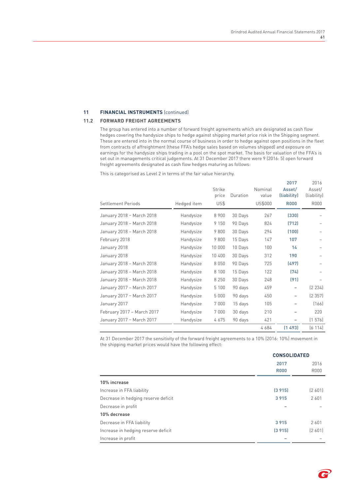# **11 FINANCIAL INSTRUMENTS** (continued)

# **11.2 FORWARD FREIGHT AGREEMENTS**

The group has entered into a number of forward freight agreements which are designated as cash flow hedges covering the handysize ships to hedge against shipping market price risk in the Shipping segment. These are entered into in the normal course of business in order to hedge against open positions in the fleet from contracts of affreightment (these FFA's hedge sales based on volumes shipped) and exposure on earnings for the handysize ships trading in a pool on the spot market. The basis for valuation of the FFA's is set out in managements critical judgements. At 31 December 2017 there were 9 (2016: 5) open forward freight agreements designated as cash flow hedges maturing as follows:

This is categorised as Level 2 in terms of the fair value hierarchy.

| Settlement Periods         | Hedged item | <b>Strike</b><br>price<br>US\$ | Duration | Nominal<br>value<br>US\$000 | 2017<br>Asset/<br>(liability)<br><b>R000</b> | 2016<br>Asset/<br>(liability)<br>R000 |
|----------------------------|-------------|--------------------------------|----------|-----------------------------|----------------------------------------------|---------------------------------------|
| January 2018 - March 2018  | Handysize   | 8 9 0 0                        | 30 Days  | 267                         | (330)                                        |                                       |
| January 2018 - March 2018  | Handysize   | 9 1 5 0                        | 90 Days  | 824                         | (712)                                        |                                       |
| January 2018 - March 2018  | Handysize   | 9800                           | 30 Days  | 294                         | (100)                                        |                                       |
| February 2018              | Handysize   | 9800                           | 15 Days  | 147                         | 107                                          |                                       |
| January 2018               | Handysize   | 10 000                         | 10 Days  | 100                         | 14                                           |                                       |
| January 2018               | Handysize   | 10 400                         | 30 Days  | 312                         | 190                                          |                                       |
| January 2018 - March 2018  | Handysize   | 8 0 5 0                        | 90 Days  | 725                         | (497)                                        |                                       |
| January 2018 - March 2018  | Handysize   | 8 1 0 0                        | 15 Days  | 122                         | (74)                                         |                                       |
| January 2018 - March 2018  | Handysize   | 8 2 5 0                        | 30 Days  | 248                         | (91)                                         |                                       |
| January 2017 - March 2017  | Handysize   | 5 1 0 0                        | 90 days  | 459                         |                                              | [2 234]                               |
| January 2017 - March 2017  | Handysize   | 5 0 0 0                        | 90 days  | 450                         | -                                            | (2357)                                |
| January 2017               | Handysize   | 7000                           | 15 days  | 105                         |                                              | (166)                                 |
| February 2017 - March 2017 | Handysize   | 7000                           | 30 days  | 210                         |                                              | 220                                   |
| January 2017 - March 2017  | Handysize   | 4675                           | 90 days  | 421                         | -                                            | (1576)                                |
|                            |             |                                |          | 4684                        | (1493)                                       | (6114)                                |

At 31 December 2017 the sensitivity of the forward freight agreements to a 10% (2016: 10%) movement in the shipping market prices would have the following effect:

|                                     | <b>CONSOLIDATED</b> |              |  |
|-------------------------------------|---------------------|--------------|--|
|                                     | 2017<br><b>R000</b> | 2016<br>R000 |  |
| 10% increase                        |                     |              |  |
| Increase in FFA liability           | (3915)              | (2601)       |  |
| Decrease in hedging reserve deficit | 3915                | 2601         |  |
| Decrease in profit                  |                     |              |  |
| 10% decrease                        |                     |              |  |
| Decrease in FFA liability           | 3915                | 2601         |  |
| Increase in hedging reserve deficit | (3915)              | [2 601]      |  |
| Increase in profit                  |                     |              |  |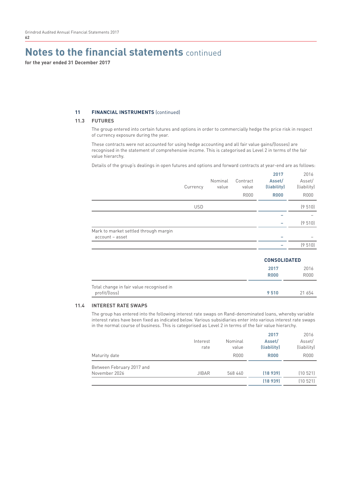**for the year ended 31 December 2017**

# **11 FINANCIAL INSTRUMENTS** (continued)

# **11.3 FUTURES**

The group entered into certain futures and options in order to commercially hedge the price risk in respect of currency exposure during the year.

These contracts were not accounted for using hedge accounting and all fair value gains/(losses) are recognised in the statement of comprehensive income. This is categorised as Level 2 in terms of the fair value hierarchy.

Details of the group's dealings in open futures and options and forward contracts at year-end are as follows:

|                                                          |            |                  |                   | 2017                  | 2016                  |
|----------------------------------------------------------|------------|------------------|-------------------|-----------------------|-----------------------|
|                                                          | Currency   | Nominal<br>value | Contract<br>value | Asset/<br>(liability) | Asset/<br>(liability) |
|                                                          |            |                  | <b>R000</b>       | <b>R000</b>           | <b>R000</b>           |
|                                                          | <b>USD</b> |                  |                   |                       | (9510)                |
|                                                          |            |                  |                   |                       |                       |
|                                                          |            |                  |                   |                       | (9510)                |
| Mark to market settled through margin<br>account - asset |            |                  |                   |                       |                       |
|                                                          |            |                  |                   |                       | (9510)                |
|                                                          |            |                  |                   |                       |                       |
|                                                          |            |                  |                   | <b>CONSOLIDATED</b>   |                       |
|                                                          |            |                  |                   | 2017                  | 2016                  |
|                                                          |            |                  |                   | <b>R000</b>           | <b>R000</b>           |

| Total change in fair value recognised in |  |      |        |
|------------------------------------------|--|------|--------|
| profit/(loss)                            |  | 9510 | 21 654 |

# **11.4 INTEREST RATE SWAPS**

The group has entered into the following interest rate swaps on Rand-denominated loans, whereby variable interest rates have been fixed as indicated below. Various subsidiaries enter into various interest rate swaps in the normal course of business. This is categorised as Level 2 in terms of the fair value hierarchy.

| Maturity date                              | Interest<br>rate | Nominal<br>value<br>R000 | 2017<br>Asset/<br>(liability)<br><b>R000</b> | 2016<br>Asset/<br>(liability)<br>R000 |
|--------------------------------------------|------------------|--------------------------|----------------------------------------------|---------------------------------------|
| Between February 2017 and<br>November 2026 | <b>JIBAR</b>     | 568 440                  | (18939)                                      | (10521)                               |
|                                            |                  |                          | (18939)                                      | [10 521]                              |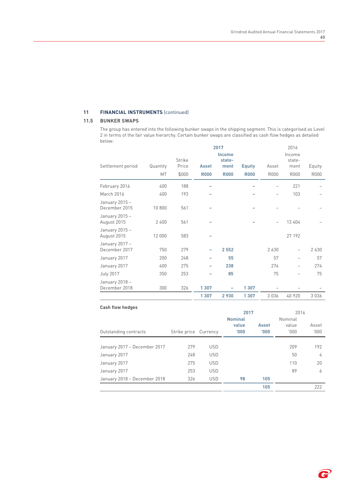# **11 FINANCIAL INSTRUMENTS** (continued)

# **11.5 BUNKER SWAPS**

The group has entered into the following bunker swaps in the shipping segment. This is categorised as Level 2 in terms of the fair value hierarchy. Certain bunker swaps are classified as cash flow hedges as detailed below:

|                                 |          |               |             | 2017                    |               |             | 2016                     |             |
|---------------------------------|----------|---------------|-------------|-------------------------|---------------|-------------|--------------------------|-------------|
|                                 |          | <b>Strike</b> |             | <b>Income</b><br>state- |               |             | Income<br>state-         |             |
| Settlement period               | Quantity | Price         | Asset       | ment                    | <b>Equity</b> | Asset       | ment                     | Equity      |
|                                 | MT       | \$000         | <b>R000</b> | <b>R000</b>             | <b>R000</b>   | <b>R000</b> | <b>R000</b>              | <b>R000</b> |
| February 2016                   | 400      | 188           |             |                         |               |             | 221                      |             |
| March 2016                      | 400      | 193           |             |                         |               |             | 103                      |             |
| January 2015 -<br>December 2015 | 10 800   | 561           |             |                         |               |             |                          |             |
| January 2015 -<br>August 2015   | 2 400    | 561           |             |                         |               |             | 13 404                   |             |
| January 2015 -<br>August 2015   | 12 000   | 583           |             |                         |               |             | 27 192                   |             |
| January 2017 -<br>December 2017 | 750      | 279           |             | 2552                    |               | 2 6 3 0     | $\overline{\phantom{0}}$ | 2630        |
| January 2017                    | 200      | 248           |             | 55                      |               | 57          |                          | 57          |
| January 2017                    | 400      | 275           |             | 238                     |               | 274         | $\overline{\phantom{0}}$ | 274         |
| <b>July 2017</b>                | 350      | 253           |             | 85                      |               | 75          |                          | 75          |
| January 2018 -<br>December 2018 | 300      | 326           | 1 3 0 7     | -                       | 1 3 0 7       |             |                          |             |
|                                 |          |               | 1 3 0 7     | 2930                    | 1 307         | 3 0 3 6     | 40 920                   | 3 0 3 6     |

| <b>Cash flow hedges</b>      |              |            |                |              |         |       |
|------------------------------|--------------|------------|----------------|--------------|---------|-------|
|                              |              |            | 2017           |              | 2016    |       |
|                              |              |            | <b>Nominal</b> |              | Nominal |       |
|                              |              |            | value          | <b>Asset</b> | value   | Asset |
| Outstanding contracts        | Strike price | Currency   | '000           | '000         | 000'    | '000' |
|                              |              |            |                |              |         |       |
| January 2017 - December 2017 | 279          | <b>USD</b> |                |              | 209     | 192   |
| January 2017                 | 248          | <b>USD</b> |                |              | 50      | 4     |
| January 2017                 | 275          | <b>USD</b> |                |              | 110     | 20    |
| January 2017                 | 253          | <b>USD</b> |                |              | 89      | 6     |
| January 2018 - December 2018 | 326          | <b>USD</b> | 98             | 105          |         |       |
|                              |              |            |                | 105          |         | 222   |
|                              |              |            |                |              |         |       |

A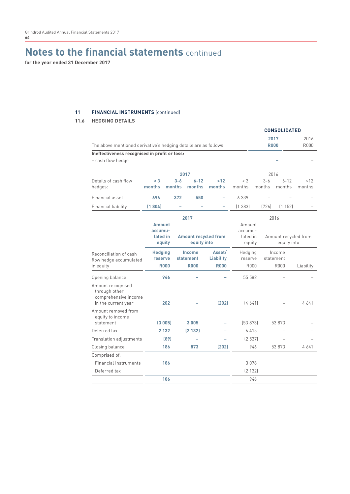**for the year ended 31 December 2017**

# **11 FINANCIAL INSTRUMENTS** (continued)

# **11.6 HEDGING DETAILS**

|                                                                                   |                                                |                   |                                                    |                                           |                                         |                   | <b>CONSOLIDATED</b>                         |               |
|-----------------------------------------------------------------------------------|------------------------------------------------|-------------------|----------------------------------------------------|-------------------------------------------|-----------------------------------------|-------------------|---------------------------------------------|---------------|
|                                                                                   |                                                |                   |                                                    |                                           |                                         |                   | 2017                                        | 2016          |
| The above mentioned derivative's hedging details are as follows:                  |                                                |                   |                                                    |                                           |                                         | <b>R000</b>       |                                             | <b>R000</b>   |
| Ineffectiveness recognised in profit or loss:                                     |                                                |                   |                                                    |                                           |                                         |                   |                                             |               |
| – cash flow hedge                                                                 |                                                |                   |                                                    |                                           |                                         |                   |                                             |               |
|                                                                                   |                                                |                   | 2017                                               |                                           |                                         |                   | 2016                                        |               |
| Details of cash flow<br>hedges:                                                   | $\leq 3$<br>months                             | $3 - 6$<br>months | $6 - 12$<br>months                                 | $>12$<br>months                           | $\langle 3$<br>months                   | $3 - 6$<br>months | $6 - 12$<br>months                          | >12<br>months |
| Financial asset                                                                   | 696                                            | 372               | 550                                                |                                           | 6 3 3 9                                 |                   |                                             |               |
| Financial liability                                                               | (1804)                                         |                   |                                                    | $\overline{\phantom{0}}$                  | [1 383]                                 | [726]             | (1152)                                      |               |
|                                                                                   | <b>Amount</b><br>accumu-<br>lated in<br>equity |                   | 2017<br><b>Amount recycled from</b><br>equity into |                                           | Amount<br>accumu-<br>lated in<br>equity |                   | 2016<br>Amount recycled from<br>equity into |               |
| Reconciliation of cash<br>flow hedge accumulated<br>in equity                     | <b>Hedging</b><br>reserve                      | <b>R000</b>       | Income<br>statement<br><b>R000</b>                 | Asset/<br><b>Liability</b><br><b>R000</b> | Hedging<br>reserve<br>R000              |                   | Income<br>statement<br>R000                 | Liability     |
| Opening balance                                                                   |                                                | 946               |                                                    |                                           | 55 582                                  |                   |                                             |               |
| Amount recognised<br>through other<br>comprehensive income<br>in the current year |                                                | 202               |                                                    | [202]                                     | [4641]                                  |                   |                                             | 4641          |
| Amount removed from<br>equity to income<br>statement                              | (3005)                                         |                   | 3005                                               |                                           | [53 873]                                |                   | 53 873                                      |               |
| Deferred tax                                                                      | 2 1 3 2                                        |                   | (2132)                                             |                                           | 6415                                    |                   |                                             |               |
| Translation adjustments                                                           |                                                | [89]              |                                                    |                                           | (2537)                                  |                   |                                             |               |
| Closing balance                                                                   |                                                | 186               | 873                                                | (202)                                     |                                         | 946               | 53 873                                      | 4641          |
| Comprised of:                                                                     |                                                |                   |                                                    |                                           |                                         |                   |                                             |               |
| <b>Financial Instruments</b>                                                      |                                                | 186               |                                                    |                                           | 3078                                    |                   |                                             |               |
| Deferred tax                                                                      |                                                |                   |                                                    |                                           | [2 132]                                 |                   |                                             |               |
|                                                                                   |                                                | 186               |                                                    |                                           |                                         | 946               |                                             |               |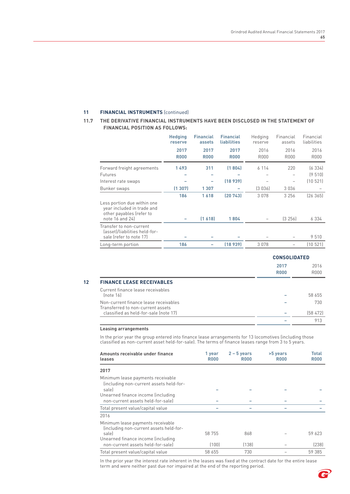# **11 FINANCIAL INSTRUMENTS** (continued)

# **11.7 THE DERIVATIVE FINANCIAL INSTRUMENTS HAVE BEEN DISCLOSED IN THE STATEMENT OF FINANCIAL POSITION AS FOLLOWS:**

|                                                                                       | <b>Hedging</b><br>reserve | <b>Financial</b><br>assets | <b>Financial</b><br><b>liabilities</b> | Hedging<br>reserve  | Financial<br>assets      | Financial<br>liabilities |
|---------------------------------------------------------------------------------------|---------------------------|----------------------------|----------------------------------------|---------------------|--------------------------|--------------------------|
|                                                                                       | 2017<br><b>R000</b>       | 2017<br><b>R000</b>        | 2017<br><b>R000</b>                    | 2016<br><b>R000</b> | 2016<br><b>R000</b>      | 2016<br><b>R000</b>      |
| Forward freight agreements                                                            | 1493                      | 311                        | (1804)                                 | 6 1 1 4             | 220                      | (6334)                   |
| Futures                                                                               |                           |                            |                                        |                     |                          | (9510)                   |
| Interest rate swaps                                                                   |                           |                            | (18939)                                |                     | $\overline{\phantom{0}}$ | (10521)                  |
| Bunker swaps                                                                          | (1307)                    | 1 307                      |                                        | (3036)              | 3036                     |                          |
|                                                                                       | 186                       | 1618                       | (20743)                                | 3078                | 3 2 5 6                  | [26 365]                 |
| Less portion due within one<br>year included in trade and<br>other payables (refer to |                           |                            |                                        |                     |                          |                          |
| note 16 and 24                                                                        | -                         | (1, 618)                   | 1804                                   |                     | (3256)                   | 6 3 3 4                  |
| Transfer to non-current<br>lasset)/liabilities held-for-<br>sale (refer to note 17)   |                           |                            |                                        |                     |                          | 9510                     |
| Long-term portion                                                                     | 186                       |                            | (18939)                                | 3078                |                          | (10 521)                 |

**CONSOLIDATED**

|                                                                            | 2017<br><b>R000</b> | 2016<br>R000 |
|----------------------------------------------------------------------------|---------------------|--------------|
| <b>FINANCE LEASE RECEIVABLES</b>                                           |                     |              |
| Current finance lease receivables<br>[note 16]                             |                     | 58 655       |
| Non-current finance lease receivables<br>Transferred to non-current assets |                     | 730          |
| classified as held-for-sale (note 17)                                      |                     | [58 472]     |
|                                                                            |                     |              |

# **Leasing arrangements**

In the prior year the group entered into finance lease arrangements for 13 locomotives (including those classified as non-current asset held-for-sale). The terms of finance leases range from 3 to 5 years.

| Amounts receivable under finance<br>leases                                                                                  | 1 year<br><b>R000</b> | $2 - 5$ years<br><b>R000</b> | >5 years<br><b>R000</b> | Total<br><b>R000</b> |
|-----------------------------------------------------------------------------------------------------------------------------|-----------------------|------------------------------|-------------------------|----------------------|
| 2017                                                                                                                        |                       |                              |                         |                      |
| Minimum lease payments receivable<br>lincluding non-current assets held-for-<br>salel                                       |                       |                              |                         |                      |
| Unearned finance income (including<br>non-current assets held-for-sale)                                                     |                       |                              |                         |                      |
| Total present value/capital value                                                                                           |                       |                              |                         |                      |
| 2016                                                                                                                        |                       |                              |                         |                      |
| Minimum lease payments receivable<br>(including non-current assets held-for-<br>salel<br>Unearned finance income (including | 58 755                | 868                          |                         | 59 623               |
| non-current assets held-for-sale)                                                                                           | (100)                 | (138)                        |                         | (238)                |
| Total present value/capital value                                                                                           | 58 655                | 730                          |                         | 59 385               |

In the prior year the interest rate inherent in the leases was fixed at the contract date for the entire lease term and were neither past due nor impaired at the end of the reporting period.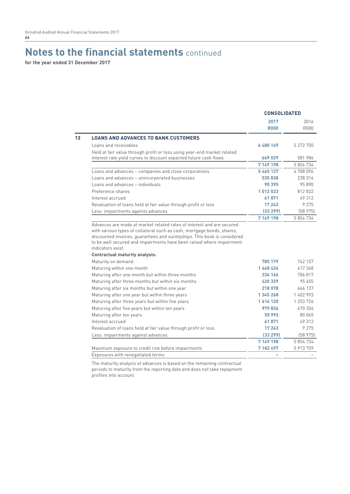**for the year ended 31 December 2017**

|                                                                         | <b>CONSOLIDATED</b> |               |
|-------------------------------------------------------------------------|---------------------|---------------|
|                                                                         | 2017                | 2016          |
|                                                                         | <b>R000</b>         | R000          |
| <b>LOANS AND ADVANCES TO BANK CUSTOMERS</b>                             |                     |               |
| Loans and receivables                                                   | 6480169             | 5 272 750     |
| Held at fair value through profit or loss using year-end market related |                     |               |
| interest rate yield curves to discount expected future cash flows       | 669029              | 581 984       |
|                                                                         | 7 149 198           | 5 8 5 4 7 3 4 |
| Loans and advances - companies and close corporations                   | 5 465 127           | 4708096       |
| Loans and advances - unincorporated businesses                          | 535 838             | 238 314       |
| Loans and advances - individuals                                        | 90 395              | 95890         |
| Preference shares                                                       | 1012023             | 812822        |
| Interest accrued                                                        | 61871               | 49 312        |
| Revaluation of loans held at fair value through profit or loss          | 17 243              | 9 2 7 5       |
| Less: impairments against advances                                      | [33 299]            | [58975]       |
|                                                                         | 7 149 198           | 5 854 734     |
| indicators exist<br><b>Contractual maturity analysis:</b>               |                     |               |
| Maturity on demand                                                      | 785 179             | 762 157       |
| Maturing within one month                                               | 1 448 424           | 417368        |
| Maturing after one month but within three months                        | 236 166             | 706 817       |
| Maturing after three months but within six months                       | 420 329             | 95 655        |
| Maturing after six months but within one year                           | 218 078             | 466 137       |
| Maturing after one year but within three years                          | 1 345 268           | 1 402 993     |
| Maturing after three years but within five years                        | 1614120             | 1 253 726     |
| Maturing after five years but within ten years                          | 979826              | 670 204       |
| Maturing after ten years                                                | 55 993              | 80 065        |
| Interest accrued                                                        | 61871               | 49 312        |
| Revaluation of loans held at fair value through profit or loss          | 17 243              | 9 2 7 5       |
| Less: impairments against advances                                      | (33 299)            | [58975]       |
|                                                                         | 7 149 198           | 5 854 734     |
| Maximum exposure to credit risk before impairments                      | 7 182 497           | 5 913 709     |
| Exposures with renegotiated terms                                       |                     |               |

The maturity analysis of advances is based on the remaining contractual periods to maturity from the reporting date and does not take repayment profiles into account.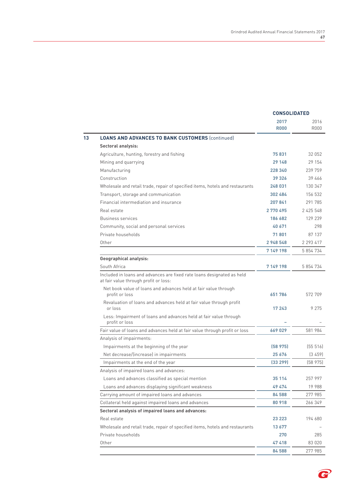**CONSOLIDATED**

|                                                                                                                 | 2017<br><b>R000</b> | 2016<br><b>R000</b> |
|-----------------------------------------------------------------------------------------------------------------|---------------------|---------------------|
| <b>LOANS AND ADVANCES TO BANK CUSTOMERS (continued)</b>                                                         |                     |                     |
| Sectoral analysis:                                                                                              |                     |                     |
| Agriculture, hunting, forestry and fishing                                                                      | 75831               | 32 052              |
| Mining and quarrying                                                                                            | 29 148              | 29 154              |
| Manufacturing                                                                                                   | 228 340             | 239 759             |
| Construction                                                                                                    | 39 326              | 39 466              |
| Wholesale and retail trade, repair of specified items, hotels and restaurants                                   | 248 031             | 130 347             |
| Transport, storage and communication                                                                            | 302 484             | 156 532             |
| Financial intermediation and insurance                                                                          | 207841              | 291 785             |
| Real estate                                                                                                     | 2770495             | 2 425 548           |
| Business services                                                                                               | 186 682             | 129 239             |
| Community, social and personal services                                                                         | 40 671              | 298                 |
| Private households                                                                                              | 71801               | 87 137              |
| Other                                                                                                           | 2948548             | 2 293 417           |
|                                                                                                                 | 7 149 198           | 5 854 734           |
| Geographical analysis:                                                                                          |                     |                     |
| South Africa                                                                                                    | 7 149 198           | 5 854 734           |
| Included in loans and advances are fixed rate loans designated as held<br>at fair value through profit or loss: |                     |                     |
| Net book value of loans and advances held at fair value through<br>profit or loss                               | 651786              | 572 709             |
| Revaluation of loans and advances held at fair value through profit<br>or loss                                  | 17 243              | 9 2 7 5             |
| Less: Impairment of loans and advances held at fair value through<br>profit or loss                             |                     |                     |
| Fair value of loans and advances held at fair value through profit or loss                                      | 669029              | 581 984             |
| Analysis of impairments:                                                                                        |                     |                     |
| Impairments at the beginning of the year                                                                        | (58975)             | (55516)             |
| Net decrease/(increase) in impairments                                                                          | 25 676              | (3459)              |
| Impairments at the end of the year                                                                              | [33 299]            | (58975)             |
| Analysis of impaired loans and advances:                                                                        |                     |                     |
| Loans and advances classified as special mention                                                                | 35 114              | 257 997             |
| Loans and advances displaying significant weakness                                                              | 49 474              | 19 988              |
| Carrying amount of impaired loans and advances                                                                  | 84 588              | 277 985             |
| Collateral held against impaired loans and advances                                                             | 80 918              | 266 349             |
| Sectoral analysis of impaired loans and advances:                                                               |                     |                     |
| Real estate                                                                                                     | 23 223              | 194 680             |
| Wholesale and retail trade, repair of specified items, hotels and restaurants                                   | 13 677              |                     |
| Private households                                                                                              | 270                 | 285                 |
| Other                                                                                                           | 47418               | 83 020              |
|                                                                                                                 | 84 588              | 277 985             |

P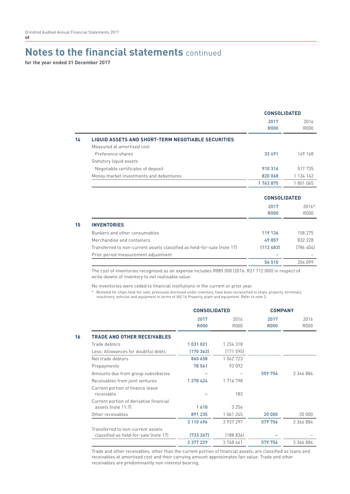**for the year ended 31 December 2017**

|                                                                         |             | <b>CONSOLIDATED</b> |  |  |
|-------------------------------------------------------------------------|-------------|---------------------|--|--|
|                                                                         | 2017        | 2016                |  |  |
|                                                                         | <b>R000</b> | R000                |  |  |
| <b>LIQUID ASSETS AND SHORT-TERM NEGOTIABLE SECURITIES</b>               |             |                     |  |  |
| Measured at amortised cost                                              |             |                     |  |  |
| Preference shares                                                       | 33 491      | 149 168             |  |  |
| Statutory liquid assets                                                 |             |                     |  |  |
| Negotiable certificates of deposit                                      | 910 316     | 517 735             |  |  |
| Money market investments and debentures                                 | 820 068     | 1 134 162           |  |  |
|                                                                         | 1763875     | 1801065             |  |  |
|                                                                         |             |                     |  |  |
|                                                                         |             | <b>CONSOLIDATED</b> |  |  |
|                                                                         | 2017        | $2016*$             |  |  |
|                                                                         | <b>R000</b> | R000                |  |  |
| <b>INVENTORIES</b>                                                      |             |                     |  |  |
| Bunkers and other consumables                                           | 119 136     | 158 275             |  |  |
| Merchandise and containers                                              | 49857       | 832 228             |  |  |
| Transferred to non-current assets classified as held-for-sale (note 17) | (112 483)   | [786 404]           |  |  |
| Prior period measurement adjustment                                     |             |                     |  |  |
|                                                                         | 56 510      | 204 099             |  |  |
|                                                                         |             |                     |  |  |

The cost of inventories recognised as an expense includes R885 000 (2016: R21 712 000) in respect of write-downs of inventory to net realisable value.

No inventories were ceded to financial institutions in the current or prior year.

kestated for ships held-for-sale, previously disclosed under inventory, have been reclassified to ships, property, terminals, \*<br>machinery, vehicles and equipment in terms of IAS 16 Property, plant and equipment. Refer to n

|                                                                            | <b>CONSOLIDATED</b> |               | <b>COMPANY</b> |             |
|----------------------------------------------------------------------------|---------------------|---------------|----------------|-------------|
|                                                                            | 2017                | 2016          | 2017           | 2016        |
|                                                                            | <b>R000</b>         | R000          | <b>R000</b>    | <b>R000</b> |
| <b>TRADE AND OTHER RECEIVABLES</b>                                         |                     |               |                |             |
| Trade debtors                                                              | 1031021             | 1 234 318     |                |             |
| Less: Allowances for doubtful debts                                        | (170363)            | (171595)      |                |             |
| Net trade debtors                                                          | 860 658             | 1 062 723     |                |             |
| Prepayments                                                                | 78 561              | 93 0 92       |                |             |
| Amounts due from group subsidiaries                                        |                     |               | 559 756        | 3 346 884   |
| Receivables from joint ventures                                            | 1 278 424           | 1 716 798     |                |             |
| Current portion of finance lease<br>receivable                             |                     | 183           |                |             |
| Current portion of derivative financial<br>assets (note 11.7)              | 1618                | 3 2 5 6       |                |             |
| Other receivables                                                          | 891 235             | 1 0 6 1 2 4 5 | 20 000         | 20 000      |
|                                                                            | 3 110 496           | 3 937 297     | 579 756        | 3 366 884   |
| Transferred to non-current assets<br>classified as held-for-sale (note 17) | (733 267)           | (188836)      |                |             |
|                                                                            | 2 377 229           | 3748461       | 579 756        | 3 366 884   |

Trade and other receivables, other than the current portion of financial assets, are classified as loans and receivables at amortised cost and their carrying amount approximates fair value. Trade and other receivables are predominantly non-interest bearing.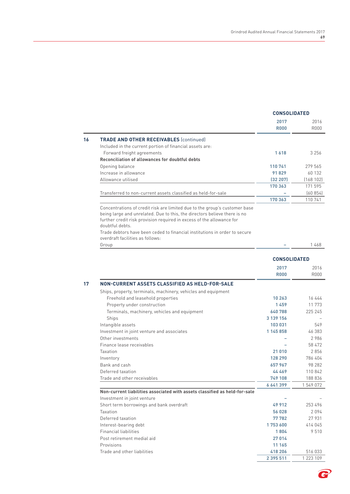|                                                                                                                                                                                                                                                                                                                                                                       |                             | <b>CONSOLIDATED</b> |  |
|-----------------------------------------------------------------------------------------------------------------------------------------------------------------------------------------------------------------------------------------------------------------------------------------------------------------------------------------------------------------------|-----------------------------|---------------------|--|
|                                                                                                                                                                                                                                                                                                                                                                       | 2017<br><b>R000</b>         | 2016<br>R000        |  |
| <b>TRADE AND OTHER RECEIVABLES (continued)</b>                                                                                                                                                                                                                                                                                                                        |                             |                     |  |
| Included in the current portion of financial assets are:                                                                                                                                                                                                                                                                                                              |                             |                     |  |
| Forward freight agreements                                                                                                                                                                                                                                                                                                                                            | 1618                        | 3 2 5 6             |  |
| Reconciliation of allowances for doubtful debts                                                                                                                                                                                                                                                                                                                       |                             |                     |  |
| Opening balance                                                                                                                                                                                                                                                                                                                                                       | 110741                      | 279 565             |  |
| Increase in allowance                                                                                                                                                                                                                                                                                                                                                 | 91829                       | 60 132              |  |
| Allowance utilised                                                                                                                                                                                                                                                                                                                                                    | (32 207)                    | (168102)            |  |
|                                                                                                                                                                                                                                                                                                                                                                       | 170 363                     | 171 595             |  |
| Transferred to non-current assets classified as held-for-sale                                                                                                                                                                                                                                                                                                         |                             | (60854)             |  |
|                                                                                                                                                                                                                                                                                                                                                                       | 170 363                     | 110 741             |  |
| Concentrations of credit risk are limited due to the group's customer base<br>being large and unrelated. Due to this, the directors believe there is no<br>further credit risk provision required in excess of the allowance for<br>doubtful debts.<br>Trade debtors have been ceded to financial institutions in order to secure<br>overdraft facilities as follows: |                             |                     |  |
| Group                                                                                                                                                                                                                                                                                                                                                                 |                             | 1468                |  |
|                                                                                                                                                                                                                                                                                                                                                                       | <b>CONSOLIDATED</b><br>2017 | 2016                |  |
|                                                                                                                                                                                                                                                                                                                                                                       | <b>R000</b>                 | <b>R000</b>         |  |
| NON-CURRENT ASSETS CLASSIFIED AS HELD-FOR-SALE                                                                                                                                                                                                                                                                                                                        |                             |                     |  |
| Ships, property, terminals, machinery, vehicles and equipment                                                                                                                                                                                                                                                                                                         |                             |                     |  |
| Freehold and leasehold properties                                                                                                                                                                                                                                                                                                                                     | 10 263                      | 16 444              |  |
| Property under construction                                                                                                                                                                                                                                                                                                                                           | 1459                        | 11 773              |  |
| Terminals, machinery, vehicles and equipment                                                                                                                                                                                                                                                                                                                          | 640788                      | 225 245             |  |
| Ships                                                                                                                                                                                                                                                                                                                                                                 | 3 139 156                   |                     |  |
| Intangible assets                                                                                                                                                                                                                                                                                                                                                     | 103 031                     | 549                 |  |
| Investment in joint venture and associates                                                                                                                                                                                                                                                                                                                            | 1 145 858                   | 46 383              |  |
| Other investments                                                                                                                                                                                                                                                                                                                                                     |                             | 2986                |  |
| Finance lease receivables                                                                                                                                                                                                                                                                                                                                             |                             | 58 472              |  |
| Taxation                                                                                                                                                                                                                                                                                                                                                              | 21 010                      | 2856                |  |
| Inventory                                                                                                                                                                                                                                                                                                                                                             | 128 290                     | 786 404             |  |
| Bank and cash                                                                                                                                                                                                                                                                                                                                                         | 657 967                     | 98 282              |  |
| Deferred taxation                                                                                                                                                                                                                                                                                                                                                     | 44 469                      | 110 842             |  |
| Trade and other receivables                                                                                                                                                                                                                                                                                                                                           | 749 108                     | 188 836             |  |
|                                                                                                                                                                                                                                                                                                                                                                       | 6 641 399                   | 1 549 072           |  |
| Non-current liabilities associated with assets classified as held-for-sale                                                                                                                                                                                                                                                                                            |                             |                     |  |
| Investment in joint venture                                                                                                                                                                                                                                                                                                                                           |                             |                     |  |

Short term borrowings and bank overdraft **49 912** 49 912 Taxation **56 028** 2 094 Deferred taxation **77 782** 27 931 Interest-bearing debt **1 753 600** 414 045 Financial liabilities **1 804** 9 510

Trade and other liabilities **418 206** 516 033

Post retirement medial aid **27 014** Provisions **11 165**

**2 395 511** 1 223 109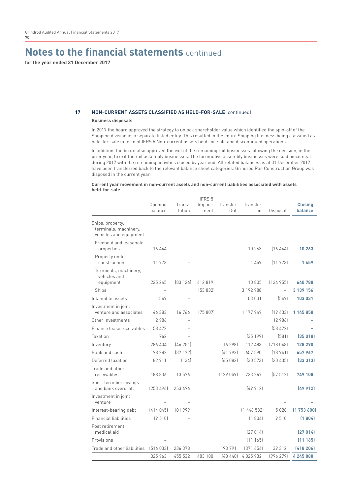**for the year ended 31 December 2017**

# **17 NON-CURRENT ASSETS CLASSIFIED AS HELD-FOR-SALE** (continued)

### **Business disposals**

In 2017 the board approved the strategy to unlock shareholder value which identified the spin-off of the Shipping division as a separate listed entity. This resulted in the entire Shipping business being classified as held-for-sale in term of IFRS 5 Non-current assets held-for-sale and discontinued operations.

In addition, the board also approved the exit of the remaining rail businesses following the decision, in the prior year, to exit the rail assembly businesses. The locomotive assembly businesses were sold piecemeal during 2017 with the remaining activities closed by year end. All related balances as at 31 December 2017 have been transferred back to the relevant balance sheet categories. Grindrod Rail Construction Group was disposed in the current year.

#### **Current year movement in non-current assets and non-current liabilities associated with assets held-for-sale**

|                                                                     | IFRS <sub>5</sub>  |                  |                    |                 |                     |             |                           |
|---------------------------------------------------------------------|--------------------|------------------|--------------------|-----------------|---------------------|-------------|---------------------------|
|                                                                     | Opening<br>balance | Trans-<br>lation | Impair-<br>ment    | Transfer<br>Out | Transfer<br>in      | Disposal    | <b>Closing</b><br>balance |
| Ships, property,<br>terminals, machinery,<br>vehicles and equipment |                    |                  |                    |                 |                     |             |                           |
| Freehold and leasehold<br>properties                                | 16 444             |                  |                    |                 | 10 263              | (16, 444)   | 10 263                    |
| Property under<br>construction                                      | 11 773             |                  |                    |                 | 1459                | $(11\ 773)$ | 1459                      |
| Terminals, machinery,<br>vehicles and<br>equipment<br>Ships         | 225 245            | [83 126]         | 612819<br>(53 832) |                 | 10 805<br>3 192 988 | (124955)    | 640788<br>3 139 156       |
| Intangible assets                                                   | 549                |                  |                    |                 | 103 031             | [549]       | 103 031                   |
| Investment in joint                                                 |                    |                  |                    |                 |                     |             |                           |
| venture and associates                                              | 46 383             | 16766            | (75807)            |                 | 1 177 949           | (19, 433)   | 1 145 858                 |
| Other investments                                                   | 2986               |                  |                    |                 |                     | [2986]      |                           |
| Finance lease receivables                                           | 58 472             |                  |                    |                 |                     | [58 472]    |                           |
| Taxation                                                            | 762                |                  |                    |                 | [35 199]            | (581)       | (35018)                   |
| Inventory                                                           | 786 404            | [46 251]         |                    | (6298)          | 112 483             | [718048]    | 128 290                   |
| Bank and cash                                                       | 98 28 2            | [37 172]         |                    | [41792]         | 657 590             | [18941]     | 657967                    |
| Deferred taxation                                                   | 82 911             | (134)            |                    | (65082)         | (30573)             | [20 435]    | (33313)                   |
| Trade and other<br>receivables                                      | 188 836            | 13 576           |                    | [129059]        | 733 267             | [57 512]    | 749 108                   |
| Short term borrowings<br>and bank overdraft                         | [253 496]          | 253 496          |                    |                 | [49912]             |             | (49912)                   |
| Investment in joint<br>venture                                      |                    |                  |                    |                 |                     |             |                           |
| Interest-bearing debt                                               | [414045]           | 101 999          |                    |                 | [1446582]           | 5028        | (1753600)                 |
| <b>Financial liabilities</b>                                        | (9510)             |                  |                    |                 | (1804)              | 9510        | (1804)                    |
| Post retirement<br>medical aid                                      |                    |                  |                    |                 | [27014]             |             | (27014)                   |
| Provisions                                                          |                    |                  |                    |                 | [11 165]            |             | (11165)                   |
| Trade and other liabilities                                         | [516033]           | 236 378          |                    | 193 791         | [371654]            | 39 312      | [418 206]                 |
|                                                                     | 325 963            | 455 532          | 483 180            | [48, 440]       | 4025932             | [996 279]   | 4 245 888                 |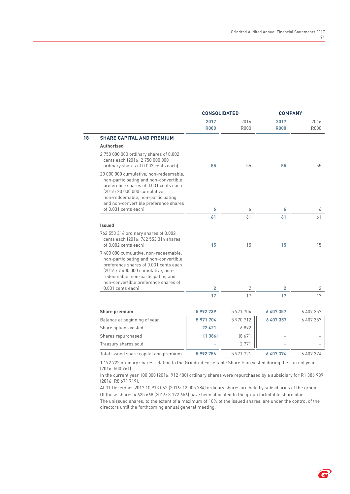|                                                                                                                                                                                                                                         | <b>CONSOLIDATED</b> |                     |                     | <b>COMPANY</b>      |  |
|-----------------------------------------------------------------------------------------------------------------------------------------------------------------------------------------------------------------------------------------|---------------------|---------------------|---------------------|---------------------|--|
|                                                                                                                                                                                                                                         | 2017<br><b>R000</b> | 2016<br><b>R000</b> | 2017<br><b>R000</b> | 2016<br><b>R000</b> |  |
| <b>SHARE CAPITAL AND PREMIUM</b>                                                                                                                                                                                                        |                     |                     |                     |                     |  |
| <b>Authorised</b>                                                                                                                                                                                                                       |                     |                     |                     |                     |  |
| 2 750 000 000 ordinary shares of 0.002<br>cents each (2016: 2 750 000 000<br>ordinary shares of 0.002 cents each)                                                                                                                       | 55                  | 55                  | 55                  | 55                  |  |
| 20 000 000 cumulative, non-redeemable,<br>non-participating and non-convertible<br>preference shares of 0.031 cents each<br>(2016: 20 000 000 cumulative,<br>non-redeemable, non-participating<br>and non-convertible preference shares |                     |                     |                     |                     |  |
| of 0.031 cents each)                                                                                                                                                                                                                    | 6                   | 6                   | 6                   | 6                   |  |
|                                                                                                                                                                                                                                         | 61                  | 61                  | 61                  | 61                  |  |
| <b>Issued</b>                                                                                                                                                                                                                           |                     |                     |                     |                     |  |
| 762 553 314 ordinary shares of 0.002<br>cents each (2016: 762 553 314 shares<br>of 0.002 cents eachl                                                                                                                                    | 15                  | 15                  | 15                  | 15                  |  |
| 7 400 000 cumulative, non-redeemable,<br>non-participating and non-convertible<br>preference shares of 0.031 cents each<br>(2016: 7 400 000 cumulative, non-<br>redeemable, non-participating and                                       |                     |                     |                     |                     |  |
| non-convertible preference shares of<br>0.031 cents each)                                                                                                                                                                               | $\overline{2}$      | $\overline{2}$      | $\overline{2}$      | $\overline{2}$      |  |
|                                                                                                                                                                                                                                         | 17                  | 17                  | 17                  | 17                  |  |
| Share premium                                                                                                                                                                                                                           | 5992739             | 5 971 704           | 6 407 357           | 6 407 357           |  |
| Balance at beginning of year                                                                                                                                                                                                            | 5 971 704           | 5 970 712           | 6 407 357           | 6 407 357           |  |
| Share options vested                                                                                                                                                                                                                    | 22 4 21             | 6892                |                     |                     |  |
| Shares repurchased                                                                                                                                                                                                                      | (1386)              | [8671]              |                     |                     |  |
| Treasury shares sold                                                                                                                                                                                                                    |                     | 2 7 7 1             |                     |                     |  |
| Total issued share capital and premium                                                                                                                                                                                                  | 5992756             | 5 971 721           | 6 407 374           | 6 407 374           |  |

1 192 722 ordinary shares relating to the Grindrod Forfeitable Share Plan vested during the current year (2016: 500 961).

In the current year 100 000 (2016: 912 400) ordinary shares were repurchased by a subsidiary for R1 386 989 (2016: R8 671 719).

At 31 December 2017 10 913 062 (2016: 12 005 784) ordinary shares are held by subsidiaries of the group. Of these shares 4 625 668 (2016: 3 172 656) have been allocated to the group forfeitable share plan. The unissued shares, to the extent of a maximum of 10% of the issued shares, are under the control of the directors until the forthcoming annual general meeting.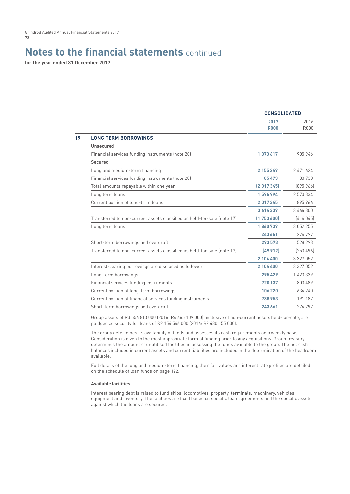**for the year ended 31 December 2017**

|                                                                         | <b>CONSOLIDATED</b> |              |
|-------------------------------------------------------------------------|---------------------|--------------|
|                                                                         | 2017<br><b>R000</b> | 2016<br>R000 |
| <b>LONG TERM BORROWINGS</b>                                             |                     |              |
| Unsecured                                                               |                     |              |
| Financial services funding instruments (note 20)                        | 1 373 617           | 905 946      |
| Secured                                                                 |                     |              |
| Long and medium-term financing                                          | 2 155 249           | 2 471 624    |
| Financial services funding instruments (note 20)                        | 85 473              | 88 730       |
| Total amounts repayable within one year                                 | [2 017 345]         | [895966]     |
| Long term loans                                                         | 1596994             | 2 570 334    |
| Current portion of long-term loans                                      | 2017345             | 895 966      |
|                                                                         | 3614339             | 3 466 300    |
| Transferred to non-current assets classified as held-for-sale (note 17) | (1753600)           | [414045]     |
| Long term loans                                                         | 1860739             | 3 052 255    |
|                                                                         | 243 661             | 274 797      |
| Short-term borrowings and overdraft                                     | 293 573             | 528 293      |
| Transferred to non-current assets classified as held-for-sale (note 17) | [49912]             | (253 496)    |
|                                                                         | 2 104 400           | 3 327 052    |
| Interest-bearing borrowings are disclosed as follows:                   | 2 104 400           | 3 327 052    |
| Long-term borrowings                                                    | 295 429             | 1 423 339    |
| Financial services funding instruments                                  | 720 137             | 803 489      |
| Current portion of long-term borrowings                                 | 106 220             | 634 240      |
| Current portion of financial services funding instruments               | 738 953             | 191 187      |
| Short-term borrowings and overdraft                                     | 243 661             | 274 797      |

Group assets of R3 556 813 000 (2016: R4 665 109 000), inclusive of non-current assets held-for-sale, are pledged as security for loans of R2 154 546 000 (2016: R2 430 155 000).

The group determines its availability of funds and assesses its cash requirements on a weekly basis. Consideration is given to the most appropriate form of funding prior to any acquisitions. Group treasury determines the amount of unutilised facilities in assessing the funds available to the group. The net cash balances included in current assets and current liabilities are included in the determination of the headroom available.

Full details of the long and medium-term financing, their fair values and interest rate profiles are detailed on the schedule of loan funds on page 122.

#### **Available facilities**

Interest bearing debt is raised to fund ships, locomotives, property, terminals, machinery, vehicles, equipment and inventory. The facilities are fixed based on specific loan agreements and the specific assets against which the loans are secured.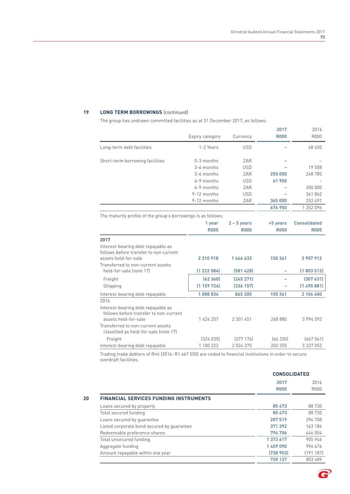## **19 LONG TERM BORROWINGS** (continued)

The group has undrawn committed facilities as at 31 December 2017, as follows:

|                                                                              |                 |               | 2017        | 2016                |
|------------------------------------------------------------------------------|-----------------|---------------|-------------|---------------------|
|                                                                              | Expiry category | Currency      | <b>R000</b> | <b>R000</b>         |
| Long-term debt facilities                                                    | 1-2 Years       | <b>USD</b>    |             | 68 450              |
| Short-term borrowing facilities                                              | 0-3 months      | ZAR           |             |                     |
|                                                                              | 3-6 months      | <b>USD</b>    |             | 19 508              |
|                                                                              | 3-6 months      | ZAR           | 250 000     | 248 785             |
|                                                                              | $6-9$ months    | <b>USD</b>    | 61950       |                     |
|                                                                              | $6-9$ months    | ZAR           |             | 300 000             |
|                                                                              | 9-12 months     | <b>USD</b>    |             | 361862              |
|                                                                              | 9-12 months     | ZAR           | 365 000     | 253 491             |
|                                                                              |                 |               | 676 950     | 1 252 096           |
| The maturity profile of the group's borrowings is as follows:                |                 |               |             |                     |
|                                                                              | 1 year          | $2 - 5$ years | >5 years    | <b>Consolidated</b> |
|                                                                              | <b>R000</b>     | <b>R000</b>   | <b>R000</b> | <b>R000</b>         |
| 2017                                                                         |                 |               |             |                     |
| Interest-bearing debt repayable as<br>follows before transfer to non current |                 |               |             |                     |
| assets held-for-sale                                                         | 2 3 1 0 9 1 8   | 1 446 633     | 150 361     | 3 907 912           |
| Transferred to non-current assets<br>held-for-sale (note 17)                 | (1222084)       | (581428)      |             | (1803512)           |
| Freight                                                                      | (62360)         | (245 271)     |             | (307631)            |
| Shipping                                                                     | (1159724)       | (336 157)     |             | (1495881)           |
| Interest-bearing debt repayable                                              | 1088834         | 865 205       | 150 361     | 2 104 400           |
| 2016                                                                         |                 |               |             |                     |
| Interest-bearing debt repayable as<br>follows before transfer to non-current |                 |               |             |                     |
| assets held-for-sale                                                         | 1 424 257       | 2 301 451     | 268 885     | 3 994 593           |
| Transferred to non-current assets<br>classified as held-for-sale (note 17)   |                 |               |             |                     |
| Freight                                                                      | [324 035]       | [277 176]     | [66 330]    | [667541]            |
| Interest-bearing debt repayable                                              | 1 100 222       | 2 0 2 4 2 7 5 | 202 555     | 3 327 052           |

Trading trade debtors of Rnil (2016: R1 467 550) are ceded to financial institutions in order to secure overdraft facilities.

|                                               | <b>CONSOLIDATED</b> |           |
|-----------------------------------------------|---------------------|-----------|
|                                               | 2017                | 2016      |
|                                               | <b>R000</b>         | R000      |
| <b>FINANCIAL SERVICES FUNDING INSTRUMENTS</b> |                     |           |
| Loans secured by property                     | 85 473              | 88 730    |
| Total secured funding                         | 85 473              | 88 730    |
| Loans secured by quarantee                    | 207 519             | 296 708   |
| Listed corporate bond secured by quarantee    | 371 392             | 163 184   |
| Redeemable preference shares                  | 794 706             | 446 054   |
| Total unsecured funding                       | 1 373 617           | 905 946   |
| Aggregate funding                             | 1459090             | 994 676   |
| Amount repayable within one year              | (738953)            | [191 187] |
|                                               | 720 137             | 803 489   |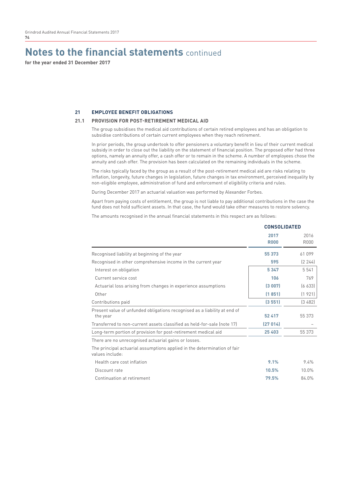**for the year ended 31 December 2017**

### **21 EMPLOYEE BENEFIT OBLIGATIONS**

#### **21.1 PROVISION FOR POST-RETIREMENT MEDICAL AID**

The group subsidises the medical aid contributions of certain retired employees and has an obligation to subsidise contributions of certain current employees when they reach retirement.

In prior periods, the group undertook to offer pensioners a voluntary benefit in lieu of their current medical subsidy in order to close out the liability on the statement of financial position. The proposed offer had three options, namely an annuity offer, a cash offer or to remain in the scheme. A number of employees chose the annuity and cash offer. The provision has been calculated on the remaining individuals in the scheme.

The risks typically faced by the group as a result of the post-retirement medical aid are risks relating to inflation, longevity, future changes in legislation, future changes in tax environment, perceived inequality by non-eligible employee, administration of fund and enforcement of eligibility criteria and rules.

During December 2017 an actuarial valuation was performed by Alexander Forbes.

Apart from paying costs of entitlement, the group is not liable to pay additional contributions in the case the fund does not hold sufficient assets. In that case, the fund would take other measures to restore solvency.

**CONSOLIDATED**

The amounts recognised in the annual financial statements in this respect are as follows:

|                                                                                             | UNJULIUMI LU        |                     |
|---------------------------------------------------------------------------------------------|---------------------|---------------------|
|                                                                                             | 2017<br><b>R000</b> | 2016<br><b>R000</b> |
| Recognised liability at beginning of the year                                               | 55 373              | 61099               |
| Recognised in other comprehensive income in the current year                                | 595                 | (2244)              |
| Interest on obligation                                                                      | 5347                | 5 5 4 1             |
| Current service cost                                                                        | 106                 | 769                 |
| Actuarial loss arising from changes in experience assumptions                               | (3007)              | (6633)              |
| Other                                                                                       | (1851)              | (1921)              |
| Contributions paid                                                                          | (3551)              | (3, 482)            |
| Present value of unfunded obligations recognised as a liability at end of<br>the year       | 52 417              | 55 373              |
| Transferred to non-current assets classified as held-for-sale (note 17)                     | (27014)             |                     |
| Long-term portion of provision for post-retirement medical aid                              | 25 403              | 55 373              |
| There are no unrecognised actuarial gains or losses.                                        |                     |                     |
| The principal actuarial assumptions applied in the determination of fair<br>values include: |                     |                     |
| Health care cost inflation                                                                  | 9.1%                | 9.4%                |
| Discount rate                                                                               | 10.5%               | 10.0%               |
| Continuation at retirement                                                                  | 79.5%               | 84.0%               |
|                                                                                             |                     |                     |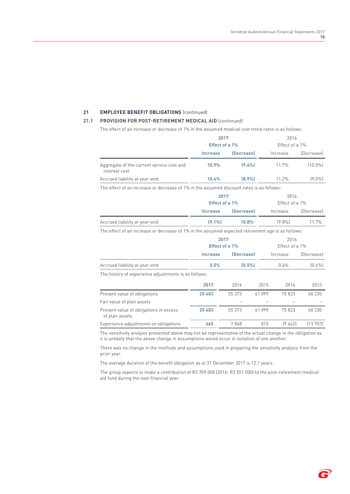# **21 EMPLOYEE BENEFIT OBLIGATIONS** (continued)

### **21.1 PROVISION FOR POST-RETIREMENT MEDICAL AID** (continued)

The effect of an increase or decrease of 1% in the assumed medical cost trend rates is as follows:

|                                                                                                   | 2017            |                       |       | 2016           |            |
|---------------------------------------------------------------------------------------------------|-----------------|-----------------------|-------|----------------|------------|
|                                                                                                   |                 | <b>Effect of a 1%</b> |       | Effect of a 1% |            |
|                                                                                                   | <b>Increase</b> | (Decrease)            |       | Increase       | (Decrease) |
| Aggregate of the current service cost and<br>interest cost                                        | 10.9%           | (9.4%                 |       | 11.7%          | $(10.0\%)$ |
| Accrued liability at year-end                                                                     | 10.4%           | (8.9%                 |       | 11.2%          | $(9.5\%)$  |
| The effect of an increase or decrease of 1% in the assumed discount rates is as follows:          |                 |                       |       |                |            |
|                                                                                                   |                 | 2017                  |       | 2016           |            |
|                                                                                                   |                 | Effect of a 1%        |       | Effect of a 1% |            |
|                                                                                                   | <b>Increase</b> | (Decrease)            |       | Increase       | (Decrease) |
| Accrued liability at year-end                                                                     | (9.1%           | 10.8%                 |       | $[9.8\%]$      | 11.7%      |
| The effect of an increase or decrease of 1% in the assumed expected retirement age is as follows: |                 |                       |       |                |            |
|                                                                                                   |                 | 2017                  |       | 2016           |            |
|                                                                                                   |                 | Effect of a 1%        |       | Effect of a 1% |            |
|                                                                                                   | <b>Increase</b> | (Decrease)            |       | Increase       | (Decrease) |
| Accrued liability at year-end                                                                     | 0.5%            | $(0.5\%)$             |       | 0.4%           | $[0.4\%]$  |
| The history of experience adjustments is as follows:                                              |                 |                       |       |                |            |
|                                                                                                   | 2017            | 2016                  | 2015  | 2014           | 2013       |
| Present value of obligations                                                                      | 25 403          | 55 373                | 61099 | 75 823         | 60 230     |
| Fair value of plan assets                                                                         |                 |                       |       |                |            |
| Present value of obligations in excess<br>of plan assets                                          | 25 403          | 55 373                | 61099 | 75 823         | 60 230     |
| Experience adjustments on obligations                                                             | 465             | 7848                  | 815   | [9,642]        | [13 707]   |
|                                                                                                   |                 |                       |       |                |            |

The sensitivity analysis presented above may not be representative of the actual change in the obligation as it is unlikely that the above change in assumptions would occur in isolation of one another.

There was no change in the methods and assumptions used in preparing the sensitivity analysis from the prior year.

The average duration of the benefit obligation as at 31 December 2017 is 12.1 years.

The group expects to make a contribution of R3 709 000 (2016: R3 551 000) to the post-retirement medical aid fund during the next financial year.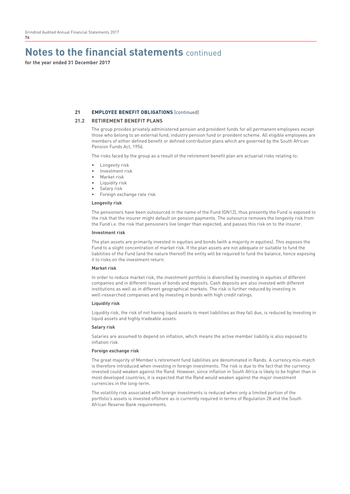**for the year ended 31 December 2017**

### **21 EMPLOYEE BENEFIT OBLIGATIONS** (continued)

### **21.2 RETIREMENT BENEFIT PLANS**

The group provides privately administered pension and provident funds for all permanent employees except those who belong to an external fund, industry pension fund or provident scheme. All eligible employees are members of either defined benefit or defined contribution plans which are governed by the South African Pension Funds Act, 1956.

The risks faced by the group as a result of the retirement benefit plan are actuarial risks relating to:

- Longevity risk
- Investment risk
- Market risk
- Liquidity risk
- Salary risk
- Foreign exchange rate risk

### **Longevity risk**

The pensioners have been outsourced in the name of the Fund (GN12), thus presently the Fund is exposed to the risk that the insurer might default on pension payments. The outsource removes the longevity risk from the Fund i.e. the risk that pensioners live longer than expected, and passes this risk on to the insurer.

#### **Investment risk**

The plan assets are primarily invested in equities and bonds (with a majority in equities). This exposes the Fund to a slight concentration of market risk. If the plan assets are not adequate or suitable to fund the liabilities of the Fund (and the nature thereof) the entity will be required to fund the balance, hence exposing it to risks on the investment return.

#### **Market risk**

In order to reduce market risk, the investment portfolio is diversified by investing in equities of different companies and in different issues of bonds and deposits. Cash deposits are also invested with different institutions as well as in different geographical markets. The risk is further reduced by investing in well-researched companies and by investing in bonds with high credit ratings.

#### **Liquidity risk**

Liquidity risk, the risk of not having liquid assets to meet liabilities as they fall due, is reduced by investing in liquid assets and highly tradeable assets.

#### **Salary risk**

Salaries are assumed to depend on inflation, which means the active member liability is also exposed to inflation risk.

#### **Foreign exchange risk**

The great majority of Member's retirement fund liabilities are denominated in Rands. A currency mis-match is therefore introduced when investing in foreign investments. The risk is due to the fact that the currency invested could weaken against the Rand. However, since inflation in South Africa is likely to be higher than in most developed countries, it is expected that the Rand would weaken against the major investment currencies in the long-term.

The volatility risk associated with foreign investments is reduced when only a limited portion of the portfolio's assets is invested offshore as is currently required in terms of Regulation 28 and the South African Reserve Bank requirements.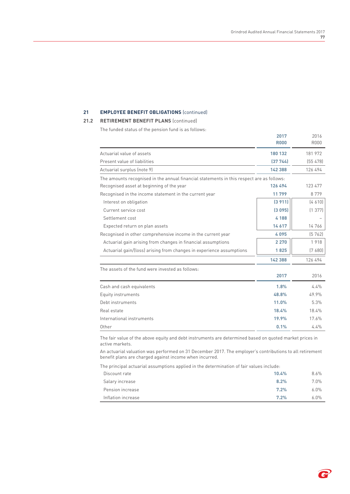# **21 EMPLOYEE BENEFIT OBLIGATIONS** (continued)

### **21.2 RETIREMENT BENEFIT PLANS** (continued)

The funded status of the pension fund is as follows:

|                                                                                           | 2017        | 2016        |
|-------------------------------------------------------------------------------------------|-------------|-------------|
|                                                                                           | <b>R000</b> | <b>R000</b> |
| Actuarial value of assets                                                                 | 180 132     | 181 972     |
| Present value of liabilities                                                              | (37744)     | (55478)     |
| Actuarial surplus (note 9)                                                                | 142 388     | 126 494     |
| The amounts recognised in the annual financial statements in this respect are as follows: |             |             |
| Recognised asset at beginning of the year                                                 | 126 494     | 123 477     |
| Recognised in the income statement in the current year                                    | 11799       | 8779        |
| Interest on obligation                                                                    | (3911)      | (4610)      |
| Current service cost                                                                      | (3095)      | (1377)      |
| Settlement cost                                                                           | 4 188       |             |
| Expected return on plan assets                                                            | 14617       | 14766       |
| Recognised in other comprehensive income in the current year                              | 4095        | (5762)      |
| Actuarial gain arising from changes in financial assumptions                              | 2 2 7 0     | 1918        |
| Actuarial gain/(loss) arising from changes in experience assumptions                      | 1825        | (7680)      |
|                                                                                           | 142 388     | 126 494     |
| The assets of the fund were invested as follows:                                          |             |             |
|                                                                                           | 2017        | 2016        |
| Cash and cash equivalents                                                                 | 1.8%        | 4.4%        |
| Equity instruments                                                                        | 48.8%       | 49.9%       |
| Debt instruments                                                                          | 11.0%       | 5.3%        |
| Real estate                                                                               | 18.4%       | 18.4%       |
| International instruments                                                                 | 19.9%       | 17.6%       |
| Other                                                                                     | 0.1%        | 4.4%        |
|                                                                                           |             |             |

The fair value of the above equity and debt instruments are determined based on quoted market prices in active markets.

An actuarial valuation was performed on 31 December 2017. The employer's contributions to all retirement benefit plans are charged against income when incurred.

The principal actuarial assumptions applied in the determination of fair values include:

| Discount rate      | 10.4% | $8.6\%$ |
|--------------------|-------|---------|
| Salary increase    | 8.2%  | $7.0\%$ |
| Pension increase   | 7.2%  | $6.0\%$ |
| Inflation increase | 7.2%  | $6.0\%$ |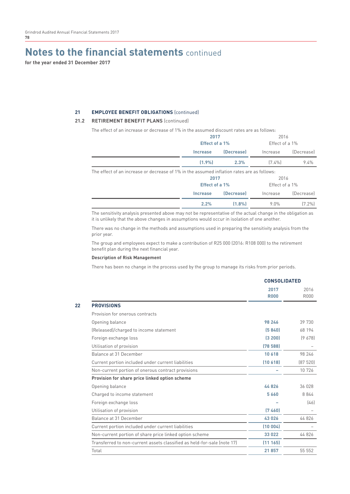**for the year ended 31 December 2017**

# **21 EMPLOYEE BENEFIT OBLIGATIONS** (continued)

### **21.2 RETIREMENT BENEFIT PLANS** (continued)

The effect of an increase or decrease of 1% in the assumed discount rates are as follows:

|                                                                                            | 2017                  |            | 2016           |            |
|--------------------------------------------------------------------------------------------|-----------------------|------------|----------------|------------|
|                                                                                            | <b>Effect of a 1%</b> |            | Effect of a 1% |            |
|                                                                                            | <b>Increase</b>       | (Decrease) | Increase       | (Decrease) |
|                                                                                            | $(1.9\%)$             | 2.3%       | $(7.4\%)$      | $9.4\%$    |
| The effect of an increase or decrease of 1% in the assumed inflation rates are as follows: |                       |            |                |            |
|                                                                                            | 2017                  |            | 2016           |            |
|                                                                                            | Effect of a 1%        |            | Effect of a 1% |            |
|                                                                                            | <b>Increase</b>       | (Decrease) | Increase       | (Decrease) |
|                                                                                            | 2.2%                  | $(1.8\%)$  | $9.0\%$        | $[7.2\%]$  |

The sensitivity analysis presented above may not be representative of the actual change in the obligation as it is unlikely that the above changes in assumptions would occur in isolation of one another.

There was no change in the methods and assumptions used in preparing the sensitivity analysis from the prior year.

The group and employees expect to make a contribution of R25 000 (2016: R108 000) to the retirement benefit plan during the next financial year.

#### **Description of Risk Management**

There has been no change in the process used by the group to manage its risks from prior periods.

|                                                                         | <b>CONSOLIDATED</b> |             |
|-------------------------------------------------------------------------|---------------------|-------------|
|                                                                         | 2017                | 2016        |
|                                                                         | <b>R000</b>         | <b>R000</b> |
| <b>PROVISIONS</b>                                                       |                     |             |
| Provision for onerous contracts                                         |                     |             |
| Opening balance                                                         | 98 246              | 39 730      |
| (Released)/charged to income statement                                  | (5840)              | 68 194      |
| Foreign exchange loss                                                   | (3 200)             | [9678]      |
| Utilisation of provision                                                | (78588)             |             |
| Balance at 31 December                                                  | 10 618              | 98 246      |
| Current portion included under current liabilities                      | (10618)             | [87 520]    |
| Non-current portion of onerous contract provisions                      |                     | 10 726      |
| Provision for share price linked option scheme                          |                     |             |
| Opening balance                                                         | 44826               | 36 028      |
| Charged to income statement                                             | 5660                | 8844        |
| Foreign exchange loss                                                   |                     | [46]        |
| Utilisation of provision                                                | (7460)              |             |
| Balance at 31 December                                                  | 43026               | 44826       |
| Current portion included under current liabilities                      | (10004)             |             |
| Non-current portion of share price linked option scheme                 | 33 022              | 44826       |
| Transferred to non-current assets classified as held-for-sale (note 17) | (11165)             |             |
| Total                                                                   | 21857               | 55 552      |
|                                                                         |                     |             |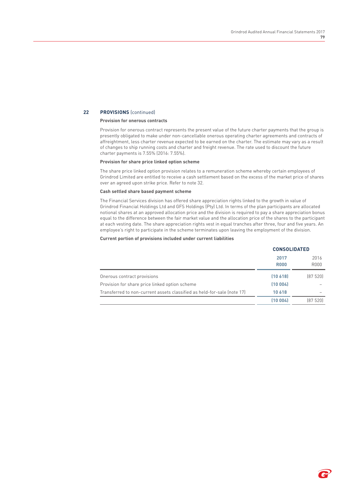# **22 PROVISIONS** (continued)

#### **Provision for onerous contracts**

Provision for onerous contract represents the present value of the future charter payments that the group is presently obligated to make under non-cancellable onerous operating charter agreements and contracts of affreightment, less charter revenue expected to be earned on the charter. The estimate may vary as a result of changes to ship running costs and charter and freight revenue. The rate used to discount the future charter payments is 7.55% (2016: 7.55%).

#### **Provision for share price linked option scheme**

The share price linked option provision relates to a remuneration scheme whereby certain employees of Grindrod Limited are entitled to receive a cash settlement based on the excess of the market price of shares over an agreed upon strike price. Refer to note 32.

#### **Cash settled share based payment scheme**

The Financial Services division has offered share appreciation rights linked to the growth in value of Grindrod Financial Holdings Ltd and GFS Holdings (Pty) Ltd. In terms of the plan participants are allocated notional shares at an approved allocation price and the division is required to pay a share appreciation bonus equal to the difference between the fair market value and the allocation price of the shares to the participant at each vesting date. The share appreciation rights vest in equal tranches after three, four and five years. An employee's right to participate in the scheme terminates upon leaving the employment of the division.

#### **Current portion of provisions included under current liabilities**

|                                                                         | <b>CONSOLIDATED</b> |              |
|-------------------------------------------------------------------------|---------------------|--------------|
|                                                                         | 2017<br><b>R000</b> | 2016<br>R000 |
| Onerous contract provisions                                             | (10618)             | [87 520]     |
| Provision for share price linked option scheme                          | (10004)             |              |
| Transferred to non-current assets classified as held-for-sale (note 17) | 10 618              |              |
|                                                                         | (10004)             | [87 520]     |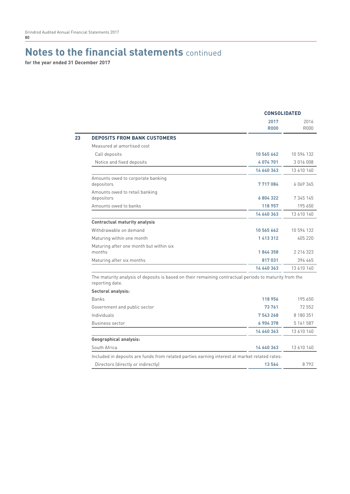**for the year ended 31 December 2017**

|                                                                                                                           | <b>CONSOLIDATED</b> |               |
|---------------------------------------------------------------------------------------------------------------------------|---------------------|---------------|
|                                                                                                                           | 2017<br><b>R000</b> | 2016<br>R000  |
| <b>DEPOSITS FROM BANK CUSTOMERS</b>                                                                                       |                     |               |
| Measured at amortised cost                                                                                                |                     |               |
| Call deposits                                                                                                             | 10 565 662          | 10 594 132    |
| Notice and fixed deposits                                                                                                 | 4074701             | 3016008       |
|                                                                                                                           | 14 640 363          | 13 610 140    |
| Amounts owed to corporate banking<br>depositors                                                                           | 7717084             | 6 0 6 9 3 4 5 |
| Amounts owed to retail banking<br>depositors                                                                              | 6804322             | 7 345 145     |
| Amounts owed to banks                                                                                                     | 118 957             | 195 650       |
|                                                                                                                           | 14 640 363          | 13 610 140    |
| <b>Contractual maturity analysis</b>                                                                                      |                     |               |
| Withdrawable on demand                                                                                                    | 10 565 662          | 10 594 132    |
| Maturing within one month                                                                                                 | 1 413 312           | 405 220       |
| Maturing after one month but within six<br>months                                                                         | 1844358             | 2 216 323     |
| Maturing after six months                                                                                                 | 817031              | 394 465       |
|                                                                                                                           | 14 640 363          | 13 610 140    |
| The maturity analysis of deposits is based on their remaining contractual periods to maturity from the<br>reporting date. |                     |               |
| Sectoral analysis:                                                                                                        |                     |               |
| <b>Banks</b>                                                                                                              | 118956              | 195 650       |
| Government and public sector                                                                                              | 73761               | 72 552        |
| Individuals                                                                                                               | 7543268             | 8 180 351     |
| <b>Business sector</b>                                                                                                    | 6 904 378           | 5 161 587     |
|                                                                                                                           | 14 640 363          | 13 610 140    |
| Geographical analysis:                                                                                                    |                     |               |
| South Africa                                                                                                              | 14 640 363          | 13 610 140    |
| Included in deposits are funds from related parties earning interest at market related rates:                             |                     |               |
| Directors (directly or indirectly)                                                                                        | 13564               | 8792          |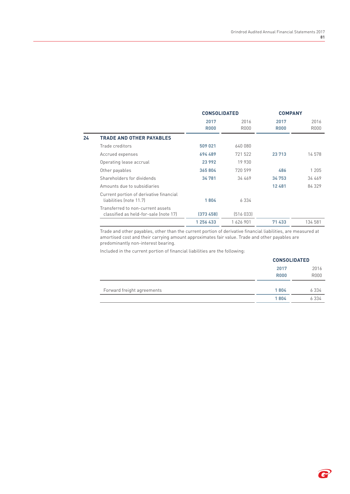|    |                                                                            | <b>CONSOLIDATED</b> |             | <b>COMPANY</b> |             |
|----|----------------------------------------------------------------------------|---------------------|-------------|----------------|-------------|
|    |                                                                            | 2017                | 2016        | 2017           | 2016        |
|    |                                                                            | <b>R000</b>         | <b>R000</b> | <b>R000</b>    | <b>R000</b> |
| 24 | <b>TRADE AND OTHER PAYABLES</b>                                            |                     |             |                |             |
|    | Trade creditors                                                            | 509 021             | 640 080     |                |             |
|    | Accrued expenses                                                           | 694 489             | 721 522     | 23 713         | 14 578      |
|    | Operating lease accrual                                                    | 23 992              | 19 930      |                |             |
|    | Other payables                                                             | 365804              | 720 599     | 486            | 1 2 0 5     |
|    | Shareholders for dividends                                                 | 34 781              | 34 469      | 34 753         | 34 469      |
|    | Amounts due to subsidiaries                                                |                     |             | 12 481         | 84 329      |
|    | Current portion of derivative financial<br>liabilities (note 11.7)         | 1804                | 6 3 3 4     |                |             |
|    | Transferred to non-current assets<br>classified as held-for-sale (note 17) | (373, 458)          | [516033]    |                |             |
|    |                                                                            | 1 256 433           | 1 626 901   | 71 433         | 134 581     |

Trade and other payables, other than the current portion of derivative financial liabilities, are measured at amortised cost and their carrying amount approximates fair value. Trade and other payables are predominantly non-interest bearing.

Included in the current portion of financial liabilities are the following:

|                            | <b>CONSOLIDATED</b> |                     |  |
|----------------------------|---------------------|---------------------|--|
|                            | 2017<br><b>R000</b> | 2016<br><b>R000</b> |  |
| Forward freight agreements | 1804                | 6 3 3 4             |  |
|                            | 1804                | 6 334               |  |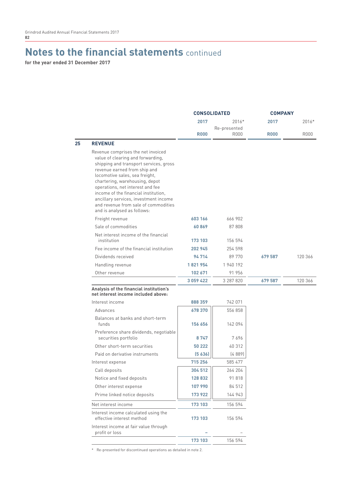**for the year ended 31 December 2017**

|                                                                                                                                                                                                                                                                                                                                                                                                                   |             | <b>CONSOLIDATED</b>   | <b>COMPANY</b> |         |
|-------------------------------------------------------------------------------------------------------------------------------------------------------------------------------------------------------------------------------------------------------------------------------------------------------------------------------------------------------------------------------------------------------------------|-------------|-----------------------|----------------|---------|
|                                                                                                                                                                                                                                                                                                                                                                                                                   | 2017        | 2016*<br>Re-presented | 2017           | 2016*   |
|                                                                                                                                                                                                                                                                                                                                                                                                                   | <b>R000</b> | R000                  | <b>R000</b>    | R000    |
| <b>REVENUE</b>                                                                                                                                                                                                                                                                                                                                                                                                    |             |                       |                |         |
| Revenue comprises the net invoiced<br>value of clearing and forwarding,<br>shipping and transport services, gross<br>revenue earned from ship and<br>locomotive sales, sea freight,<br>chartering, warehousing, depot<br>operations, net interest and fee<br>income of the financial institution,<br>ancillary services, investment income<br>and revenue from sale of commodities<br>and is analysed as follows: |             |                       |                |         |
| Freight revenue                                                                                                                                                                                                                                                                                                                                                                                                   | 603 166     | 666 902               |                |         |
| Sale of commodities                                                                                                                                                                                                                                                                                                                                                                                               | 60869       | 87808                 |                |         |
| Net interest income of the financial<br>institution                                                                                                                                                                                                                                                                                                                                                               | 173 103     | 156 594               |                |         |
| Fee income of the financial institution                                                                                                                                                                                                                                                                                                                                                                           | 202 945     | 254 598               |                |         |
| Dividends received                                                                                                                                                                                                                                                                                                                                                                                                | 94714       | 89 770                | 679 587        | 120 366 |
| Handling revenue                                                                                                                                                                                                                                                                                                                                                                                                  | 1821954     | 1 940 192             |                |         |
| Other revenue                                                                                                                                                                                                                                                                                                                                                                                                     | 102 671     | 91956                 |                |         |
|                                                                                                                                                                                                                                                                                                                                                                                                                   | 3 059 422   | 3 287 820             | 679 587        | 120 366 |
| Analysis of the financial institution's<br>net interest income included above:                                                                                                                                                                                                                                                                                                                                    |             |                       |                |         |
| Interest income                                                                                                                                                                                                                                                                                                                                                                                                   | 888 359     | 742 071               |                |         |
| Advances                                                                                                                                                                                                                                                                                                                                                                                                          | 678 370     | 556 858               |                |         |
| Balances at banks and short-term<br>funds                                                                                                                                                                                                                                                                                                                                                                         | 156 656     | 142 094               |                |         |
| Preference share dividends, negotiable<br>securities portfolio                                                                                                                                                                                                                                                                                                                                                    | 8747        | 7696                  |                |         |
| Other short-term securities                                                                                                                                                                                                                                                                                                                                                                                       | 50 222      | 40 312                |                |         |
| Paid on derivative instruments                                                                                                                                                                                                                                                                                                                                                                                    | (5636)      | (4889)                |                |         |
| Interest expense                                                                                                                                                                                                                                                                                                                                                                                                  | 715 256     | 585 477               |                |         |
| Call deposits                                                                                                                                                                                                                                                                                                                                                                                                     | 304 512     | 264 204               |                |         |
| Notice and fixed deposits                                                                                                                                                                                                                                                                                                                                                                                         | 128 832     | 91818                 |                |         |
| Other interest expense                                                                                                                                                                                                                                                                                                                                                                                            | 107 990     | 84 512                |                |         |
| Prime linked notice deposits                                                                                                                                                                                                                                                                                                                                                                                      | 173 922     | 144 943               |                |         |
| Net interest income                                                                                                                                                                                                                                                                                                                                                                                               | 173 103     | 156 594               |                |         |
| Interest income calculated using the<br>effective interest method                                                                                                                                                                                                                                                                                                                                                 | 173 103     | 156 594               |                |         |
| Interest income at fair value through<br>profit or loss                                                                                                                                                                                                                                                                                                                                                           |             |                       |                |         |
|                                                                                                                                                                                                                                                                                                                                                                                                                   | 173 103     | 156 594               |                |         |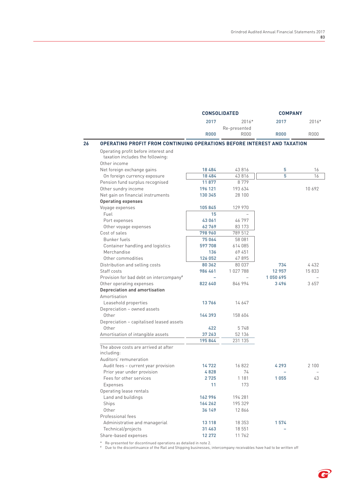|                                                                          |             | <b>CONSOLIDATED</b> | <b>COMPANY</b> |             |
|--------------------------------------------------------------------------|-------------|---------------------|----------------|-------------|
|                                                                          | 2017        | 2016*               | 2017           | 2016*       |
|                                                                          |             | Re-presented        |                |             |
|                                                                          | <b>R000</b> | <b>R000</b>         | <b>R000</b>    | <b>R000</b> |
| OPERATING PROFIT FROM CONTINUING OPERATIONS BEFORE INTEREST AND TAXATION |             |                     |                |             |
| Operating profit before interest and                                     |             |                     |                |             |
| taxation includes the following:                                         |             |                     |                |             |
| Other income                                                             |             |                     |                |             |
| Net foreign exchange gains                                               | 18 4 8 4    | 43816               | 5              | 16          |
| On foreign currency exposure                                             | 18 4 8 4    | 43816               | 5              | 16          |
| Pension fund surplus recognised                                          | 11877       | 8779                |                |             |
| Other sundry income                                                      | 196 121     | 193 634             |                | 10 692      |
| Net gain on financial instruments                                        | 130 345     | 28 100              |                |             |
| <b>Operating expenses</b>                                                |             |                     |                |             |
| Voyage expenses                                                          | 105 845     | 129 970             |                |             |
| Fuel                                                                     | 15          |                     |                |             |
| Port expenses                                                            | 43 061      | 46 797              |                |             |
| Other voyage expenses                                                    | 62769       | 83 173              |                |             |
| Cost of sales                                                            | 798 960     | 789 512             |                |             |
| Bunker fuels                                                             | 75 064      | 58 081              |                |             |
| Container handling and logistics                                         | 597708      | 614 085             |                |             |
| Merchandise                                                              | 136         | 69 451              |                |             |
| Other commodities                                                        | 126 052     | 47895               |                |             |
| Distribution and selling costs                                           | 80 362      | 80 037              | 734            | 4 4 3 2     |
| Staff costs                                                              | 986 461     | 1 0 2 7 7 8 8       | 12 957         | 15 833      |
| Provision for bad debt on intercompany#                                  |             |                     | 1050695        |             |
| Other operating expenses                                                 | 822 640     | 846 994             | 3496           | 3657        |
| <b>Depreciation and amortisation</b>                                     |             |                     |                |             |
| Amortisation                                                             |             |                     |                |             |
| Leasehold properties                                                     | 13766       | 14 647              |                |             |
| Depreciation - owned assets                                              |             |                     |                |             |
| Other                                                                    | 144 393     | 158 604             |                |             |
| Depreciation - capitalised leased assets                                 |             |                     |                |             |
| Other                                                                    | 422         | 5748                |                |             |
| Amortisation of intangible assets                                        | 37 263      | 52 136              |                |             |
|                                                                          | 195 844     | 231 135             |                |             |
| The above costs are arrived at after                                     |             |                     |                |             |
| including:                                                               |             |                     |                |             |
| Auditors' remuneration                                                   |             |                     |                |             |
| Audit fees - current year provision                                      | 14722       | 16822               | 4293           | 2 1 0 0     |
| Prior year under provision                                               | 4828        | 74                  |                |             |
| Fees for other services                                                  | 2 725       | 1 1 8 1             | 1055           | 43          |
| Expenses                                                                 | 11          | 173                 |                |             |
| Operating lease rentals                                                  |             |                     |                |             |
| Land and buildings                                                       | 162 996     | 194 281             |                |             |
| Ships                                                                    | 164 262     | 195 329             |                |             |
| Other                                                                    | 36 149      | 12866               |                |             |
| Professional fees                                                        |             |                     |                |             |
| Administrative and managerial                                            | 13 118      | 18 353              | 1574           |             |
| Technical/projects                                                       | 31463       | 18 551              |                |             |
| Share-based expenses                                                     | 12 272      | 11 762              |                |             |
|                                                                          |             |                     |                |             |

\* Re-presented for discontinued operations as detailed in note 2.<br># Due to the discontinuance of the Rail and Shipping businesses, intercompany receivables have had to be written off

 $\widehat{G}$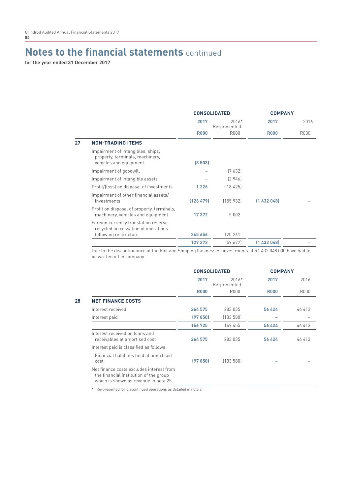**for the year ended 31 December 2017**

|    |                                                                                                      | <b>CONSOLIDATED</b> |                         | <b>COMPANY</b> |      |
|----|------------------------------------------------------------------------------------------------------|---------------------|-------------------------|----------------|------|
|    |                                                                                                      | 2017                | $2016*$<br>Re-presented | 2017           | 2016 |
|    |                                                                                                      | <b>R000</b>         | R000                    | <b>R000</b>    | R000 |
| 27 | <b>NON-TRADING ITEMS</b>                                                                             |                     |                         |                |      |
|    | Impairment of intangibles, ships,<br>property, terminals, machinery,<br>vehicles and equipment       | (8503)              |                         |                |      |
|    | Impairment of goodwill                                                                               |                     | (7632)                  |                |      |
|    | Impairment of intangible assets                                                                      |                     | [2946]                  |                |      |
|    | Profit/(loss) on disposal of investments                                                             | 1 2 2 6             | (18, 425)               |                |      |
|    | Impairment of other financial assets/<br>investments                                                 | [126 479]           | (155932)                | (1432048)      |      |
|    | Profit on disposal of property, terminals,<br>machinery, vehicles and equipment                      | 17372               | 5 0 0 2                 |                |      |
|    | Foreign currency translation reserve<br>recycled on cessation of operations<br>following restructure | 245 656             | 120 261                 |                |      |
|    |                                                                                                      | 129 272             | (59, 672)               | (1432048)      |      |

Due to the discontinuance of the Rail and Shipping businesses, investments of R1 432 048 000 have had to be written off in company

|                                                                                                                             |             | <b>CONSOLIDATED</b>     | <b>COMPANY</b> |        |
|-----------------------------------------------------------------------------------------------------------------------------|-------------|-------------------------|----------------|--------|
|                                                                                                                             | 2017        | $2016*$<br>Re-presented | 2017           | 2016   |
|                                                                                                                             | <b>R000</b> | R000                    | <b>R000</b>    | R000   |
| <b>NET FINANCE COSTS</b>                                                                                                    |             |                         |                |        |
| Interest received                                                                                                           | 264 575     | 283 035                 | 56 424         | 46 413 |
| Interest paid                                                                                                               | (97850)     | (133580)                |                |        |
|                                                                                                                             | 166725      | 149 455                 | 56 424         | 46 413 |
| Interest received on loans and<br>receivables at amortised cost                                                             | 264 575     | 283 035                 | 56 424         | 46 413 |
| Interest paid is classified as follows:                                                                                     |             |                         |                |        |
| Financial liabilities held at amortised<br>cost                                                                             | (97850)     | (133580)                |                |        |
| Net finance costs excludes interest from<br>the financial institution of the group<br>which is shown as revenue in note 25. |             |                         |                |        |

\* Re-presented for discontinued operations as detailed in note 2.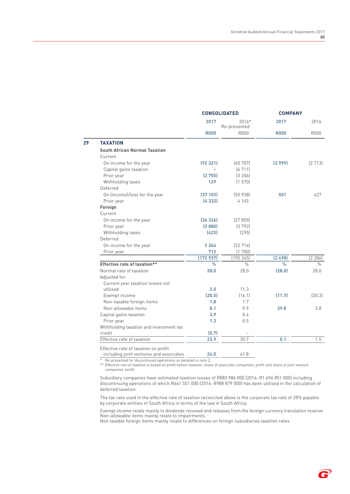|                                         |               | <b>CONSOLIDATED</b>     |               | <b>COMPANY</b> |  |
|-----------------------------------------|---------------|-------------------------|---------------|----------------|--|
|                                         | 2017          | $2016*$<br>Re-presented | 2017          | 2016           |  |
|                                         | <b>R000</b>   | <b>R000</b>             | <b>R000</b>   | <b>R000</b>    |  |
| <b>TAXATION</b>                         |               |                         |               |                |  |
| <b>South African Normal Taxation</b>    |               |                         |               |                |  |
| Current                                 |               |                         |               |                |  |
| On income for the year                  | (92321)       | (65707)                 | [2999]        | [2 713]        |  |
| Capital gains taxation                  |               | [6711]                  |               |                |  |
| Prior year                              | (2755)        | (3 206)                 |               |                |  |
| Withholding taxes                       | 129           | (1570)                  |               |                |  |
| Deferred                                |               |                         |               |                |  |
| On (income)/loss for the year           | [37 103]      | (55938)                 | 501           | 427            |  |
| Prior year                              | (4332)        | 4 1 4 5                 |               |                |  |
| Foreign                                 |               |                         |               |                |  |
| Current                                 |               |                         |               |                |  |
| On income for the year                  | [36 326]      | (27855)                 |               |                |  |
| Prior year                              | (2880)        | [3792]                  |               |                |  |
| Withholding taxes                       | (425)         | [295]                   |               |                |  |
| Deferred                                |               |                         |               |                |  |
| On income for the year                  | 2 3 6 4       | [32 716]                |               |                |  |
| Prior year                              | 712           | (1700)                  |               |                |  |
|                                         | (172937)      | (195345)                | (2498)        | [2 286]        |  |
| Effective rate of taxation**            | $\frac{0}{0}$ | $\frac{0}{0}$           | $\frac{9}{6}$ | $\frac{0}{0}$  |  |
| Normal rate of taxation                 | 28.0          | 28.0                    | (28.0)        | 28.0           |  |
| Adjusted for:                           |               |                         |               |                |  |
| Current year taxation losses not        |               |                         |               |                |  |
| utilised                                | 2.0           | 11.3                    |               |                |  |
| Exempt income                           | (20.5)        | [16.1]                  | (11.7)        | [30.3]         |  |
| Non-taxable foreign items               | 1.8           | 1.7                     |               |                |  |
| Non-allowable items                     | 8.1           | 9.9                     | 39.8          | 3.8            |  |
| Capital gains taxation                  | 3.9           | 0.4                     |               |                |  |
| Prior year                              | 1.3           | 0.5                     |               |                |  |
| Withholding taxation and investment tax |               |                         |               |                |  |
| credit                                  | (0.7)         |                         |               |                |  |
| Effective rate of taxation              | 23.9          | 35.7                    | 0.1           | 1.5            |  |
| Effective rate of taxation on profit    |               |                         |               |                |  |
| including joint ventures and associates | 24.0          | 41.8                    |               |                |  |

\* Re-presented for discontinued operations as detailed in note 2.

\*\* Effective rate of taxation is based on profit before taxation, share of associate companies' profit and share of joint venture companies' profit.

Subsidiary companies have estimated taxation losses of R883 984 000 (2016: R1 696 851 000) including discontinuing operations of which R661 551 000 (2016: R988 879 000) has been utilised in the calculation of deferred taxation.

The tax rate used in the effective rate of taxation reconciled above is the corporate tax rate of 28% payable by corporate entities in South Africa in terms of the law in South Africa.

Exempt income relate mainly to dividends received and releases from the foreign currency translation reserve. Non-allowable items mainly relate to impairments.

Non taxable foreign items mainly relate to differences on foreign subsidiaries taxation rates.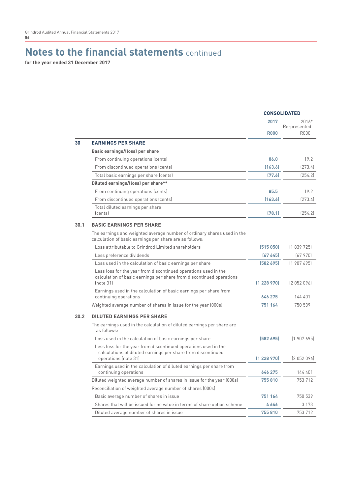**for the year ended 31 December 2017**

|      |                                                                                                                                         | <b>CONSOLIDATED</b> |                         |
|------|-----------------------------------------------------------------------------------------------------------------------------------------|---------------------|-------------------------|
|      |                                                                                                                                         | 2017                | $2016*$<br>Re-presented |
|      |                                                                                                                                         | <b>R000</b>         | <b>R000</b>             |
| 30   | <b>EARNINGS PER SHARE</b>                                                                                                               |                     |                         |
|      | Basic earnings/(loss) per share                                                                                                         |                     |                         |
|      | From continuing operations (cents)                                                                                                      | 86.0                | 19.2                    |
|      | From discontinued operations (cents)                                                                                                    | (163.6)             | (273.4)                 |
|      | Total basic earnings per share (cents)                                                                                                  | (77.6)              | (254.2)                 |
|      | Diluted earnings/(loss) per share**                                                                                                     |                     |                         |
|      | From continuing operations (cents)                                                                                                      | 85.5                | 19.2                    |
|      | From discontinued operations (cents)                                                                                                    | (163.6)             | (273.4)                 |
|      | Total diluted earnings per share<br>(cents)                                                                                             | (78.1)              | (254.2)                 |
| 30.1 | <b>BASIC EARNINGS PER SHARE</b>                                                                                                         |                     |                         |
|      | The earnings and weighted average number of ordinary shares used in the<br>calculation of basic earnings per share are as follows:      |                     |                         |
|      | Loss attributable to Grindrod Limited shareholders                                                                                      | (515050)            | (1839725)               |
|      | Less preference dividends                                                                                                               | [67645]             | (67970)                 |
|      | Loss used in the calculation of basic earnings per share                                                                                | [582 695]           | (1907695)               |
|      | Less loss for the year from discontinued operations used in the<br>calculation of basic earnings per share from discontinued operations |                     |                         |
|      | [note 31]                                                                                                                               | (1228970)           | (2052096)               |
|      | Earnings used in the calculation of basic earnings per share from<br>continuing operations                                              | 646 275             | 144 401                 |
|      | Weighted average number of shares in issue for the year (000s)                                                                          | 751 164             | 750 539                 |
| 30.2 | <b>DILUTED EARNINGS PER SHARE</b>                                                                                                       |                     |                         |
|      | The earnings used in the calculation of diluted earnings per share are<br>as follows:                                                   |                     |                         |
|      | Loss used in the calculation of basic earnings per share                                                                                | [582 695]           | [1907695]               |
|      | Less loss for the year from discontinued operations used in the<br>calculations of diluted earnings per share from discontinued         |                     |                         |
|      | operations (note 31)                                                                                                                    | (1228970)           | (2052096)               |
|      | Earnings used in the calculation of diluted earnings per share from<br>continuing operations                                            | 646 275             | 144 401                 |
|      | Diluted weighted average number of shares in issue for the year (000s)                                                                  | 755810              | 753 712                 |
|      | Reconciliation of weighted average number of shares (000s)                                                                              |                     |                         |
|      | Basic average number of shares in issue                                                                                                 | 751 164             | 750 539                 |
|      | Shares that will be issued for no value in terms of share option scheme                                                                 | 4646                | 3 1 7 3                 |
|      | Diluted average number of shares in issue                                                                                               | 755810              | 753 712                 |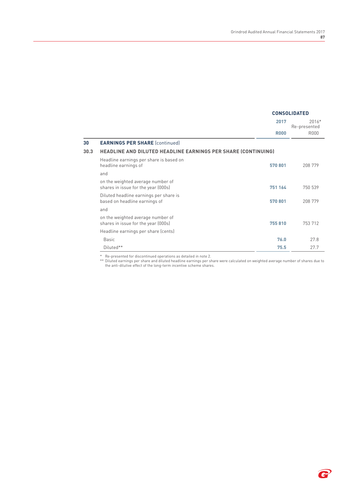|      |                                                                          |             | <b>CONSOLIDATED</b>     |
|------|--------------------------------------------------------------------------|-------------|-------------------------|
|      |                                                                          | 2017        | $2016*$<br>Re-presented |
|      |                                                                          | <b>R000</b> | R000                    |
| 30   | <b>EARNINGS PER SHARE (continued)</b>                                    |             |                         |
| 30.3 | <b>HEADLINE AND DILUTED HEADLINE EARNINGS PER SHARE (CONTINUING)</b>     |             |                         |
|      | Headline earnings per share is based on<br>headline earnings of          | 570 801     | 208 779                 |
|      | and                                                                      |             |                         |
|      | on the weighted average number of<br>shares in issue for the year (000s) | 751 164     | 750 539                 |
|      | Diluted headline earnings per share is<br>based on headline earnings of  | 570801      | 208 779                 |
|      | and                                                                      |             |                         |
|      | on the weighted average number of<br>shares in issue for the year (000s) | 755 810     | 753 712                 |
|      | Headline earnings per share (cents)                                      |             |                         |
|      | <b>Basic</b>                                                             | 76.0        | 278                     |
|      | Diluted**                                                                | 75.5        | 27.7                    |

\* Re-presented for discontinued operations as detailed in note 2.<br>\*\* Diluted earnings per share and diluted headline earnings per share were calculated on weighted average number of shares due to<br>the anti-dilutive effect o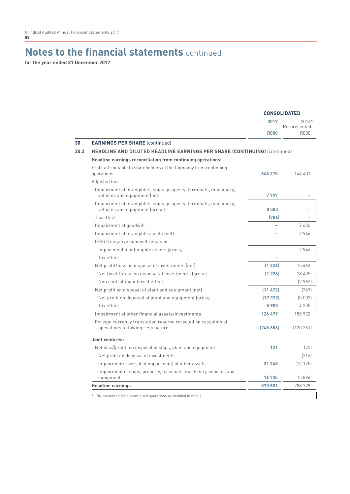**for the year ended 31 December 2017**

|                                                                                                     |             | <b>CONSOLIDATED</b>     |
|-----------------------------------------------------------------------------------------------------|-------------|-------------------------|
|                                                                                                     | 2017        | $2016*$<br>Re-presented |
|                                                                                                     | <b>R000</b> | <b>R000</b>             |
| <b>EARNINGS PER SHARE (continued)</b>                                                               |             |                         |
| <b>HEADLINE AND DILUTED HEADLINE EARNINGS PER SHARE (CONTINUING)</b> (continued)                    |             |                         |
| Headline earnings reconciliation from continuing operations:                                        |             |                         |
| Profit attributable to shareholders of the Company from continuing<br>operations                    | 646 275     | 144 401                 |
| Adjusted for:                                                                                       |             |                         |
| Impairment of intangibles, ships, property, terminals, machinery,<br>vehicles and equipment (net)   | 7797        |                         |
| Impairment of intangibles, ships, property, terminals, machinery,<br>vehicles and equipment (gross) | 8503        |                         |
| Tax effect                                                                                          | (706)       |                         |
| Impairment of goodwill                                                                              |             | 7632                    |
| Impairment of intangible assets (net)                                                               |             | 2946                    |
| IFRS 3 negative goodwill released                                                                   |             |                         |
| Impairment of intangible assets (gross)                                                             | L,          | 2946                    |
| Tax effect                                                                                          |             |                         |
| Net profit/loss on disposal of investments (net)                                                    | (1226)      | 15 463                  |
| Net (profit)/loss on disposal of investments (gross)                                                | (1226)      | 18 4 25                 |
| Non controlling interest effect                                                                     |             | [2962]                  |
| Net profit on disposal of plant and equipment (net)                                                 | (11 472)    | [767]                   |
| Net profit on disposal of plant and equipment (gross)                                               | (17372)     | (5002)                  |
| Tax effect                                                                                          | 5900        | 4 2 3 5                 |
| Impairment of other financial assets/investments                                                    | 126 479     | 155 932                 |
| Foreign currency translation reserve recycled on cessation of<br>operations following restructure   | [245 656]   | [120 261]               |
| Joint ventures:                                                                                     |             |                         |
| Net loss/(profit) on disposal of ships, plant and equipment                                         | 121         | (72)                    |
| Net profit on disposal of investments                                                               |             | [216]                   |
| Impairment/reversal of impairment) of other assets                                                  | 31748       | [12 175]                |
| Impairment of ships, property, terminals, machinery, vehicles and<br>equipment                      | 16 735      | 15896                   |
| <b>Headline earnings</b>                                                                            | 570 801     | 208 779                 |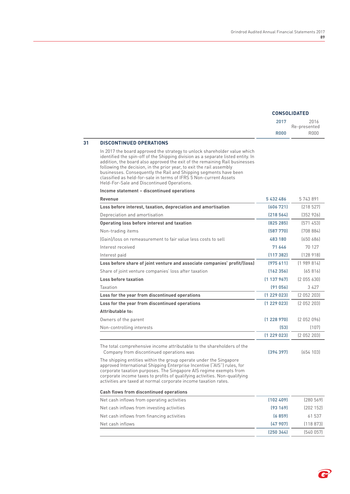### **CONSOLIDATED**

| 2017        | 2016<br>Re-presented |
|-------------|----------------------|
| <b>R000</b> | <b>R000</b>          |

#### **31 DISCONTINUED OPERATIONS**

In 2017 the board approved the strategy to unlock shareholder value which identified the spin-off of the Shipping division as a separate listed entity. In addition, the board also approved the exit of the remaining Rail businesses following the decision, in the prior year, to exit the rail assembly businesses. Consequently the Rail and Shipping segments have been classified as held-for-sale in terms of IFRS 5 Non-current Assets Held-For-Sale and Discontinued Operations.

**Income statement – discontinued operations** 

| Revenue                                                                                                                                                                                                                                                                                                                                                              | 5 432 486   | 5743891     |
|----------------------------------------------------------------------------------------------------------------------------------------------------------------------------------------------------------------------------------------------------------------------------------------------------------------------------------------------------------------------|-------------|-------------|
| Loss before interest, taxation, depreciation and amortisation                                                                                                                                                                                                                                                                                                        | (606721)    | [218 527]   |
| Depreciation and amortisation                                                                                                                                                                                                                                                                                                                                        | [218 564]   | [352926]    |
| Operating loss before interest and taxation                                                                                                                                                                                                                                                                                                                          | [825 285]   | [571 453]   |
| Non-trading items                                                                                                                                                                                                                                                                                                                                                    | [587 770]   | (708884)    |
| (Gain)/loss on remeasurement to fair value less costs to sell                                                                                                                                                                                                                                                                                                        | 483 180     | [650686]    |
| Interest received                                                                                                                                                                                                                                                                                                                                                    | 71 646      | 70 127      |
| Interest paid                                                                                                                                                                                                                                                                                                                                                        | (117382)    | [128918]    |
| Loss before share of joint venture and associate companies' profit/(loss)                                                                                                                                                                                                                                                                                            | [975611]    | [1989814]   |
| Share of joint venture companies' loss after taxation                                                                                                                                                                                                                                                                                                                | [162 356]   | [65816]     |
| Loss before taxation                                                                                                                                                                                                                                                                                                                                                 | (1137967)   | [2 055 630] |
| Taxation                                                                                                                                                                                                                                                                                                                                                             | (91056)     | 3 4 2 7     |
| Loss for the year from discontinued operations                                                                                                                                                                                                                                                                                                                       | [1 229 023] | [2 052 203] |
| Loss for the year from discontinued operations                                                                                                                                                                                                                                                                                                                       | (1229023)   | [2 052 203] |
| Attributable to:                                                                                                                                                                                                                                                                                                                                                     |             |             |
| Owners of the parent                                                                                                                                                                                                                                                                                                                                                 | (1228970)   | [2 052 096] |
| Non-controlling interests                                                                                                                                                                                                                                                                                                                                            | (53)        | (107)       |
|                                                                                                                                                                                                                                                                                                                                                                      | (1229023)   | (2 052 203) |
| The total comprehensive income attributable to the shareholders of the<br>Company from discontinued operations was                                                                                                                                                                                                                                                   | [394397]    | [654 103]   |
| The shipping entities within the group operate under the Singapore<br>approved International Shipping Enterprise Incentive ("AIS") rules, for<br>corporate taxation purposes. The Singapore AIS regime exempts from<br>corporate income taxes to profits of qualifying activities. Non-qualifying<br>activities are taxed at normal corporate income taxation rates. |             |             |
| <b>Cash flows from discontinued operations</b>                                                                                                                                                                                                                                                                                                                       |             |             |
| Net cash inflows from operating activities                                                                                                                                                                                                                                                                                                                           | (102 409)   | [280 569]   |
| Net cash inflows from investing activities                                                                                                                                                                                                                                                                                                                           | [93169]     | [202 152]   |

| Net cash inflows from operating activities | (102, 409) | [280 569] |
|--------------------------------------------|------------|-----------|
| Net cash inflows from investing activities | [93 169]   | [202 152] |
| Net cash inflows from financing activities | (6859)     | 61 537    |
| Net cash inflows                           | (47907)    | (118873)  |
|                                            | (250344)   | [540057]  |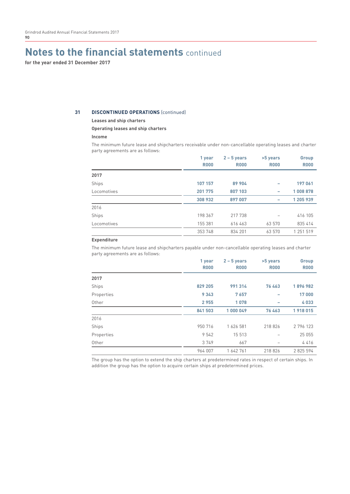**for the year ended 31 December 2017**

# **31 DISCONTINUED OPERATIONS** (continued)

#### **Leases and ship charters**

**Operating leases and ship charters**

#### **Income**

The minimum future lease and shipcharters receivable under non-cancellable operating leases and charter party agreements are as follows:

|             | 1 year<br><b>R000</b> | $2 - 5$ years<br><b>R000</b> | >5 years<br><b>R000</b> | Group<br><b>R000</b> |
|-------------|-----------------------|------------------------------|-------------------------|----------------------|
| 2017        |                       |                              |                         |                      |
| Ships       | 107 157               | 89 904                       | I                       | 197 061              |
| Locomotives | 201 775               | 807 103                      | -                       | 1 008 878            |
|             | 308 932               | 897007                       | -                       | 1 205 939            |
| 2016        |                       |                              |                         |                      |
| Ships       | 198 367               | 217 738                      |                         | 416 105              |
| Locomotives | 155 381               | 616 463                      | 63 570                  | 835 414              |
|             | 353 748               | 834 201                      | 63 570                  | 1 251 519            |

#### **Expenditure**

The minimum future lease and shipcharters payable under non-cancellable operating leases and charter party agreements are as follows:

|            | 1 year<br><b>R000</b> | $2 - 5$ years<br><b>R000</b> | >5 years<br><b>R000</b> | Group<br><b>R000</b> |
|------------|-----------------------|------------------------------|-------------------------|----------------------|
| 2017       |                       |                              |                         |                      |
| Ships      | 829 205               | 991 314                      | 76 463                  | 1896982              |
| Properties | 9 3 4 3               | 7657                         |                         | 17000                |
| Other      | 2 9 5 5               | 1078                         |                         | 4033                 |
|            | 841 503               | 1 000 049                    | 76 463                  | 1918015              |
| 2016       |                       |                              |                         |                      |
| Ships      | 950 716               | 1626 581                     | 218 826                 | 2 796 123            |
| Properties | 9542                  | 15 513                       |                         | 25 055               |
| Other      | 3749                  | 667                          |                         | 4416                 |
|            | 964 007               | 1 642 761                    | 218 826                 | 2 825 594            |

The group has the option to extend the ship charters at predetermined rates in respect of certain ships. In addition the group has the option to acquire certain ships at predetermined prices.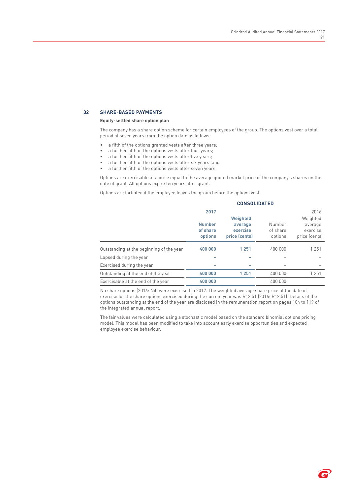# **32 SHARE-BASED PAYMENTS**

#### **Equity-settled share option plan**

The company has a share option scheme for certain employees of the group. The options vest over a total period of seven years from the option date as follows:

- a fifth of the options granted vests after three years;
- a further fifth of the options vests after four years;
- a further fifth of the options vests after five years;
- a further fifth of the options vests after six years; and
- a further fifth of the options vests after seven years.

Options are exercisable at a price equal to the average quoted market price of the company's shares on the date of grant. All options expire ten years after grant.

Options are forfeited if the employee leaves the group before the options vest.

|                                          | <b>CONSOLIDATED</b>                          |                                                  |                               |                                                          |
|------------------------------------------|----------------------------------------------|--------------------------------------------------|-------------------------------|----------------------------------------------------------|
|                                          | 2017<br><b>Number</b><br>of share<br>options | Weighted<br>average<br>exercise<br>price (cents) | Number<br>of share<br>options | 2016<br>Weighted<br>average<br>exercise<br>price (cents) |
| Outstanding at the beginning of the year | 400 000                                      | 1 2 5 1                                          | 400 000                       | 1 2 5 1                                                  |
| Lapsed during the year                   |                                              |                                                  |                               |                                                          |
| Exercised during the year                |                                              |                                                  |                               |                                                          |
| Outstanding at the end of the year       | 400 000                                      | 1 2 5 1                                          | 400 000                       | 1 2 5 1                                                  |
| Exercisable at the end of the year       | 400 000                                      |                                                  | 400 000                       |                                                          |

No share options (2016: Nil) were exercised in 2017. The weighted average share price at the date of exercise for the share options exercised during the current year was R12.51 (2016: R12.51). Details of the options outstanding at the end of the year are disclosed in the remuneration report on pages 104 to 119 of the integrated annual report.

The fair values were calculated using a stochastic model based on the standard binomial options pricing model. This model has been modified to take into account early exercise opportunities and expected employee exercise behaviour.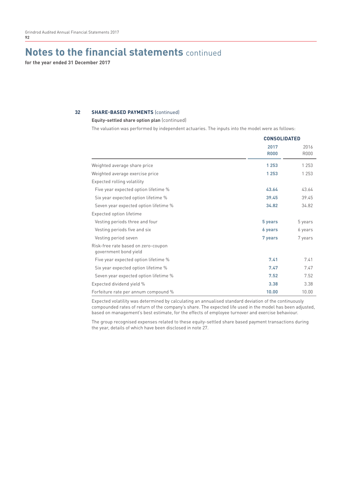**for the year ended 31 December 2017**

### **32 SHARE-BASED PAYMENTS** (continued)

**Equity-settled share option plan** (continued)

The valuation was performed by independent actuaries. The inputs into the model were as follows:

|                                                              | <b>CONSOLIDATED</b> |             |  |
|--------------------------------------------------------------|---------------------|-------------|--|
|                                                              | 2017                | 2016        |  |
|                                                              | <b>R000</b>         | <b>R000</b> |  |
| Weighted average share price                                 | 1 2 5 3             | 1 2 5 3     |  |
| Weighted average exercise price                              | 1 2 5 3             | 1 2 5 3     |  |
| Expected rolling volatility                                  |                     |             |  |
| Five year expected option lifetime %                         | 43.64               | 43.64       |  |
| Six year expected option lifetime %                          | 39.45               | 39.45       |  |
| Seven year expected option lifetime %                        | 34.82               | 34.82       |  |
| Expected option lifetime                                     |                     |             |  |
| Vesting periods three and four                               | 5 years             | 5 years     |  |
| Vesting periods five and six                                 | 6 years             | 6 years     |  |
| Vesting period seven                                         | 7 years             | 7 years     |  |
| Risk-free rate based on zero-coupon<br>government bond yield |                     |             |  |
| Five year expected option lifetime %                         | 7.41                | 7.41        |  |
| Six year expected option lifetime %                          | 7.47                | 7.47        |  |
| Seven year expected option lifetime %                        | 7.52                | 7.52        |  |
| Expected dividend yield %                                    | 3.38                | 3.38        |  |
| Forfeiture rate per annum compound %                         | 10.00               | 10.00       |  |

Expected volatility was determined by calculating an annualised standard deviation of the continuously compounded rates of return of the company's share. The expected life used in the model has been adjusted, based on management's best estimate, for the effects of employee turnover and exercise behaviour.

The group recognised expenses related to these equity-settled share based payment transactions during the year, details of which have been disclosed in note 27.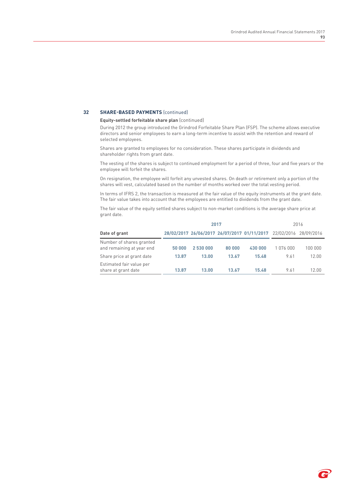# **32 SHARE-BASED PAYMENTS** (continued)

**Equity-settled forfeitable share plan** (continued)

During 2012 the group introduced the Grindrod Forfeitable Share Plan (FSP). The scheme allows executive directors and senior employees to earn a long-term incentive to assist with the retention and reward of selected employees.

Shares are granted to employees for no consideration. These shares participate in dividends and shareholder rights from grant date.

The vesting of the shares is subject to continued employment for a period of three, four and five years or the employee will forfeit the shares.

On resignation, the employee will forfeit any unvested shares. On death or retirement only a portion of the shares will vest, calculated based on the number of months worked over the total vesting period.

In terms of IFRS 2, the transaction is measured at the fair value of the equity instruments at the grant date. The fair value takes into account that the employees are entitled to dividends from the grant date.

The fair value of the equity settled shares subject to non-market conditions is the average share price at grant date.

|                                                       | 2017   |           |        | 2016                                                              |           |         |
|-------------------------------------------------------|--------|-----------|--------|-------------------------------------------------------------------|-----------|---------|
| Date of grant                                         |        |           |        | 28/02/2017 26/06/2017 26/07/2017 01/11/2017 22/02/2016 28/09/2016 |           |         |
| Number of shares granted<br>and remaining at year end | 50 000 | 2 530 000 | 80 000 | 430 000                                                           | 1 በ76 በበበ | 100 000 |
| Share price at grant date                             | 13.87  | 13.00     | 13.67  | 15.48                                                             | 9.61      | 12.00   |
| Estimated fair value per<br>share at grant date       | 13.87  | 13.00     | 13.67  | 15.48                                                             | 9.61      | 12 NO   |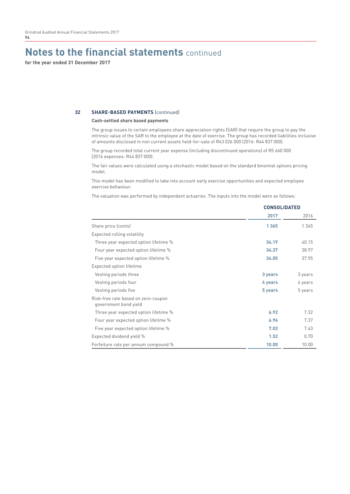**for the year ended 31 December 2017**

### **32 SHARE-BASED PAYMENTS** (continued)

#### **Cash-settled share based payments**

The group issues to certain employees share appreciation rights (SAR) that require the group to pay the intrinsic value of the SAR to the employee at the date of exercise. The group has recorded liabilities inclusive of amounts disclosed in non current assets held-for-sale of R43 026 000 (2016: R44 837 000).

The group recorded total current year expense (including discontinued operations) of R5 660 000 (2016 expenses: R44 837 000).

The fair values were calculated using a stochastic model based on the standard binomial options pricing model.

This model has been modified to take into account early exercise opportunities and expected employee exercise behaviour.

The valuation was performed by independent actuaries. The inputs into the model were as follows:

|                                                              | <b>CONSOLIDATED</b> |         |  |
|--------------------------------------------------------------|---------------------|---------|--|
|                                                              | 2017                | 2016    |  |
| Share price (cents)                                          | 1 3 6 5             | 1 3 4 5 |  |
| Expected rolling volatility                                  |                     |         |  |
| Three year expected option lifetime %                        | 34.19               | 40.15   |  |
| Four year expected option lifetime %                         | 34.37               | 38.97   |  |
| Five year expected option lifetime %                         | 34.05               | 37.95   |  |
| Expected option lifetime                                     |                     |         |  |
| Vesting periods three                                        | 3 years             | 3 years |  |
| Vesting periods four                                         | 4 years             | 4 years |  |
| Vesting periods five                                         | 5 years             | 5 years |  |
| Risk-free rate based on zero-coupon<br>government bond yield |                     |         |  |
| Three year expected option lifetime %                        | 6.92                | 7.32    |  |
| Four year expected option lifetime %                         | 6.96                | 7.37    |  |
| Five year expected option lifetime %                         | 7.02                | 7.43    |  |
| Expected dividend yield %                                    | 1.52                | 0.70    |  |
| Forfeiture rate per annum compound %                         | 10.00               | 10.00   |  |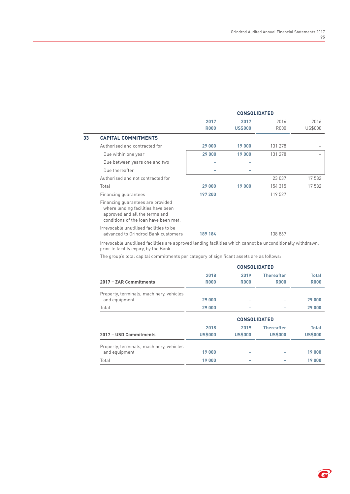|    |                                                                                                                                                    | <b>CONSOLIDATED</b> |                |         |         |
|----|----------------------------------------------------------------------------------------------------------------------------------------------------|---------------------|----------------|---------|---------|
|    |                                                                                                                                                    | 2017                | 2017           | 2016    | 2016    |
|    |                                                                                                                                                    | <b>R000</b>         | <b>US\$000</b> | R000    | US\$000 |
| 33 | <b>CAPITAL COMMITMENTS</b>                                                                                                                         |                     |                |         |         |
|    | Authorised and contracted for                                                                                                                      | 29 000              | 19 000         | 131 278 |         |
|    | Due within one year                                                                                                                                | 29 000              | 19 000         | 131 278 |         |
|    | Due between years one and two                                                                                                                      |                     |                |         |         |
|    | Due thereafter                                                                                                                                     |                     |                |         |         |
|    | Authorised and not contracted for                                                                                                                  |                     |                | 23 037  | 17582   |
|    | Total                                                                                                                                              | 29 000              | 19 000         | 154 315 | 17582   |
|    | Financing guarantees                                                                                                                               | 197 200             |                | 119 527 |         |
|    | Financing quarantees are provided<br>where lending facilities have been<br>approved and all the terms and<br>conditions of the loan have been met. |                     |                |         |         |
|    | Irrevocable unutilised facilities to be<br>advanced to Grindrod Bank customers                                                                     | 189 184             |                | 138 867 |         |

Irrevocable unutilised facilities are approved lending facilities which cannot be unconditionally withdrawn, prior to facility expiry, by the Bank.

The group's total capital commitments per category of significant assets are as follows:

|                                                           |                        | <b>CONSOLIDATED</b>    |                                     |                                |  |
|-----------------------------------------------------------|------------------------|------------------------|-------------------------------------|--------------------------------|--|
| 2017 - ZAR Commitments                                    | 2018<br><b>R000</b>    | 2019<br><b>R000</b>    | <b>Thereafter</b><br><b>R000</b>    | <b>Total</b><br><b>R000</b>    |  |
| Property, terminals, machinery, vehicles<br>and equipment | 29 000                 |                        |                                     | 29 000                         |  |
| Total                                                     | 29 000                 |                        |                                     | 29 000                         |  |
|                                                           | <b>CONSOLIDATED</b>    |                        |                                     |                                |  |
| 2017 - USD Commitments                                    | 2018<br><b>US\$000</b> | 2019<br><b>US\$000</b> | <b>Thereafter</b><br><b>US\$000</b> | <b>Total</b><br><b>US\$000</b> |  |
| Property, terminals, machinery, vehicles                  |                        |                        |                                     |                                |  |
| and equipment                                             | 19 000                 |                        |                                     | 19 000                         |  |
| Total                                                     | 19 000                 |                        |                                     | 19 000                         |  |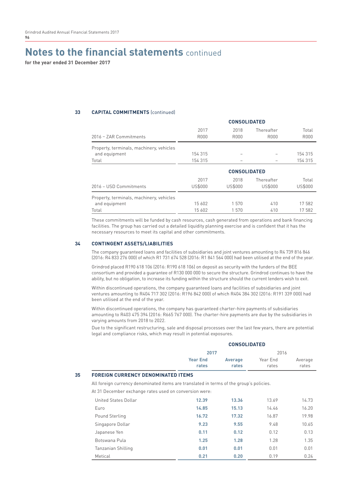**for the year ended 31 December 2017**

### **33 CAPITAL COMMITMENTS** (continued)

|                                          | <b>CONSOLIDATED</b> |                     |                          |                      |  |
|------------------------------------------|---------------------|---------------------|--------------------------|----------------------|--|
| 2016 - ZAR Commitments                   | 2017<br>R000        | 2018<br>R000        | Thereafter<br>R000       | Total<br><b>R000</b> |  |
| Property, terminals, machinery, vehicles |                     |                     |                          |                      |  |
| and equipment                            | 154 315             |                     |                          | 154 315              |  |
| Total                                    | 154 315             |                     | $\overline{\phantom{0}}$ | 154 315              |  |
|                                          |                     | <b>CONSOLIDATED</b> |                          |                      |  |
|                                          | 2017                | 2018                | Thereafter               | Total                |  |

| 2016 - USD Commitments                                    | US\$000 | US\$000 | US\$000 | US\$000 |
|-----------------------------------------------------------|---------|---------|---------|---------|
| Property, terminals, machinery, vehicles<br>and equipment | 15 602  | 1570    | 410     | 17 582  |
| Total                                                     | 15 602  | 1.570   | 410     | 17582   |

These commitments will be funded by cash resources, cash generated from operations and bank financing facilities. The group has carried out a detailed liquidity planning exercise and is confident that it has the necessary resources to meet its capital and other commitments.

#### **34 CONTINGENT ASSETS/LIABILITIES**

The company guaranteed loans and facilities of subsidiaries and joint ventures amounting to R4 739 816 846 (2016: R4 833 276 000) of which R1 731 674 528 (2016: R1 841 564 000) had been utilised at the end of the year.

Grindrod placed R190 618 106 (2016: R190 618 106) on deposit as security with the funders of the BEE consortium and provided a guarantee of R130 000 000 to secure the structure. Grindrod continues to have the ability, but no obligation, to increase its funding within the structure should the current lenders wish to exit.

Within discontinued operations, the company guaranteed loans and facilities of subsidiaries and joint ventures amounting to R404 717 302 (2016: R196 842 000) of which R404 384 302 (2016: R191 339 000) had been utilised at the end of the year.

Within discontinued operations, the company has guaranteed charter-hire payments of subsidiaries amounting to R403 475 394 (2016: R665 767 000). The charter-hire payments are due by the subsidiaries in varying amounts from 2018 to 2022.

Due to the significant restructuring, sale and disposal processes over the last few years, there are potential legal and compliance risks, which may result in potential exposures.

|    |                                           | <b>CONSOLIDATED</b>      |                  |                   |                  |
|----|-------------------------------------------|--------------------------|------------------|-------------------|------------------|
|    |                                           | 2016<br>2017             |                  |                   |                  |
|    |                                           | <b>Year End</b><br>rates | Average<br>rates | Year End<br>rates | Average<br>rates |
| 35 | <b>FOREIGN CURRENCY DENOMINATED ITEMS</b> |                          |                  |                   |                  |

All foreign currency denominated items are translated in terms of the group's policies.

At 31 December exchange rates used on conversion were:

| United States Dollar | 12.39 | 13.36 | 13.69 | 14.73 |
|----------------------|-------|-------|-------|-------|
| Euro                 | 14.85 | 15.13 | 14.46 | 16.20 |
| Pound Sterling       | 16.72 | 17.32 | 16.87 | 19.98 |
| Singapore Dollar     | 9.23  | 9.55  | 9.48  | 10.65 |
| Japanese Yen         | 0.11  | 0.12  | 0.12  | 0.13  |
| Botswana Pula        | 1.25  | 1.28  | 1.28  | 1.35  |
| Tanzanian Shilling   | 0.01  | 0.01  | 0.01  | 0.01  |
| Metical              | 0.21  | 0.20  | 0.19  | 0.24  |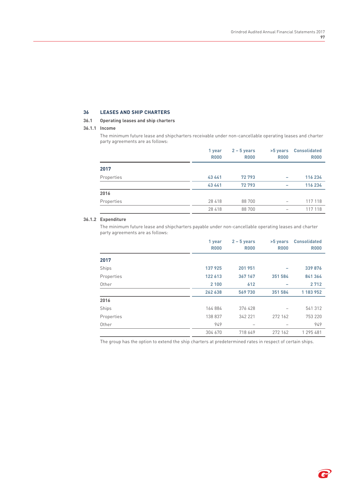### **36 LEASES AND SHIP CHARTERS**

### **36.1 Operating leases and ship charters**

#### **36.1.1 Income**

The minimum future lease and shipcharters receivable under non-cancellable operating leases and charter party agreements are as follows:

|            | 1 year<br><b>R000</b> | $2 - 5$ years<br><b>R000</b> | >5 years<br><b>R000</b>  | <b>Consolidated</b><br><b>R000</b> |
|------------|-----------------------|------------------------------|--------------------------|------------------------------------|
| 2017       |                       |                              |                          |                                    |
| Properties | 43 441                | 72793                        | $\overline{\phantom{0}}$ | 116 234                            |
|            | 43 441                | 72793                        | -                        | 116 234                            |
| 2016       |                       |                              |                          |                                    |
| Properties | 28 4 18               | 88 700                       | $\overline{\phantom{0}}$ | 117 118                            |
|            | 28 4 18               | 88 700                       | -                        | 117 118                            |

### **36.1.2 Expenditure**

The minimum future lease and shipcharters payable under non-cancellable operating leases and charter party agreements are as follows:

|            | 1 year<br><b>R000</b> | $2 - 5$ years<br><b>R000</b> | >5 years<br><b>R000</b> | <b>Consolidated</b><br><b>R000</b> |
|------------|-----------------------|------------------------------|-------------------------|------------------------------------|
| 2017       |                       |                              |                         |                                    |
| Ships      | 137 925               | 201 951                      |                         | 339 876                            |
| Properties | 122 613               | 367 167                      | 351 584                 | 841 364                            |
| Other      | 2 100                 | 612                          |                         | 2712                               |
|            | 262 638               | 569 730                      | 351 584                 | 1 183 952                          |
| 2016       |                       |                              |                         |                                    |
| Ships      | 164 884               | 376 428                      |                         | 541 312                            |
| Properties | 138 837               | 342 221                      | 272 162                 | 753 220                            |
| Other      | 949                   |                              |                         | 949                                |
|            | 304 670               | 718 649                      | 272 162                 | 1 295 481                          |

The group has the option to extend the ship charters at predetermined rates in respect of certain ships.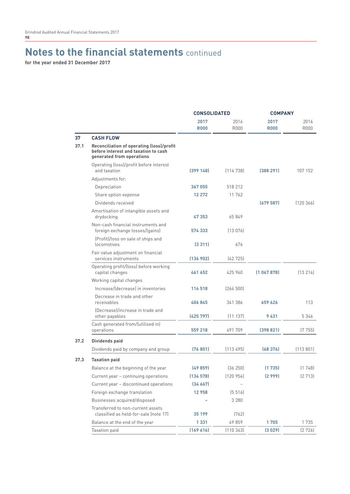**for the year ended 31 December 2017**

|      |                                                                                                                | <b>CONSOLIDATED</b> |                     | <b>COMPANY</b>      |                     |
|------|----------------------------------------------------------------------------------------------------------------|---------------------|---------------------|---------------------|---------------------|
|      |                                                                                                                | 2017<br><b>R000</b> | 2016<br><b>R000</b> | 2017<br><b>R000</b> | 2016<br><b>R000</b> |
| 37   | <b>CASH FLOW</b>                                                                                               |                     |                     |                     |                     |
| 37.1 | Reconciliation of operating (loss)/profit<br>before interest and taxation to cash<br>generated from operations |                     |                     |                     |                     |
|      | Operating (loss)/profit before interest<br>and taxation                                                        | (399148)            | [114738]            | (388291)            | 107 152             |
|      | Adjustments for:                                                                                               |                     |                     |                     |                     |
|      | Depreciation                                                                                                   | 367055              | 518 212             |                     |                     |
|      | Share option expense                                                                                           | 12 272              | 11762               |                     |                     |
|      | Dividends received                                                                                             |                     |                     | (679587)            | [120366]            |
|      | Amortisation of intangible assets and<br>drydocking                                                            | 47 353              | 65849               |                     |                     |
|      | Non-cash financial instruments and<br>foreign exchange losses/(gains)                                          | 574 333             | (13076)             |                     |                     |
|      | (Profit)/loss on sale of ships and<br>locomotives                                                              | (3311)              | 676                 |                     |                     |
|      | Fair value adjustment on financial<br>services instruments                                                     | (136902)            | (42725)             |                     |                     |
|      | Operating profit/(loss) before working<br>capital changes                                                      | 461 652             | 425 960             | (1067878)           | [13 214]            |
|      | Working capital changes                                                                                        |                     |                     |                     |                     |
|      | Increase/Idecrease) in inventories                                                                             | 116 518             | (264500)            |                     |                     |
|      | Decrease in trade and other<br>receivables                                                                     | 406845              | 341 386             | 659 626             | 113                 |
|      | (Decrease)/increase in trade and<br>other payables                                                             | (425 797)           | (11137)             | 9431                | 5346                |
|      | Cash generated from/(utilised in)<br>operations                                                                | 559 218             | 491709              | (398821)            | (7755)              |
| 37.2 | Dividends paid                                                                                                 |                     |                     |                     |                     |
|      | Dividends paid by company and group                                                                            | (76 801)            | [113 495]           | (68376)             | (113801)            |
| 37.3 | <b>Taxation paid</b>                                                                                           |                     |                     |                     |                     |
|      | Balance at the beginning of the year                                                                           | (49859)             | (36 250)            | (1735)              | (1748)              |
|      | Current year - continuing operations                                                                           | (134578)            | (120954)            | (2999)              | [2 713]             |
|      | Current year - discontinued operations                                                                         | (34667)             |                     |                     |                     |
|      | Foreign exchange translation                                                                                   | 12 958              | (5516)              |                     |                     |
|      | Businesses acquired/disposed                                                                                   |                     | 3 2 8 0             |                     |                     |
|      | Transferred to non-current assets<br>classified as held-for-sale (note 17)                                     | 35 199              | (762)               |                     |                     |
|      | Balance at the end of the year                                                                                 | 1 331               | 49859               | 1 705               | 1735                |
|      | Taxation paid                                                                                                  | (169 616)           | (110343)            | (3029)              | (2726)              |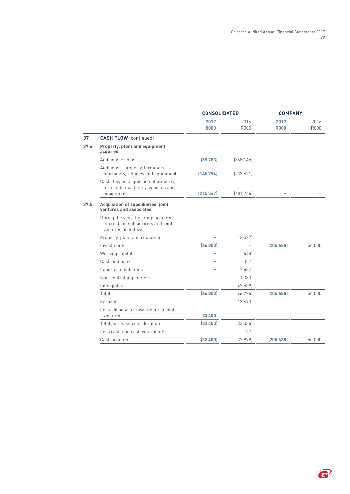|      |                                                                                                   | <b>CONSOLIDATED</b> |                     | <b>COMPANY</b>      |                     |
|------|---------------------------------------------------------------------------------------------------|---------------------|---------------------|---------------------|---------------------|
|      |                                                                                                   | 2017<br><b>R000</b> | 2016<br><b>R000</b> | 2017<br><b>R000</b> | 2016<br><b>R000</b> |
| 37   | <b>CASH FLOW (continued)</b>                                                                      |                     |                     |                     |                     |
| 37.4 | Property, plant and equipment<br>acquired                                                         |                     |                     |                     |                     |
|      | Additions - ships                                                                                 | (69753)             | [368 145]           |                     |                     |
|      | Additions - property, terminals,<br>machinery, vehicles and equipment                             | (145794)            | [233 621]           |                     |                     |
|      | Cash flow on acquisition of property,<br>terminals, machinery, vehicles and<br>equipment          | (215547)            | [601766]            |                     |                     |
| 37.5 | Acquisition of subsidiaries, joint<br>ventures and associates                                     |                     |                     |                     |                     |
|      | During the year the group acquired<br>interests in subsidiaries and joint<br>ventures as follows: |                     |                     |                     |                     |
|      | Property, plant and equipment                                                                     |                     | (12527)             |                     |                     |
|      | Investments                                                                                       | (66800)             |                     | (20568)             | (50000)             |
|      | Working capital                                                                                   |                     | [648]               |                     |                     |
|      | Cash and bank                                                                                     |                     | (57)                |                     |                     |
|      | Long-term liabilities                                                                             |                     | 7682                |                     |                     |
|      | Non-controlling interest                                                                          |                     | 1 3 8 3             |                     |                     |
|      | Intangibles                                                                                       |                     | [42 559]            |                     |                     |
|      | Total                                                                                             | (66800)             | [46726]             | [205 688]           | [50, 000]           |
|      | Earnout                                                                                           |                     | 13 690              |                     |                     |
|      | Less: disposal of investment in joint<br>ventures                                                 | 33 400              |                     |                     |                     |
|      | Total purchase consideration                                                                      | (33 400)            | [33 036]            |                     |                     |
|      | Less cash and cash equivalents                                                                    |                     | 57                  |                     |                     |
|      | Cash acquired                                                                                     | (33 400)            | (32979)             | (20568)             | (50000)             |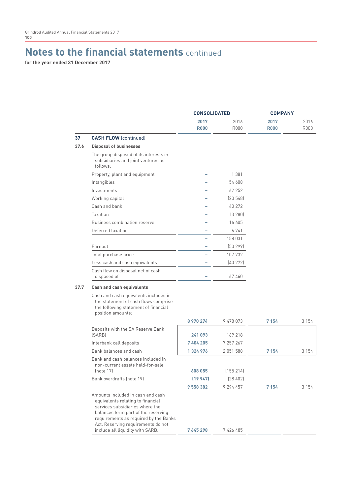**for the year ended 31 December 2017**

|      |                                                                                                                                                                                                                                                                     | <b>CONSOLIDATED</b> |                     | <b>COMPANY</b>      |              |
|------|---------------------------------------------------------------------------------------------------------------------------------------------------------------------------------------------------------------------------------------------------------------------|---------------------|---------------------|---------------------|--------------|
|      |                                                                                                                                                                                                                                                                     | 2017<br><b>R000</b> | 2016<br><b>R000</b> | 2017<br><b>R000</b> | 2016<br>R000 |
| 37   | <b>CASH FLOW</b> (continued)                                                                                                                                                                                                                                        |                     |                     |                     |              |
| 37.6 | <b>Disposal of businesses</b>                                                                                                                                                                                                                                       |                     |                     |                     |              |
|      | The group disposed of its interests in<br>subsidiaries and joint ventures as<br>follows:                                                                                                                                                                            |                     |                     |                     |              |
|      | Property, plant and equipment                                                                                                                                                                                                                                       |                     | 1 3 8 1             |                     |              |
|      | Intangibles                                                                                                                                                                                                                                                         |                     | 54 608              |                     |              |
|      | Investments                                                                                                                                                                                                                                                         |                     | 62 252              |                     |              |
|      | Working capital                                                                                                                                                                                                                                                     |                     | (20548)             |                     |              |
|      | Cash and bank                                                                                                                                                                                                                                                       |                     | 40 272              |                     |              |
|      | Taxation                                                                                                                                                                                                                                                            |                     | (3 280)             |                     |              |
|      | Business combination reserve                                                                                                                                                                                                                                        |                     | 16 605              |                     |              |
|      | Deferred taxation                                                                                                                                                                                                                                                   |                     | 6741                |                     |              |
|      |                                                                                                                                                                                                                                                                     |                     | 158 031             |                     |              |
|      | Earnout                                                                                                                                                                                                                                                             |                     | (50299)             |                     |              |
|      | Total purchase price                                                                                                                                                                                                                                                |                     | 107 732             |                     |              |
|      | Less cash and cash equivalents                                                                                                                                                                                                                                      |                     | (40272)             |                     |              |
|      | Cash flow on disposal net of cash<br>disposed of                                                                                                                                                                                                                    |                     | 67460               |                     |              |
| 37.7 | <b>Cash and cash equivalents</b>                                                                                                                                                                                                                                    |                     |                     |                     |              |
|      | Cash and cash equivalents included in<br>the statement of cash flows comprise<br>the following statement of financial<br>position amounts:                                                                                                                          |                     |                     |                     |              |
|      |                                                                                                                                                                                                                                                                     | 8 970 274           | 9 478 073           | 7 1 5 4             | 3 1 5 4      |
|      | Deposits with the SA Reserve Bank                                                                                                                                                                                                                                   |                     |                     |                     |              |
|      | (SARB)                                                                                                                                                                                                                                                              | 241 093             | 169 218             |                     |              |
|      | Interbank call deposits                                                                                                                                                                                                                                             | 7404205             | 7 257 267           |                     |              |
|      | Bank balances and cash                                                                                                                                                                                                                                              | 1324976             | 2 051 588           | 7154                | 3 1 5 4      |
|      | Bank and cash balances included in<br>non-current assets held-for-sale<br>[note 17]                                                                                                                                                                                 | 608 055             | (155214)            |                     |              |
|      | Bank overdrafts (note 19)                                                                                                                                                                                                                                           | (19947)             | (28, 402)           |                     |              |
|      |                                                                                                                                                                                                                                                                     | 9 558 382           | 9 294 457           | 7 1 5 4             | 3 1 5 4      |
|      | Amounts included in cash and cash<br>equivalents relating to financial<br>services subsidiaries where the<br>balances form part of the reserving<br>requirements as required by the Banks<br>Act. Reserving requirements do not<br>include all liquidity with SARB. | 7 645 298           | 7426485             |                     |              |
|      |                                                                                                                                                                                                                                                                     |                     |                     |                     |              |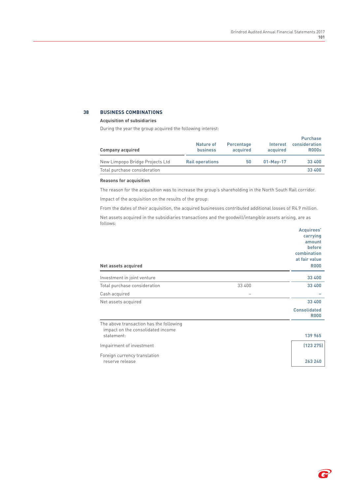### **38 BUSINESS COMBINATIONS**

### **Acquisition of subsidiaries**

During the year the group acquired the following interest:

| <b>Company acquired</b>         | Nature of<br><b>business</b> | Percentage<br>acquired | <b>Interest</b><br>acquired | <b>Purchase</b><br><b>consideration</b><br><b>R000s</b> |
|---------------------------------|------------------------------|------------------------|-----------------------------|---------------------------------------------------------|
| New Limpopo Bridge Projects Ltd | <b>Rail operations</b>       | 50                     | $01 -$ May-17               | 33 400                                                  |
| Total purchase consideration    |                              |                        |                             | 33 400                                                  |

#### **Reasons for acquisition**

The reason for the acquisition was to increase the group's shareholding in the North South Rail corridor.

Impact of the acquisition on the results of the group:

From the dates of their acquisition, the acquired businesses contributed additional losses of R4.9 million.

Net assets acquired in the subsidiaries transactions and the goodwill/intangible assets arising, are as follows:

| Net assets acquired                                                                        |        | Acquirees'<br>carrying<br>amount<br>before<br>combination<br>at fair value<br><b>R000</b> |
|--------------------------------------------------------------------------------------------|--------|-------------------------------------------------------------------------------------------|
| Investment in joint venture                                                                |        | 33 400                                                                                    |
| Total purchase consideration                                                               | 33 400 | 33 400                                                                                    |
| Cash acquired                                                                              |        |                                                                                           |
| Net assets acquired                                                                        |        | 33 400                                                                                    |
|                                                                                            |        | <b>Consolidated</b><br><b>R000</b>                                                        |
| The above transaction has the following<br>impact on the consolidated income<br>statement: |        | 139 965                                                                                   |
| Impairment of investment                                                                   |        | (123 275)                                                                                 |
| Foreign currency translation<br>reserve release                                            |        | 263 240                                                                                   |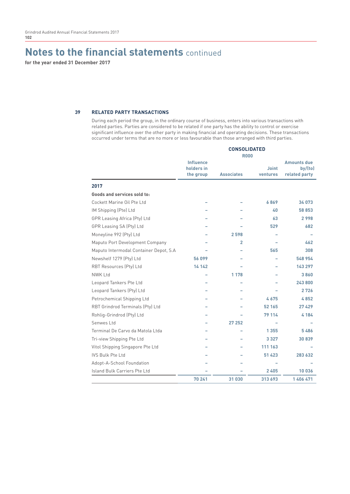**for the year ended 31 December 2017**

### **39 RELATED PARTY TRANSACTIONS**

During each period the group, in the ordinary course of business, enters into various transactions with related parties. Parties are considered to be related if one party has the ability to control or exercise significant influence over the other party in making financial and operating decisions. These transactions occurred under terms that are no more or less favourable than those arranged with third parties.

|                                        | <b>CONSOLIDATED</b>                         |                   |                          |                                                |  |
|----------------------------------------|---------------------------------------------|-------------------|--------------------------|------------------------------------------------|--|
|                                        | <b>R000</b>                                 |                   |                          |                                                |  |
|                                        | <b>Influence</b><br>holders in<br>the group | <b>Associates</b> | <b>Joint</b><br>ventures | <b>Amounts due</b><br>by/(to)<br>related party |  |
| 2017                                   |                                             |                   |                          |                                                |  |
| Goods and services sold to:            |                                             |                   |                          |                                                |  |
| Cockett Marine Oil Pte Ltd             |                                             |                   | 6869                     | 34 073                                         |  |
| IM Shipping (Pte) Ltd                  |                                             |                   | 40                       | 58 853                                         |  |
| GPR Leasing Africa (Pty) Ltd           |                                             |                   | 63                       | 2998                                           |  |
| GPR Leasing SA (Pty) Ltd               |                                             |                   | 529                      | 682                                            |  |
| Moneyline 992 (Pty) Ltd                |                                             | 2598              |                          |                                                |  |
| Maputo Port Development Company        |                                             | $\overline{2}$    |                          | 462                                            |  |
| Maputo Intermodal Container Depot, S.A |                                             |                   | 565                      | 308                                            |  |
| Newshelf 1279 (Pty) Ltd                | 56099                                       |                   |                          | 548 954                                        |  |
| RBT Resources (Pty) Ltd                | 14 14 2                                     |                   |                          | 143 297                                        |  |
| <b>NWK Ltd</b>                         |                                             | 1 1 7 8           |                          | 3860                                           |  |
| Leopard Tankers Pte Ltd                |                                             |                   |                          | 243800                                         |  |
| Leopard Tankers (Pty) Ltd              |                                             |                   |                          | 2726                                           |  |
| Petrochemical Shipping Ltd             |                                             |                   | 4675                     | 4852                                           |  |
| RBT Grindrod Terminals (Pty) Ltd       |                                             |                   | 52 165                   | 27 429                                         |  |
| Rohlig-Grindrod (Pty) Ltd              |                                             |                   | 79 114                   | 4 1 8 4                                        |  |
| Senwes Ltd                             |                                             | 27 252            |                          |                                                |  |
| Terminal De Carvo da Matola Ltda       |                                             |                   | 1 3 5 5                  | 5486                                           |  |
| Tri-view Shipping Pte Ltd              |                                             |                   | 3 3 2 7                  | 30839                                          |  |
| Vitol Shipping Singapore Pte Ltd       |                                             |                   | 111 163                  |                                                |  |
| <b>IVS Bulk Pte Ltd</b>                |                                             |                   | 51 423                   | 283 632                                        |  |
| Adopt-A-School Foundation              |                                             |                   |                          |                                                |  |
| Island Bulk Carriers Pte Ltd           |                                             |                   | 2405                     | 10036                                          |  |
|                                        | 70 241                                      | 31 030            | 313 693                  | 1 406 471                                      |  |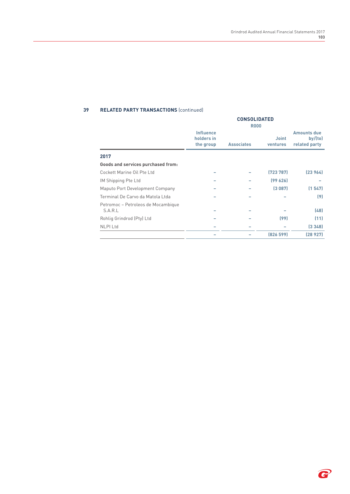|                                               | <b>CONSOLIDATED</b><br><b>R000</b>          |                   |                          |                                                |
|-----------------------------------------------|---------------------------------------------|-------------------|--------------------------|------------------------------------------------|
|                                               | <b>Influence</b><br>holders in<br>the group | <b>Associates</b> | <b>Joint</b><br>ventures | <b>Amounts due</b><br>by/(to)<br>related party |
| 2017                                          |                                             |                   |                          |                                                |
| Goods and services purchased from:            |                                             |                   |                          |                                                |
| Cockett Marine Oil Pte Ltd                    |                                             |                   | (723 787)                | [23964]                                        |
| IM Shipping Pte Ltd                           |                                             |                   | [99 626]                 |                                                |
| Maputo Port Development Company               |                                             |                   | (3087)                   | (1547)                                         |
| Terminal De Carvo da Matola Ltda              |                                             |                   |                          | (9)                                            |
| Petromoc – Petroleos de Mocambique<br>S.A.R.L |                                             |                   |                          | (48)                                           |
| Rohlig Grindrod (Pty) Ltd                     |                                             |                   | (99)                     | (11)                                           |
| <b>NLPILtd</b>                                |                                             |                   |                          | (3348)                                         |
|                                               |                                             |                   | (826 599)                | (28927)                                        |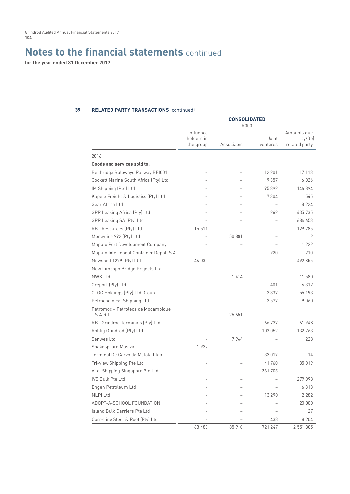**for the year ended 31 December 2017**

|                                               | <b>CONSOLIDATED</b><br>R000                                                                                        |        |         |           |  |
|-----------------------------------------------|--------------------------------------------------------------------------------------------------------------------|--------|---------|-----------|--|
|                                               | Influence<br>Amounts due<br>holders in<br>Joint<br>by/(to)<br>the group<br>Associates<br>related party<br>ventures |        |         |           |  |
| 2016                                          |                                                                                                                    |        |         |           |  |
| Goods and services sold to:                   |                                                                                                                    |        |         |           |  |
| Beitbridge Bulowayo Railway BEI001            |                                                                                                                    |        | 12 201  | 17 113    |  |
| Cockett Marine South Africa (Pty) Ltd         |                                                                                                                    |        | 9 3 5 7 | 6026      |  |
| IM Shipping (Pte) Ltd                         |                                                                                                                    |        | 95892   | 146 894   |  |
| Kapele Freight & Logistics (Pty) Ltd          |                                                                                                                    |        | 7 3 0 4 | 545       |  |
| Gear Africa Ltd                               |                                                                                                                    |        |         | 8 2 2 4   |  |
| GPR Leasing Africa (Pty) Ltd                  |                                                                                                                    |        | 262     | 435 735   |  |
| GPR Leasing SA (Pty) Ltd                      |                                                                                                                    |        |         | 684 653   |  |
| RBT Resources (Pty) Ltd                       | 15 511                                                                                                             |        |         | 129 785   |  |
| Moneyline 992 (Pty) Ltd                       |                                                                                                                    | 50 881 |         | 2         |  |
| Maputo Port Development Company               |                                                                                                                    |        |         | 1 2 2 2   |  |
| Maputo Intermodal Container Depot, S.A        |                                                                                                                    |        | 920     | 210       |  |
| Newshelf 1279 (Pty) Ltd                       | 46 032                                                                                                             |        |         | 492 855   |  |
| New Limpopo Bridge Projects Ltd               |                                                                                                                    |        |         |           |  |
| <b>NWK Ltd</b>                                |                                                                                                                    | 1414   |         | 11 580    |  |
| Oreport (Pty) Ltd                             |                                                                                                                    |        | 401     | 6 3 1 2   |  |
| OTGC Holdings (Pty) Ltd Group                 |                                                                                                                    |        | 2 337   | 55 193    |  |
| Petrochemical Shipping Ltd                    |                                                                                                                    |        | 2 5 7 7 | 9060      |  |
| Petromoc - Petroleos de Mocambique<br>S.A.R.L |                                                                                                                    | 25 651 |         |           |  |
| RBT Grindrod Terminals (Pty) Ltd              |                                                                                                                    |        | 66 737  | 61948     |  |
| Rohlig Grindrod (Pty) Ltd                     |                                                                                                                    |        | 103 052 | 132 763   |  |
| Senwes Ltd                                    |                                                                                                                    | 7964   |         | 228       |  |
| Shakespeare Masiza                            | 1937                                                                                                               |        |         |           |  |
| Terminal De Carvo da Matola Ltda              |                                                                                                                    |        | 33 019  | 14        |  |
| Tri-view Shipping Pte Ltd                     |                                                                                                                    |        | 41760   | 35 019    |  |
| Vitol Shipping Singapore Pte Ltd              |                                                                                                                    |        | 331 705 |           |  |
| IVS Bulk Pte Ltd                              |                                                                                                                    |        |         | 279 098   |  |
| Engen Petroleum Ltd                           |                                                                                                                    |        |         | 6 3 1 3   |  |
| <b>NLPI Ltd</b>                               |                                                                                                                    |        | 13 290  | 2 2 8 2   |  |
| ADOPT-A-SCHOOL FOUNDATION                     |                                                                                                                    |        |         | 20 000    |  |
| Island Bulk Carriers Pte Ltd                  |                                                                                                                    |        |         | 27        |  |
| Corr-Line Steel & Roof (Pty) Ltd              |                                                                                                                    |        | 433     | 8 2 0 4   |  |
|                                               | 63 480                                                                                                             | 85 910 | 721 247 | 2 551 305 |  |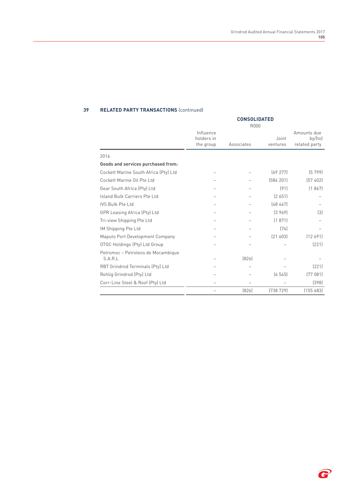| <b>R000</b><br>Influence<br>holders in<br>Joint<br>the group<br>Associates<br>ventures<br>2016<br>Goods and services purchased from:<br>(69277)<br>Cockett Marine South Africa (Pty) Ltd<br>Cockett Marine Oil Pte Ltd<br>[584 201] | Amounts due              |
|-------------------------------------------------------------------------------------------------------------------------------------------------------------------------------------------------------------------------------------|--------------------------|
|                                                                                                                                                                                                                                     |                          |
|                                                                                                                                                                                                                                     | bv/ftol<br>related party |
|                                                                                                                                                                                                                                     |                          |
|                                                                                                                                                                                                                                     |                          |
|                                                                                                                                                                                                                                     | (5799)                   |
|                                                                                                                                                                                                                                     | [57, 402]                |
| (91)<br>Gear South Africa (Pty) Ltd                                                                                                                                                                                                 | [1867]                   |
| Island Bulk Carriers Pte Ltd<br>[2 651]                                                                                                                                                                                             |                          |
| [48 447]<br><b>IVS Bulk Pte Ltd</b>                                                                                                                                                                                                 |                          |
| [3969]<br>GPR Leasing Africa (Pty) Ltd                                                                                                                                                                                              | $\left[3\right]$         |
| (1871)<br>Tri-view Shipping Pte Ltd                                                                                                                                                                                                 |                          |
| (74)<br>IM Shipping Pte Ltd                                                                                                                                                                                                         |                          |
| [21 603]<br>Maputo Port Development Company                                                                                                                                                                                         | [12691]                  |
| OTGC Holdings (Pty) Ltd Group                                                                                                                                                                                                       | [221]                    |
| Petromoc - Petroleos de Mocambique<br>[826]<br>S.A.R.L                                                                                                                                                                              |                          |
| RBT Grindrod Terminals (Pty) Ltd                                                                                                                                                                                                    | [221]                    |
| (6545)<br>Rohlig Grindrod (Pty) Ltd                                                                                                                                                                                                 | [77081]                  |
| Corr-Line Steel & Roof (Pty) Ltd<br>$\overline{\phantom{0}}$                                                                                                                                                                        | [398]                    |
| [826]<br>[738 729]                                                                                                                                                                                                                  |                          |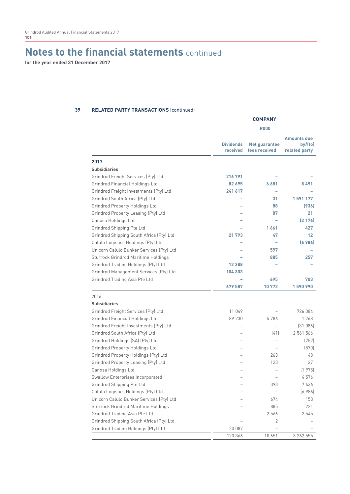**for the year ended 31 December 2017**

|                                            | <b>COMPANY</b>               |                                       |                                                |  |
|--------------------------------------------|------------------------------|---------------------------------------|------------------------------------------------|--|
|                                            |                              | <b>R000</b>                           |                                                |  |
|                                            | <b>Dividends</b><br>received | <b>Net guarantee</b><br>fees received | <b>Amounts due</b><br>by/(to)<br>related party |  |
| 2017                                       |                              |                                       |                                                |  |
| <b>Subsidiaries</b>                        |                              |                                       |                                                |  |
| Grindrod Freight Services (Pty) Ltd        | 216 791                      |                                       |                                                |  |
| Grindrod Financial Holdings Ltd            | 82 695                       | 6681                                  | 8491                                           |  |
| Grindrod Freight Investments (Pty) Ltd     | 241 617                      |                                       |                                                |  |
| Grindrod South Africa (Pty) Ltd            |                              | 31                                    | 1591177                                        |  |
| <b>Grindrod Property Holdings Ltd</b>      |                              | 88                                    | (936)                                          |  |
| Grindrod Property Leasing (Pty) Ltd        |                              | 87                                    | 21                                             |  |
| Canosa Holdings Ltd                        |                              |                                       | (2176)                                         |  |
| Grindrod Shipping Pte Ltd                  |                              | 1661                                  | 427                                            |  |
| Grindrod Shipping South Africa (Pty) Ltd   | 21 793                       | 47                                    | 12                                             |  |
| Calulo Logistics Holdings (Pty) Ltd        |                              |                                       | [6 986]                                        |  |
| Unicorn Calulo Bunker Services (Pty) Ltd   |                              | 597                                   |                                                |  |
| <b>Sturrock Grindrod Maritime Holdings</b> |                              | 885                                   | 257                                            |  |
| Grindrod Trading Holdings (Pty) Ltd        | 12 3 8 8                     |                                       |                                                |  |
| Grindrod Management Services (Pty) Ltd     | 104 303                      |                                       |                                                |  |
| Grindrod Trading Asia Pte Ltd              |                              | 695                                   | 703                                            |  |
|                                            | 679 587                      | 10772                                 | 1590990                                        |  |
| 2016                                       |                              |                                       |                                                |  |
| <b>Subsidiaries</b>                        |                              |                                       |                                                |  |
| Grindrod Freight Services (Pty) Ltd        | 11049                        |                                       | 726 084                                        |  |
| Grindrod Financial Holdings Ltd            | 89 230                       | 5786                                  | 1 2 6 8                                        |  |
| Grindrod Freight Investments (Pty) Ltd     |                              |                                       | (31086)                                        |  |
| Grindrod South Africa (Pty) Ltd            |                              | (41)                                  | 2 561 566                                      |  |
| Grindrod Holdings (SA) (Pty) Ltd           |                              |                                       | (752)                                          |  |
| <b>Grindrod Property Holdings Ltd</b>      |                              |                                       | (570)                                          |  |
| Grindrod Property Holdings (Pty) Ltd       |                              | 263                                   | 48                                             |  |
| Grindrod Property Leasing (Pty) Ltd        |                              | 123                                   | 27                                             |  |
| Canosa Holdings Ltd                        |                              |                                       | (1975)                                         |  |
| Swallow Enterprises Incorporated           |                              |                                       | 4576                                           |  |
| Grindrod Shipping Pte Ltd                  |                              | 393                                   | 7436                                           |  |
| Calulo Logistics Holdings (Pty) Ltd        |                              |                                       | (6986)                                         |  |
| Unicorn Calulo Bunker Services (Pty) Ltd   |                              | 674                                   | 153                                            |  |
| Sturrock Grindrod Maritime Holdings        |                              | 885                                   | 221                                            |  |
| Grindrod Trading Asia Pte Ltd              |                              | 2566                                  | 2 545                                          |  |
| Grindrod Shipping South Africa (Pty) Ltd   |                              | 2                                     |                                                |  |
| Grindrod Trading Holdings (Pty) Ltd        | 20 087                       |                                       |                                                |  |
|                                            | 120 366                      | 10 651                                | 3 262 555                                      |  |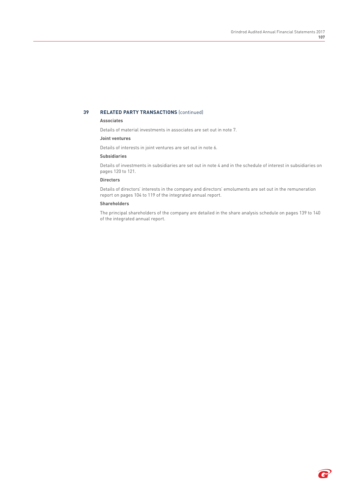## **39 RELATED PARTY TRANSACTIONS** (continued)

## **Associates**

Details of material investments in associates are set out in note 7.

## **Joint ventures**

Details of interests in joint ventures are set out in note 6.

### **Subsidiaries**

Details of investments in subsidiaries are set out in note 4 and in the schedule of interest in subsidiaries on pages 120 to 121.

## **Directors**

Details of directors' interests in the company and directors' emoluments are set out in the remuneration report on pages 104 to 119 of the integrated annual report.

## **Shareholders**

The principal shareholders of the company are detailed in the share analysis schedule on pages 139 to 140 of the integrated annual report.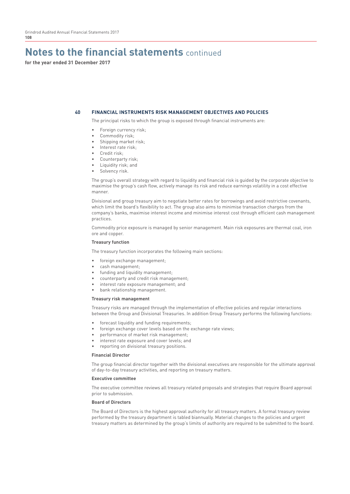**for the year ended 31 December 2017**

## **40 FINANCIAL INSTRUMENTS RISK MANAGEMENT OBJECTIVES AND POLICIES**

The principal risks to which the group is exposed through financial instruments are:

- Foreign currency risk;
- Commodity risk;
- Shipping market risk;
- Interest rate risk;
- Credit risk;
- Counterparty risk;
- Liquidity risk; and
- Solvency risk.

The group's overall strategy with regard to liquidity and financial risk is guided by the corporate objective to maximise the group's cash flow, actively manage its risk and reduce earnings volatility in a cost effective manner.

Divisional and group treasury aim to negotiate better rates for borrowings and avoid restrictive covenants, which limit the board's flexibility to act. The group also aims to minimise transaction charges from the company's banks, maximise interest income and minimise interest cost through efficient cash management practices.

Commodity price exposure is managed by senior management. Main risk exposures are thermal coal, iron ore and copper.

#### **Treasury function**

The treasury function incorporates the following main sections:

- foreign exchange management;
- cash management;
- funding and liquidity management;
- counterparty and credit risk management;
- interest rate exposure management; and
- bank relationship management.

#### **Treasury risk management**

Treasury risks are managed through the implementation of effective policies and regular interactions between the Group and Divisional Treasuries. In addition Group Treasury performs the following functions:

- forecast liquidity and funding requirements;
- foreign exchange cover levels based on the exchange rate views;
- performance of market risk management;
- interest rate exposure and cover levels; and
- reporting on divisional treasury positions.

#### **Financial Director**

The group financial director together with the divisional executives are responsible for the ultimate approval of day-to-day treasury activities, and reporting on treasury matters.

#### **Executive committee**

The executive committee reviews all treasury related proposals and strategies that require Board approval prior to submission.

#### **Board of Directors**

The Board of Directors is the highest approval authority for all treasury matters. A formal treasury review performed by the treasury department is tabled biannually. Material changes to the policies and urgent treasury matters as determined by the group's limits of authority are required to be submitted to the board.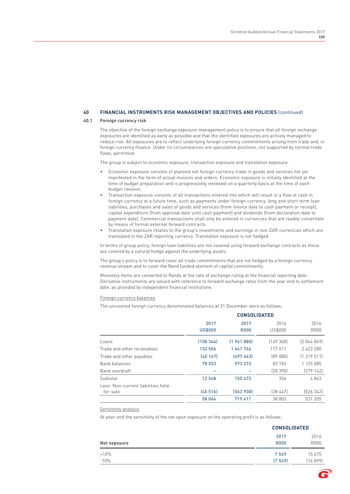## **40.1 Foreign currency risk**

The objective of the foreign exchange exposure management policy is to ensure that all foreign exchange exposures are identified as early as possible and that the identified exposures are actively managed to reduce risk. All exposures are to reflect underlying foreign currency commitments arising from trade and, or foreign currency finance. Under no circumstances are speculative positions, not supported by normal trade flows, permitted.

The group is subject to economic exposure, transaction exposure and translation exposure.

- Economic exposure consists of planned net foreign currency trade in goods and services not yet manifested in the form of actual invoices and orders. Economic exposure is initially identified at the time of budget preparation and is progressively reviewed on a quarterly basis at the time of each budget revision.
- Transaction exposure consists of all transactions entered into which will result in a flow of cash in foreign currency at a future time, such as payments under foreign currency, long and short term loan liabilities, purchases and sales of goods and services (from invoice date to cash payment or receipt), capital expenditure (from approval date until cash payment) and dividends (from declaration date to payment date). Commercial transactions shall only be entered in currencies that are readily convertible by means of formal external forward contracts.
- Translation exposure relates to the group's investments and earnings in non-ZAR currencies which are translated in the ZAR reporting currency. Translation exposure is not hedged.

In terms of group policy, foreign loan liabilities are not covered using forward exchange contracts as these are covered by a natural hedge against the underlying assets.

The group's policy is to forward cover all trade commitments that are not hedged by a foreign currency revenue stream and to cover the Rand funded element of capital commitments.

Monetary items are converted to Rands at the rate of exchange ruling at the financial reporting date. Derivative instruments are valued with reference to forward exchange rates from the year end to settlement date, as provided by independent financial institutions.

#### Foreign currency balances

The uncovered foreign currency denominated balances at 31 December were as follows:

|                                     | <b>CONSOLIDATED</b>    |                     |                 |              |  |
|-------------------------------------|------------------------|---------------------|-----------------|--------------|--|
|                                     | 2017<br><b>US\$000</b> | 2017<br><b>R000</b> | 2016<br>US\$000 | 2016<br>R000 |  |
| Loans                               | (158344)               | (1961880)           | [149368]        | [2044849]    |  |
| Trade and other receivables         | 132 506                | 1641744             | 177 011         | 2 423 280    |  |
| Trade and other payables            | [40167]                | [497663]            | [89 080]        | [1 219 511]  |  |
| Bank balances                       | 78 553                 | 973 272             | 82 183          | 1 125 085    |  |
| Bank overdraft                      |                        |                     | [20390]         | (279 142)    |  |
| Subtotal                            | 12548                  | 155 473             | 356             | 4863         |  |
| Less: Non-current liabilities held- |                        |                     |                 |              |  |
| for-sale                            | (45516)                | [563938]            | (38447)         | (526 342)    |  |
|                                     | 58 064                 | 719 411             | 38 803          | 531 205      |  |

#### Sensitivity analysis

At year-end the sensitivity of the net open exposure on the operating profit is as follows:

|                  | <b>CONSOLIDATED</b> |                   |
|------------------|---------------------|-------------------|
| Net exposure     | 2017<br><b>R000</b> | 2016<br>R000      |
| $+10%$<br>$-10%$ | 7549<br>(7549)      | 15 475<br>(16899) |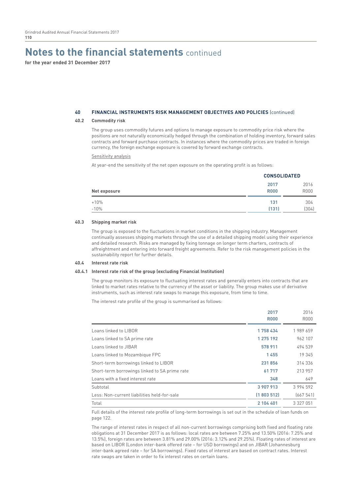**for the year ended 31 December 2017**

## **40 FINANCIAL INSTRUMENTS RISK MANAGEMENT OBJECTIVES AND POLICIES** (continued)

#### **40.2 Commodity risk**

The group uses commodity futures and options to manage exposure to commodity price risk where the positions are not naturally economically hedged through the combination of holding inventory, forward sales contracts and forward purchase contracts. In instances where the commodity prices are traded in foreign currency, the foreign exchange exposure is covered by forward exchange contracts.

#### Sensitivity analysis

At year-end the sensitivity of the net open exposure on the operating profit is as follows:

|              | <b>CONSOLIDATED</b> |             |  |  |  |
|--------------|---------------------|-------------|--|--|--|
|              | 2017                | 2016        |  |  |  |
| Net exposure | <b>R000</b><br>. .  | <b>R000</b> |  |  |  |
| $+10%$       | 131                 | 304         |  |  |  |
| $-10%$       | (131)               | (304)       |  |  |  |

### **40.3 Shipping market risk**

The group is exposed to the fluctuations in market conditions in the shipping industry. Management continually assesses shipping markets through the use of a detailed shipping model using their experience and detailed research. Risks are managed by fixing tonnage on longer term charters, contracts of affreightment and entering into forward freight agreements. Refer to the risk management policies in the sustainability report for further details.

#### **40.4 Interest rate risk**

#### **40.4.1 Interest rate risk of the group (excluding Financial Institution)**

The group monitors its exposure to fluctuating interest rates and generally enters into contracts that are linked to market rates relative to the currency of the asset or liability. The group makes use of derivative instruments, such as interest rate swaps to manage this exposure, from time to time.

The interest rate profile of the group is summarised as follows:

|                                               | 2017<br><b>R000</b> | 2016<br><b>R000</b> |
|-----------------------------------------------|---------------------|---------------------|
| Loans linked to LIBOR                         | 1758434             | 1989 659            |
| Loans linked to SA prime rate                 | 1 275 192           | 962 107             |
| Loans linked to JIBAR                         | 578 911             | 494 539             |
| Loans linked to Mozambique FPC                | 1455                | 19 345              |
| Short-term borrowings linked to LIBOR         | 231856              | 314 336             |
| Short-term borrowings linked to SA prime rate | 61717               | 213 957             |
| Loans with a fixed interest rate              | 348                 | 649                 |
| Subtotal                                      | 3 907 913           | 3 994 592           |
| Less: Non-current liabilities held-for-sale   | (1803512)           | (667541)            |
| Total                                         | 2 104 401           | 3 327 051           |

Full details of the interest rate profile of long-term borrowings is set out in the schedule of loan funds on page 122.

The range of interest rates in respect of all non-current borrowings comprising both fixed and floating rate obligations at 31 December 2017 is as follows: local rates are between 7.25% and 13.50% (2016: 7.25% and 13.5%), foreign rates are between 3.81% and 29.00% (2016: 3.12% and 29.25%). Floating rates of interest are based on LIBOR (London inter-bank offered rate – for USD borrowings) and on JIBAR (Johannesburg inter-bank agreed rate – for SA borrowings). Fixed rates of interest are based on contract rates. Interest rate swaps are taken in order to fix interest rates on certain loans.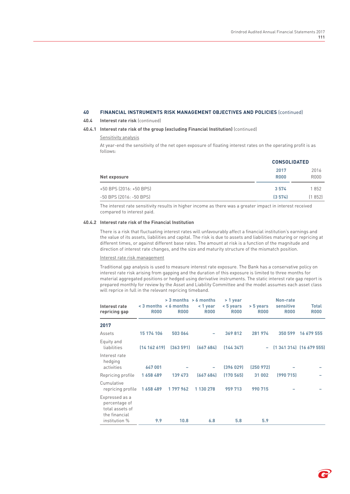**40.4 Interest rate risk** (continued)

#### **40.4.1 Interest rate risk of the group (excluding Financial Institution)** (continued)

### Sensitivity analysis

At year-end the sensitivity of the net open exposure of floating interest rates on the operating profit is as follows:

|                         | <b>CONSOLIDATED</b> |              |  |
|-------------------------|---------------------|--------------|--|
| Net exposure            | 2017<br><b>R000</b> | 2016<br>R000 |  |
| +50 BPS (2016: +50 BPS) | 3574                | 1852         |  |
| -50 BPS (2016: -50 BPS) | (3574)              | (1852)       |  |

The interest rate sensitivity results in higher income as there was a greater impact in interest received compared to interest paid.

#### **40.4.2 Interest rate risk of the Financial Institution**

There is a risk that fluctuating interest rates will unfavourably affect a financial institution's earnings and the value of its assets, liabilities and capital. The risk is due to assets and liabilities maturing or repricing at different times, or against different base rates. The amount at risk is a function of the magnitude and direction of interest rate changes, and the size and maturity structure of the mismatch position.

#### Interest rate risk management

Traditional gap analysis is used to measure interest rate exposure. The Bank has a conservative policy on interest rate risk arising from gapping and the duration of this exposure is limited to three months for material aggregated positions or hedged using derivative instruments. The static interest rate gap report is prepared monthly for review by the Asset and Liability Committee and the model assumes each asset class will reprice in full in the relevant repricing timeband.

| Interest rate<br>repricing gap                                                       | $\leq$ 3 months $\leq$ 6 months<br><b>R000</b> | <b>R000</b> | $> 3$ months $> 6$ months<br>< 1 year<br><b>R000</b> | > 1 year<br>< 5 years<br><b>R000</b> | > 5 years<br><b>R000</b> | Non-rate<br>sensitive<br><b>R000</b> | <b>Total</b><br><b>R000</b>  |
|--------------------------------------------------------------------------------------|------------------------------------------------|-------------|------------------------------------------------------|--------------------------------------|--------------------------|--------------------------------------|------------------------------|
| 2017                                                                                 |                                                |             |                                                      |                                      |                          |                                      |                              |
| Assets                                                                               | 15 174 106                                     | 503 064     |                                                      | 369812                               | 281 974                  | 350 599                              | 16 679 555                   |
| Equity and<br>liabilities                                                            | (14162619)                                     | (363591)    | (667684)                                             | (144347)                             |                          |                                      | $-$ (1 341 314) (16 679 555) |
| Interest rate<br>hedging<br>activities                                               | 647001                                         |             |                                                      | (396029)                             | (250972)                 |                                      |                              |
| Repricing profile                                                                    | 1658489                                        | 139 473     | (667684)                                             | (170565)                             | 31 002                   | (990715)                             |                              |
| Cumulative<br>repricing profile                                                      | 1658489                                        | 1797962     | 1 130 278                                            | 959 713                              | 990 715                  |                                      |                              |
| Expressed as a<br>percentage of<br>total assets of<br>the financial<br>institution % | 9.9                                            | 10.8        | 6.8                                                  | 5.8                                  | 5.9                      |                                      |                              |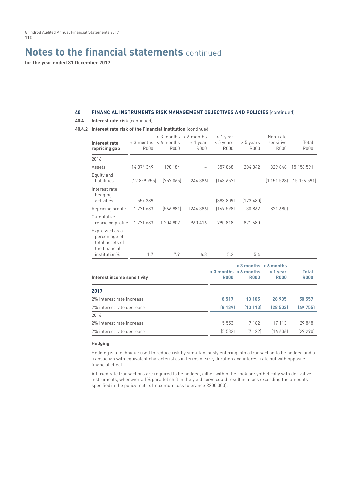**for the year ended 31 December 2017**

## **40 FINANCIAL INSTRUMENTS RISK MANAGEMENT OBJECTIVES AND POLICIES** (continued)

**40.4 Interest rate risk** (continued)

## **40.4.2 Interest rate risk of the Financial Institution** (continued)

| Interest rate<br>repricing gap                                                      | < 3 months < 6 months<br><b>R000</b> | <b>R000</b> | $> 3$ months $> 6$ months<br>< 1 year<br><b>R000</b> | > 1 year<br>< 5 years<br>R000            | > 5 years<br>R000                                    | Non-rate<br>sensitive<br><b>R000</b> | Total<br><b>R000</b>                 |
|-------------------------------------------------------------------------------------|--------------------------------------|-------------|------------------------------------------------------|------------------------------------------|------------------------------------------------------|--------------------------------------|--------------------------------------|
| 2016                                                                                |                                      |             |                                                      |                                          |                                                      |                                      |                                      |
| Assets                                                                              | 14 074 349                           | 190 184     |                                                      | 357868                                   | 204 342                                              | 329 848                              | 15 156 591                           |
| Equity and<br>liabilities                                                           | (12859955)                           | (757065)    | [244386]                                             | (143657)                                 | $\overline{\phantom{0}}$                             |                                      | $(1\;151\;528)\;\;$ $(15\;156\;591)$ |
| Interest rate<br>hedging<br>activities                                              | 557 289                              |             |                                                      | [383 809]                                | [173 480]                                            |                                      |                                      |
| Repricing profile                                                                   | 1 771 683                            | [566 881]   | [244386]                                             | (169598)                                 | 30 862                                               | [821 680]                            |                                      |
| Cumulative<br>repricing profile                                                     | 1 771 683                            | 1 204 802   | 960 416                                              | 790 818                                  | 821 680                                              |                                      |                                      |
| Expressed as a<br>percentage of<br>total assets of<br>the financial<br>institution% | 11.7                                 | 7.9         | 6.3                                                  | 5.2                                      | 5.4                                                  |                                      |                                      |
| Interest income sensitivity                                                         |                                      |             | <b>R000</b>                                          | $<$ 3 months $<$ 6 months<br><b>R000</b> | $> 3$ months $> 6$ months<br>< 1 year<br><b>R000</b> | <b>Total</b><br><b>R000</b>          |                                      |
| 2017                                                                                |                                      |             |                                                      |                                          |                                                      |                                      |                                      |
| 2% interest rate increase                                                           |                                      |             |                                                      | 8517                                     | 13 105                                               | 28 935                               | 50 557                               |

## 2% interest rate decrease **(8 139) (13 113) (28 503) (49 755)** 2016 2% interest rate increase 5 553 7 182 17 113 29 848 2% interest rate decrease (5 532) (7 122) (16 636) (29 290)

#### **Hedging**

Hedging is a technique used to reduce risk by simultaneously entering into a transaction to be hedged and a transaction with equivalent characteristics in terms of size, duration and interest rate but with opposite financial effect.

All fixed rate transactions are required to be hedged, either within the book or synthetically with derivative instruments, whenever a 1% parallel shift in the yield curve could result in a loss exceeding the amounts specified in the policy matrix (maximum loss tolerance R200 000).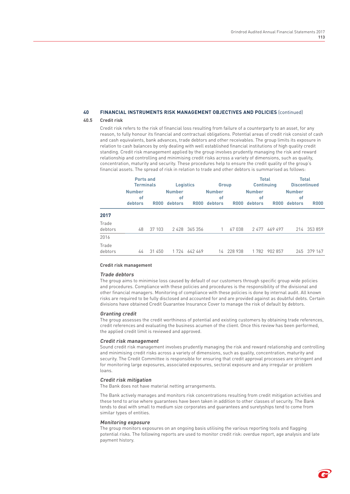#### **40.5 Credit risk**

Credit risk refers to the risk of financial loss resulting from failure of a counterparty to an asset, for any reason, to fully honour its financial and contractual obligations. Potential areas of credit risk consist of cash and cash equivalents, bank advances, trade debtors and other receivables. The group limits its exposure in relation to cash balances by only dealing with well established financial institutions of high quality credit standing. Credit risk management applied by the group involves prudently managing the risk and reward relationship and controlling and minimising credit risks across a variety of dimensions, such as quality, concentration, maturity and security. These procedures help to ensure the credit quality of the group's financial assets. The spread of risk in relation to trade and other debtors is summarised as follows:

|                  |                                                    | Ports and |                                                         |             |                                |                      | <b>Total</b>                                        |             |                                | <b>Total</b><br><b>Discontinued</b> |
|------------------|----------------------------------------------------|-----------|---------------------------------------------------------|-------------|--------------------------------|----------------------|-----------------------------------------------------|-------------|--------------------------------|-------------------------------------|
|                  | <b>Terminals</b><br><b>Number</b><br>οf<br>debtors |           | <b>Logistics</b><br><b>Number</b><br>0f<br>R000 debtors | <b>R000</b> | <b>Number</b><br>οf<br>debtors | Group<br><b>R000</b> | <b>Continuing</b><br><b>Number</b><br>0f<br>debtors | <b>R000</b> | <b>Number</b><br>οf<br>debtors | <b>R000</b>                         |
| 2017             |                                                    |           |                                                         |             |                                |                      |                                                     |             |                                |                                     |
| Trade<br>debtors | 48                                                 | 37 103    | 2428                                                    | 365356      | $\overline{1}$                 | 67 038               | 2477                                                | 469 497     |                                | 214 353 859                         |
| 2016             |                                                    |           |                                                         |             |                                |                      |                                                     |             |                                |                                     |
| Trade<br>debtors | 44                                                 | 31 450    | 1 7 2 4                                                 | 642469      | 14                             | 228 938              | 1782                                                | 902 857     |                                | 245 379 167                         |

### **Credit risk management**

#### **Trade debtors**

The group aims to minimise loss caused by default of our customers through specific group wide policies and procedures. Compliance with these policies and procedures is the responsibility of the divisional and other financial managers. Monitoring of compliance with these policies is done by internal audit. All known risks are required to be fully disclosed and accounted for and are provided against as doubtful debts. Certain divisions have obtained Credit Guarantee Insurance Cover to manage the risk of default by debtors.

#### **Granting credit**

The group assesses the credit worthiness of potential and existing customers by obtaining trade references, credit references and evaluating the business acumen of the client. Once this review has been performed, the applied credit limit is reviewed and approved.

#### **Credit risk management**

Sound credit risk management involves prudently managing the risk and reward relationship and controlling and minimising credit risks across a variety of dimensions, such as quality, concentration, maturity and security. The Credit Committee is responsible for ensuring that credit approval processes are stringent and for monitoring large exposures, associated exposures, sectoral exposure and any irregular or problem loans.

#### **Credit risk mitigation**

The Bank does not have material netting arrangements.

The Bank actively manages and monitors risk concentrations resulting from credit mitigation activities and these tend to arise where guarantees have been taken in addition to other classes of security. The Bank tends to deal with small to medium size corporates and guarantees and suretyships tend to come from similar types of entities.

#### **Monitoring exposure**

The group monitors exposures on an ongoing basis utilising the various reporting tools and flagging potential risks. The following reports are used to monitor credit risk: overdue report, age analysis and late payment history.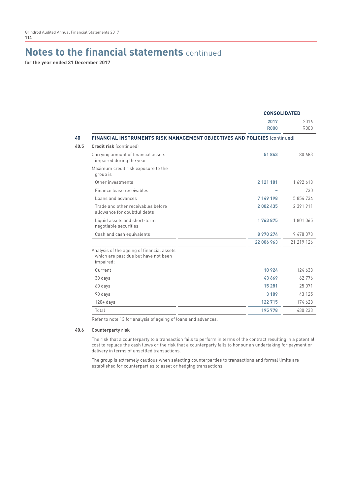**for the year ended 31 December 2017**

|                                                                                                 | <b>CONSOLIDATED</b> |                     |  |
|-------------------------------------------------------------------------------------------------|---------------------|---------------------|--|
|                                                                                                 | 2017<br><b>R000</b> | 2016<br><b>R000</b> |  |
| <b>FINANCIAL INSTRUMENTS RISK MANAGEMENT OBJECTIVES AND POLICIES (continued)</b>                |                     |                     |  |
| Credit risk (continued)                                                                         |                     |                     |  |
| Carrying amount of financial assets<br>impaired during the year                                 | 51843               | 80 683              |  |
| Maximum credit risk exposure to the<br>group is                                                 |                     |                     |  |
| Other investments                                                                               | 2 121 181           | 1 692 613           |  |
| Finance lease receivables                                                                       |                     | 730                 |  |
| Loans and advances                                                                              | 7 149 198           | 5 854 734           |  |
| Trade and other receivables before<br>allowance for doubtful debts                              | 2 002 435           | 2 391 911           |  |
| Liquid assets and short-term<br>negotiable securities                                           | 1763875             | 1801065             |  |
| Cash and cash equivalents                                                                       | 8 970 274           | 9 478 073           |  |
|                                                                                                 | 22 006 963          | 21 219 126          |  |
| Analysis of the ageing of financial assets<br>which are past due but have not been<br>impaired: |                     |                     |  |
| Current                                                                                         | 10924               | 124 633             |  |
| 30 days                                                                                         | 43 669              | 62 776              |  |
| 60 days                                                                                         | 15 281              | 25 0 71             |  |
| 90 days                                                                                         | 3 1 8 9             | 43 125              |  |
| $120 + days$                                                                                    | 122 715             | 174 628             |  |
| Total                                                                                           | 195 778             | 430 233             |  |

Refer to note 13 for analysis of ageing of loans and advances.

## **40.6 Counterparty risk**

The risk that a counterparty to a transaction fails to perform in terms of the contract resulting in a potential cost to replace the cash flows or the risk that a counterparty fails to honour an undertaking for payment or delivery in terms of unsettled transactions.

The group is extremely cautious when selecting counterparties to transactions and formal limits are established for counterparties to asset or hedging transactions.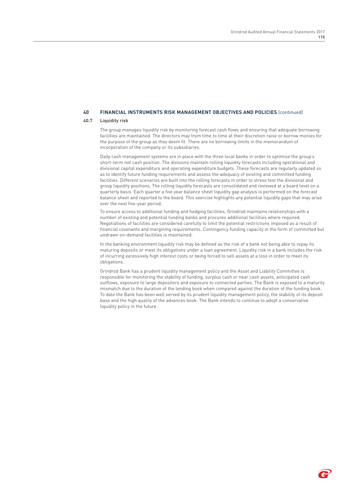### **40.7 Liquidity risk**

The group manages liquidity risk by monitoring forecast cash flows and ensuring that adequate borrowing facilities are maintained. The directors may from time to time at their discretion raise or borrow monies for the purpose of the group as they deem fit. There are no borrowing limits in the memorandum of incorporation of the company or its subsidiaries.

Daily cash management systems are in place with the three local banks in order to optimise the group's short-term net cash position. The divisions maintain rolling liquidity forecasts including operational and divisional capital expenditure and operating expenditure budgets. These forecasts are regularly updated so as to identify future funding requirements and assess the adequacy of existing and committed funding facilities. Different scenarios are built into the rolling forecasts in order to stress test the divisional and group liquidity positions. The rolling liquidity forecasts are consolidated and reviewed at a board level on a quarterly basis. Each quarter a five year balance sheet liquidity gap analysis is performed on the forecast balance sheet and reported to the board. This exercise highlights any potential liquidity gaps that may arise over the next five-year period.

To ensure access to additional funding and hedging facilities, Grindrod maintains relationships with a number of existing and potential funding banks and procures additional facilities where required. Negotiations of facilities are considered carefully to limit the potential restrictions imposed as a result of financial covenants and margining requirements. Contingency funding capacity in the form of committed but undrawn on-demand facilities is maintained.

In the banking environment liquidity risk may be defined as the risk of a bank not being able to repay its maturing deposits or meet its obligations under a loan agreement. Liquidity risk in a bank includes the risk of incurring excessively high interest costs or being forced to sell assets at a loss in order to meet its obligations.

Grindrod Bank has a prudent liquidity management policy and the Asset and Liability Committee is responsible for monitoring the stability of funding, surplus cash or near cash assets, anticipated cash outflows, exposure to large depositors and exposure to connected parties. The Bank is exposed to a maturity mismatch due to the duration of the lending book when compared against the duration of the funding book. To date the Bank has been well served by its prudent liquidity management policy, the stability of its deposit base and the high quality of the advances book. The Bank intends to continue to adopt a conservative liquidity policy in the future.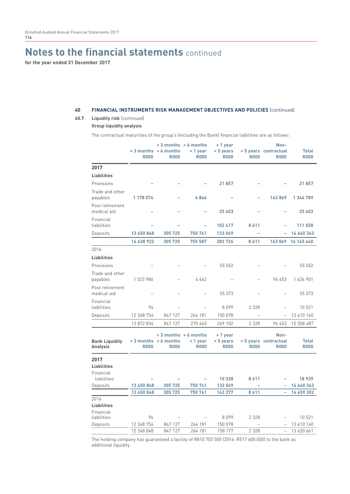**for the year ended 31 December 2017**

## **40 FINANCIAL INSTRUMENTS RISK MANAGEMENT OBJECTIVES AND POLICIES** (continued)

## **40.7 Liquidity risk** (continued)

**Group liquidity analysis**

The contractual maturities of the group's (including the Bank) financial liabilities are as follows:

|                                          |             | $<$ 3 months $<$ 6 months                | $> 3$ months $> 6$ months<br>< 1 year                | > 1 year<br>< 5 years                |                          | Non-<br>> 5 years contractual                | <b>Total</b>                |
|------------------------------------------|-------------|------------------------------------------|------------------------------------------------------|--------------------------------------|--------------------------|----------------------------------------------|-----------------------------|
|                                          | <b>R000</b> | <b>R000</b>                              | <b>R000</b>                                          | <b>R000</b>                          | <b>R000</b>              | <b>R000</b>                                  | <b>R000</b>                 |
| 2017                                     |             |                                          |                                                      |                                      |                          |                                              |                             |
| <b>Liabilities</b>                       |             |                                          |                                                      |                                      |                          |                                              |                             |
| Provisions                               |             |                                          |                                                      | 21857                                |                          |                                              | 21857                       |
| Trade and other<br>payables              | 1 178 074   |                                          | 4846                                                 |                                      |                          | 163869                                       | 1 346 789                   |
| Post retirement<br>medical aid           |             |                                          |                                                      | 25 403                               |                          |                                              | 25 403                      |
| Financial<br>liabilities                 |             |                                          |                                                      | 102 417                              | 8611                     |                                              | 111 028                     |
| Deposits                                 | 13 450 848  | 305725                                   | 750 741                                              | 133049                               |                          |                                              | 14 640 363                  |
|                                          | 14 628 922  | 305725                                   | 755 587                                              | 282726                               | 8611                     | 163869                                       | 16 145 440                  |
| 2016                                     |             |                                          |                                                      |                                      |                          |                                              |                             |
| <b>Liabilities</b>                       |             |                                          |                                                      |                                      |                          |                                              |                             |
| Provisions                               |             |                                          |                                                      | 55 552                               |                          |                                              | 55 552                      |
| Trade and other<br>payables              | 1 523 986   |                                          | 6462                                                 |                                      |                          | 96 453                                       | 1 626 901                   |
| Post retirement<br>medical aid           |             |                                          |                                                      | 55 373                               |                          |                                              | 55 373                      |
| Financial<br>liabilities                 | 94          |                                          |                                                      | 8099                                 | 2 3 2 8                  |                                              | 10 521                      |
| Deposits                                 | 12 348 754  | 847 127                                  | 264 181                                              | 150 078                              |                          |                                              | 13 610 140                  |
|                                          | 13 872 834  | 847 127                                  | 270 643                                              | 269 102                              | 2 3 2 8                  | 96 453                                       | 15 358 487                  |
| <b>Bank Liquidity</b><br><b>Analysis</b> | <b>R000</b> | $<$ 3 months $<$ 6 months<br><b>R000</b> | $> 3$ months $> 6$ months<br>< 1 year<br><b>R000</b> | > 1 year<br>< 5 years<br><b>R000</b> | <b>R000</b>              | Non-<br>> 5 years contractual<br><b>R000</b> | <b>Total</b><br><b>R000</b> |
| 2017<br><b>Liabilities</b>               |             |                                          |                                                      |                                      |                          |                                              |                             |
| Financial<br>liabilities                 |             |                                          |                                                      | 10 328                               | 8611                     |                                              | 18 939                      |
| Deposits                                 | 13 450 848  | 305 725                                  | 750 741                                              | 133049                               | $\overline{\phantom{0}}$ | $\overline{\phantom{0}}$                     | 14 640 363                  |
|                                          | 13 450 848  | 305725                                   | 750 741                                              | 143 377                              | 8611                     | ۰                                            | 14 659 302                  |
| 2016<br><b>Liabilities</b><br>Financial  |             |                                          |                                                      |                                      |                          |                                              |                             |
| liabilities                              | 94          |                                          |                                                      | 8099                                 | 2 3 2 8                  |                                              | 10 521                      |
| Deposits                                 | 12 348 754  | 847 127                                  | 264 181                                              | 150 078                              | $\overline{\phantom{a}}$ | $\overline{\phantom{0}}$                     | 13 610 140                  |
|                                          | 12 348 848  | 847 127                                  | 264 181                                              | 158 177                              | 2 3 2 8                  | -                                            | 13 620 661                  |

The holding company has guaranteed a facility of R810 703 500 (2016: R517 600 000) to the bank as additional liquidity.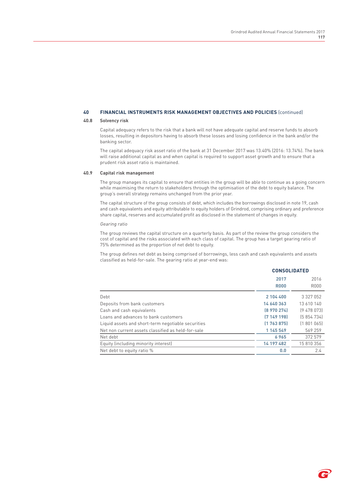## **40.8 Solvency risk**

Capital adequacy refers to the risk that a bank will not have adequate capital and reserve funds to absorb losses, resulting in depositors having to absorb these losses and losing confidence in the bank and/or the banking sector.

The capital adequacy risk asset ratio of the bank at 31 December 2017 was 13.40% (2016: 13.74%). The bank will raise additional capital as and when capital is required to support asset growth and to ensure that a prudent risk asset ratio is maintained.

#### **40.9 Capital risk management**

The group manages its capital to ensure that entities in the group will be able to continue as a going concern while maximising the return to stakeholders through the optimisation of the debt to equity balance. The group's overall strategy remains unchanged from the prior year.

The capital structure of the group consists of debt, which includes the borrowings disclosed in note 19, cash and cash equivalents and equity attributable to equity holders of Grindrod, comprising ordinary and preference share capital, reserves and accumulated profit as disclosed in the statement of changes in equity.

## Gearing ratio

The group reviews the capital structure on a quarterly basis. As part of the review the group considers the cost of capital and the risks associated with each class of capital. The group has a target gearing ratio of 75% determined as the proportion of net debt to equity.

The group defines net debt as being comprised of borrowings, less cash and cash equivalents and assets classified as held-for-sale. The gearing ratio at year-end was:

|                                                    | <b>CONSOLIDATED</b> |               |  |
|----------------------------------------------------|---------------------|---------------|--|
|                                                    | 2017<br><b>R000</b> | 2016<br>R000  |  |
| Debt                                               | 2 104 400           | 3 3 2 7 0 5 2 |  |
| Deposits from bank customers                       | 14 640 363          | 13 610 140    |  |
| Cash and cash equivalents                          | (8970274)           | [9, 478, 073] |  |
| Loans and advances to bank customers               | [7 149 198]         | (5854734)     |  |
| Liquid assets and short-term negotiable securities | (1763875)           | (1801065)     |  |
| Net non current assets classified as held-for-sale | 1 145 549           | 569 259       |  |
| Net debt                                           | 6965                | 372 579       |  |
| Equity (including minority interest)               | 14 197 482          | 15 810 356    |  |
| Net debt to equity ratio %                         | 0.0                 | 2.4           |  |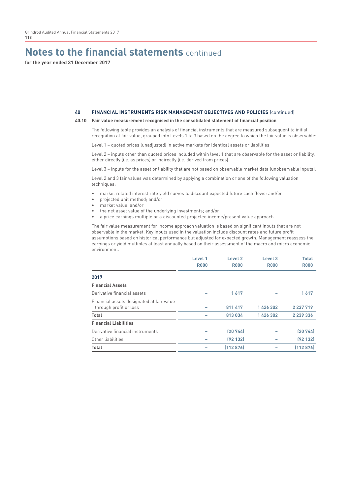**for the year ended 31 December 2017**

## **40 FINANCIAL INSTRUMENTS RISK MANAGEMENT OBJECTIVES AND POLICIES** (continued)

#### **40.10 Fair value measurement recognised in the consolidated statement of financial position**

The following table provides an analysis of financial instruments that are measured subsequent to initial recognition at fair value, grouped into Levels 1 to 3 based on the degree to which the fair value is observable:

Level 1 – quoted prices (unadjusted) in active markets for identical assets or liabilities

Level 2 – inputs other than quoted prices included within level 1 that are observable for the asset or liability, either directly (i.e. as prices) or indirectly (i.e. derived from prices)

Level 3 – inputs for the asset or liability that are not based on observable market data (unobservable inputs).

Level 2 and 3 fair values was determined by applying a combination or one of the following valuation techniques:

- market related interest rate yield curves to discount expected future cash flows; and/or
- projected unit method; and/or
- market value, and/or
- the net asset value of the underlying investments; and/or
- a price earnings multiple or a discounted projected income/present value approach.

The fair value measurement for income approach valuation is based on significant inputs that are not observable in the market. Key inputs used in the valuation include discount rates and future profit assumptions based on historical performance but adjusted for expected growth. Management reassess the earnings or yield multiples at least annually based on their assessment of the macro and micro economic environment.

|                                                                     | Level 1<br><b>R000</b>   | Level 2<br><b>R000</b> | Level <sub>3</sub><br><b>R000</b> | <b>Total</b><br><b>R000</b> |
|---------------------------------------------------------------------|--------------------------|------------------------|-----------------------------------|-----------------------------|
| 2017                                                                |                          |                        |                                   |                             |
| <b>Financial Assets</b>                                             |                          |                        |                                   |                             |
| Derivative financial assets                                         | $\overline{\phantom{0}}$ | 1617                   |                                   | 1617                        |
| Financial assets designated at fair value<br>through profit or loss | -                        | 811 417                | 1 426 302                         | 2 237 719                   |
| <b>Total</b>                                                        |                          | 813034                 | 1 426 302                         | 2 2 3 9 3 3 6               |
| <b>Financial Liabilities</b>                                        |                          |                        |                                   |                             |
| Derivative financial instruments                                    |                          | (20744)                |                                   | (20744)                     |
| Other liabilities                                                   | $\overline{\phantom{0}}$ | (92132)                | -                                 | (92132)                     |
| <b>Total</b>                                                        |                          | (112876)               |                                   | [112 876]                   |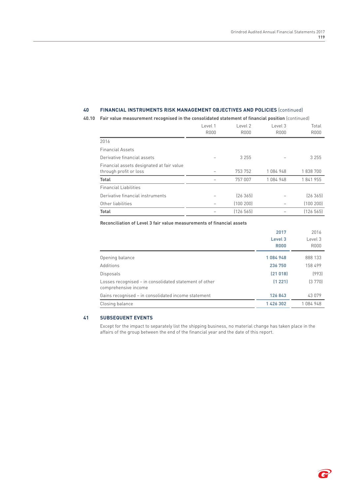P

## **40 FINANCIAL INSTRUMENTS RISK MANAGEMENT OBJECTIVES AND POLICIES** (continued)

**40.10 Fair value measurement recognised in the consolidated statement of financial position** (continued)

|                                                                     | Level 1<br><b>R000</b> | Level 2<br><b>R000</b> | Level 3<br><b>R000</b> | Total<br>R000 |
|---------------------------------------------------------------------|------------------------|------------------------|------------------------|---------------|
| 2016                                                                |                        |                        |                        |               |
| <b>Financial Assets</b>                                             |                        |                        |                        |               |
| Derivative financial assets                                         |                        | 3 2 5 5                |                        | 3 2 5 5       |
| Financial assets designated at fair value<br>through profit or loss |                        | 753 752                | 1084948                | 1838700       |
| <b>Total</b>                                                        |                        | 757 007                | 1084948                | 1841955       |
| <b>Financial Liabilities</b>                                        |                        |                        |                        |               |
| Derivative financial instruments                                    |                        | [26 365]               |                        | [26 365]      |
| Other liabilities                                                   |                        | (100 200)              |                        | (100200)      |
| <b>Total</b>                                                        |                        | [126 565]              |                        | (126 565)     |

## **Reconciliation of Level 3 fair value measurements of financial assets**

|                                                                                | 2017               | 2016        |
|--------------------------------------------------------------------------------|--------------------|-------------|
|                                                                                | Level <sub>3</sub> | Level 3     |
|                                                                                | <b>R000</b>        | <b>R000</b> |
| Opening balance                                                                | 1084948            | 888 133     |
| Additions                                                                      | 236 750            | 158 499     |
| Disposals                                                                      | (21018)            | (993)       |
| Losses recognised – in consolidated statement of other<br>comprehensive income | (1221)             | (3770)      |
| Gains recognised - in consolidated income statement                            | 126843             | 43 0 79     |
| Closing balance                                                                | 1 426 302          | 1084948     |

## **41 SUBSEQUENT EVENTS**

Except for the impact to separately list the shipping business, no material change has taken place in the affairs of the group between the end of the financial year and the date of this report.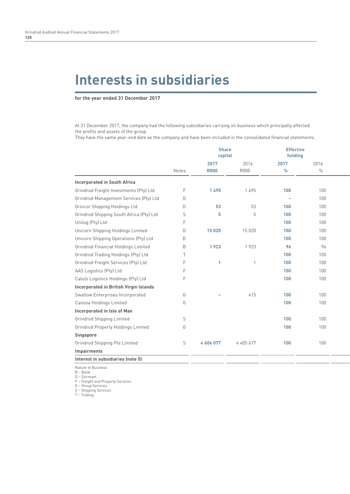# **Interests in subsidiaries**

**for the year ended 31 December 2017**

At 31 December 2017, the company had the following subsidiaries carrying on business which principally affected the profits and assets of the group.

They have the same year-end date as the company and have been included in the consolidated financial statements.

|                                               |       |                     | <b>Share</b><br>capital |                          | <b>Effective</b><br>holding |  |
|-----------------------------------------------|-------|---------------------|-------------------------|--------------------------|-----------------------------|--|
|                                               | Notes | 2017<br><b>R000</b> | 2016<br><b>R000</b>     | 2017<br>$\%$             | 2016<br>$\%$                |  |
| <b>Incorporated in South Africa</b>           |       |                     |                         |                          |                             |  |
| Grindrod Freight Investments (Pty) Ltd        | F     | 1495                | 1495                    | 100                      | 100                         |  |
| Grindrod Management Services (Pty) Ltd        | G     |                     |                         | $\overline{\phantom{a}}$ | 100                         |  |
| Grincor Shipping Holdings Ltd                 | D     | 53                  | 53                      | 100                      | 100                         |  |
| Grindrod Shipping South Africa (Pty) Ltd      | S     | 5                   | 5                       | 100                      | 100                         |  |
| Unilog (Pty) Ltd                              | E     |                     |                         | 100                      | 100                         |  |
| Unicorn Shipping Holdings Limited             | D     | 15 0 20             | 15 0 20                 | 100                      | 100                         |  |
| Unicorn Shipping Operations (Pty) Ltd         | D     |                     |                         | 100                      | 100                         |  |
| Grindrod Financial Holdings Limited           | B     | 1923                | 1923                    | 96                       | 96                          |  |
| Grindrod Trading Holdings (Pty) Ltd           |       |                     |                         | 100                      | 100                         |  |
| Grindrod Freight Services (Pty) Ltd           |       | -1                  |                         | 100                      | 100                         |  |
| AAS Logistics (Pty) Ltd                       |       |                     |                         | 100                      | 100                         |  |
| Calulo Logistics Holdings (Pty) Ltd           |       |                     |                         | 100                      | 100                         |  |
| <b>Incorporated in British Virgin Islands</b> |       |                     |                         |                          |                             |  |
| Swallow Enterprises Incorporated              | G     |                     | 415                     | 100                      | 100                         |  |
| Canosa Holdings Limited                       | G     |                     |                         | 100                      | 100                         |  |
| <b>Incorporated in Isle of Man</b>            |       |                     |                         |                          |                             |  |
| <b>Grindrod Shipping Limited</b>              | S     |                     |                         | 100                      | 100                         |  |
| Grindrod Property Holdings Limited            | G     |                     |                         | 100                      | 100                         |  |
| Singapore                                     |       |                     |                         |                          |                             |  |
| Grindrod Shipping Pte Limited                 | S     | 4 606 077           | 4 405 677               | 100                      | 100                         |  |
| Impairments                                   |       |                     |                         |                          |                             |  |
| Interest in subsidiaries (note 5)             |       |                     |                         |                          |                             |  |

Nature of Business B – Bank

D – Dormant F – Freight and Property Services G – Group Services S – Shipping Services T – Trading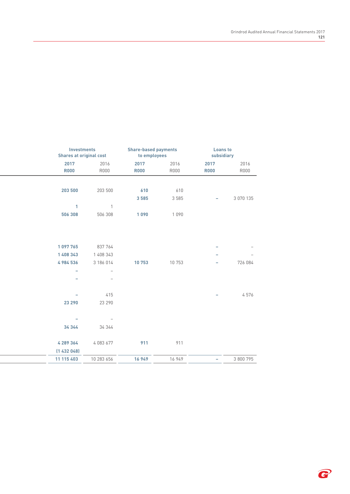| Investments<br><b>Shares at original cost</b> |                          | <b>Share-based payments</b><br>to employees |                     | <b>Loans to</b><br>subsidiary |                                 |
|-----------------------------------------------|--------------------------|---------------------------------------------|---------------------|-------------------------------|---------------------------------|
| 2017<br><b>R000</b>                           | 2016<br><b>R000</b>      | 2017<br><b>R000</b>                         | 2016<br><b>R000</b> | 2017<br><b>R000</b>           | 2016<br><b>R000</b>             |
|                                               |                          |                                             |                     |                               |                                 |
| 203 500                                       | 203 500                  | 610                                         | 610                 |                               |                                 |
|                                               |                          | 3 5 8 5                                     | 3 5 8 5             | $\overline{\phantom{a}}$      | 3 0 7 0 1 3 5                   |
| $\overline{1}$                                | $\overline{1}$           |                                             |                     |                               |                                 |
| 506 308                                       | 506 308                  | 1090                                        | 1 0 9 0             |                               |                                 |
|                                               |                          |                                             |                     |                               |                                 |
|                                               |                          |                                             |                     |                               |                                 |
|                                               |                          |                                             |                     |                               |                                 |
| 1 097 765                                     | 837 764                  |                                             |                     | ÷                             | $\hspace{0.1mm}-\hspace{0.1mm}$ |
| 1 408 343                                     | 1 408 343                |                                             |                     | ۰                             | $\hspace{0.1mm}-\hspace{0.1mm}$ |
| 4 984 536                                     | 3 186 0 14               | 10753                                       | 10 753              | $\sim$                        | 726 084                         |
| $\sim$                                        | $\overline{\phantom{a}}$ |                                             |                     |                               |                                 |
| -                                             |                          |                                             |                     |                               |                                 |
|                                               |                          |                                             |                     |                               |                                 |
| $\overline{\phantom{a}}$                      | 415                      |                                             |                     | $\overline{\phantom{a}}$      | 4576                            |
| 23 290                                        | 23 290                   |                                             |                     |                               |                                 |
|                                               |                          |                                             |                     |                               |                                 |
| $\sim$                                        | $\overline{\phantom{0}}$ |                                             |                     |                               |                                 |
| 34 344                                        |                          |                                             |                     |                               |                                 |
|                                               |                          |                                             |                     |                               |                                 |
| 4 289 364                                     | 4 083 677                | 911                                         | 911                 |                               |                                 |
| (1432048)                                     |                          |                                             |                     |                               |                                 |
| 11 115 403                                    | 10 283 656               | 16 949                                      | 16 949              | $\sim$                        | 3 800 795                       |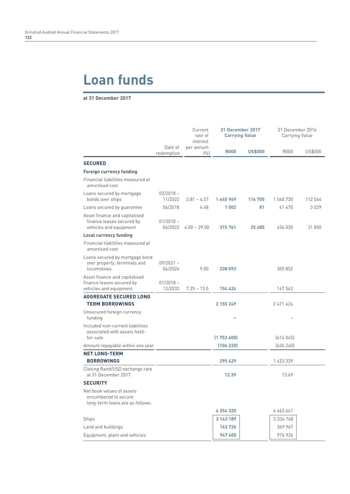# **Loan funds**

**at 31 December 2017**

|                                                                                      | Current<br>rate of<br>interest |                        | 31 December 2017<br><b>Carrying Value</b> |                | 31 December 2016<br>Carrying Value |         |
|--------------------------------------------------------------------------------------|--------------------------------|------------------------|-------------------------------------------|----------------|------------------------------------|---------|
|                                                                                      | Date of<br>redemption          | per annum<br>(% )      | <b>R000</b>                               | <b>US\$000</b> | R000                               | US\$000 |
| <b>SECURED</b>                                                                       |                                |                        |                                           |                |                                    |         |
| <b>Foreign currency funding</b>                                                      |                                |                        |                                           |                |                                    |         |
| Financial liabilities measured at<br>amortised cost                                  |                                |                        |                                           |                |                                    |         |
| Loans secured by mortgage<br>bonds over ships                                        | $03/2018 -$<br>11/2022         | $3.81 - 4.57$          | 1445969                                   | 116 705        | 1 540 730                          | 112 544 |
| Loans secured by guarantee                                                           | 06/2018                        | 4.48                   | 1002                                      | 81             | 41 470                             | 3029    |
| Asset finance and capitalised<br>finance leases secured by<br>vehicles and equipment | $01/2018 -$                    | $06/2022$ 4.00 - 29.00 | 315761                                    | 25 485         | 436 030                            | 31 850  |
| <b>Local currency funding</b>                                                        |                                |                        |                                           |                |                                    |         |
| Financial liabilities measured at<br>amortised cost                                  |                                |                        |                                           |                |                                    |         |
| Loans secured by mortgage bond<br>over property, terminals and<br>locomotives        | $09/2021 -$<br>04/2024         | 9.00                   | 238 093                                   |                | 305 852                            |         |
| Asset finance and capitalised<br>finance leases secured by<br>vehicles and equipment | $01/2018 -$<br>12/2033         | $7.25 - 13.5$          | 154 424                                   |                | 147 542                            |         |
| <b>AGGREGATE SECURED LONG</b>                                                        |                                |                        |                                           |                |                                    |         |
| <b>TERM BORROWINGS</b>                                                               |                                |                        | 2 155 249                                 |                | 2 471 624                          |         |
| Unsecured foreign currency<br>funding                                                |                                |                        |                                           |                |                                    |         |
| Included non-current liabilities<br>associated with assets held-<br>for-sale         |                                |                        | (1753600)                                 |                | (414045)                           |         |
| Amount repayable within one year                                                     |                                |                        | (106 220)                                 |                | (634 240)                          |         |
| <b>NET LONG-TERM</b><br><b>BORROWINGS</b>                                            |                                |                        | 295 429                                   |                | 1 423 339                          |         |
| Closing Rand/USD exchange rate<br>at 31 December 2017                                |                                |                        | 12.39                                     |                | 13.69                              |         |
| <b>SECURITY</b>                                                                      |                                |                        |                                           |                |                                    |         |
| Net book values of assets<br>encumbered to secure<br>long-term loans are as follows: |                                |                        |                                           |                |                                    |         |
|                                                                                      |                                |                        | 4 254 320                                 |                | 4 663 641                          |         |
| Ships                                                                                |                                |                        | 3 143 189                                 |                | 3 3 3 6 7 4 8                      |         |
| Land and buildings                                                                   |                                |                        | 163726                                    |                | 349 967                            |         |
| Equipment, plant and vehicles                                                        |                                |                        | 947 405                                   |                | 976 926                            |         |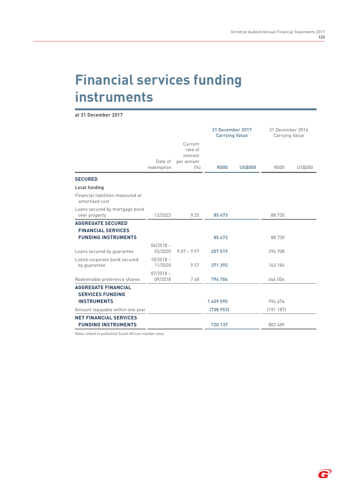P

# **Financial services funding instruments**

**at 31 December 2017**

|                                                       |                        |                                                     |             | 31 December 2017<br><b>Carrying Value</b> |          | 31 December 2016<br>Carrying Value |  |
|-------------------------------------------------------|------------------------|-----------------------------------------------------|-------------|-------------------------------------------|----------|------------------------------------|--|
|                                                       | Date of<br>redemption  | Current<br>rate of<br>interest<br>per annum<br>(% ) | <b>R000</b> | <b>US\$000</b>                            | R000     | US\$000                            |  |
| <b>SECURED</b>                                        |                        |                                                     |             |                                           |          |                                    |  |
| <b>Local funding</b>                                  |                        |                                                     |             |                                           |          |                                    |  |
| Financial liabilities measured at<br>amortised cost   |                        |                                                     |             |                                           |          |                                    |  |
| Loans secured by mortgage bond<br>over property       | 12/2023                | 9.25                                                | 85 473      |                                           | 88 730   |                                    |  |
| <b>AGGREGATE SECURED</b><br><b>FINANCIAL SERVICES</b> |                        |                                                     |             |                                           |          |                                    |  |
| <b>FUNDING INSTRUMENTS</b>                            |                        |                                                     | 85 473      |                                           | 88 730   |                                    |  |
| Loans secured by guarantee                            | $06/2018 -$<br>03/2020 | $9.07 - 9.97$                                       | 207 519     |                                           | 296 708  |                                    |  |
| Listed corporate bond secured<br>by quarantee         | $10/2018 -$<br>11/2020 | 9.57                                                | 371 392     |                                           | 163 184  |                                    |  |
| Redeemable preference shares                          | $07/2018 -$<br>09/2018 | 7.68                                                | 794 706     |                                           | 446 054  |                                    |  |
| <b>AGGREGATE FINANCIAL</b><br><b>SERVICES FUNDING</b> |                        |                                                     |             |                                           |          |                                    |  |
| <b>INSTRUMENTS</b>                                    |                        |                                                     | 1459090     |                                           | 994 676  |                                    |  |
| Amount repayable within one year                      |                        |                                                     | (738953)    |                                           | (191187) |                                    |  |
| <b>NET FINANCIAL SERVICES</b>                         |                        |                                                     |             |                                           |          |                                    |  |
| <b>FUNDING INSTRUMENTS</b>                            |                        |                                                     | 720 137     |                                           | 803 489  |                                    |  |

Rates linked to published South African market rates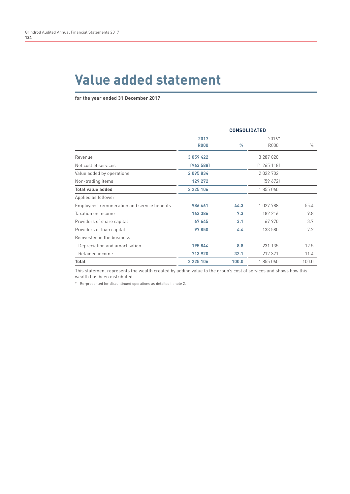# **Value added statement**

**for the year ended 31 December 2017**

|                                              | <b>CONSOLIDATED</b> |               |                      |               |  |  |
|----------------------------------------------|---------------------|---------------|----------------------|---------------|--|--|
|                                              | 2017<br><b>R000</b> | $\frac{9}{6}$ | 2016*<br><b>R000</b> | $\frac{0}{0}$ |  |  |
| Revenue                                      | 3 059 422           |               | 3 287 820            |               |  |  |
| Net cost of services                         | (963588)            |               | (1265118)            |               |  |  |
| Value added by operations                    | 2095834             |               | 2 022 702            |               |  |  |
| Non-trading items                            | 129 272             |               | [59 672]             |               |  |  |
| <b>Total value added</b>                     | 2 2 2 5 1 0 6       |               | 1855060              |               |  |  |
| Applied as follows:                          |                     |               |                      |               |  |  |
| Employees' remuneration and service benefits | 986 461             | 44.3          | 1 027 788            | 55.4          |  |  |
| Taxation on income                           | 163 386             | 7.3           | 182 216              | 9.8           |  |  |
| Providers of share capital                   | 67 645              | 3.1           | 67970                | 3.7           |  |  |
| Providers of loan capital                    | 97850               | 4.4           | 133 580              | 7.2           |  |  |
| Reinvested in the business                   |                     |               |                      |               |  |  |
| Depreciation and amortisation                | 195 844             | 8.8           | 231 135              | 12.5          |  |  |
| Retained income                              | 713 920             | 32.1          | 212 371              | 11.4          |  |  |
| Total                                        | 2 2 2 5 1 0 6       | 100.0         | 1855060              | 100.0         |  |  |

This statement represents the wealth created by adding value to the group's cost of services and shows how this wealth has been distributed.

\* Re-presented for discontinued operations as detailed in note 2.